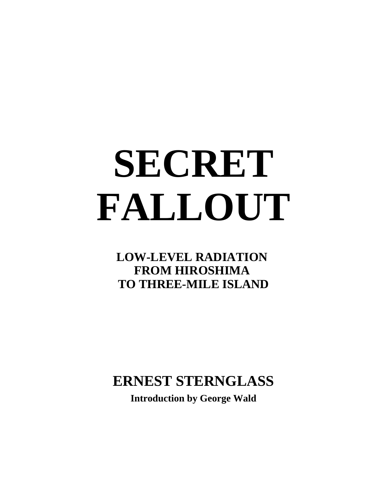# **SECRET FALLOUT**

## **LOW-LEVEL RADIATION FROM HIROSHIMA TO THREE-MILE ISLAND**

# **ERNEST STERNGLASS**

**Introduction by George Wald**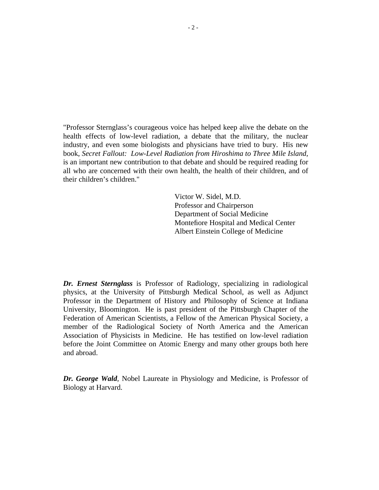"Professor Sternglass's courageous voice has helped keep alive the debate on the health effects of low-level radiation, a debate that the military, the nuclear industry, and even some biologists and physicians have tried to bury. His new book, *Secret Fallout: Low-Level Radiation from Hiroshima to Three Mile Island*, is an important new contribution to that debate and should be required reading for all who are concerned with their own health, the health of their children, and of their children's children."

> Victor W. Sidel, M.D. Professor and Chairperson Department of Social Medicine Montefiore Hospital and Medical Center Albert Einstein College of Medicine

*Dr. Ernest Sternglass* is Professor of Radiology, specializing in radiological physics, at the University of Pittsburgh Medical School, as well as Adjunct Professor in the Department of History and Philosophy of Science at Indiana University, Bloomington. He is past president of the Pittsburgh Chapter of the Federation of American Scientists, a Fellow of the American Physical Society, a member of the Radiological Society of North America and the American Association of Physicists in Medicine. He has testified on low-level radiation before the Joint Committee on Atomic Energy and many other groups both here and abroad.

*Dr. George Wald*, Nobel Laureate in Physiology and Medicine, is Professor of Biology at Harvard.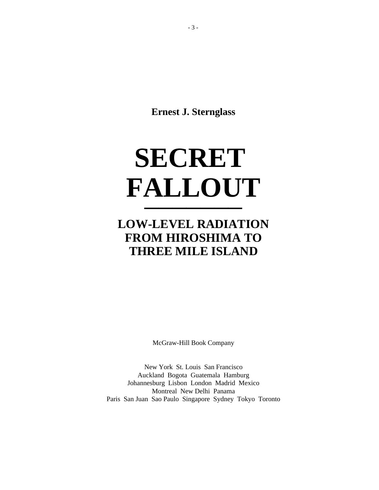**Ernest J. Sternglass**

# **SECRET** FALLOUT

## **LOW-LEVEL RADIATION FROM HIROSHIMA TO THREE MILE ISLAND**

McGraw-Hill Book Company

New York St. Louis San Francisco Auckland Bogota Guatemala Hamburg Johannesburg Lisbon London Madrid Mexico Montreal New Delhi Panama Paris San Juan Sao Paulo Singapore Sydney Tokyo Toronto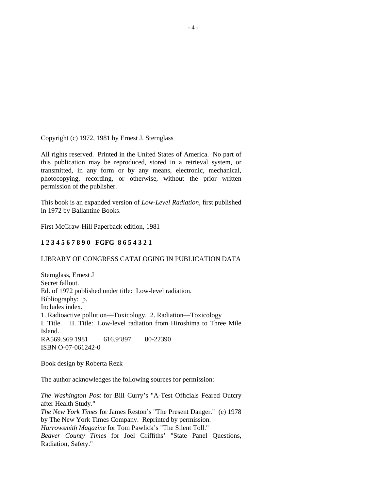Copyright (c) 1972, 1981 by Ernest J. Sternglass

All rights reserved. Printed in the United States of America. No part of this publication may be reproduced, stored in a retrieval system, or transmitted, in any form or by any means, electronic, mechanical, photocopying, recording, or otherwise, without the prior written permission of the publisher.

This book is an expanded version of *Low-Level Radiation*, first published in 1972 by Ballantine Books.

First McGraw-Hill Paperback edition, 1981

#### **1234567890 FGFG 8654321**

#### LIBRARY OF CONGRESS CATALOGING IN PUBLICATION DATA

Sternglass, Ernest J Secret fallout. Ed. of 1972 published under title: Low-level radiation. Bibliography: p. Includes index. 1. Radioactive pollution—Toxicology. 2. Radiation—Toxicology I. Title. II. Title: Low-level radiation from Hiroshima to Three Mile Island. RA569.S69 1981 616.9'897 80-22390 ISBN O-07-061242-0

Book design by Roberta Rezk

The author acknowledges the following sources for permission:

*The Washington Post* for Bill Curry's "A-Test Officials Feared Outcry after Health Study." *The New York Times* for James Reston's "The Present Danger." (c) 1978 by The New York Times Company. Reprinted by permission. *Harrowsmith Magazine* for Tom Pawlick's "The Silent Toll." *Beaver County Times* for Joel Griffiths' "State Panel Questions, Radiation, Safety."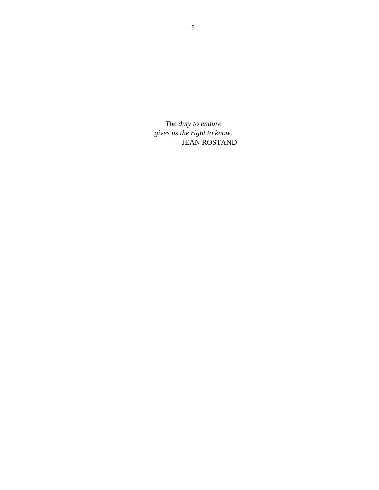*The duty to endure gives us the right to know.* —JEAN ROSTAND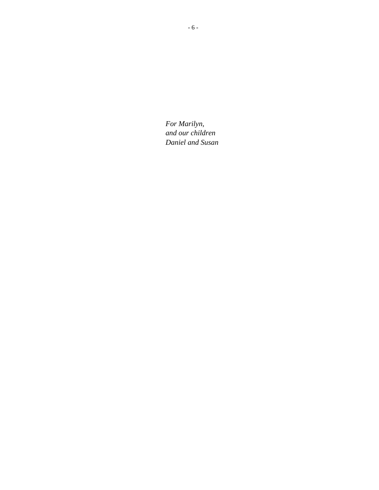*For Marilyn, and our children Daniel and Susan*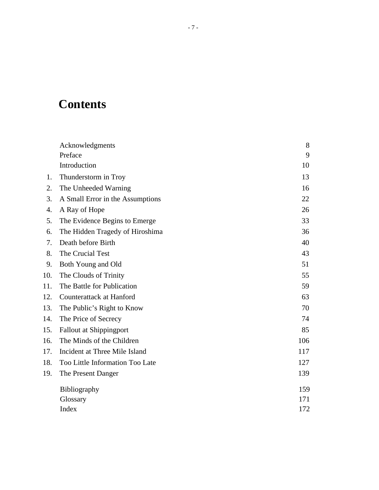# **Contents**

|     | Acknowledgments                  | 8   |
|-----|----------------------------------|-----|
|     | Preface                          | 9   |
|     | Introduction                     | 10  |
| 1.  | Thunderstorm in Troy             | 13  |
| 2.  | The Unheeded Warning             | 16  |
| 3.  | A Small Error in the Assumptions | 22  |
| 4.  | A Ray of Hope                    | 26  |
| 5.  | The Evidence Begins to Emerge    | 33  |
| 6.  | The Hidden Tragedy of Hiroshima  | 36  |
| 7.  | Death before Birth               | 40  |
| 8.  | The Crucial Test                 | 43  |
| 9.  | Both Young and Old               | 51  |
| 10. | The Clouds of Trinity            | 55  |
| 11. | The Battle for Publication       | 59  |
| 12. | Counterattack at Hanford         | 63  |
| 13. | The Public's Right to Know       | 70  |
| 14. | The Price of Secrecy             | 74  |
| 15. | <b>Fallout at Shippingport</b>   | 85  |
| 16. | The Minds of the Children        | 106 |
| 17. | Incident at Three Mile Island    | 117 |
| 18. | Too Little Information Too Late  | 127 |
| 19. | The Present Danger               | 139 |
|     | Bibliography                     | 159 |
|     | Glossary                         | 171 |
|     | Index                            | 172 |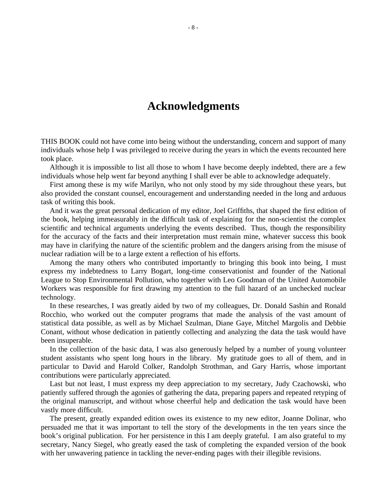#### **Acknowledgments**

THIS BOOK could not have come into being without the understanding, concern and support of many individuals whose help I was privileged to receive during the years in which the events recounted here took place.

Although it is impossible to list all those to whom I have become deeply indebted, there are a few individuals whose help went far beyond anything I shall ever be able to acknowledge adequately.

First among these is my wife Marilyn, who not only stood by my side throughout these years, but also provided the constant counsel, encouragement and understanding needed in the long and arduous task of writing this book.

And it was the great personal dedication of my editor, Joel Griffiths, that shaped the first edition of the book, helping immeasurably in the difficult task of explaining for the non-scientist the complex scientific and technical arguments underlying the events described. Thus, though the responsibility for the accuracy of the facts and their interpretation must remain mine, whatever success this book may have in clarifying the nature of the scientific problem and the dangers arising from the misuse of nuclear radiation will be to a large extent a reflection of his efforts.

Among the many others who contributed importantly to bringing this book into being, I must express my indebtedness to Larry Bogart, long-time conservationist and founder of the National League to Stop Environmental Pollution, who together with Leo Goodman of the United Automobile Workers was responsible for first drawing my attention to the full hazard of an unchecked nuclear technology.

In these researches, I was greatly aided by two of my colleagues, Dr. Donald Sashin and Ronald Rocchio, who worked out the computer programs that made the analysis of the vast amount of statistical data possible, as well as by Michael Szulman, Diane Gaye, Mitchel Margolis and Debbie Conant, without whose dedication in patiently collecting and analyzing the data the task would have been insuperable.

In the collection of the basic data, I was also generously helped by a number of young volunteer student assistants who spent long hours in the library. My gratitude goes to all of them, and in particular to David and Harold Colker, Randolph Strothman, and Gary Harris, whose important contributions were particularly appreciated.

Last but not least, I must express my deep appreciation to my secretary, Judy Czachowski, who patiently suffered through the agonies of gathering the data, preparing papers and repeated retyping of the original manuscript, and without whose cheerful help and dedication the task would have been vastly more difficult.

The present, greatly expanded edition owes its existence to my new editor, Joanne Dolinar, who persuaded me that it was important to tell the story of the developments in the ten years since the book's original publication. For her persistence in this I am deeply grateful. I am also grateful to my secretary, Nancy Siegel, who greatly eased the task of completing the expanded version of the book with her unwavering patience in tackling the never-ending pages with their illegible revisions.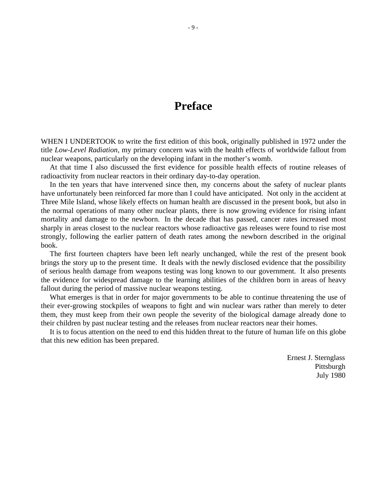#### **Preface**

WHEN I UNDERTOOK to write the first edition of this book, originally published in 1972 under the title *Low-Level Radiation*, my primary concern was with the health effects of worldwide fallout from nuclear weapons, particularly on the developing infant in the mother's womb.

At that time I also discussed the first evidence for possible health effects of routine releases of radioactivity from nuclear reactors in their ordinary day-to-day operation.

In the ten years that have intervened since then, my concerns about the safety of nuclear plants have unfortunately been reinforced far more than I could have anticipated. Not only in the accident at Three Mile Island, whose likely effects on human health are discussed in the present book, but also in the normal operations of many other nuclear plants, there is now growing evidence for rising infant mortality and damage to the newborn. In the decade that has passed, cancer rates increased most sharply in areas closest to the nuclear reactors whose radioactive gas releases were found to rise most strongly, following the earlier pattern of death rates among the newborn described in the original book.

The first fourteen chapters have been left nearly unchanged, while the rest of the present book brings the story up to the present time. It deals with the newly disclosed evidence that the possibility of serious health damage from weapons testing was long known to our government. It also presents the evidence for widespread damage to the learning abilities of the children born in areas of heavy fallout during the period of massive nuclear weapons testing.

What emerges is that in order for major governments to be able to continue threatening the use of their ever-growing stockpiles of weapons to fight and win nuclear wars rather than merely to deter them, they must keep from their own people the severity of the biological damage already done to their children by past nuclear testing and the releases from nuclear reactors near their homes.

It is to focus attention on the need to end this hidden threat to the future of human life on this globe that this new edition has been prepared.

> Ernest J. Sternglass Pittsburgh July 1980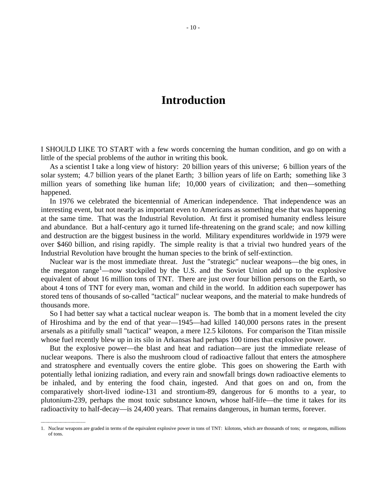#### **Introduction**

I SHOULD LIKE TO START with a few words concerning the human condition, and go on with a little of the special problems of the author in writing this book.

As a scientist I take a long view of history: 20 billion years of this universe; 6 billion years of the solar system; 4.7 billion years of the planet Earth; 3 billion years of life on Earth; something like 3 million years of something like human life; 10,000 years of civilization; and then—something happened.

In 1976 we celebrated the bicentennial of American independence. That independence was an interesting event, but not nearly as important even to Americans as something else that was happening at the same time. That was the Industrial Revolution. At first it promised humanity endless leisure and abundance. But a half-century ago it turned life-threatening on the grand scale; and now killing and destruction are the biggest business in the world. Military expenditures worldwide in 1979 were over \$460 billion, and rising rapidly. The simple reality is that a trivial two hundred years of the Industrial Revolution have brought the human species to the brink of self-extinction.

Nuclear war is the most immediate threat. Just the "strategic" nuclear weapons—the big ones, in the megaton range<sup>1</sup>—now stockpiled by the U.S. and the Soviet Union add up to the explosive equivalent of about 16 million tons of TNT. There are just over four billion persons on the Earth, so about 4 tons of TNT for every man, woman and child in the world. In addition each superpower has stored tens of thousands of so-called "tactical" nuclear weapons, and the material to make hundreds of thousands more.

So I had better say what a tactical nuclear weapon is. The bomb that in a moment leveled the city of Hiroshima and by the end of that year—1945—had killed 140,000 persons rates in the present arsenals as a pitifully small "tactical" weapon, a mere 12.5 kilotons. For comparison the Titan missile whose fuel recently blew up in its silo in Arkansas had perhaps 100 times that explosive power.

But the explosive power—the blast and heat and radiation—are just the immediate release of nuclear weapons. There is also the mushroom cloud of radioactive fallout that enters the atmosphere and stratosphere and eventually covers the entire globe. This goes on showering the Earth with potentially lethal ionizing radiation, and every rain and snowfall brings down radioactive elements to be inhaled, and by entering the food chain, ingested. And that goes on and on, from the comparatively short-lived iodine-131 and strontium-89, dangerous for 6 months to a year, to plutonium-239, perhaps the most toxic substance known, whose half-life—the time it takes for its radioactivity to half-decay—is 24,400 years. That remains dangerous, in human terms, forever.

hhhhhhhhhhhhhhhhhh

<sup>1.</sup> Nuclear weapons are graded in terms of the equivalent explosive power in tons of TNT: kilotons, which are thousands of tons; or megatons, millions of tons.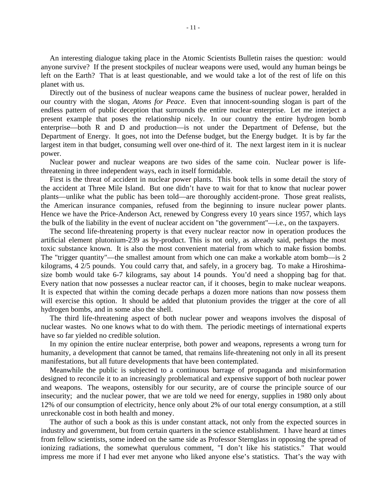An interesting dialogue taking place in the Atomic Scientists Bulletin raises the question: would anyone survive? If the present stockpiles of nuclear weapons were used, would any human beings be left on the Earth? That is at least questionable, and we would take a lot of the rest of life on this planet with us.

Directly out of the business of nuclear weapons came the business of nuclear power, heralded in our country with the slogan, *Atoms for Peace*. Even that innocent-sounding slogan is part of the endless pattern of public deception that surrounds the entire nuclear enterprise. Let me interject a present example that poses the relationship nicely. In our country the entire hydrogen bomb enterprise—both R and D and production—is not under the Department of Defense, but the Department of Energy. It goes, not into the Defense budget, but the Energy budget. It is by far the largest item in that budget, consuming well over one-third of it. The next largest item in it is nuclear power.

Nuclear power and nuclear weapons are two sides of the same coin. Nuclear power is lifethreatening in three independent ways, each in itself formidable.

First is the threat of accident in nuclear power plants. This book tells in some detail the story of the accident at Three Mile Island. But one didn't have to wait for that to know that nuclear power plants—unlike what the public has been told—are thoroughly accident-prone. Those great realists, the American insurance companies, refused from the beginning to insure nuclear power plants. Hence we have the Price-Anderson Act, renewed by Congress every 10 years since 1957, which lays the bulk of the liability in the event of nuclear accident on "the government"—i.e., on the taxpayers.

The second life-threatening property is that every nuclear reactor now in operation produces the artificial element plutonium-239 as by-product. This is not only, as already said, perhaps the most toxic substance known. It is also the most convenient material from which to make fission bombs. The "trigger quantity"—the smallest amount from which one can make a workable atom bomb—is 2 kilograms, 4 2/5 pounds. You could carry that, and safely, in a grocery bag. To make a Hiroshimasize bomb would take 6-7 kilograms, say about 14 pounds. You'd need a shopping bag for that. Every nation that now possesses a nuclear reactor can, if it chooses, begin to make nuclear weapons. It is expected that within the coming decade perhaps a dozen more nations than now possess them will exercise this option. It should be added that plutonium provides the trigger at the core of all hydrogen bombs, and in some also the shell.

The third life-threatening aspect of both nuclear power and weapons involves the disposal of nuclear wastes. No one knows what to do with them. The periodic meetings of international experts have so far yielded no credible solution.

In my opinion the entire nuclear enterprise, both power and weapons, represents a wrong turn for humanity, a development that cannot be tamed, that remains life-threatening not only in all its present manifestations, but all future developments that have been contemplated.

Meanwhile the public is subjected to a continuous barrage of propaganda and misinformation designed to reconcile it to an increasingly problematical and expensive support of both nuclear power and weapons. The weapons, ostensibly for our security, are of course the principle source of our insecurity; and the nuclear power, that we are told we need for energy, supplies in 1980 only about 12% of our consumption of electricity, hence only about 2% of our total energy consumption, at a still unreckonable cost in both health and money.

The author of such a book as this is under constant attack, not only from the expected sources in industry and government, but from certain quarters in the science establishment. I have heard at times from fellow scientists, some indeed on the same side as Professor Sternglass in opposing the spread of ionizing radiations, the somewhat querulous comment, "I don't like his statistics." That would impress me more if I had ever met anyone who liked anyone else's statistics. That's the way with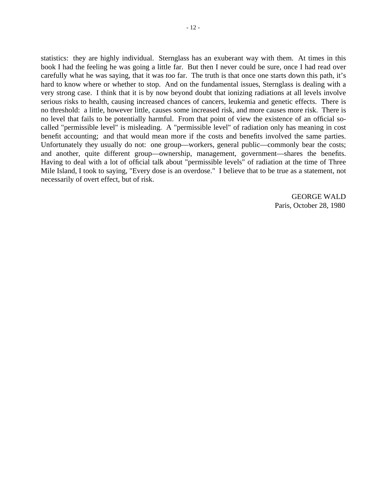statistics: they are highly individual. Sternglass has an exuberant way with them. At times in this book I had the feeling he was going a little far. But then I never could be sure, once I had read over carefully what he was saying, that it was *too* far. The truth is that once one starts down this path, it's hard to know where or whether to stop. And on the fundamental issues, Sternglass is dealing with a very strong case. I think that it is by now beyond doubt that ionizing radiations at all levels involve serious risks to health, causing increased chances of cancers, leukemia and genetic effects. There is no threshold: a little, however little, causes some increased risk, and more causes more risk. There is no level that fails to be potentially harmful. From that point of view the existence of an official socalled "permissible level" is misleading. A "permissible level" of radiation only has meaning in cost benefit accounting; and that would mean more if the costs and benefits involved the same parties. Unfortunately they usually do not: one group—workers, general public—commonly bear the costs; and another, quite different group—ownership, management, government—shares the benefits. Having to deal with a lot of official talk about "permissible levels" of radiation at the time of Three Mile Island, I took to saying, "Every dose is an overdose." I believe that to be true as a statement, not necessarily of overt effect, but of risk.

> GEORGE WALD Paris, October 28, 1980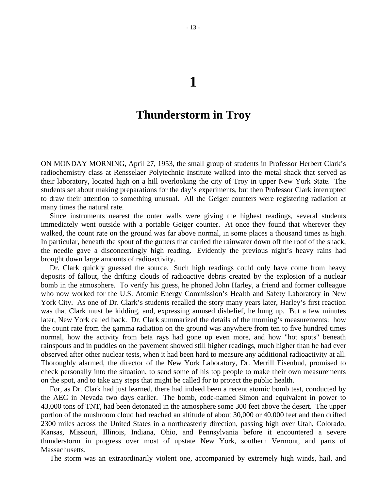#### **1**

#### **Thunderstorm in Troy**

ON MONDAY MORNING, April 27, 1953, the small group of students in Professor Herbert Clark's radiochemistry class at Rensselaer Polytechnic Institute walked into the metal shack that served as their laboratory, located high on a hill overlooking the city of Troy in upper New York State. The students set about making preparations for the day's experiments, but then Professor Clark interrupted to draw their attention to something unusual. All the Geiger counters were registering radiation at many times the natural rate.

Since instruments nearest the outer walls were giving the highest readings, several students immediately went outside with a portable Geiger counter. At once they found that wherever they walked, the count rate on the ground was far above normal, in some places a thousand times as high. In particular, beneath the spout of the gutters that carried the rainwater down off the roof of the shack, the needle gave a disconcertingly high reading. Evidently the previous night's heavy rains had brought down large amounts of radioactivity.

Dr. Clark quickly guessed the source. Such high readings could only have come from heavy deposits of fallout, the drifting clouds of radioactive debris created by the explosion of a nuclear bomb in the atmosphere. To verify his guess, he phoned John Harley, a friend and former colleague who now worked for the U.S. Atomic Energy Commission's Health and Safety Laboratory in New York City. As one of Dr. Clark's students recalled the story many years later, Harley's first reaction was that Clark must be kidding, and, expressing amused disbelief, he hung up. But a few minutes later, New York called back. Dr. Clark summarized the details of the morning's measurements: how the count rate from the gamma radiation on the ground was anywhere from ten to five hundred times normal, how the activity from beta rays had gone up even more, and how "hot spots" beneath rainspouts and in puddles on the pavement showed still higher readings, much higher than he had ever observed after other nuclear tests, when it had been hard to measure any additional radioactivity at all. Thoroughly alarmed, the director of the New York Laboratory, Dr. Merrill Eisenbud, promised to check personally into the situation, to send some of his top people to make their own measurements on the spot, and to take any steps that might be called for to protect the public health.

For, as Dr. Clark had just learned, there had indeed been a recent atomic bomb test, conducted by the AEC in Nevada two days earlier. The bomb, code-named Simon and equivalent in power to 43,000 tons of TNT, had been detonated in the atmosphere some 300 feet above the desert. The upper portion of the mushroom cloud had reached an altitude of about 30,000 or 40,000 feet and then drifted 2300 miles across the United States in a northeasterly direction, passing high over Utah, Colorado, Kansas, Missouri, Illinois, Indiana, Ohio, and Pennsylvania before it encountered a severe thunderstorm in progress over most of upstate New York, southern Vermont, and parts of Massachusetts.

The storm was an extraordinarily violent one, accompanied by extremely high winds, hail, and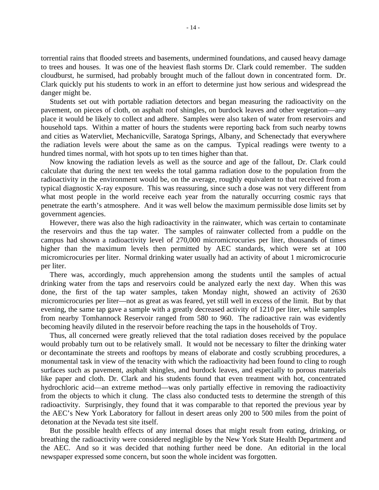torrential rains that flooded streets and basements, undermined foundations, and caused heavy damage to trees and houses. It was one of the heaviest flash storms Dr. Clark could remember. The sudden cloudburst, he surmised, had probably brought much of the fallout down in concentrated form. Dr. Clark quickly put his students to work in an effort to determine just how serious and widespread the danger might be.

Students set out with portable radiation detectors and began measuring the radioactivity on the pavement, on pieces of cloth, on asphalt roof shingles, on burdock leaves and other vegetation—any place it would be likely to collect and adhere. Samples were also taken of water from reservoirs and household taps. Within a matter of hours the students were reporting back from such nearby towns and cities as Watervliet, Mechanicville, Saratoga Springs, Albany, and Schenectady that everywhere the radiation levels were about the same as on the campus. Typical readings were twenty to a hundred times normal, with hot spots up to ten times higher than that.

Now knowing the radiation levels as well as the source and age of the fallout, Dr. Clark could calculate that during the next ten weeks the total gamma radiation dose to the population from the radioactivity in the environment would be, on the average, roughly equivalent to that received from a typical diagnostic X-ray exposure. This was reassuring, since such a dose was not very different from what most people in the world receive each year from the naturally occurring cosmic rays that penetrate the earth's atmosphere. And it was well below the maximum permissible dose limits set by government agencies.

However, there was also the high radioactivity in the rainwater, which was certain to contaminate the reservoirs and thus the tap water. The samples of rainwater collected from a puddle on the campus had shown a radioactivity level of 270,000 micromicrocuries per liter, thousands of times higher than the maximum levels then permitted by AEC standards, which were set at 100 micromicrocuries per liter. Normal drinking water usually had an activity of about 1 micromicrocurie per liter.

There was, accordingly, much apprehension among the students until the samples of actual drinking water from the taps and reservoirs could be analyzed early the next day. When this was done, the first of the tap water samples, taken Monday night, showed an activity of 2630 micromicrocuries per liter—not as great as was feared, yet still well in excess of the limit. But by that evening, the same tap gave a sample with a greatly decreased activity of 1210 per liter, while samples from nearby Tomhannock Reservoir ranged from 580 to 960. The radioactive rain was evidently becoming heavily diluted in the reservoir before reaching the taps in the households of Troy.

Thus, all concerned were greatly relieved that the total radiation doses received by the populace would probably turn out to be relatively small. It would not be necessary to filter the drinking water or decontaminate the streets and rooftops by means of elaborate and costly scrubbing procedures, a monumental task in view of the tenacity with which the radioactivity had been found to cling to rough surfaces such as pavement, asphalt shingles, and burdock leaves, and especially to porous materials like paper and cloth. Dr. Clark and his students found that even treatment with hot, concentrated hydrochloric acid—an extreme method—was only partially effective in removing the radioactivity from the objects to which it clung. The class also conducted tests to determine the strength of this radioactivity. Surprisingly, they found that it was comparable to that reported the previous year by the AEC's New York Laboratory for fallout in desert areas only 200 to 500 miles from the point of detonation at the Nevada test site itself.

But the possible health effects of any internal doses that might result from eating, drinking, or breathing the radioactivity were considered negligible by the New York State Health Department and the AEC. And so it was decided that nothing further need be done. An editorial in the local newspaper expressed some concern, but soon the whole incident was forgotten.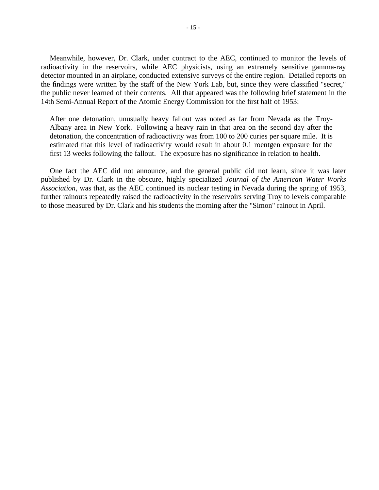Meanwhile, however, Dr. Clark, under contract to the AEC, continued to monitor the levels of radioactivity in the reservoirs, while AEC physicists, using an extremely sensitive gamma-ray detector mounted in an airplane, conducted extensive surveys of the entire region. Detailed reports on the findings were written by the staff of the New York Lab, but, since they were classified "secret," the public never learned of their contents. All that appeared was the following brief statement in the 14th Semi-Annual Report of the Atomic Energy Commission for the first half of 1953:

After one detonation, unusually heavy fallout was noted as far from Nevada as the Troy-Albany area in New York. Following a heavy rain in that area on the second day after the detonation, the concentration of radioactivity was from 100 to 200 curies per square mile. It is estimated that this level of radioactivity would result in about 0.1 roentgen exposure for the first 13 weeks following the fallout. The exposure has no significance in relation to health.

One fact the AEC did not announce, and the general public did not learn, since it was later published by Dr. Clark in the obscure, highly specialized *Journal of the American Water Works Association*, was that, as the AEC continued its nuclear testing in Nevada during the spring of 1953, further rainouts repeatedly raised the radioactivity in the reservoirs serving Troy to levels comparable to those measured by Dr. Clark and his students the morning after the "Simon" rainout in April.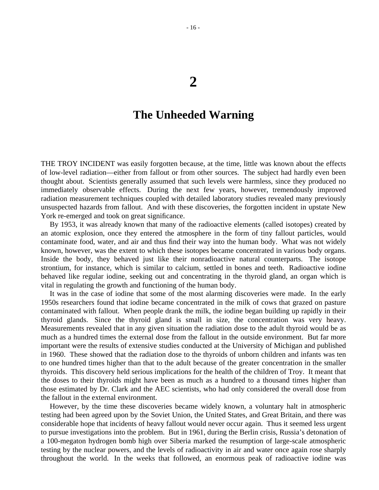#### **2**

#### **The Unheeded Warning**

THE TROY INCIDENT was easily forgotten because, at the time, little was known about the effects of low-level radiation—either from fallout or from other sources. The subject had hardly even been thought about. Scientists generally assumed that such levels were harmless, since they produced no immediately observable effects. During the next few years, however, tremendously improved radiation measurement techniques coupled with detailed laboratory studies revealed many previously unsuspected hazards from fallout. And with these discoveries, the forgotten incident in upstate New York re-emerged and took on great significance.

By 1953, it was already known that many of the radioactive elements (called isotopes) created by an atomic explosion, once they entered the atmosphere in the form of tiny fallout particles, would contaminate food, water, and air and thus find their way into the human body. What was not widely known, however, was the extent to which these isotopes became concentrated in various body organs. Inside the body, they behaved just like their nonradioactive natural counterparts. The isotope strontium, for instance, which is similar to calcium, settled in bones and teeth. Radioactive iodine behaved like regular iodine, seeking out and concentrating in the thyroid gland, an organ which is vital in regulating the growth and functioning of the human body.

It was in the case of iodine that some of the most alarming discoveries were made. In the early 1950s researchers found that iodine became concentrated in the milk of cows that grazed on pasture contaminated with fallout. When people drank the milk, the iodine began building up rapidly in their thyroid glands. Since the thyroid gland is small in size, the concentration was very heavy. Measurements revealed that in any given situation the radiation dose to the adult thyroid would be as much as a hundred times the external dose from the fallout in the outside environment. But far more important were the results of extensive studies conducted at the University of Michigan and published in 1960. These showed that the radiation dose to the thyroids of unborn children and infants was ten to one hundred times higher than that to the adult because of the greater concentration in the smaller thyroids. This discovery held serious implications for the health of the children of Troy. It meant that the doses to their thyroids might have been as much as a hundred to a thousand times higher than those estimated by Dr. Clark and the AEC scientists, who had only considered the overall dose from the fallout in the external environment.

However, by the time these discoveries became widely known, a voluntary halt in atmospheric testing had been agreed upon by the Soviet Union, the United States, and Great Britain, and there was considerable hope that incidents of heavy fallout would never occur again. Thus it seemed less urgent to pursue investigations into the problem. But in 1961, during the Berlin crisis, Russia's detonation of a 100-megaton hydrogen bomb high over Siberia marked the resumption of large-scale atmospheric testing by the nuclear powers, and the levels of radioactivity in air and water once again rose sharply throughout the world. In the weeks that followed, an enormous peak of radioactive iodine was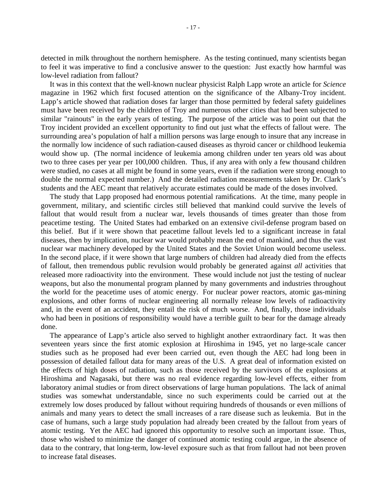detected in milk throughout the northern hemisphere. As the testing continued, many scientists began to feel it was imperative to find a conclusive answer to the question: Just exactly how harmful was low-level radiation from fallout?

It was in this context that the well-known nuclear physicist Ralph Lapp wrote an article for *Science* magazine in 1962 which first focused attention on the significance of the Albany-Troy incident. Lapp's article showed that radiation doses far larger than those permitted by federal safety guidelines must have been received by the children of Troy and numerous other cities that had been subjected to similar "rainouts" in the early years of testing. The purpose of the article was to point out that the Troy incident provided an excellent opportunity to find out just what the effects of fallout were. The surrounding area's population of half a million persons was large enough to insure that any increase in the normally low incidence of such radiation-caused diseases as thyroid cancer or childhood leukemia would show up. (The normal incidence of leukemia among children under ten years old was about two to three cases per year per 100,000 children. Thus, if any area with only a few thousand children were studied, no cases at all might be found in some years, even if the radiation were strong enough to double the normal expected number.) And the detailed radiation measurements taken by Dr. Clark's students and the AEC meant that relatively accurate estimates could be made of the doses involved.

The study that Lapp proposed had enormous potential ramifications. At the time, many people in government, military, and scientific circles still believed that mankind could survive the levels of fallout that would result from a nuclear war, levels thousands of times greater than those from peacetime testing. The United States had embarked on an extensive civil-defense program based on this belief. But if it were shown that peacetime fallout levels led to a significant increase in fatal diseases, then by implication, nuclear war would probably mean the end of mankind, and thus the vast nuclear war machinery developed by the United States and the Soviet Union would become useless. In the second place, if it were shown that large numbers of children had already died from the effects of fallout, then tremendous public revulsion would probably be generated against *all* activities that released more radioactivity into the environment. These would include not just the testing of nuclear weapons, but also the monumental program planned by many governments and industries throughout the world for the peacetime uses of atomic energy. For nuclear power reactors, atomic gas-mining explosions, and other forms of nuclear engineering all normally release low levels of radioactivity and, in the event of an accident, they entail the risk of much worse. And, finally, those individuals who had been in positions of responsibility would have a terrible guilt to bear for the damage already done.

The appearance of Lapp's article also served to highlight another extraordinary fact. It was then seventeen years since the first atomic explosion at Hiroshima in 1945, yet no large-scale cancer studies such as he proposed had ever been carried out, even though the AEC had long been in possession of detailed fallout data for many areas of the U.S. A great deal of information existed on the effects of high doses of radiation, such as those received by the survivors of the explosions at Hiroshima and Nagasaki, but there was no real evidence regarding low-level effects, either from laboratory animal studies or from direct observations of large human populations. The lack of animal studies was somewhat understandable, since no such experiments could be carried out at the extremely low doses produced by fallout without requiring hundreds of thousands or even millions of animals and many years to detect the small increases of a rare disease such as leukemia. But in the case of humans, such a large study population had already been created by the fallout from years of atomic testing. Yet the AEC had ignored this opportunity to resolve such an important issue. Thus, those who wished to minimize the danger of continued atomic testing could argue, in the absence of data to the contrary, that long-term, low-level exposure such as that from fallout had not been proven to increase fatal diseases.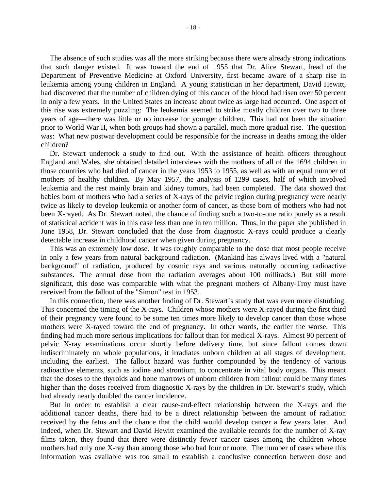The absence of such studies was all the more striking because there were already strong indications that such danger existed. It was toward the end of 1955 that Dr. Alice Stewart, head of the Department of Preventive Medicine at Oxford University, first became aware of a sharp rise in leukemia among young children in England. A young statistician in her department, David Hewitt, had discovered that the number of children dying of this cancer of the blood had risen over 50 percent in only a few years. In the United States an increase about twice as large had occurred. One aspect of this rise was extremely puzzling: The leukemia seemed to strike mostly children over two to three years of age—there was little or no increase for younger children. This had not been the situation prior to World War II, when both groups had shown a parallel, much more gradual rise. The question was: What new postwar development could be responsible for the increase in deaths among the older children?

Dr. Stewart undertook a study to find out. With the assistance of health officers throughout England and Wales, she obtained detailed interviews with the mothers of all of the 1694 children in those countries who had died of cancer in the years 1953 to 1955, as well as with an equal number of mothers of healthy children. By May 1957, the analysis of 1299 cases, half of which involved leukemia and the rest mainly brain and kidney tumors, had been completed. The data showed that babies born of mothers who had a series of X-rays of the pelvic region during pregnancy were nearly twice as likely to develop leukemia or another form of cancer, as those born of mothers who had not been X-rayed. As Dr. Stewart noted, the chance of finding such a two-to-one ratio purely as a result of statistical accident was in this case less than one in ten million. Thus, in the paper she published in June 1958, Dr. Stewart concluded that the dose from diagnostic X-rays could produce a clearly detectable increase in childhood cancer when given during pregnancy.

This was an extremely low dose. It was roughly comparable to the dose that most people receive in only a few years from natural background radiation. (Mankind has always lived with a "natural background" of radiation, produced by cosmic rays and various naturally occurring radioactive substances. The annual dose from the radiation averages about 100 millirads.) But still more significant, this dose was comparable with what the pregnant mothers of Albany-Troy must have received from the fallout of the "Simon" test in 1953.

In this connection, there was another finding of Dr. Stewart's study that was even more disturbing. This concerned the timing of the X-rays. Children whose mothers were X-rayed during the first third of their pregnancy were found to be some ten times more likely to develop cancer than those whose mothers were X-rayed toward the end of pregnancy. In other words, the earlier the worse. This finding had much more serious implications for fallout than for medical X-rays. Almost 90 percent of pelvic X-ray examinations occur shortly before delivery time, but since fallout comes down indiscriminately on whole populations, it irradiates unborn children at all stages of development, including the earliest. The fallout hazard was further compounded by the tendency of various radioactive elements, such as iodine and strontium, to concentrate in vital body organs. This meant that the doses to the thyroids and bone marrows of unborn children from fallout could be many times higher than the doses received from diagnostic X-rays by the children in Dr. Stewart's study, which had already nearly doubled the cancer incidence.

But in order to establish a clear cause-and-effect relationship between the X-rays and the additional cancer deaths, there had to be a direct relationship between the amount of radiation received by the fetus and the chance that the child would develop cancer a few years later. And indeed, when Dr. Stewart and David Hewitt examined the available records for the number of X-ray films taken, they found that there were distinctly fewer cancer cases among the children whose mothers had only one X-ray than among those who had four or more. The number of cases where this information was available was too small to establish a conclusive connection between dose and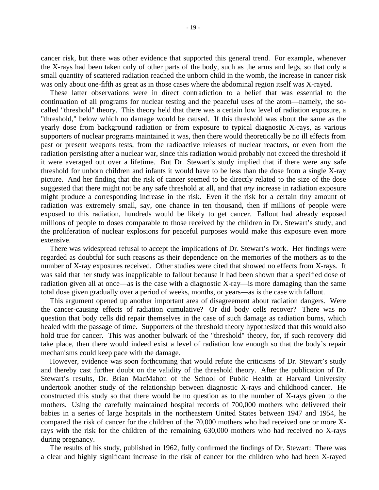cancer risk, but there was other evidence that supported this general trend. For example, whenever the X-rays had been taken only of other parts of the body, such as the arms and legs, so that only a small quantity of scattered radiation reached the unborn child in the womb, the increase in cancer risk was only about one-fifth as great as in those cases where the abdominal region itself was X-rayed.

These latter observations were in direct contradiction to a belief that was essential to the continuation of all programs for nuclear testing and the peaceful uses of the atom—namely, the socalled "threshold" theory. This theory held that there was a certain low level of radiation exposure, a "threshold," below which no damage would be caused. If this threshold was about the same as the yearly dose from background radiation or from exposure to typical diagnostic X-rays, as various supporters of nuclear programs maintained it was, then there would theoretically be no ill effects from past or present weapons tests, from the radioactive releases of nuclear reactors, or even from the radiation persisting after a nuclear war, since this radiation would probably not exceed the threshold if it were averaged out over a lifetime. But Dr. Stewart's study implied that if there were any safe threshold for unborn children and infants it would have to be less than the dose from a single X-ray picture. And her finding that the risk of cancer seemed to be directly related to the size of the dose suggested that there might not be any safe threshold at all, and that *any* increase in radiation exposure might produce a corresponding increase in the risk. Even if the risk for a certain tiny amount of radiation was extremely small, say, one chance in ten thousand, then if millions of people were exposed to this radiation, hundreds would be likely to get cancer. Fallout had already exposed millions of people to doses comparable to those received by the children in Dr. Stewart's study, and the proliferation of nuclear explosions for peaceful purposes would make this exposure even more extensive.

There was widespread refusal to accept the implications of Dr. Stewart's work. Her findings were regarded as doubtful for such reasons as their dependence on the memories of the mothers as to the number of X-ray exposures received. Other studies were cited that showed no effects from X-rays. It was said that her study was inapplicable to fallout because it had been shown that a specified dose of radiation given all at once—as is the case with a diagnostic X-ray—is more damaging than the same total dose given gradually over a period of weeks, months, or years—as is the case with fallout.

This argument opened up another important area of disagreement about radiation dangers. Were the cancer-causing effects of radiation cumulative? Or did body cells recover? There was no question that body cells did repair themselves in the case of such damage as radiation burns, which healed with the passage of time. Supporters of the threshold theory hypothesized that this would also hold true for cancer. This was another bulwark of the "threshold" theory, for, if such recovery did take place, then there would indeed exist a level of radiation low enough so that the body's repair mechanisms could keep pace with the damage.

However, evidence was soon forthcoming that would refute the criticisms of Dr. Stewart's study and thereby cast further doubt on the validity of the threshold theory. After the publication of Dr. Stewart's results, Dr. Brian MacMahon of the School of Public Health at Harvard University undertook another study of the relationship between diagnostic X-rays and childhood cancer. He constructed this study so that there would be no question as to the number of X-rays given to the mothers. Using the carefully maintained hospital records of 700,000 mothers who delivered their babies in a series of large hospitals in the northeastern United States between 1947 and 1954, he compared the risk of cancer for the children of the 70,000 mothers who had received one or more Xrays with the risk for the children of the remaining 630,000 mothers who had received no X-rays during pregnancy.

The results of his study, published in 1962, fully confirmed the findings of Dr. Stewart: There was a clear and highly significant increase in the risk of cancer for the children who had been X-rayed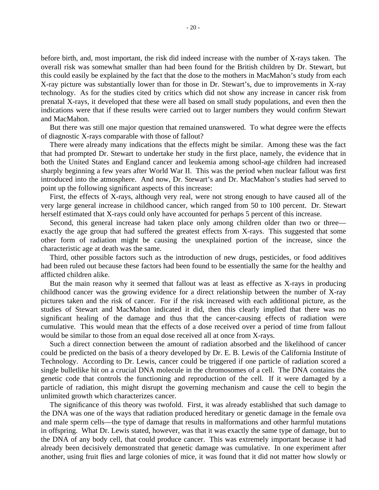before birth, and, most important, the risk did indeed increase with the number of X-rays taken. The overall risk was somewhat smaller than had been found for the British children by Dr. Stewart, but this could easily be explained by the fact that the dose to the mothers in MacMahon's study from each X-ray picture was substantially lower than for those in Dr. Stewart's, due to improvements in X-ray technology. As for the studies cited by critics which did not show any increase in cancer risk from prenatal X-rays, it developed that these were all based on small study populations, and even then the indications were that if these results were carried out to larger numbers they would confirm Stewart and MacMahon.

But there was still one major question that remained unanswered. To what degree were the effects of diagnostic X-rays comparable with those of fallout?

There were already many indications that the effects might be similar. Among these was the fact that had prompted Dr. Stewart to undertake her study in the first place, namely, the evidence that in both the United States and England cancer and leukemia among school-age children had increased sharply beginning a few years after World War II. This was the period when nuclear fallout was first introduced into the atmosphere. And now, Dr. Stewart's and Dr. MacMahon's studies had served to point up the following significant aspects of this increase:

First, the effects of X-rays, although very real, were not strong enough to have caused all of the very large general increase in childhood cancer, which ranged from 50 to 100 percent. Dr. Stewart herself estimated that X-rays could only have accounted for perhaps 5 percent of this increase.

Second, this general increase had taken place only among children older than two or three exactly the age group that had suffered the greatest effects from X-rays. This suggested that some other form of radiation might be causing the unexplained portion of the increase, since the characteristic age at death was the same.

Third, other possible factors such as the introduction of new drugs, pesticides, or food additives had been ruled out because these factors had been found to be essentially the same for the healthy and afflicted children alike.

But the main reason why it seemed that fallout was at least as effective as X-rays in producing childhood cancer was the growing evidence for a direct relationship between the number of X-ray pictures taken and the risk of cancer. For if the risk increased with each additional picture, as the studies of Stewart and MacMahon indicated it did, then this clearly implied that there was no significant healing of the damage and thus that the cancer-causing effects of radiation were cumulative. This would mean that the effects of a dose received over a period of time from fallout would be similar to those from an equal dose received all at once from X-rays.

Such a direct connection between the amount of radiation absorbed and the likelihood of cancer could be predicted on the basis of a theory developed by Dr. E. B. Lewis of the California Institute of Technology. According to Dr. Lewis, cancer could be triggered if one particle of radiation scored a single bulletlike hit on a crucial DNA molecule in the chromosomes of a cell. The DNA contains the genetic code that controls the functioning and reproduction of the cell. If it were damaged by a particle of radiation, this might disrupt the governing mechanism and cause the cell to begin the unlimited growth which characterizes cancer.

The significance of this theory was twofold. First, it was already established that such damage to the DNA was one of the ways that radiation produced hereditary or genetic damage in the female ova and male sperm cells—the type of damage that results in malformations and other harmful mutations in offspring. What Dr. Lewis stated, however, was that it was exactly the same type of damage, but to the DNA of any body cell, that could produce cancer. This was extremely important because it had already been decisively demonstrated that genetic damage was cumulative. In one experiment after another, using fruit flies and large colonies of mice, it was found that it did not matter how slowly or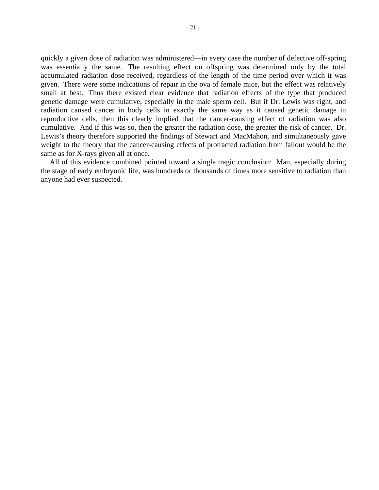quickly a given dose of radiation was administered—in every case the number of defective off-spring was essentially the same. The resulting effect on offspring was determined only by the total accumulated radiation dose received, regardless of the length of the time period over which it was given. There were some indications of repair in the ova of female mice, but the effect was relatively small at best. Thus there existed clear evidence that radiation effects of the type that produced genetic damage were cumulative, especially in the male sperm cell. But if Dr. Lewis was right, and radiation caused cancer in body cells in exactly the same way as it caused genetic damage in reproductive cells, then this clearly implied that the cancer-causing effect of radiation was also cumulative. And if this was so, then the greater the radiation dose, the greater the risk of cancer. Dr. Lewis's theory therefore supported the findings of Stewart and MacMahon, and simultaneously gave weight to the theory that the cancer-causing effects of protracted radiation from fallout would be the same as for X-rays given all at once.

All of this evidence combined pointed toward a single tragic conclusion: Man, especially during the stage of early embryonic life, was hundreds or thousands of times more sensitive to radiation than anyone had ever suspected.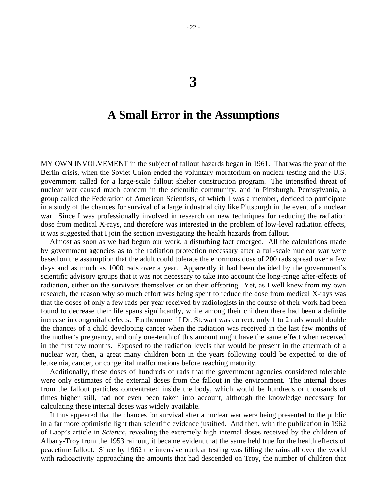**3**

#### **A Small Error in the Assumptions**

MY OWN INVOLVEMENT in the subject of fallout hazards began in 1961. That was the year of the Berlin crisis, when the Soviet Union ended the voluntary moratorium on nuclear testing and the U.S. government called for a large-scale fallout shelter construction program. The intensified threat of nuclear war caused much concern in the scientific community, and in Pittsburgh, Pennsylvania, a group called the Federation of American Scientists, of which I was a member, decided to participate in a study of the chances for survival of a large industrial city like Pittsburgh in the event of a nuclear war. Since I was professionally involved in research on new techniques for reducing the radiation dose from medical X-rays, and therefore was interested in the problem of low-level radiation effects, it was suggested that I join the section investigating the health hazards from fallout.

Almost as soon as we had begun our work, a disturbing fact emerged. All the calculations made by government agencies as to the radiation protection necessary after a full-scale nuclear war were based on the assumption that the adult could tolerate the enormous dose of 200 rads spread over a few days and as much as 1000 rads over a year. Apparently it had been decided by the government's scientific advisory groups that it was not necessary to take into account the long-range after-effects of radiation, either on the survivors themselves or on their offspring. Yet, as I well knew from my own research, the reason why so much effort was being spent to reduce the dose from medical X-rays was that the doses of only a few rads per year received by radiologists in the course of their work had been found to decrease their life spans significantly, while among their children there had been a definite increase in congenital defects. Furthermore, if Dr. Stewart was correct, only 1 to 2 rads would double the chances of a child developing cancer when the radiation was received in the last few months of the mother's pregnancy, and only one-tenth of this amount might have the same effect when received in the first few months. Exposed to the radiation levels that would be present in the aftermath of a nuclear war, then, a great many children born in the years following could be expected to die of leukemia, cancer, or congenital malformations before reaching maturity.

Additionally, these doses of hundreds of rads that the government agencies considered tolerable were only estimates of the external doses from the fallout in the environment. The internal doses from the fallout particles concentrated inside the body, which would be hundreds or thousands of times higher still, had not even been taken into account, although the knowledge necessary for calculating these internal doses was widely available.

It thus appeared that the chances for survival after a nuclear war were being presented to the public in a far more optimistic light than scientific evidence justified. And then, with the publication in 1962 of Lapp's article in *Science*, revealing the extremely high internal doses received by the children of Albany-Troy from the 1953 rainout, it became evident that the same held true for the health effects of peacetime fallout. Since by 1962 the intensive nuclear testing was filling the rains all over the world with radioactivity approaching the amounts that had descended on Troy, the number of children that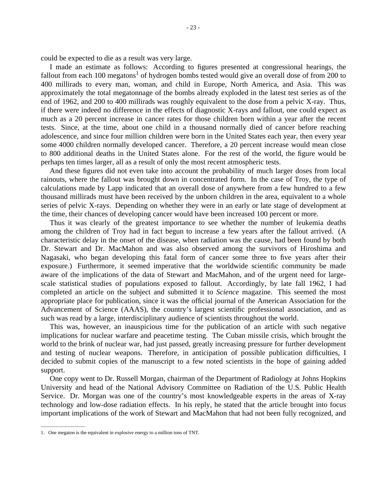could be expected to die as a result was very large.

I made an estimate as follows: According to figures presented at congressional hearings, the fallout from each 100 megatons<sup>1</sup> of hydrogen bombs tested would give an overall dose of from 200 to 400 millirads to every man, woman, and child in Europe, North America, and Asia. This was approximately the total megatonnage of the bombs already exploded in the latest test series as of the end of 1962, and 200 to 400 millirads was roughly equivalent to the dose from a pelvic X-ray. Thus, if there were indeed no difference in the effects of diagnostic X-rays and fallout, one could expect as much as a 20 percent increase in cancer rates for those children born within a year after the recent tests. Since, at the time, about one child in a thousand normally died of cancer before reaching adolescence, and since four million children were born in the United States each year, then every year some 4000 children normally developed cancer. Therefore, a 20 percent increase would mean close to 800 additional deaths in the United States alone. For the rest of the world, the figure would be perhaps ten times larger, all as a result of only the most recent atmospheric tests.

And these figures did not even take into account the probability of much larger doses from local rainouts, where the fallout was brought down in concentrated form. In the case of Troy, the type of calculations made by Lapp indicated that an overall dose of anywhere from a few hundred to a few thousand millirads must have been received by the unborn children in the area, equivalent to a whole series of pelvic X-rays. Depending on whether they were in an early or late stage of development at the time, their chances of developing cancer would have been increased 100 percent or more.

Thus it was clearly of the greatest importance to see whether the number of leukemia deaths among the children of Troy had in fact begun to increase a few years after the fallout arrived. (A characteristic delay in the onset of the disease, when radiation was the cause, had been found by both Dr. Stewart and Dr. MacMahon and was also observed among the survivors of Hiroshima and Nagasaki, who began developing this fatal form of cancer some three to five years after their exposure.) Furthermore, it seemed imperative that the worldwide scientific community be made aware of the implications of the data of Stewart and MacMahon, and of the urgent need for largescale statistical studies of populations exposed to fallout. Accordingly, by late fall 1962, I had completed an article on the subject and submitted it to *Science* magazine. This seemed the most appropriate place for publication, since it was the official journal of the American Association for the Advancement of Science (AAAS), the country's largest scientific professional association, and as such was read by a large, interdisciplinary audience of scientists throughout the world.

This was, however, an inauspicious time for the publication of an article with such negative implications for nuclear warfare and peacetime testing. The Cuban missile crisis, which brought the world to the brink of nuclear war, had just passed, greatly increasing pressure for further development and testing of nuclear weapons. Therefore, in anticipation of possible publication difficulties, I decided to submit copies of the manuscript to a few noted scientists in the hope of gaining added support.

One copy went to Dr. Russell Morgan, chairman of the Department of Radiology at Johns Hopkins University and head of the National Advisory Committee on Radiation of the U.S. Public Health Service. Dr. Morgan was one of the country's most knowledgeable experts in the areas of X-ray technology and low-dose radiation effects. In his reply, he stated that the article brought into focus important implications of the work of Stewart and MacMahon that had not been fully recognized, and

hh<del>ahaa ka badaa ka badaa ka badaa ka badaa ka badaa ka badaa ka badaa ka badaa ka badaa ka badaa ka badaa ka b</del>

<sup>1.</sup> One megaton is the equivalent in explosive energy to a million tons of TNT.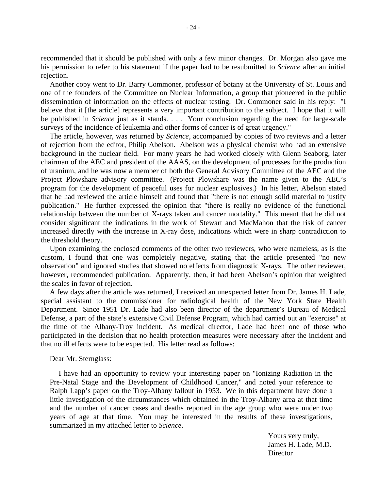recommended that it should be published with only a few minor changes. Dr. Morgan also gave me his permission to refer to his statement if the paper had to be resubmitted to *Science* after an initial rejection.

Another copy went to Dr. Barry Commoner, professor of botany at the University of St. Louis and one of the founders of the Committee on Nuclear Information, a group that pioneered in the public dissemination of information on the effects of nuclear testing. Dr. Commoner said in his reply: "I believe that it [the article] represents a very important contribution to the subject. I hope that it will be published in *Science* just as it stands.... Your conclusion regarding the need for large-scale surveys of the incidence of leukemia and other forms of cancer is of great urgency."

The article, however, was returned by *Science*, accompanied by copies of two reviews and a letter of rejection from the editor, Philip Abelson. Abelson was a physical chemist who had an extensive background in the nuclear field. For many years he had worked closely with Glenn Seaborg, later chairman of the AEC and president of the AAAS, on the development of processes for the production of uranium, and he was now a member of both the General Advisory Committee of the AEC and the Project Plowshare advisory committee. (Project Plowshare was the name given to the AEC's program for the development of peaceful uses for nuclear explosives.) In his letter, Abelson stated that he had reviewed the article himself and found that "there is not enough solid material to justify publication." He further expressed the opinion that "there is really no evidence of the functional relationship between the number of X-rays taken and cancer mortality." This meant that he did not consider significant the indications in the work of Stewart and MacMahon that the risk of cancer increased directly with the increase in X-ray dose, indications which were in sharp contradiction to the threshold theory.

Upon examining the enclosed comments of the other two reviewers, who were nameless, as is the custom, I found that one was completely negative, stating that the article presented "no new observation" and ignored studies that showed no effects from diagnostic X-rays. The other reviewer, however, recommended publication. Apparently, then, it had been Abelson's opinion that weighted the scales in favor of rejection.

A few days after the article was returned, I received an unexpected letter from Dr. James H. Lade, special assistant to the commissioner for radiological health of the New York State Health Department. Since 1951 Dr. Lade had also been director of the department's Bureau of Medical Defense, a part of the state's extensive Civil Defense Program, which had carried out an "exercise" at the time of the Albany-Troy incident. As medical director, Lade had been one of those who participated in the decision that no health protection measures were necessary after the incident and that no ill effects were to be expected. His letter read as follows:

#### Dear Mr. Sternglass:

I have had an opportunity to review your interesting paper on "Ionizing Radiation in the Pre-Natal Stage and the Development of Childhood Cancer," and noted your reference to Ralph Lapp's paper on the Troy-Albany fallout in 1953. We in this department have done a little investigation of the circumstances which obtained in the Troy-Albany area at that time and the number of cancer cases and deaths reported in the age group who were under two years of age at that time. You may be interested in the results of these investigations, summarized in my attached letter to *Science*.

> Yours very truly, James H. Lade, M.D. **Director**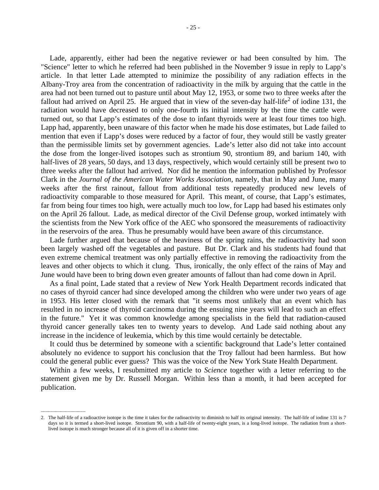Lade, apparently, either had been the negative reviewer or had been consulted by him. The "Science" letter to which he referred had been published in the November 9 issue in reply to Lapp's article. In that letter Lade attempted to minimize the possibility of any radiation effects in the Albany-Troy area from the concentration of radioactivity in the milk by arguing that the cattle in the area had not been turned out to pasture until about May 12, 1953, or some two to three weeks after the fallout had arrived on April 25. He argued that in view of the seven-day half-life<sup>2</sup> of iodine 131, the radiation would have decreased to only one-fourth its initial intensity by the time the cattle were turned out, so that Lapp's estimates of the dose to infant thyroids were at least four times too high. Lapp had, apparently, been unaware of this factor when he made his dose estimates, but Lade failed to mention that even if Lapp's doses were reduced by a factor of four, they would still be vastly greater than the permissible limits set by government agencies. Lade's letter also did not take into account the dose from the longer-lived isotopes such as strontium 90, strontium 89, and barium 140, with half-lives of 28 years, 50 days, and 13 days, respectively, which would certainly still be present two to three weeks after the fallout had arrived. Nor did he mention the information published by Professor Clark in the *Journal of the American Water Works Association*, namely, that in May and June, many weeks after the first rainout, fallout from additional tests repeatedly produced new levels of radioactivity comparable to those measured for April. This meant, of course, that Lapp's estimates, far from being four times too high, were actually much too low, for Lapp had based his estimates only on the April 26 fallout. Lade, as medical director of the Civil Defense group, worked intimately with the scientists from the New York office of the AEC who sponsored the measurements of radioactivity in the reservoirs of the area. Thus he presumably would have been aware of this circumstance.

Lade further argued that because of the heaviness of the spring rains, the radioactivity had soon been largely washed off the vegetables and pasture. But Dr. Clark and his students had found that even extreme chemical treatment was only partially effective in removing the radioactivity from the leaves and other objects to which it clung. Thus, ironically, the only effect of the rains of May and June would have been to bring down even greater amounts of fallout than had come down in April.

As a final point, Lade stated that a review of New York Health Department records indicated that no cases of thyroid cancer had since developed among the children who were under two years of age in 1953. His letter closed with the remark that "it seems most unlikely that an event which has resulted in no increase of thyroid carcinoma during the ensuing nine years will lead to such an effect in the future." Yet it was common knowledge among specialists in the field that radiation-caused thyroid cancer generally takes ten to twenty years to develop. And Lade said nothing about any increase in the incidence of leukemia, which by this time would certainly be detectable.

It could thus be determined by someone with a scientific background that Lade's letter contained absolutely no evidence to support his conclusion that the Troy fallout had been harmless. But how could the general public ever guess? This was the voice of the New York State Health Department.

Within a few weeks, I resubmitted my article to *Science* together with a letter referring to the statement given me by Dr. Russell Morgan. Within less than a month, it had been accepted for publication.

hhhhhhhhhhhhhhhhhh

<sup>2.</sup> The half-life of a radioactive isotope is the time it takes for the radioactivity to diminish to half its original intensity. The half-life of iodine 131 is 7 days so it is termed a short-lived isotope. Strontium 90, with a half-life of twenty-eight years, is a long-lived isotope. The radiation from a shortlived isotope is much stronger because all of it is given off in a shorter time.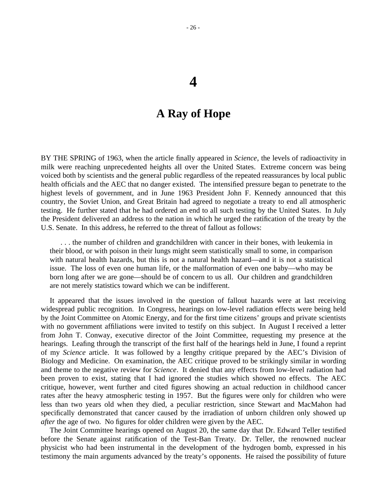#### **4**

#### **A Ray of Hope**

BY THE SPRING of 1963, when the article finally appeared in *Science*, the levels of radioactivity in milk were reaching unprecedented heights all over the United States. Extreme concern was being voiced both by scientists and the general public regardless of the repeated reassurances by local public health officials and the AEC that no danger existed. The intensified pressure began to penetrate to the highest levels of government, and in June 1963 President John F. Kennedy announced that this country, the Soviet Union, and Great Britain had agreed to negotiate a treaty to end all atmospheric testing. He further stated that he had ordered an end to all such testing by the United States. In July the President delivered an address to the nation in which he urged the ratification of the treaty by the U.S. Senate. In this address, he referred to the threat of fallout as follows:

. . . the number of children and grandchildren with cancer in their bones, with leukemia in their blood, or with poison in their lungs might seem statistically small to some, in comparison with natural health hazards, but this is not a natural health hazard—and it is not a statistical issue. The loss of even one human life, or the malformation of even one baby—who may be born long after we are gone—should be of concern to us all. Our children and grandchildren are not merely statistics toward which we can be indifferent.

It appeared that the issues involved in the question of fallout hazards were at last receiving widespread public recognition. In Congress, hearings on low-level radiation effects were being held by the Joint Committee on Atomic Energy, and for the first time citizens' groups and private scientists with no government affiliations were invited to testify on this subject. In August I received a letter from John T. Conway, executive director of the Joint Committee, requesting my presence at the hearings. Leafing through the transcript of the first half of the hearings held in June, I found a reprint of my *Science* article. It was followed by a lengthy critique prepared by the AEC's Division of Biology and Medicine. On examination, the AEC critique proved to be strikingly similar in wording and theme to the negative review for *Science*. It denied that any effects from low-level radiation had been proven to exist, stating that I had ignored the studies which showed no effects. The AEC critique, however, went further and cited figures showing an actual reduction in childhood cancer rates after the heavy atmospheric testing in 1957. But the figures were only for children who were less than two years old when they died, a peculiar restriction, since Stewart and MacMahon had specifically demonstrated that cancer caused by the irradiation of unborn children only showed up *after* the age of two. No figures for older children were given by the AEC.

The Joint Committee hearings opened on August 20, the same day that Dr. Edward Teller testified before the Senate against ratification of the Test-Ban Treaty. Dr. Teller, the renowned nuclear physicist who had been instrumental in the development of the hydrogen bomb, expressed in his testimony the main arguments advanced by the treaty's opponents. He raised the possibility of future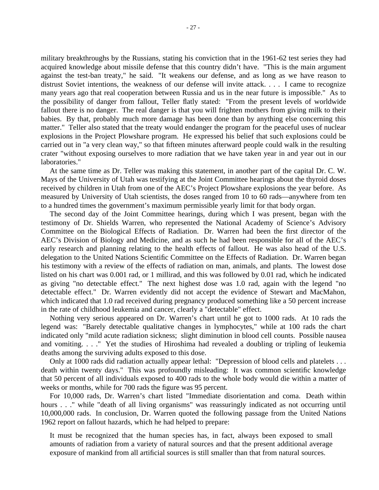military breakthroughs by the Russians, stating his conviction that in the 1961-62 test series they had acquired knowledge about missile defense that this country didn't have. "This is the main argument against the test-ban treaty," he said. "It weakens our defense, and as long as we have reason to distrust Soviet intentions, the weakness of our defense will invite attack. . . . I came to recognize many years ago that real cooperation between Russia and us in the near future is impossible." As to the possibility of danger from fallout, Teller flatly stated: "From the present levels of worldwide fallout there is no danger. The real danger is that you will frighten mothers from giving milk to their babies. By that, probably much more damage has been done than by anything else concerning this matter." Teller also stated that the treaty would endanger the program for the peaceful uses of nuclear explosions in the Project Plowshare program. He expressed his belief that such explosions could be carried out in "a very clean way," so that fifteen minutes afterward people could walk in the resulting crater "without exposing ourselves to more radiation that we have taken year in and year out in our laboratories."

At the same time as Dr. Teller was making this statement, in another part of the capital Dr. C. W. Mays of the University of Utah was testifying at the Joint Committee hearings about the thyroid doses received by children in Utah from one of the AEC's Project Plowshare explosions the year before. As measured by University of Utah scientists, the doses ranged from 10 to 60 rads—anywhere from ten to a hundred times the government's maximum permissible yearly limit for that body organ.

The second day of the Joint Committee hearings, during which I was present, began with the testimony of Dr. Shields Warren, who represented the National Academy of Science's Advisory Committee on the Biological Effects of Radiation. Dr. Warren had been the first director of the AEC's Division of Biology and Medicine, and as such he had been responsible for all of the AEC's early research and planning relating to the health effects of fallout. He was also head of the U.S. delegation to the United Nations Scientific Committee on the Effects of Radiation. Dr. Warren began his testimony with a review of the effects of radiation on man, animals, and plants. The lowest dose listed on his chart was 0.001 rad, or 1 millirad, and this was followed by 0.01 rad, which he indicated as giving "no detectable effect." The next highest dose was 1.0 rad, again with the legend "no detectable effect." Dr. Warren evidently did not accept the evidence of Stewart and MacMahon, which indicated that 1.0 rad received during pregnancy produced something like a 50 percent increase in the rate of childhood leukemia and cancer, clearly a "detectable" effect.

Nothing very serious appeared on Dr. Warren's chart until he got to 1000 rads. At 10 rads the legend was: "Barely detectable qualitative changes in lymphocytes," while at 100 rads the chart indicated only "mild acute radiation sickness; slight diminution in blood cell counts. Possible nausea and vomiting. . . ." Yet the studies of Hiroshima had revealed a doubling or tripling of leukemia deaths among the surviving adults exposed to this dose.

Only at 1000 rads did radiation actually appear lethal: "Depression of blood cells and platelets . . . death within twenty days." This was profoundly misleading: It was common scientific knowledge that 50 percent of all individuals exposed to 400 rads to the whole body would die within a matter of weeks or months, while for 700 rads the figure was 95 percent.

For 10,000 rads, Dr. Warren's chart listed "Immediate disorientation and coma. Death within hours . . ." while "death of all living organisms" was reassuringly indicated as not occurring until 10,000,000 rads. In conclusion, Dr. Warren quoted the following passage from the United Nations 1962 report on fallout hazards, which he had helped to prepare:

It must be recognized that the human species has, in fact, always been exposed to small amounts of radiation from a variety of natural sources and that the present additional average exposure of mankind from all artificial sources is still smaller than that from natural sources.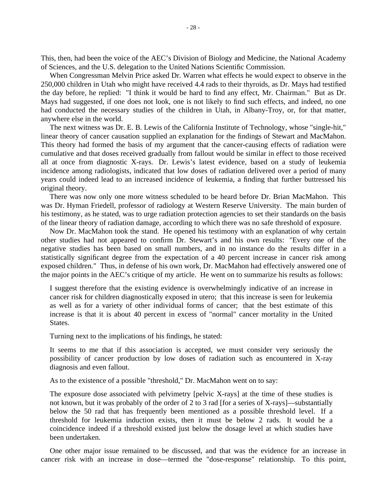This, then, had been the voice of the AEC's Division of Biology and Medicine, the National Academy of Sciences, and the U.S. delegation to the United Nations Scientific Commission.

When Congressman Melvin Price asked Dr. Warren what effects he would expect to observe in the 250,000 children in Utah who might have received 4.4 rads to their thyroids, as Dr. Mays had testified the day before, he replied: "I think it would be hard to find any effect, Mr. Chairman." But as Dr. Mays had suggested, if one does not look, one is not likely to find such effects, and indeed, no one had conducted the necessary studies of the children in Utah, in Albany-Troy, or, for that matter, anywhere else in the world.

The next witness was Dr. E. B. Lewis of the California Institute of Technology, whose "single-hit," linear theory of cancer causation supplied an explanation for the findings of Stewart and MacMahon. This theory had formed the basis of my argument that the cancer-causing effects of radiation were cumulative and that doses received gradually from fallout would be similar in effect to those received all at once from diagnostic X-rays. Dr. Lewis's latest evidence, based on a study of leukemia incidence among radiologists, indicated that low doses of radiation delivered over a period of many years could indeed lead to an increased incidence of leukemia, a finding that further buttressed his original theory.

There was now only one more witness scheduled to be heard before Dr. Brian MacMahon. This was Dr. Hyman Friedell, professor of radiology at Western Reserve University. The main burden of his testimony, as he stated, was to urge radiation protection agencies to set their standards on the basis of the linear theory of radiation damage, according to which there was no safe threshold of exposure.

Now Dr. MacMahon took the stand. He opened his testimony with an explanation of why certain other studies had not appeared to confirm Dr. Stewart's and his own results: "Every one of the negative studies has been based on small numbers, and in no instance do the results differ in a statistically significant degree from the expectation of a 40 percent increase in cancer risk among exposed children." Thus, in defense of his own work, Dr. MacMahon had effectively answered one of the major points in the AEC's critique of my article. He went on to summarize his results as follows:

I suggest therefore that the existing evidence is overwhelmingly indicative of an increase in cancer risk for children diagnostically exposed in utero; that this increase is seen for leukemia as well as for a variety of other individual forms of cancer; that the best estimate of this increase is that it is about 40 percent in excess of "normal" cancer mortality in the United States.

Turning next to the implications of his findings, he stated:

It seems to me that if this association is accepted, we must consider very seriously the possibility of cancer production by low doses of radiation such as encountered in X-ray diagnosis and even fallout.

As to the existence of a possible "threshold," Dr. MacMahon went on to say:

The exposure dose associated with pelvimetry [pelvic X-rays] at the time of these studies is not known, but it was probably of the order of 2 to 3 rad [for a series of X-rays]—substantially below the 50 rad that has frequently been mentioned as a possible threshold level. If a threshold for leukemia induction exists, then it must be below 2 rads. It would be a coincidence indeed if a threshold existed just below the dosage level at which studies have been undertaken.

One other major issue remained to be discussed, and that was the evidence for an increase in cancer risk with an increase in dose—termed the "dose-response" relationship. To this point,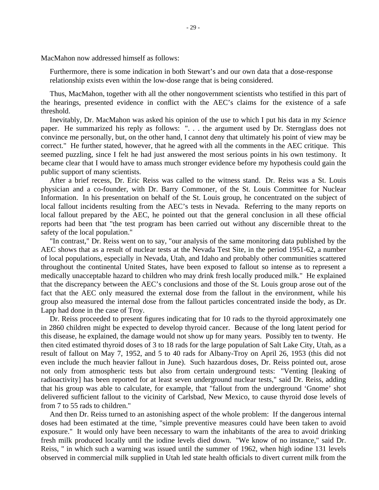MacMahon now addressed himself as follows:

Furthermore, there is some indication in both Stewart's and our own data that a dose-response relationship exists even within the low-dose range that is being considered.

Thus, MacMahon, together with all the other nongovernment scientists who testified in this part of the hearings, presented evidence in conflict with the AEC's claims for the existence of a safe threshold.

Inevitably, Dr. MacMahon was asked his opinion of the use to which I put his data in my *Science* paper. He summarized his reply as follows: ". . . the argument used by Dr. Sternglass does not convince me personally, but, on the other hand, I cannot deny that ultimately his point of view may be correct." He further stated, however, that he agreed with all the comments in the AEC critique. This seemed puzzling, since I felt he had just answered the most serious points in his own testimony. It became clear that I would have to amass much stronger evidence before my hypothesis could gain the public support of many scientists.

After a brief recess, Dr. Eric Reiss was called to the witness stand. Dr. Reiss was a St. Louis physician and a co-founder, with Dr. Barry Commoner, of the St. Louis Committee for Nuclear Information. In his presentation on behalf of the St. Louis group, he concentrated on the subject of local fallout incidents resulting from the AEC's tests in Nevada. Referring to the many reports on local fallout prepared by the AEC, he pointed out that the general conclusion in all these official reports had been that "the test program has been carried out without any discernible threat to the safety of the local population."

"In contrast," Dr. Reiss went on to say, "our analysis of the same monitoring data published by the AEC shows that as a result of nuclear tests at the Nevada Test Site, in the period 1951-62, a number of local populations, especially in Nevada, Utah, and Idaho and probably other communities scattered throughout the continental United States, have been exposed to fallout so intense as to represent a medically unacceptable hazard to children who may drink fresh locally produced milk." He explained that the discrepancy between the AEC's conclusions and those of the St. Louis group arose out of the fact that the AEC only measured the external dose from the fallout in the environment, while his group also measured the internal dose from the fallout particles concentrated inside the body, as Dr. Lapp had done in the case of Troy.

Dr. Reiss proceeded to present figures indicating that for 10 rads to the thyroid approximately one in 2860 children might be expected to develop thyroid cancer. Because of the long latent period for this disease, he explained, the damage would not show up for many years. Possibly ten to twenty. He then cited estimated thyroid doses of 3 to 18 rads for the large population of Salt Lake City, Utah, as a result of fallout on May 7, 1952, and 5 to 40 rads for Albany-Troy on April 26, 1953 (this did not even include the much heavier fallout in June). Such hazardous doses, Dr. Reiss pointed out, arose not only from atmospheric tests but also from certain underground tests: "Venting [leaking of radioactivity] has been reported for at least seven underground nuclear tests," said Dr. Reiss, adding that his group was able to calculate, for example, that "fallout from the underground 'Gnome' shot delivered sufficient fallout to the vicinity of Carlsbad, New Mexico, to cause thyroid dose levels of from 7 to 55 rads to children."

And then Dr. Reiss turned to an astonishing aspect of the whole problem: If the dangerous internal doses had been estimated at the time, "simple preventive measures could have been taken to avoid exposure." It would only have been necessary to warn the inhabitants of the area to avoid drinking fresh milk produced locally until the iodine levels died down. "We know of no instance," said Dr. Reiss, " in which such a warning was issued until the summer of 1962, when high iodine 131 levels observed in commercial milk supplied in Utah led state health officials to divert current milk from the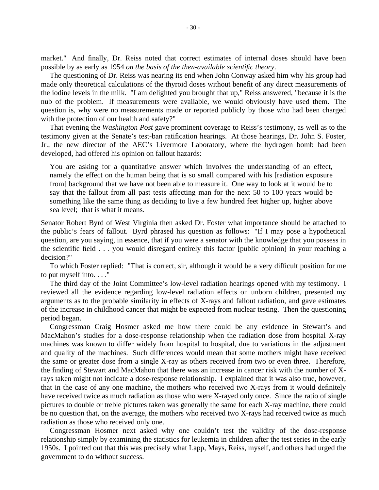market." And finally, Dr. Reiss noted that correct estimates of internal doses should have been possible by as early as 1954 *on the basis of the then-available scientific theory*.

The questioning of Dr. Reiss was nearing its end when John Conway asked him why his group had made only theoretical calculations of the thyroid doses without benefit of any direct measurements of the iodine levels in the milk. "I am delighted you brought that up," Reiss answered, "because it is the nub of the problem. If measurements were available, we would obviously have used them. The question is, why were no measurements made or reported publicly by those who had been charged with the protection of our health and safety?"

That evening the *Washington Post* gave prominent coverage to Reiss's testimony, as well as to the testimony given at the Senate's test-ban ratification hearings. At those hearings, Dr. John S. Foster, Jr., the new director of the AEC's Livermore Laboratory, where the hydrogen bomb had been developed, had offered his opinion on fallout hazards:

You are asking for a quantitative answer which involves the understanding of an effect, namely the effect on the human being that is so small compared with his [radiation exposure from] background that we have not been able to measure it. One way to look at it would be to say that the fallout from all past tests affecting man for the next 50 to 100 years would be something like the same thing as deciding to live a few hundred feet higher up, higher above sea level; that is what it means.

Senator Robert Byrd of West Virginia then asked Dr. Foster what importance should be attached to the public's fears of fallout. Byrd phrased his question as follows: "If I may pose a hypothetical question, are you saying, in essence, that if you were a senator with the knowledge that you possess in the scientific field . . . you would disregard entirely this factor [public opinion] in your reaching a decision?"

To which Foster replied: "That is correct, sir, although it would be a very difficult position for me to put myself into. . . ."

The third day of the Joint Committee's low-level radiation hearings opened with my testimony. I reviewed all the evidence regarding low-level radiation effects on unborn children, presented my arguments as to the probable similarity in effects of X-rays and fallout radiation, and gave estimates of the increase in childhood cancer that might be expected from nuclear testing. Then the questioning period began.

Congressman Craig Hosmer asked me how there could be any evidence in Stewart's and MacMahon's studies for a dose-response relationship when the radiation dose from hospital X-ray machines was known to differ widely from hospital to hospital, due to variations in the adjustment and quality of the machines. Such differences would mean that some mothers might have received the same or greater dose from a single X-ray as others received from two or even three. Therefore, the finding of Stewart and MacMahon that there was an increase in cancer risk with the number of Xrays taken might not indicate a dose-response relationship. I explained that it was also true, however, that in the case of any one machine, the mothers who received two X-rays from it would definitely have received twice as much radiation as those who were X-rayed only once. Since the ratio of single pictures to double or treble pictures taken was generally the same for each X-ray machine, there could be no question that, on the average, the mothers who received two X-rays had received twice as much radiation as those who received only one.

Congressman Hosmer next asked why one couldn't test the validity of the dose-response relationship simply by examining the statistics for leukemia in children after the test series in the early 1950s. I pointed out that this was precisely what Lapp, Mays, Reiss, myself, and others had urged the government to do without success.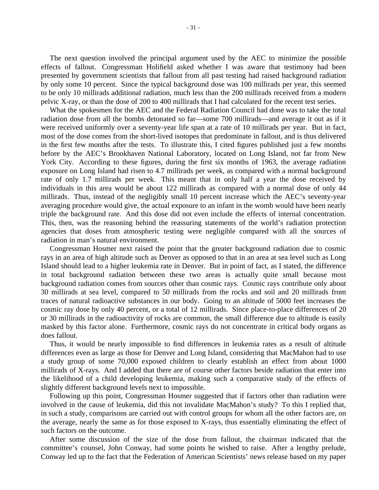The next question involved the principal argument used by the AEC to minimize the possible effects of fallout. Congressman Holifield asked whether I was aware that testimony had been presented by government scientists that fallout from all past testing had raised background radiation by only some 10 percent. Since the typical background dose was 100 millirads per year, this seemed to be only 10 millirads additional radiation, much less than the 200 millirads received from a modern pelvic X-ray, or than the dose of 200 to 400 millirads that I had calculated for the recent test series.

What the spokesmen for the AEC and the Federal Radiation Council had done was to take the total radiation dose from all the bombs detonated so far—some 700 millirads—and average it out as if it were received uniformly over a seventy-year life span at a rate of 10 millirads per year. But in fact, most of the dose comes from the short-lived isotopes that predominate in fallout, and is thus delivered in the first few months after the tests. To illustrate this, I cited figures published just a few months before by the AEC's Brookhaven National Laboratory, located on Long Island, not far from New York City. According to these figures, during the first six months of 1963, the average radiation exposure on Long Island had risen to 4.7 millirads per week, as compared with a normal background rate of only 1.7 millirads per week. This meant that in only half a year the dose received by individuals in this area would be about 122 millirads as compared with a normal dose of only 44 millirads. Thus, instead of the negligibly small 10 percent increase which the AEC's seventy-year averaging procedure would give, the actual exposure to an infant in the womb would have been nearly triple the background rate. And this dose did not even include the effects of internal concentration. This, then, was the reasoning behind the reassuring statements of the world's radiation protection agencies that doses from atmospheric testing were negligible compared with all the sources of radiation in man's natural environment.

Congressman Hosmer next raised the point that the greater background radiation due to cosmic rays in an area of high altitude such as Denver as opposed to that in an area at sea level such as Long Island should lead to a higher leukemia rate in Denver. But in point of fact, as I stated, the difference in total background radiation between these two areas is actually quite small because most background radiation comes from sources other than cosmic rays. Cosmic rays contribute only about 30 millirads at sea level, compared to 50 millirads from the rocks and soil and 20 millirads from traces of natural radioactive substances in our body. Going to an altitude of 5000 feet increases the cosmic ray dose by only 40 percent, or a total of 12 millirads. Since place-to-place differences of 20 or 30 millirads in the radioactivity of rocks are common, the small difference due to altitude is easily masked by this factor alone. Furthermore, cosmic rays do not concentrate in critical body organs as does fallout.

Thus, it would be nearly impossible to find differences in leukemia rates as a result of altitude differences even as large as those for Denver and Long Island, considering that MacMahon had to use a study group of some 70,000 exposed children to clearly establish an effect from about 1000 millirads of X-rays. And I added that there are of course other factors beside radiation that enter into the likelihood of a child developing leukemia, making such a comparative study of the effects of slightly different background levels next to impossible.

Following up this point, Congressman Hosmer suggested that if factors other than radiation were involved in the cause of leukemia, did this not invalidate MacMahon's study? To this I replied that, in such a study, comparisons are carried out with control groups for whom all the other factors are, on the average, nearly the same as for those exposed to X-rays, thus essentially eliminating the effect of such factors on the outcome.

After some discussion of the size of the dose from fallout, the chairman indicated that the committee's counsel, John Conway, had some points he wished to raise. After a lengthy prelude, Conway led up to the fact that the Federation of American Scientists' news release based on my paper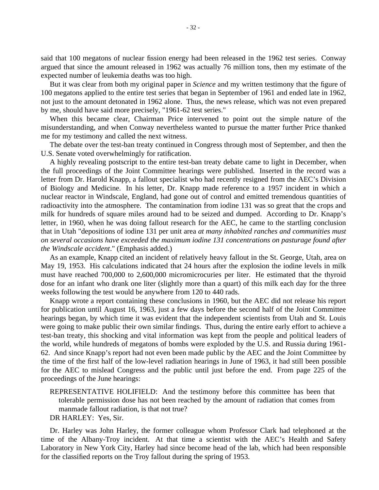said that 100 megatons of nuclear fission energy had been released in the 1962 test series. Conway argued that since the amount released in 1962 was actually 76 million tons, then my estimate of the expected number of leukemia deaths was too high.

But it was clear from both my original paper in *Science* and my written testimony that the figure of 100 megatons applied to the entire test series that began in September of 1961 and ended late in 1962, not just to the amount detonated in 1962 alone. Thus, the news release, which was not even prepared by me, should have said more precisely, "1961-62 test series."

When this became clear, Chairman Price intervened to point out the simple nature of the misunderstanding, and when Conway nevertheless wanted to pursue the matter further Price thanked me for my testimony and called the next witness.

The debate over the test-ban treaty continued in Congress through most of September, and then the U.S. Senate voted overwhelmingly for ratification.

A highly revealing postscript to the entire test-ban treaty debate came to light in December, when the full proceedings of the Joint Committee hearings were published. Inserted in the record was a letter from Dr. Harold Knapp, a fallout specialist who had recently resigned from the AEC's Division of Biology and Medicine. In his letter, Dr. Knapp made reference to a 1957 incident in which a nuclear reactor in Windscale, England, had gone out of control and emitted tremendous quantities of radioactivity into the atmosphere. The contamination from iodine 131 was so great that the crops and milk for hundreds of square miles around had to be seized and dumped. According to Dr. Knapp's letter, in 1960, when he was doing fallout research for the AEC, he came to the startling conclusion that in Utah "depositions of iodine 131 per unit area *at many inhabited ranches and communities must on several occasions have exceeded the maximum iodine 131 concentrations on pasturage found after the Windscale accident*." (Emphasis added.)

As an example, Knapp cited an incident of relatively heavy fallout in the St. George, Utah, area on May 19, 1953. His calculations indicated that 24 hours after the explosion the iodine levels in milk must have reached 700,000 to 2,600,000 micromicrocuries per liter. He estimated that the thyroid dose for an infant who drank one liter (slightly more than a quart) of this milk each day for the three weeks following the test would be anywhere from 120 to 440 rads.

Knapp wrote a report containing these conclusions in 1960, but the AEC did not release his report for publication until August 16, 1963, just a few days before the second half of the Joint Committee hearings began, by which time it was evident that the independent scientists from Utah and St. Louis were going to make public their own similar findings. Thus, during the entire early effort to achieve a test-ban treaty, this shocking and vital information was kept from the people and political leaders of the world, while hundreds of megatons of bombs were exploded by the U.S. and Russia during 1961- 62. And since Knapp's report had not even been made public by the AEC and the Joint Committee by the time of the first half of the low-level radiation hearings in June of 1963, it had still been possible for the AEC to mislead Congress and the public until just before the end. From page 225 of the proceedings of the June hearings:

REPRESENTATIVE HOLIFIELD: And the testimony before this committee has been that tolerable permission dose has not been reached by the amount of radiation that comes from manmade fallout radiation, is that not true?

DR HARLEY: Yes, Sir.

Dr. Harley was John Harley, the former colleague whom Professor Clark had telephoned at the time of the Albany-Troy incident. At that time a scientist with the AEC's Health and Safety Laboratory in New York City, Harley had since become head of the lab, which had been responsible for the classified reports on the Troy fallout during the spring of 1953.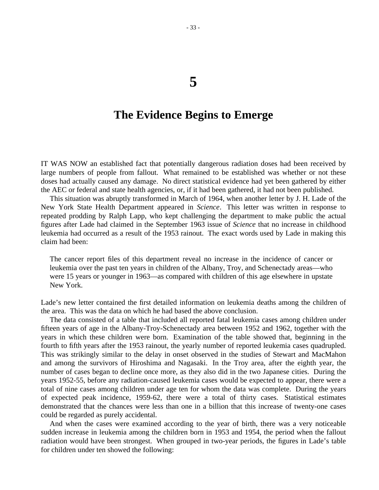**5**

#### **The Evidence Begins to Emerge**

IT WAS NOW an established fact that potentially dangerous radiation doses had been received by large numbers of people from fallout. What remained to be established was whether or not these doses had actually caused any damage. No direct statistical evidence had yet been gathered by either the AEC or federal and state health agencies, or, if it had been gathered, it had not been published.

This situation was abruptly transformed in March of 1964, when another letter by J. H. Lade of the New York State Health Department appeared in *Science*. This letter was written in response to repeated prodding by Ralph Lapp, who kept challenging the department to make public the actual figures after Lade had claimed in the September 1963 issue of *Science* that no increase in childhood leukemia had occurred as a result of the 1953 rainout. The exact words used by Lade in making this claim had been:

The cancer report files of this department reveal no increase in the incidence of cancer or leukemia over the past ten years in children of the Albany, Troy, and Schenectady areas—who were 15 years or younger in 1963—as compared with children of this age elsewhere in upstate New York.

Lade's new letter contained the first detailed information on leukemia deaths among the children of the area. This was the data on which he had based the above conclusion.

The data consisted of a table that included all reported fatal leukemia cases among children under fifteen years of age in the Albany-Troy-Schenectady area between 1952 and 1962, together with the years in which these children were born. Examination of the table showed that, beginning in the fourth to fifth years after the 1953 rainout, the yearly number of reported leukemia cases quadrupled. This was strikingly similar to the delay in onset observed in the studies of Stewart and MacMahon and among the survivors of Hiroshima and Nagasaki. In the Troy area, after the eighth year, the number of cases began to decline once more, as they also did in the two Japanese cities. During the years 1952-55, before any radiation-caused leukemia cases would be expected to appear, there were a total of nine cases among children under age ten for whom the data was complete. During the years of expected peak incidence, 1959-62, there were a total of thirty cases. Statistical estimates demonstrated that the chances were less than one in a billion that this increase of twenty-one cases could be regarded as purely accidental.

And when the cases were examined according to the year of birth, there was a very noticeable sudden increase in leukemia among the children born in 1953 and 1954, the period when the fallout radiation would have been strongest. When grouped in two-year periods, the figures in Lade's table for children under ten showed the following: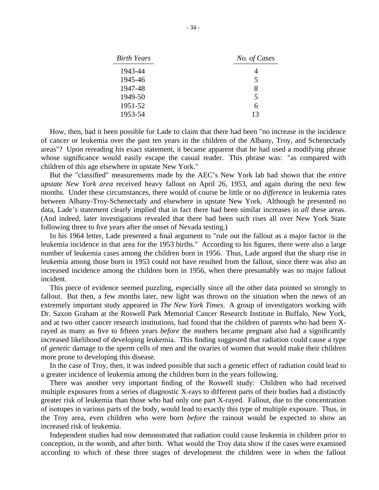| <b>Birth Years</b> | No. of Cases             |
|--------------------|--------------------------|
| 1943-44            |                          |
| 1945-46            | 5                        |
| 1947-48            | 8                        |
| 1949-50            | $\overline{\phantom{1}}$ |
| 1951-52            | 6                        |
| 1953-54            | 13                       |

How, then, had it been possible for Lade to claim that there had been "no increase in the incidence of cancer or leukemia over the past ten years in the children of the Albany, Troy, and Schenectady areas"? Upon rereading his exact statement, it became apparent that he had used a modifying phrase whose significance would easily escape the casual reader. This phrase was: "as compared with children of this age elsewhere in upstate New York."

But the "classified" measurements made by the AEC's New York lab had shown that the *entire upstate New York area* received heavy fallout on April 26, 1953, and again during the next few months. Under these circumstances, there would of course be little or no *difference* in leukemia rates between Albany-Troy-Schenectady and elsewhere in upstate New York. Although he presented no data, Lade's statement clearly implied that in fact there had been similar increases in *all* these areas. (And indeed, later investigations revealed that there had been such rises all over New York State following three to five years after the onset of Nevada testing.)

In his 1964 letter, Lade presented a final argument to "rule out the fallout as a major factor in the leukemia incidence in that area for the 1953 births." According to his figures, there were also a large number of leukemia cases among the children born in 1956. Thus, Lade argued that the sharp rise in leukemia among those born in 1953 could not have resulted from the fallout, since there was also an increased incidence among the children born in 1956, when there presumably was no major fallout incident.

This piece of evidence seemed puzzling, especially since all the other data pointed so strongly to fallout. But then, a few months later, new light was thrown on the situation when the news of an extremely important study appeared in *The New York Times*. A group of investigators working with Dr. Saxon Graham at the Roswell Park Memorial Cancer Research Institute in Buffalo, New York, and at two other cancer research institutions, had found that the children of parents who had been Xrayed as many as five to fifteen years *before* the mothers became pregnant also had a significantly increased likelihood of developing leukemia. This finding suggested that radiation could cause a type of *genetic* damage to the sperm cells of men and the ovaries of women that would make their children more prone to developing this disease.

In the case of Troy, then, it was indeed possible that such a genetic effect of radiation could lead to a greater incidence of leukemia among the children born in the years following.

There was another very important finding of the Roswell study: Children who had received multiple exposures from a series of diagnostic X-rays to different parts of their bodies had a distinctly greater risk of leukemia than those who had only one part X-rayed. Fallout, due to the concentration of isotopes in various parts of the body, would lead to exactly this type of multiple exposure. Thus, in the Troy area, even children who were born *before* the rainout would be expected to show an increased risk of leukemia.

Independent studies had now demonstrated that radiation could cause leukemia in children prior to conception, in the womb, and after birth. What would the Troy data show if the cases were examined according to which of these three stages of development the children were in when the fallout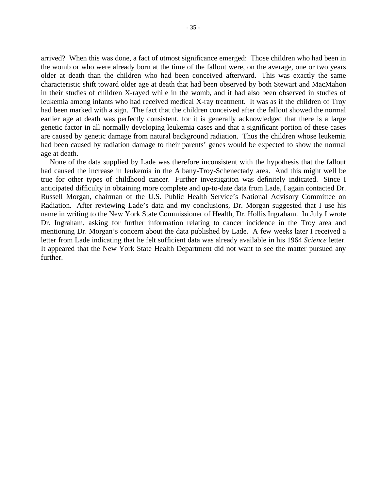arrived? When this was done, a fact of utmost significance emerged: Those children who had been in the womb or who were already born at the time of the fallout were, on the average, one or two years older at death than the children who had been conceived afterward. This was exactly the same characteristic shift toward older age at death that had been observed by both Stewart and MacMahon in their studies of children X-rayed while in the womb, and it had also been observed in studies of leukemia among infants who had received medical X-ray treatment. It was as if the children of Troy had been marked with a sign. The fact that the children conceived after the fallout showed the normal earlier age at death was perfectly consistent, for it is generally acknowledged that there is a large genetic factor in all normally developing leukemia cases and that a significant portion of these cases are caused by genetic damage from natural background radiation. Thus the children whose leukemia had been caused by radiation damage to their parents' genes would be expected to show the normal age at death.

None of the data supplied by Lade was therefore inconsistent with the hypothesis that the fallout had caused the increase in leukemia in the Albany-Troy-Schenectady area. And this might well be true for other types of childhood cancer. Further investigation was definitely indicated. Since I anticipated difficulty in obtaining more complete and up-to-date data from Lade, I again contacted Dr. Russell Morgan, chairman of the U.S. Public Health Service's National Advisory Committee on Radiation. After reviewing Lade's data and my conclusions, Dr. Morgan suggested that I use his name in writing to the New York State Commissioner of Health, Dr. Hollis Ingraham. In July I wrote Dr. Ingraham, asking for further information relating to cancer incidence in the Troy area and mentioning Dr. Morgan's concern about the data published by Lade. A few weeks later I received a letter from Lade indicating that he felt sufficient data was already available in his 1964 *Science* letter. It appeared that the New York State Health Department did not want to see the matter pursued any further.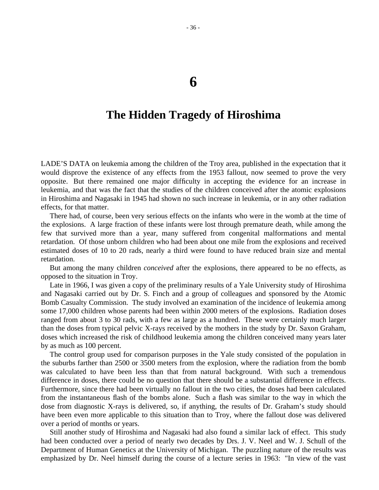**6**

#### **The Hidden Tragedy of Hiroshima**

LADE'S DATA on leukemia among the children of the Troy area, published in the expectation that it would disprove the existence of any effects from the 1953 fallout, now seemed to prove the very opposite. But there remained one major difficulty in accepting the evidence for an increase in leukemia, and that was the fact that the studies of the children conceived after the atomic explosions in Hiroshima and Nagasaki in 1945 had shown no such increase in leukemia, or in any other radiation effects, for that matter.

There had, of course, been very serious effects on the infants who were in the womb at the time of the explosions. A large fraction of these infants were lost through premature death, while among the few that survived more than a year, many suffered from congenital malformations and mental retardation. Of those unborn children who had been about one mile from the explosions and received estimated doses of 10 to 20 rads, nearly a third were found to have reduced brain size and mental retardation.

But among the many children *conceived* after the explosions, there appeared to be no effects, as opposed to the situation in Troy.

Late in 1966, I was given a copy of the preliminary results of a Yale University study of Hiroshima and Nagasaki carried out by Dr. S. Finch and a group of colleagues and sponsored by the Atomic Bomb Casualty Commission. The study involved an examination of the incidence of leukemia among some 17,000 children whose parents had been within 2000 meters of the explosions. Radiation doses ranged from about 3 to 30 rads, with a few as large as a hundred. These were certainly much larger than the doses from typical pelvic X-rays received by the mothers in the study by Dr. Saxon Graham, doses which increased the risk of childhood leukemia among the children conceived many years later by as much as 100 percent.

The control group used for comparison purposes in the Yale study consisted of the population in the suburbs farther than 2500 or 3500 meters from the explosion, where the radiation from the bomb was calculated to have been less than that from natural background. With such a tremendous difference in doses, there could be no question that there should be a substantial difference in effects. Furthermore, since there had been virtually no fallout in the two cities, the doses had been calculated from the instantaneous flash of the bombs alone. Such a flash was similar to the way in which the dose from diagnostic X-rays is delivered, so, if anything, the results of Dr. Graham's study should have been even more applicable to this situation than to Troy, where the fallout dose was delivered over a period of months or years.

Still another study of Hiroshima and Nagasaki had also found a similar lack of effect. This study had been conducted over a period of nearly two decades by Drs. J. V. Neel and W. J. Schull of the Department of Human Genetics at the University of Michigan. The puzzling nature of the results was emphasized by Dr. Neel himself during the course of a lecture series in 1963: "In view of the vast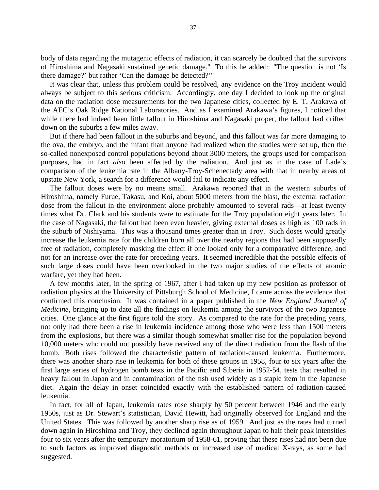body of data regarding the mutagenic effects of radiation, it can scarcely be doubted that the survivors of Hiroshima and Nagasaki sustained genetic damage." To this he added: "The question is not 'Is there damage?' but rather 'Can the damage be detected?'"

It was clear that, unless this problem could be resolved, any evidence on the Troy incident would always be subject to this serious criticism. Accordingly, one day I decided to look up the original data on the radiation dose measurements for the two Japanese cities, collected by E. T. Arakawa of the AEC's Oak Ridge National Laboratories. And as I examined Arakawa's figures, I noticed that while there had indeed been little fallout in Hiroshima and Nagasaki proper, the fallout had drifted down on the suburbs a few miles away.

But if there had been fallout in the suburbs and beyond, and this fallout was far more damaging to the ova, the embryo, and the infant than anyone had realized when the studies were set up, then the so-called nonexposed control populations beyond about 3000 meters, the groups used for comparison purposes, had in fact *also* been affected by the radiation. And just as in the case of Lade's comparison of the leukemia rate in the Albany-Troy-Schenectady area with that in nearby areas of upstate New York, a search for a difference would fail to indicate any effect.

The fallout doses were by no means small. Arakawa reported that in the western suburbs of Hiroshima, namely Furue, Takasu, and Koi, about 5000 meters from the blast, the external radiation dose from the fallout in the environment alone probably amounted to several rads—at least twenty times what Dr. Clark and his students were to estimate for the Troy population eight years later. In the case of Nagasaki, the fallout had been even heavier, giving external doses as high as 100 rads in the suburb of Nishiyama. This was a thousand times greater than in Troy. Such doses would greatly increase the leukemia rate for the children born all over the nearby regions that had been supposedly free of radiation, completely masking the effect if one looked only for a comparative difference, and not for an increase over the rate for preceding years. It seemed incredible that the possible effects of such large doses could have been overlooked in the two major studies of the effects of atomic warfare, yet they had been.

A few months later, in the spring of 1967, after I had taken up my new position as professor of radiation physics at the University of Pittsburgh School of Medicine, I came across the evidence that confirmed this conclusion. It was contained in a paper published in the *New England Journal of Medicine*, bringing up to date all the findings on leukemia among the survivors of the two Japanese cities. One glance at the first figure told the story. As compared to the rate for the preceding years, not only had there been a rise in leukemia incidence among those who were less than 1500 meters from the explosions, but there was a similar though somewhat smaller rise for the population beyond 10,000 meters who could not possibly have received any of the direct radiation from the flash of the bomb. Both rises followed the characteristic pattern of radiation-caused leukemia. Furthermore, there was another sharp rise in leukemia for both of these groups in 1958, four to six years after the first large series of hydrogen bomb tests in the Pacific and Siberia in 1952-54, tests that resulted in heavy fallout in Japan and in contamination of the fish used widely as a staple item in the Japanese diet. Again the delay in onset coincided exactly with the established pattern of radiation-caused leukemia.

In fact, for all of Japan, leukemia rates rose sharply by 50 percent between 1946 and the early 1950s, just as Dr. Stewart's statistician, David Hewitt, had originally observed for England and the United States. This was followed by another sharp rise as of 1959. And just as the rates had turned down again in Hiroshima and Troy, they declined again throughout Japan to half their peak intensities four to six years after the temporary moratorium of 1958-61, proving that these rises had not been due to such factors as improved diagnostic methods or increased use of medical X-rays, as some had suggested.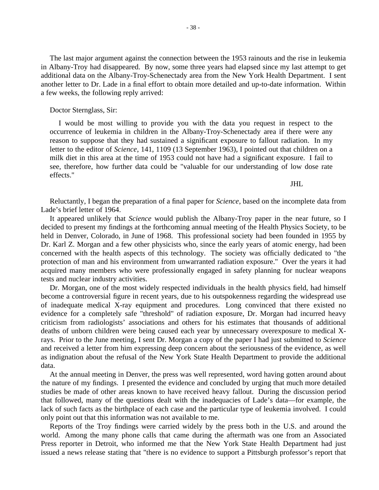The last major argument against the connection between the 1953 rainouts and the rise in leukemia in Albany-Troy had disappeared. By now, some three years had elapsed since my last attempt to get additional data on the Albany-Troy-Schenectady area from the New York Health Department. I sent another letter to Dr. Lade in a final effort to obtain more detailed and up-to-date information. Within a few weeks, the following reply arrived:

Doctor Sternglass, Sir:

I would be most willing to provide you with the data you request in respect to the occurrence of leukemia in children in the Albany-Troy-Schenectady area if there were any reason to suppose that they had sustained a significant exposure to fallout radiation. In my letter to the editor of *Science*, 141, 1109 (13 September 1963), I pointed out that children on a milk diet in this area at the time of 1953 could not have had a significant exposure. I fail to see, therefore, how further data could be "valuable for our understanding of low dose rate effects."

JHL

Reluctantly, I began the preparation of a final paper for *Science*, based on the incomplete data from Lade's brief letter of 1964.

It appeared unlikely that *Science* would publish the Albany-Troy paper in the near future, so I decided to present my findings at the forthcoming annual meeting of the Health Physics Society, to be held in Denver, Colorado, in June of 1968. This professional society had been founded in 1955 by Dr. Karl Z. Morgan and a few other physicists who, since the early years of atomic energy, had been concerned with the health aspects of this technology. The society was officially dedicated to "the protection of man and his environment from unwarranted radiation exposure." Over the years it had acquired many members who were professionally engaged in safety planning for nuclear weapons tests and nuclear industry activities.

Dr. Morgan, one of the most widely respected individuals in the health physics field, had himself become a controversial figure in recent years, due to his outspokenness regarding the widespread use of inadequate medical X-ray equipment and procedures. Long convinced that there existed no evidence for a completely safe "threshold" of radiation exposure, Dr. Morgan had incurred heavy criticism from radiologists' associations and others for his estimates that thousands of additional deaths of unborn children were being caused each year by unnecessary overexposure to medical Xrays. Prior to the June meeting, I sent Dr. Morgan a copy of the paper I had just submitted to *Science* and received a letter from him expressing deep concern about the seriousness of the evidence, as well as indignation about the refusal of the New York State Health Department to provide the additional data.

At the annual meeting in Denver, the press was well represented, word having gotten around about the nature of my findings. I presented the evidence and concluded by urging that much more detailed studies be made of other areas known to have received heavy fallout. During the discussion period that followed, many of the questions dealt with the inadequacies of Lade's data—for example, the lack of such facts as the birthplace of each case and the particular type of leukemia involved. I could only point out that this information was not available to me.

Reports of the Troy findings were carried widely by the press both in the U.S. and around the world. Among the many phone calls that came during the aftermath was one from an Associated Press reporter in Detroit, who informed me that the New York State Health Department had just issued a news release stating that "there is no evidence to support a Pittsburgh professor's report that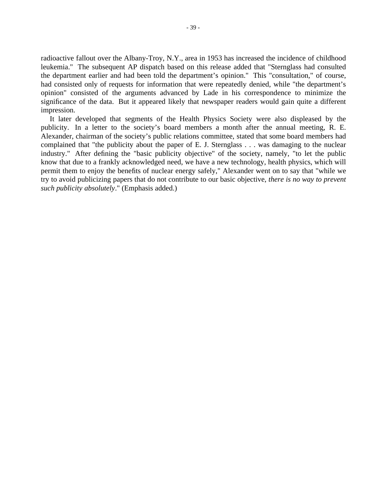radioactive fallout over the Albany-Troy, N.Y., area in 1953 has increased the incidence of childhood leukemia." The subsequent AP dispatch based on this release added that "Sternglass had consulted the department earlier and had been told the department's opinion." This "consultation," of course, had consisted only of requests for information that were repeatedly denied, while "the department's opinion" consisted of the arguments advanced by Lade in his correspondence to minimize the significance of the data. But it appeared likely that newspaper readers would gain quite a different impression.

It later developed that segments of the Health Physics Society were also displeased by the publicity. In a letter to the society's board members a month after the annual meeting, R. E. Alexander, chairman of the society's public relations committee, stated that some board members had complained that "the publicity about the paper of E. J. Sternglass . . . was damaging to the nuclear industry." After defining the "basic publicity objective" of the society, namely, "to let the public know that due to a frankly acknowledged need, we have a new technology, health physics, which will permit them to enjoy the benefits of nuclear energy safely," Alexander went on to say that "while we try to avoid publicizing papers that do not contribute to our basic objective, *there is no way to prevent such publicity absolutely*." (Emphasis added.)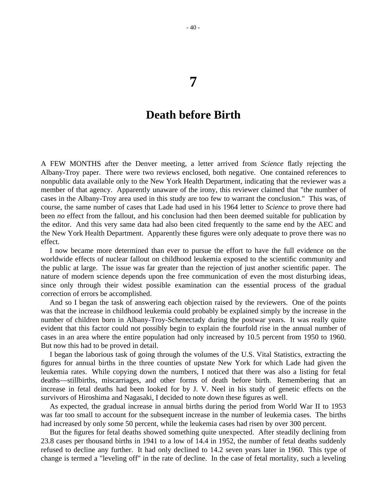#### **7**

### **Death before Birth**

A FEW MONTHS after the Denver meeting, a letter arrived from *Science* flatly rejecting the Albany-Troy paper. There were two reviews enclosed, both negative. One contained references to nonpublic data available only to the New York Health Department, indicating that the reviewer was a member of that agency. Apparently unaware of the irony, this reviewer claimed that "the number of cases in the Albany-Troy area used in this study are too few to warrant the conclusion." This was, of course, the same number of cases that Lade had used in his 1964 letter to *Science* to prove there had been *no* effect from the fallout, and his conclusion had then been deemed suitable for publication by the editor. And this very same data had also been cited frequently to the same end by the AEC and the New York Health Department. Apparently these figures were only adequate to prove there was no effect.

I now became more determined than ever to pursue the effort to have the full evidence on the worldwide effects of nuclear fallout on childhood leukemia exposed to the scientific community and the public at large. The issue was far greater than the rejection of just another scientific paper. The nature of modern science depends upon the free communication of even the most disturbing ideas, since only through their widest possible examination can the essential process of the gradual correction of errors be accomplished.

And so I began the task of answering each objection raised by the reviewers. One of the points was that the increase in childhood leukemia could probably be explained simply by the increase in the number of children born in Albany-Troy-Schenectady during the postwar years. It was really quite evident that this factor could not possibly begin to explain the fourfold rise in the annual number of cases in an area where the entire population had only increased by 10.5 percent from 1950 to 1960. But now this had to be proved in detail.

I began the laborious task of going through the volumes of the U.S. Vital Statistics, extracting the figures for annual births in the three counties of upstate New York for which Lade had given the leukemia rates. While copying down the numbers, I noticed that there was also a listing for fetal deaths—stillbirths, miscarriages, and other forms of death before birth. Remembering that an increase in fetal deaths had been looked for by J. V. Neel in his study of genetic effects on the survivors of Hiroshima and Nagasaki, I decided to note down these figures as well.

As expected, the gradual increase in annual births during the period from World War II to 1953 was far too small to account for the subsequent increase in the number of leukemia cases. The births had increased by only some 50 percent, while the leukemia cases had risen by over 300 percent.

But the figures for fetal deaths showed something quite unexpected. After steadily declining from 23.8 cases per thousand births in 1941 to a low of 14.4 in 1952, the number of fetal deaths suddenly refused to decline any further. It had only declined to 14.2 seven years later in 1960. This type of change is termed a "leveling off" in the rate of decline. In the case of fetal mortality, such a leveling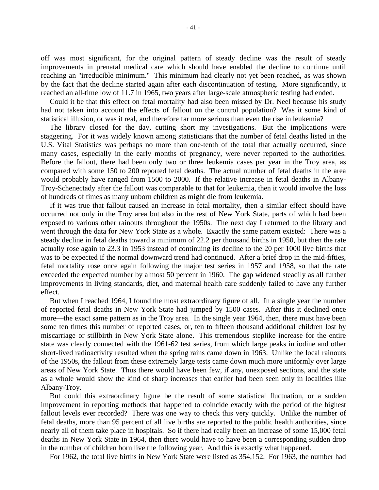off was most significant, for the original pattern of steady decline was the result of steady improvements in prenatal medical care which should have enabled the decline to continue until reaching an "irreducible minimum." This minimum had clearly not yet been reached, as was shown by the fact that the decline started again after each discontinuation of testing. More significantly, it reached an all-time low of 11.7 in 1965, two years after large-scale atmospheric testing had ended.

Could it be that this effect on fetal mortality had also been missed by Dr. Neel because his study had not taken into account the effects of fallout on the control population? Was it some kind of statistical illusion, or was it real, and therefore far more serious than even the rise in leukemia?

The library closed for the day, cutting short my investigations. But the implications were staggering. For it was widely known among statisticians that the number of fetal deaths listed in the U.S. Vital Statistics was perhaps no more than one-tenth of the total that actually occurred, since many cases, especially in the early months of pregnancy, were never reported to the authorities. Before the fallout, there had been only two or three leukemia cases per year in the Troy area, as compared with some 150 to 200 reported fetal deaths. The actual number of fetal deaths in the area would probably have ranged from 1500 to 2000. If the relative increase in fetal deaths in Albany-Troy-Schenectady after the fallout was comparable to that for leukemia, then it would involve the loss of hundreds of times as many unborn children as might die from leukemia.

If it was true that fallout caused an increase in fetal mortality, then a similar effect should have occurred not only in the Troy area but also in the rest of New York State, parts of which had been exposed to various other rainouts throughout the 1950s. The next day I returned to the library and went through the data for New York State as a whole. Exactly the same pattern existed: There was a steady decline in fetal deaths toward a minimum of 22.2 per thousand births in 1950, but then the rate actually rose again to 23.3 in 1953 instead of continuing its decline to the 20 per 1000 live births that was to be expected if the normal downward trend had continued. After a brief drop in the mid-fifties, fetal mortality rose once again following the major test series in 1957 and 1958, so that the rate exceeded the expected number by almost 50 percent in 1960. The gap widened steadily as all further improvements in living standards, diet, and maternal health care suddenly failed to have any further effect.

But when I reached 1964, I found the most extraordinary figure of all. In a single year the number of reported fetal deaths in New York State had jumped by 1500 cases. After this it declined once more—the exact same pattern as in the Troy area. In the single year 1964, then, there must have been some ten times this number of reported cases, or, ten to fifteen thousand additional children lost by miscarriage or stillbirth in New York State alone. This tremendous steplike increase for the entire state was clearly connected with the 1961-62 test series, from which large peaks in iodine and other short-lived radioactivity resulted when the spring rains came down in 1963. Unlike the local rainouts of the 1950s, the fallout from these extremely large tests came down much more uniformly over large areas of New York State. Thus there would have been few, if any, unexposed sections, and the state as a whole would show the kind of sharp increases that earlier had been seen only in localities like Albany-Troy.

But could this extraordinary figure be the result of some statistical fluctuation, or a sudden improvement in reporting methods that happened to coincide exactly with the period of the highest fallout levels ever recorded? There was one way to check this very quickly. Unlike the number of fetal deaths, more than 95 percent of all live births are reported to the public health authorities, since nearly all of them take place in hospitals. So if there had really been an increase of some 15,000 fetal deaths in New York State in 1964, then there would have to have been a corresponding sudden drop in the number of children born live the following year. And this is exactly what happened.

For 1962, the total live births in New York State were listed as 354,152. For 1963, the number had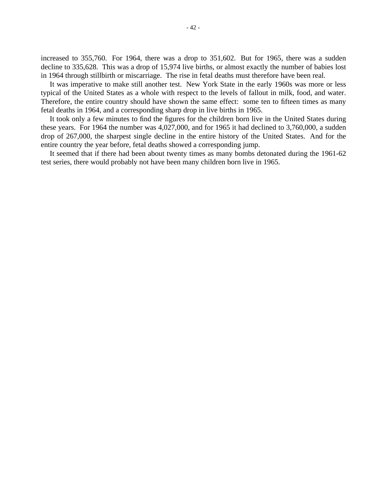increased to 355,760. For 1964, there was a drop to 351,602. But for 1965, there was a sudden decline to 335,628. This was a drop of 15,974 live births, or almost exactly the number of babies lost in 1964 through stillbirth or miscarriage. The rise in fetal deaths must therefore have been real.

It was imperative to make still another test. New York State in the early 1960s was more or less typical of the United States as a whole with respect to the levels of fallout in milk, food, and water. Therefore, the entire country should have shown the same effect: some ten to fifteen times as many fetal deaths in 1964, and a corresponding sharp drop in live births in 1965.

It took only a few minutes to find the figures for the children born live in the United States during these years. For 1964 the number was 4,027,000, and for 1965 it had declined to 3,760,000, a sudden drop of 267,000, the sharpest single decline in the entire history of the United States. And for the entire country the year before, fetal deaths showed a corresponding jump.

It seemed that if there had been about twenty times as many bombs detonated during the 1961-62 test series, there would probably not have been many children born live in 1965.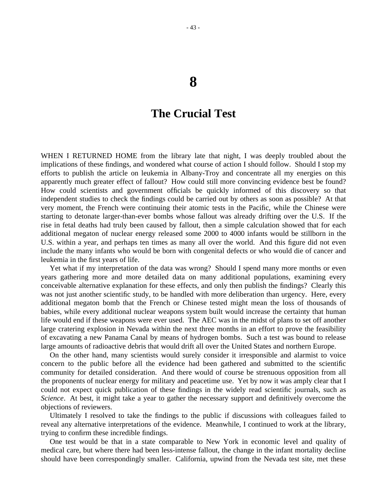#### **8**

## **The Crucial Test**

WHEN I RETURNED HOME from the library late that night, I was deeply troubled about the implications of these findings, and wondered what course of action I should follow. Should I stop my efforts to publish the article on leukemia in Albany-Troy and concentrate all my energies on this apparently much greater effect of fallout? How could still more convincing evidence best be found? How could scientists and government officials be quickly informed of this discovery so that independent studies to check the findings could be carried out by others as soon as possible? At that very moment, the French were continuing their atomic tests in the Pacific, while the Chinese were starting to detonate larger-than-ever bombs whose fallout was already drifting over the U.S. If the rise in fetal deaths had truly been caused by fallout, then a simple calculation showed that for each additional megaton of nuclear energy released some 2000 to 4000 infants would be stillborn in the U.S. within a year, and perhaps ten times as many all over the world. And this figure did not even include the many infants who would be born with congenital defects or who would die of cancer and leukemia in the first years of life.

Yet what if my interpretation of the data was wrong? Should I spend many more months or even years gathering more and more detailed data on many additional populations, examining every conceivable alternative explanation for these effects, and only then publish the findings? Clearly this was not just another scientific study, to be handled with more deliberation than urgency. Here, every additional megaton bomb that the French or Chinese tested might mean the loss of thousands of babies, while every additional nuclear weapons system built would increase the certainty that human life would end if these weapons were ever used. The AEC was in the midst of plans to set off another large cratering explosion in Nevada within the next three months in an effort to prove the feasibility of excavating a new Panama Canal by means of hydrogen bombs. Such a test was bound to release large amounts of radioactive debris that would drift all over the United States and northern Europe.

On the other hand, many scientists would surely consider it irresponsible and alarmist to voice concern to the public before all the evidence had been gathered and submitted to the scientific community for detailed consideration. And there would of course be strenuous opposition from all the proponents of nuclear energy for military and peacetime use. Yet by now it was amply clear that I could not expect quick publication of these findings in the widely read scientific journals, such as *Science*. At best, it might take a year to gather the necessary support and definitively overcome the objections of reviewers.

Ultimately I resolved to take the findings to the public if discussions with colleagues failed to reveal any alternative interpretations of the evidence. Meanwhile, I continued to work at the library, trying to confirm these incredible findings.

One test would be that in a state comparable to New York in economic level and quality of medical care, but where there had been less-intense fallout, the change in the infant mortality decline should have been correspondingly smaller. California, upwind from the Nevada test site, met these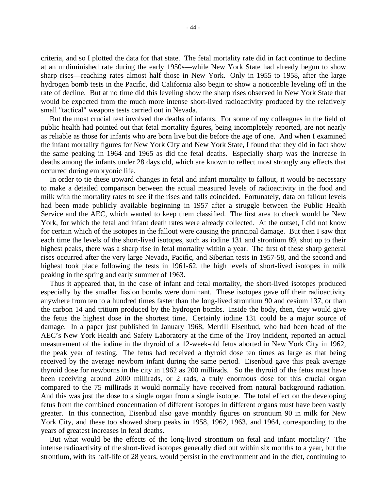criteria, and so I plotted the data for that state. The fetal mortality rate did in fact continue to decline at an undiminished rate during the early 1950s—while New York State had already begun to show sharp rises—reaching rates almost half those in New York. Only in 1955 to 1958, after the large hydrogen bomb tests in the Pacific, did California also begin to show a noticeable leveling off in the rate of decline. But at no time did this leveling show the sharp rises observed in New York State that would be expected from the much more intense short-lived radioactivity produced by the relatively small "tactical" weapons tests carried out in Nevada.

But the most crucial test involved the deaths of infants. For some of my colleagues in the field of public health had pointed out that fetal mortality figures, being incompletely reported, are not nearly as reliable as those for infants who are born live but die before the age of one. And when I examined the infant mortality figures for New York City and New York State, I found that they did in fact show the same peaking in 1964 and 1965 as did the fetal deaths. Especially sharp was the increase in deaths among the infants under 28 days old, which are known to reflect most strongly any effects that occurred during embryonic life.

In order to tie these upward changes in fetal and infant mortality to fallout, it would be necessary to make a detailed comparison between the actual measured levels of radioactivity in the food and milk with the mortality rates to see if the rises and falls coincided. Fortunately, data on fallout levels had been made publicly available beginning in 1957 after a struggle between the Public Health Service and the AEC, which wanted to keep them classified. The first area to check would be New York, for which the fetal and infant death rates were already collected. At the outset, I did not know for certain which of the isotopes in the fallout were causing the principal damage. But then I saw that each time the levels of the short-lived isotopes, such as iodine 131 and strontium 89, shot up to their highest peaks, there was a sharp rise in fetal mortality within a year. The first of these sharp general rises occurred after the very large Nevada, Pacific, and Siberian tests in 1957-58, and the second and highest took place following the tests in 1961-62, the high levels of short-lived isotopes in milk peaking in the spring and early summer of 1963.

Thus it appeared that, in the case of infant and fetal mortality, the short-lived isotopes produced especially by the smaller fission bombs were dominant. These isotopes gave off their radioactivity anywhere from ten to a hundred times faster than the long-lived strontium 90 and cesium 137, or than the carbon 14 and tritium produced by the hydrogen bombs. Inside the body, then, they would give the fetus the highest dose in the shortest time. Certainly iodine 131 could be a major source of damage. In a paper just published in January 1968, Merrill Eisenbud, who had been head of the AEC's New York Health and Safety Laboratory at the time of the Troy incident, reported an actual measurement of the iodine in the thyroid of a 12-week-old fetus aborted in New York City in 1962, the peak year of testing. The fetus had received a thyroid dose ten times as large as that being received by the average newborn infant during the same period. Eisenbud gave this peak average thyroid dose for newborns in the city in 1962 as 200 millirads. So the thyroid of the fetus must have been receiving around 2000 millirads, or 2 rads, a truly enormous dose for this crucial organ compared to the 75 millirads it would normally have received from natural background radiation. And this was just the dose to a single organ from a single isotope. The total effect on the developing fetus from the combined concentration of different isotopes in different organs must have been vastly greater. In this connection, Eisenbud also gave monthly figures on strontium 90 in milk for New York City, and these too showed sharp peaks in 1958, 1962, 1963, and 1964, corresponding to the years of greatest increases in fetal deaths.

But what would be the effects of the long-lived strontium on fetal and infant mortality? The intense radioactivity of the short-lived isotopes generally died out within six months to a year, but the strontium, with its half-life of 28 years, would persist in the environment and in the diet, continuing to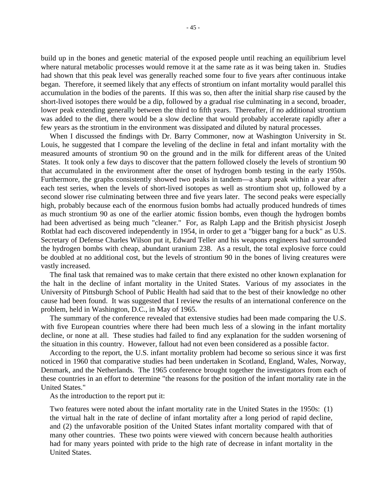build up in the bones and genetic material of the exposed people until reaching an equilibrium level where natural metabolic processes would remove it at the same rate as it was being taken in. Studies had shown that this peak level was generally reached some four to five years after continuous intake began. Therefore, it seemed likely that any effects of strontium on infant mortality would parallel this accumulation in the bodies of the parents. If this was so, then after the initial sharp rise caused by the short-lived isotopes there would be a dip, followed by a gradual rise culminating in a second, broader, lower peak extending generally between the third to fifth years. Thereafter, if no additional strontium was added to the diet, there would be a slow decline that would probably accelerate rapidly after a few years as the strontium in the environment was dissipated and diluted by natural processes.

When I discussed the findings with Dr. Barry Commoner, now at Washington University in St. Louis, he suggested that I compare the leveling of the decline in fetal and infant mortality with the measured amounts of strontium 90 on the ground and in the milk for different areas of the United States. It took only a few days to discover that the pattern followed closely the levels of strontium 90 that accumulated in the environment after the onset of hydrogen bomb testing in the early 1950s. Furthermore, the graphs consistently showed two peaks in tandem—a sharp peak within a year after each test series, when the levels of short-lived isotopes as well as strontium shot up, followed by a second slower rise culminating between three and five years later. The second peaks were especially high, probably because each of the enormous fusion bombs had actually produced hundreds of times as much strontium 90 as one of the earlier atomic fission bombs, even though the hydrogen bombs had been advertised as being much "cleaner." For, as Ralph Lapp and the British physicist Joseph Rotblat had each discovered independently in 1954, in order to get a "bigger bang for a buck" as U.S. Secretary of Defense Charles Wilson put it, Edward Teller and his weapons engineers had surrounded the hydrogen bombs with cheap, abundant uranium 238. As a result, the total explosive force could be doubled at no additional cost, but the levels of strontium 90 in the bones of living creatures were vastly increased.

The final task that remained was to make certain that there existed no other known explanation for the halt in the decline of infant mortality in the United States. Various of my associates in the University of Pittsburgh School of Public Health had said that to the best of their knowledge no other cause had been found. It was suggested that I review the results of an international conference on the problem, held in Washington, D.C., in May of 1965.

The summary of the conference revealed that extensive studies had been made comparing the U.S. with five European countries where there had been much less of a slowing in the infant mortality decline, or none at all. These studies had failed to find any explanation for the sudden worsening of the situation in this country. However, fallout had not even been considered as a possible factor.

According to the report, the U.S. infant mortality problem had become so serious since it was first noticed in 1960 that comparative studies had been undertaken in Scotland, England, Wales, Norway, Denmark, and the Netherlands. The 1965 conference brought together the investigators from each of these countries in an effort to determine "the reasons for the position of the infant mortality rate in the United States."

As the introduction to the report put it:

Two features were noted about the infant mortality rate in the United States in the 1950s: (1) the virtual halt in the rate of decline of infant mortality after a long period of rapid decline, and (2) the unfavorable position of the United States infant mortality compared with that of many other countries. These two points were viewed with concern because health authorities had for many years pointed with pride to the high rate of decrease in infant mortality in the United States.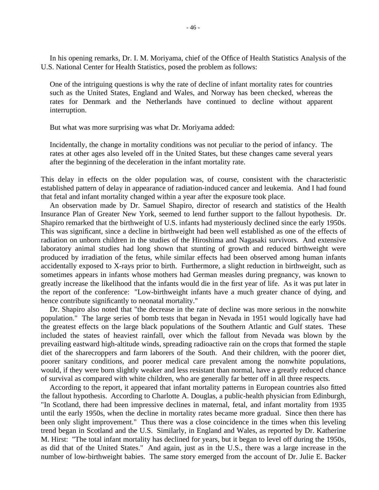In his opening remarks, Dr. I. M. Moriyama, chief of the Office of Health Statistics Analysis of the U.S. National Center for Health Statistics, posed the problem as follows:

One of the intriguing questions is why the rate of decline of infant mortality rates for countries such as the United States, England and Wales, and Norway has been checked, whereas the rates for Denmark and the Netherlands have continued to decline without apparent interruption.

But what was more surprising was what Dr. Moriyama added:

Incidentally, the change in mortality conditions was not peculiar to the period of infancy. The rates at other ages also leveled off in the United States, but these changes came several years after the beginning of the deceleration in the infant mortality rate.

This delay in effects on the older population was, of course, consistent with the characteristic established pattern of delay in appearance of radiation-induced cancer and leukemia. And I had found that fetal and infant mortality changed within a year after the exposure took place.

An observation made by Dr. Samuel Shapiro, director of research and statistics of the Health Insurance Plan of Greater New York, seemed to lend further support to the fallout hypothesis. Dr. Shapiro remarked that the birthweight of U.S. infants had mysteriously declined since the early 1950s. This was significant, since a decline in birthweight had been well established as one of the effects of radiation on unborn children in the studies of the Hiroshima and Nagasaki survivors. And extensive laboratory animal studies had long shown that stunting of growth and reduced birthweight were produced by irradiation of the fetus, while similar effects had been observed among human infants accidentally exposed to X-rays prior to birth. Furthermore, a slight reduction in birthweight, such as sometimes appears in infants whose mothers had German measles during pregnancy, was known to greatly increase the likelihood that the infants would die in the first year of life. As it was put later in the report of the conference: "Low-birthweight infants have a much greater chance of dying, and hence contribute significantly to neonatal mortality."

Dr. Shapiro also noted that "the decrease in the rate of decline was more serious in the nonwhite population." The large series of bomb tests that began in Nevada in 1951 would logically have had the greatest effects on the large black populations of the Southern Atlantic and Gulf states. These included the states of heaviest rainfall, over which the fallout from Nevada was blown by the prevailing eastward high-altitude winds, spreading radioactive rain on the crops that formed the staple diet of the sharecroppers and farm laborers of the South. And their children, with the poorer diet, poorer sanitary conditions, and poorer medical care prevalent among the nonwhite populations, would, if they were born slightly weaker and less resistant than normal, have a greatly reduced chance of survival as compared with white children, who are generally far better off in all three respects.

According to the report, it appeared that infant mortality patterns in European countries also fitted the fallout hypothesis. According to Charlotte A. Douglas, a public-health physician from Edinburgh, "In Scotland, there had been impressive declines in maternal, fetal, and infant mortality from 1935 until the early 1950s, when the decline in mortality rates became more gradual. Since then there has been only slight improvement." Thus there was a close coincidence in the times when this leveling trend began in Scotland and the U.S. Similarly, in England and Wales, as reported by Dr. Katherine M. Hirst: "The total infant mortality has declined for years, but it began to level off during the 1950s, as did that of the United States." And again, just as in the U.S., there was a large increase in the number of low-birthweight babies. The same story emerged from the account of Dr. Julie E. Backer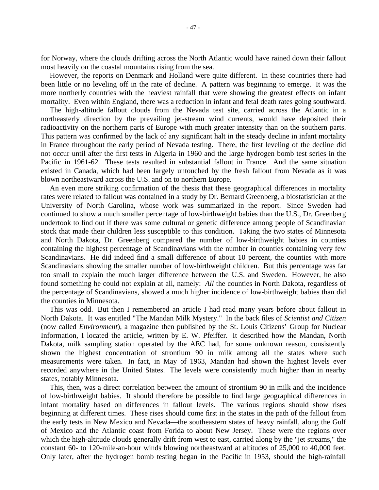for Norway, where the clouds drifting across the North Atlantic would have rained down their fallout most heavily on the coastal mountains rising from the sea.

However, the reports on Denmark and Holland were quite different. In these countries there had been little or no leveling off in the rate of decline. A pattern was beginning to emerge. It was the more northerly countries with the heaviest rainfall that were showing the greatest effects on infant mortality. Even within England, there was a reduction in infant and fetal death rates going southward.

The high-altitude fallout clouds from the Nevada test site, carried across the Atlantic in a northeasterly direction by the prevailing jet-stream wind currents, would have deposited their radioactivity on the northern parts of Europe with much greater intensity than on the southern parts. This pattern was confirmed by the lack of any significant halt in the steady decline in infant mortality in France throughout the early period of Nevada testing. There, the first leveling of the decline did not occur until after the first tests in Algeria in 1960 and the large hydrogen bomb test series in the Pacific in 1961-62. These tests resulted in substantial fallout in France. And the same situation existed in Canada, which had been largely untouched by the fresh fallout from Nevada as it was blown northeastward across the U.S. and on to northern Europe.

An even more striking confirmation of the thesis that these geographical differences in mortality rates were related to fallout was contained in a study by Dr. Bernard Greenberg, a biostatistician at the University of North Carolina, whose work was summarized in the report. Since Sweden had continued to show a much smaller percentage of low-birthweight babies than the U.S., Dr. Greenberg undertook to find out if there was some cultural or genetic difference among people of Scandinavian stock that made their children less susceptible to this condition. Taking the two states of Minnesota and North Dakota, Dr. Greenberg compared the number of low-birthweight babies in counties containing the highest percentage of Scandinavians with the number in counties containing very few Scandinavians. He did indeed find a small difference of about 10 percent, the counties with more Scandinavians showing the smaller number of low-birthweight children. But this percentage was far too small to explain the much larger difference between the U.S. and Sweden. However, he also found something he could not explain at all, namely: *All* the counties in North Dakota, regardless of the percentage of Scandinavians, showed a much higher incidence of low-birthweight babies than did the counties in Minnesota.

This was odd. But then I remembered an article I had read many years before about fallout in North Dakota. It was entitled "The Mandan Milk Mystery." In the back files of *Scientist and Citizen* (now called *Environment*), a magazine then published by the St. Louis Citizens' Group for Nuclear Information, I located the article, written by E. W. Pfeiffer. It described how the Mandan, North Dakota, milk sampling station operated by the AEC had, for some unknown reason, consistently shown the highest concentration of strontium 90 in milk among all the states where such measurements were taken. In fact, in May of 1963, Mandan had shown the highest levels ever recorded anywhere in the United States. The levels were consistently much higher than in nearby states, notably Minnesota.

This, then, was a direct correlation between the amount of strontium 90 in milk and the incidence of low-birthweight babies. It should therefore be possible to find large geographical differences in infant mortality based on differences in fallout levels. The various regions should show rises beginning at different times. These rises should come first in the states in the path of the fallout from the early tests in New Mexico and Nevada—the southeastern states of heavy rainfall, along the Gulf of Mexico and the Atlantic coast from Forida to about New Jersey. These were the regions over which the high-altitude clouds generally drift from west to east, carried along by the "jet streams," the constant 60- to 120-mile-an-hour winds blowing northeastward at altitudes of 25,000 to 40,000 feet. Only later, after the hydrogen bomb testing began in the Pacific in 1953, should the high-rainfall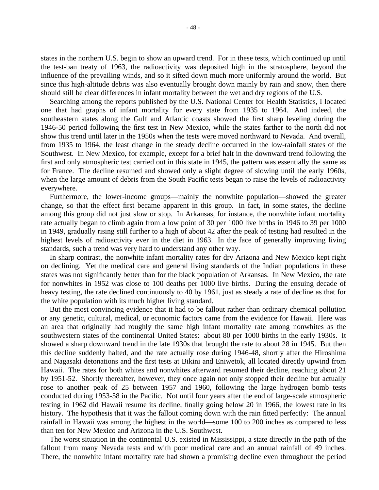states in the northern U.S. begin to show an upward trend. For in these tests, which continued up until the test-ban treaty of 1963, the radioactivity was deposited high in the stratosphere, beyond the influence of the prevailing winds, and so it sifted down much more uniformly around the world. But since this high-altitude debris was also eventually brought down mainly by rain and snow, then there should still be clear differences in infant mortality between the wet and dry regions of the U.S.

Searching among the reports published by the U.S. National Center for Health Statistics, I located one that had graphs of infant mortality for every state from 1935 to 1964. And indeed, the southeastern states along the Gulf and Atlantic coasts showed the first sharp leveling during the 1946-50 period following the first test in New Mexico, while the states farther to the north did not show this trend until later in the 1950s when the tests were moved northward to Nevada. And overall, from 1935 to 1964, the least change in the steady decline occurred in the low-rainfall states of the Southwest. In New Mexico, for example, except for a brief halt in the downward trend following the first and only atmospheric test carried out in this state in 1945, the pattern was essentially the same as for France. The decline resumed and showed only a slight degree of slowing until the early 1960s, when the large amount of debris from the South Pacific tests began to raise the levels of radioactivity everywhere.

Furthermore, the lower-income groups—mainly the nonwhite population—showed the greater change, so that the effect first became apparent in this group. In fact, in some states, the decline among this group did not just slow or stop. In Arkansas, for instance, the nonwhite infant mortality rate actually began to climb again from a low point of 30 per 1000 live births in 1946 to 39 per 1000 in 1949, gradually rising still further to a high of about 42 after the peak of testing had resulted in the highest levels of radioactivity ever in the diet in 1963. In the face of generally improving living standards, such a trend was very hard to understand any other way.

In sharp contrast, the nonwhite infant mortality rates for dry Arizona and New Mexico kept right on declining. Yet the medical care and general living standards of the Indian populations in these states was not significantly better than for the black population of Arkansas. In New Mexico, the rate for nonwhites in 1952 was close to 100 deaths per 1000 live births. During the ensuing decade of heavy testing, the rate declined continuously to 40 by 1961, just as steady a rate of decline as that for the white population with its much higher living standard.

But the most convincing evidence that it had to be fallout rather than ordinary chemical pollution or any genetic, cultural, medical, or economic factors came from the evidence for Hawaii. Here was an area that originally had roughly the same high infant mortality rate among nonwhites as the southwestern states of the continental United States: about 80 per 1000 births in the early 1930s. It showed a sharp downward trend in the late 1930s that brought the rate to about 28 in 1945. But then this decline suddenly halted, and the rate actually rose during 1946-48, shortly after the Hiroshima and Nagasaki detonations and the first tests at Bikini and Eniwetok, all located directly upwind from Hawaii. The rates for both whites and nonwhites afterward resumed their decline, reaching about 21 by 1951-52. Shortly thereafter, however, they once again not only stopped their decline but actually rose to another peak of 25 between 1957 and 1960, following the large hydrogen bomb tests conducted during 1953-58 in the Pacific. Not until four years after the end of large-scale atmospheric testing in 1962 did Hawaii resume its decline, finally going below 20 in 1966, the lowest rate in its history. The hypothesis that it was the fallout coming down with the rain fitted perfectly: The annual rainfall in Hawaii was among the highest in the world—some 100 to 200 inches as compared to less than ten for New Mexico and Arizona in the U.S. Southwest.

The worst situation in the continental U.S. existed in Mississippi, a state directly in the path of the fallout from many Nevada tests and with poor medical care and an annual rainfall of 49 inches. There, the nonwhite infant mortality rate had shown a promising decline even throughout the period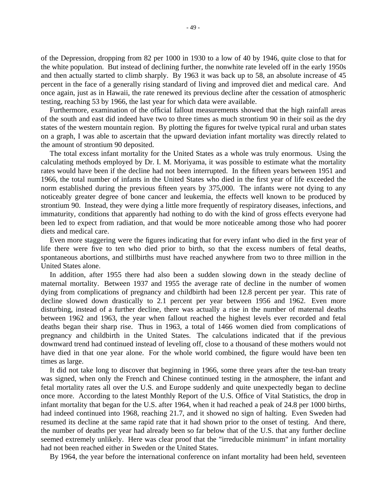of the Depression, dropping from 82 per 1000 in 1930 to a low of 40 by 1946, quite close to that for the white population. But instead of declining further, the nonwhite rate leveled off in the early 1950s and then actually started to climb sharply. By 1963 it was back up to 58, an absolute increase of 45 percent in the face of a generally rising standard of living and improved diet and medical care. And once again, just as in Hawaii, the rate renewed its previous decline after the cessation of atmospheric testing, reaching 53 by 1966, the last year for which data were available.

Furthermore, examination of the official fallout measurements showed that the high rainfall areas of the south and east did indeed have two to three times as much strontium 90 in their soil as the dry states of the western mountain region. By plotting the figures for twelve typical rural and urban states on a graph, I was able to ascertain that the upward deviation infant mortality was directly related to the amount of strontium 90 deposited.

The total excess infant mortality for the United States as a whole was truly enormous. Using the calculating methods employed by Dr. I. M. Moriyama, it was possible to estimate what the mortality rates would have been if the decline had not been interrupted. In the fifteen years between 1951 and 1966, the total number of infants in the United States who died in the first year of life exceeded the norm established during the previous fifteen years by 375,000. The infants were not dying to any noticeably greater degree of bone cancer and leukemia, the effects well known to be produced by strontium 90. Instead, they were dying a little more frequently of respiratory diseases, infections, and immaturity, conditions that apparently had nothing to do with the kind of gross effects everyone had been led to expect from radiation, and that would be more noticeable among those who had poorer diets and medical care.

Even more staggering were the figures indicating that for every infant who died in the first year of life there were five to ten who died prior to birth, so that the excess numbers of fetal deaths, spontaneous abortions, and stillbirths must have reached anywhere from two to three million in the United States alone.

In addition, after 1955 there had also been a sudden slowing down in the steady decline of maternal mortality. Between 1937 and 1955 the average rate of decline in the number of women dying from complications of pregnancy and childbirth had been 12.8 percent per year. This rate of decline slowed down drastically to 2.1 percent per year between 1956 and 1962. Even more disturbing, instead of a further decline, there was actually a rise in the number of maternal deaths between 1962 and 1963, the year when fallout reached the highest levels ever recorded and fetal deaths began their sharp rise. Thus in 1963, a total of 1466 women died from complications of pregnancy and childbirth in the United States. The calculations indicated that if the previous downward trend had continued instead of leveling off, close to a thousand of these mothers would not have died in that one year alone. For the whole world combined, the figure would have been ten times as large.

It did not take long to discover that beginning in 1966, some three years after the test-ban treaty was signed, when only the French and Chinese continued testing in the atmosphere, the infant and fetal mortality rates all over the U.S. and Europe suddenly and quite unexpectedly began to decline once more. According to the latest Monthly Report of the U.S. Office of Vital Statistics, the drop in infant mortality that began for the U.S. after 1964, when it had reached a peak of 24.8 per 1000 births, had indeed continued into 1968, reaching 21.7, and it showed no sign of halting. Even Sweden had resumed its decline at the same rapid rate that it had shown prior to the onset of testing. And there, the number of deaths per year had already been so far below that of the U.S. that any further decline seemed extremely unlikely. Here was clear proof that the "irreducible minimum" in infant mortality had not been reached either in Sweden or the United States.

By 1964, the year before the international conference on infant mortality had been held, seventeen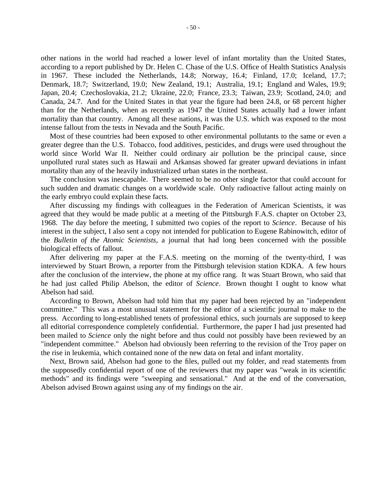other nations in the world had reached a lower level of infant mortality than the United States, according to a report published by Dr. Helen C. Chase of the U.S. Office of Health Statistics Analysis in 1967. These included the Netherlands, 14.8; Norway, 16.4; Finland, 17.0; Iceland, 17.7; Denmark, 18.7; Switzerland, 19.0; New Zealand, 19.1; Australia, 19.1; England and Wales, 19.9; Japan, 20.4; Czechoslovakia, 21.2; Ukraine, 22.0; France, 23.3; Taiwan, 23.9; Scotland, 24.0; and Canada, 24.7. And for the United States in that year the figure had been 24.8, or 68 percent higher than for the Netherlands, when as recently as 1947 the United States actually had a lower infant mortality than that country. Among all these nations, it was the U.S. which was exposed to the most intense fallout from the tests in Nevada and the South Pacific.

Most of these countries had been exposed to other environmental pollutants to the same or even a greater degree than the U.S. Tobacco, food additives, pesticides, and drugs were used throughout the world since World War II. Neither could ordinary air pollution be the principal cause, since unpolluted rural states such as Hawaii and Arkansas showed far greater upward deviations in infant mortality than any of the heavily industrialized urban states in the northeast.

The conclusion was inescapable. There seemed to be no other single factor that could account for such sudden and dramatic changes on a worldwide scale. Only radioactive fallout acting mainly on the early embryo could explain these facts.

After discussing my findings with colleagues in the Federation of American Scientists, it was agreed that they would be made public at a meeting of the Pittsburgh F.A.S. chapter on October 23, 1968. The day before the meeting, I submitted two copies of the report to *Science*. Because of his interest in the subject, I also sent a copy not intended for publication to Eugene Rabinowitch, editor of the *Bulletin of the Atomic Scientists*, a journal that had long been concerned with the possible biological effects of fallout.

After delivering my paper at the F.A.S. meeting on the morning of the twenty-third, I was interviewed by Stuart Brown, a reporter from the Pittsburgh television station KDKA. A few hours after the conclusion of the interview, the phone at my office rang. It was Stuart Brown, who said that he had just called Philip Abelson, the editor of *Science*. Brown thought I ought to know what Abelson had said.

According to Brown, Abelson had told him that my paper had been rejected by an "independent committee." This was a most unusual statement for the editor of a scientific journal to make to the press. According to long-established tenets of professional ethics, such journals are supposed to keep all editorial correspondence completely confidential. Furthermore, the paper I had just presented had been mailed to *Science* only the night before and thus could not possibly have been reviewed by an "independent committee." Abelson had obviously been referring to the revision of the Troy paper on the rise in leukemia, which contained none of the new data on fetal and infant mortality.

Next, Brown said, Abelson had gone to the files, pulled out my folder, and read statements from the supposedly confidential report of one of the reviewers that my paper was "weak in its scientific methods" and its findings were "sweeping and sensational." And at the end of the conversation, Abelson advised Brown against using any of my findings on the air.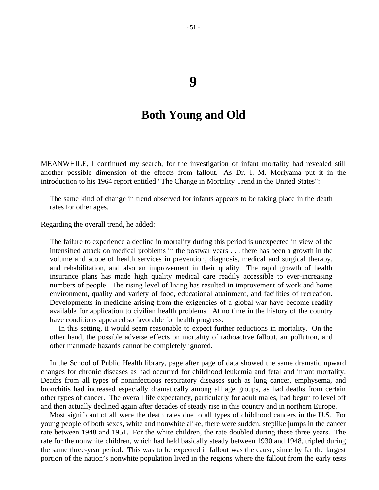#### **9**

### **Both Young and Old**

MEANWHILE, I continued my search, for the investigation of infant mortality had revealed still another possible dimension of the effects from fallout. As Dr. I. M. Moriyama put it in the introduction to his 1964 report entitled "The Change in Mortality Trend in the United States":

The same kind of change in trend observed for infants appears to be taking place in the death rates for other ages.

Regarding the overall trend, he added:

The failure to experience a decline in mortality during this period is unexpected in view of the intensified attack on medical problems in the postwar years . . . there has been a growth in the volume and scope of health services in prevention, diagnosis, medical and surgical therapy, and rehabilitation, and also an improvement in their quality. The rapid growth of health insurance plans has made high quality medical care readily accessible to ever-increasing numbers of people. The rising level of living has resulted in improvement of work and home environment, quality and variety of food, educational attainment, and facilities of recreation. Developments in medicine arising from the exigencies of a global war have become readily available for application to civilian health problems. At no time in the history of the country have conditions appeared so favorable for health progress.

In this setting, it would seem reasonable to expect further reductions in mortality. On the other hand, the possible adverse effects on mortality of radioactive fallout, air pollution, and other manmade hazards cannot be completely ignored.

In the School of Public Health library, page after page of data showed the same dramatic upward changes for chronic diseases as had occurred for childhood leukemia and fetal and infant mortality. Deaths from all types of noninfectious respiratory diseases such as lung cancer, emphysema, and bronchitis had increased especially dramatically among all age groups, as had deaths from certain other types of cancer. The overall life expectancy, particularly for adult males, had begun to level off and then actually declined again after decades of steady rise in this country and in northern Europe.

Most significant of all were the death rates due to all types of childhood cancers in the U.S. For young people of both sexes, white and nonwhite alike, there were sudden, steplike jumps in the cancer rate between 1948 and 1951. For the white children, the rate doubled during these three years. The rate for the nonwhite children, which had held basically steady between 1930 and 1948, tripled during the same three-year period. This was to be expected if fallout was the cause, since by far the largest portion of the nation's nonwhite population lived in the regions where the fallout from the early tests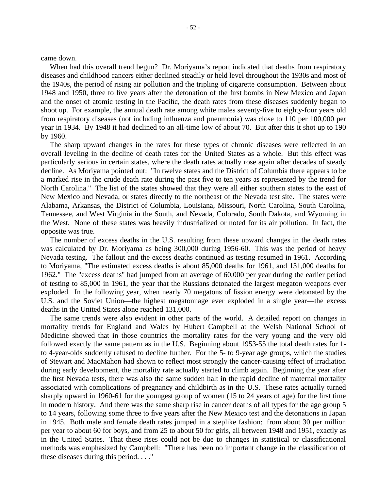came down.

When had this overall trend begun? Dr. Moriyama's report indicated that deaths from respiratory diseases and childhood cancers either declined steadily or held level throughout the 1930s and most of the 1940s, the period of rising air pollution and the tripling of cigarette consumption. Between about 1948 and 1950, three to five years after the detonation of the first bombs in New Mexico and Japan and the onset of atomic testing in the Pacific, the death rates from these diseases suddenly began to shoot up. For example, the annual death rate among white males seventy-five to eighty-four years old from respiratory diseases (not including influenza and pneumonia) was close to 110 per 100,000 per year in 1934. By 1948 it had declined to an all-time low of about 70. But after this it shot up to 190 by 1960.

The sharp upward changes in the rates for these types of chronic diseases were reflected in an overall leveling in the decline of death rates for the United States as a whole. But this effect was particularly serious in certain states, where the death rates actually rose again after decades of steady decline. As Moriyama pointed out: "In twelve states and the District of Columbia there appears to be a marked rise in the crude death rate during the past five to ten years as represented by the trend for North Carolina." The list of the states showed that they were all either southern states to the east of New Mexico and Nevada, or states directly to the northeast of the Nevada test site. The states were Alabama, Arkansas, the District of Columbia, Louisiana, Missouri, North Carolina, South Carolina, Tennessee, and West Virginia in the South, and Nevada, Colorado, South Dakota, and Wyoming in the West. None of these states was heavily industrialized or noted for its air pollution. In fact, the opposite was true.

The number of excess deaths in the U.S. resulting from these upward changes in the death rates was calculated by Dr. Moriyama as being 300,000 during 1956-60. This was the period of heavy Nevada testing. The fallout and the excess deaths continued as testing resumed in 1961. According to Moriyama, "The estimated excess deaths is about 85,000 deaths for 1961, and 131,000 deaths for 1962." The "excess deaths" had jumped from an average of 60,000 per year during the earlier period of testing to 85,000 in 1961, the year that the Russians detonated the largest megaton weapons ever exploded. In the following year, when nearly 70 megatons of fission energy were detonated by the U.S. and the Soviet Union—the highest megatonnage ever exploded in a single year—the excess deaths in the United States alone reached 131,000.

The same trends were also evident in other parts of the world. A detailed report on changes in mortality trends for England and Wales by Hubert Campbell at the Welsh National School of Medicine showed that in those countries the mortality rates for the very young and the very old followed exactly the same pattern as in the U.S. Beginning about 1953-55 the total death rates for 1 to 4-year-olds suddenly refused to decline further. For the 5- to 9-year age groups, which the studies of Stewart and MacMahon had shown to reflect most strongly the cancer-causing effect of irradiation during early development, the mortality rate actually started to climb again. Beginning the year after the first Nevada tests, there was also the same sudden halt in the rapid decline of maternal mortality associated with complications of pregnancy and childbirth as in the U.S. These rates actually turned sharply upward in 1960-61 for the youngest group of women (15 to 24 years of age) for the first time in modern history. And there was the same sharp rise in cancer deaths of all types for the age group 5 to 14 years, following some three to five years after the New Mexico test and the detonations in Japan in 1945. Both male and female death rates jumped in a steplike fashion: from about 30 per million per year to about 60 for boys, and from 25 to about 50 for girls, all between 1948 and 1951, exactly as in the United States. That these rises could not be due to changes in statistical or classificational methods was emphasized by Campbell: "There has been no important change in the classification of these diseases during this period. . . ."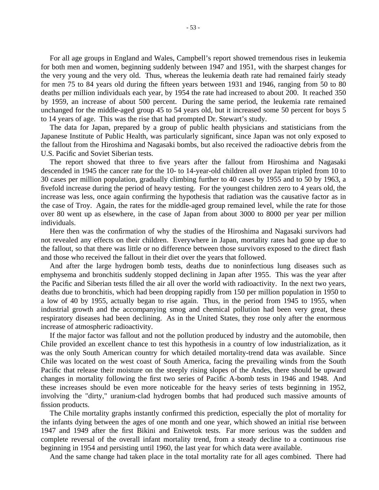For all age groups in England and Wales, Campbell's report showed tremendous rises in leukemia for both men and women, beginning suddenly between 1947 and 1951, with the sharpest changes for the very young and the very old. Thus, whereas the leukemia death rate had remained fairly steady for men 75 to 84 years old during the fifteen years between 1931 and 1946, ranging from 50 to 80 deaths per million individuals each year, by 1954 the rate had increased to about 200. It reached 350 by 1959, an increase of about 500 percent. During the same period, the leukemia rate remained unchanged for the middle-aged group 45 to 54 years old, but it increased some 50 percent for boys 5 to 14 years of age. This was the rise that had prompted Dr. Stewart's study.

The data for Japan, prepared by a group of public health physicians and statisticians from the Japanese Institute of Public Health, was particularly significant, since Japan was not only exposed to the fallout from the Hiroshima and Nagasaki bombs, but also received the radioactive debris from the U.S. Pacific and Soviet Siberian tests.

The report showed that three to five years after the fallout from Hiroshima and Nagasaki descended in 1945 the cancer rate for the 10- to 14-year-old children all over Japan tripled from 10 to 30 cases per million population, gradually climbing further to 40 cases by 1955 and to 50 by 1963, a fivefold increase during the period of heavy testing. For the youngest children zero to 4 years old, the increase was less, once again confirming the hypothesis that radiation was the causative factor as in the case of Troy. Again, the rates for the middle-aged group remained level, while the rate for those over 80 went up as elsewhere, in the case of Japan from about 3000 to 8000 per year per million individuals.

Here then was the confirmation of why the studies of the Hiroshima and Nagasaki survivors had not revealed any effects on their children. Everywhere in Japan, mortality rates had gone up due to the fallout, so that there was little or no difference between those survivors exposed to the direct flash and those who received the fallout in their diet over the years that followed.

And after the large hydrogen bomb tests, deaths due to noninfectious lung diseases such as emphysema and bronchitis suddenly stopped declining in Japan after 1955. This was the year after the Pacific and Siberian tests filled the air all over the world with radioactivity. In the next two years, deaths due to bronchitis, which had been dropping rapidly from 150 per million population in 1950 to a low of 40 by 1955, actually began to rise again. Thus, in the period from 1945 to 1955, when industrial growth and the accompanying smog and chemical pollution had been very great, these respiratory diseases had been declining. As in the United States, they rose only after the enormous increase of atmospheric radioactivity.

If the major factor was fallout and not the pollution produced by industry and the automobile, then Chile provided an excellent chance to test this hypothesis in a country of low industrialization, as it was the only South American country for which detailed mortality-trend data was available. Since Chile was located on the west coast of South America, facing the prevailing winds from the South Pacific that release their moisture on the steeply rising slopes of the Andes, there should be upward changes in mortality following the first two series of Pacific A-bomb tests in 1946 and 1948. And these increases should be even more noticeable for the heavy series of tests beginning in 1952, involving the "dirty," uranium-clad hydrogen bombs that had produced such massive amounts of fission products.

The Chile mortality graphs instantly confirmed this prediction, especially the plot of mortality for the infants dying between the ages of one month and one year, which showed an initial rise between 1947 and 1949 after the first Bikini and Eniwetok tests. Far more serious was the sudden and complete reversal of the overall infant mortality trend, from a steady decline to a continuous rise beginning in 1954 and persisting until 1960, the last year for which data were available.

And the same change had taken place in the total mortality rate for all ages combined. There had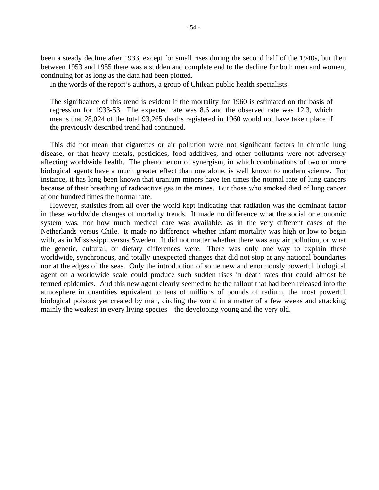been a steady decline after 1933, except for small rises during the second half of the 1940s, but then between 1953 and 1955 there was a sudden and complete end to the decline for both men and women, continuing for as long as the data had been plotted.

In the words of the report's authors, a group of Chilean public health specialists:

The significance of this trend is evident if the mortality for 1960 is estimated on the basis of regression for 1933-53. The expected rate was 8.6 and the observed rate was 12.3, which means that 28,024 of the total 93,265 deaths registered in 1960 would not have taken place if the previously described trend had continued.

This did not mean that cigarettes or air pollution were not significant factors in chronic lung disease, or that heavy metals, pesticides, food additives, and other pollutants were not adversely affecting worldwide health. The phenomenon of synergism, in which combinations of two or more biological agents have a much greater effect than one alone, is well known to modern science. For instance, it has long been known that uranium miners have ten times the normal rate of lung cancers because of their breathing of radioactive gas in the mines. But those who smoked died of lung cancer at one hundred times the normal rate.

However, statistics from all over the world kept indicating that radiation was the dominant factor in these worldwide changes of mortality trends. It made no difference what the social or economic system was, nor how much medical care was available, as in the very different cases of the Netherlands versus Chile. It made no difference whether infant mortality was high or low to begin with, as in Mississippi versus Sweden. It did not matter whether there was any air pollution, or what the genetic, cultural, or dietary differences were. There was only one way to explain these worldwide, synchronous, and totally unexpected changes that did not stop at any national boundaries nor at the edges of the seas. Only the introduction of some new and enormously powerful biological agent on a worldwide scale could produce such sudden rises in death rates that could almost be termed epidemics. And this new agent clearly seemed to be the fallout that had been released into the atmosphere in quantities equivalent to tens of millions of pounds of radium, the most powerful biological poisons yet created by man, circling the world in a matter of a few weeks and attacking mainly the weakest in every living species—the developing young and the very old.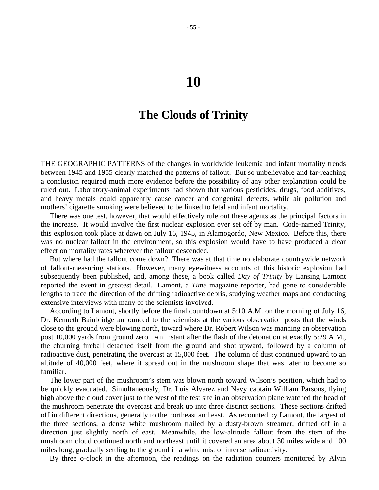# **10**

### **The Clouds of Trinity**

THE GEOGRAPHIC PATTERNS of the changes in worldwide leukemia and infant mortality trends between 1945 and 1955 clearly matched the patterns of fallout. But so unbelievable and far-reaching a conclusion required much more evidence before the possibility of any other explanation could be ruled out. Laboratory-animal experiments had shown that various pesticides, drugs, food additives, and heavy metals could apparently cause cancer and congenital defects, while air pollution and mothers' cigarette smoking were believed to be linked to fetal and infant mortality.

There was one test, however, that would effectively rule out these agents as the principal factors in the increase. It would involve the first nuclear explosion ever set off by man. Code-named Trinity, this explosion took place at dawn on July 16, 1945, in Alamogordo, New Mexico. Before this, there was no nuclear fallout in the environment, so this explosion would have to have produced a clear effect on mortality rates wherever the fallout descended.

But where had the fallout come down? There was at that time no elaborate countrywide network of fallout-measuring stations. However, many eyewitness accounts of this historic explosion had subsequently been published, and, among these, a book called *Day of Trinity* by Lansing Lamont reported the event in greatest detail. Lamont, a *Time* magazine reporter, had gone to considerable lengths to trace the direction of the drifting radioactive debris, studying weather maps and conducting extensive interviews with many of the scientists involved.

According to Lamont, shortly before the final countdown at 5:10 A.M. on the morning of July 16, Dr. Kenneth Bainbridge announced to the scientists at the various observation posts that the winds close to the ground were blowing north, toward where Dr. Robert Wilson was manning an observation post 10,000 yards from ground zero. An instant after the flash of the detonation at exactly 5:29 A.M., the churning fireball detached itself from the ground and shot upward, followed by a column of radioactive dust, penetrating the overcast at 15,000 feet. The column of dust continued upward to an altitude of 40,000 feet, where it spread out in the mushroom shape that was later to become so familiar.

The lower part of the mushroom's stem was blown north toward Wilson's position, which had to be quickly evacuated. Simultaneously, Dr. Luis Alvarez and Navy captain William Parsons, flying high above the cloud cover just to the west of the test site in an observation plane watched the head of the mushroom penetrate the overcast and break up into three distinct sections. These sections drifted off in different directions, generally to the northeast and east. As recounted by Lamont, the largest of the three sections, a dense white mushroom trailed by a dusty-brown streamer, drifted off in a direction just slightly north of east. Meanwhile, the low-altitude fallout from the stem of the mushroom cloud continued north and northeast until it covered an area about 30 miles wide and 100 miles long, gradually settling to the ground in a white mist of intense radioactivity.

By three o-clock in the afternoon, the readings on the radiation counters monitored by Alvin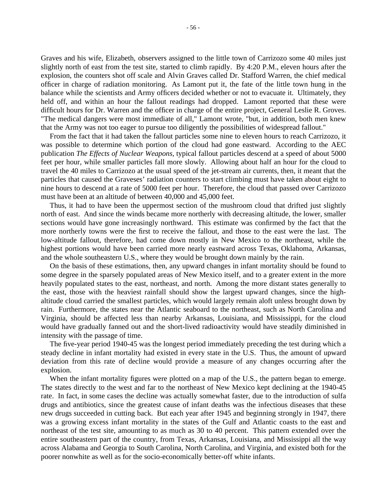Graves and his wife, Elizabeth, observers assigned to the little town of Carrizozo some 40 miles just slightly north of east from the test site, started to climb rapidly. By 4:20 P.M., eleven hours after the explosion, the counters shot off scale and Alvin Graves called Dr. Stafford Warren, the chief medical officer in charge of radiation monitoring. As Lamont put it, the fate of the little town hung in the balance while the scientists and Army officers decided whether or not to evacuate it. Ultimately, they held off, and within an hour the fallout readings had dropped. Lamont reported that these were difficult hours for Dr. Warren and the officer in charge of the entire project, General Leslie R. Groves. "The medical dangers were most immediate of all," Lamont wrote, "but, in addition, both men knew that the Army was not too eager to pursue too diligently the possibilities of widespread fallout."

From the fact that it had taken the fallout particles some nine to eleven hours to reach Carrizozo, it was possible to determine which portion of the cloud had gone eastward. According to the AEC publication *The Effects of Nuclear Weapons*, typical fallout particles descend at a speed of about 5000 feet per hour, while smaller particles fall more slowly. Allowing about half an hour for the cloud to travel the 40 miles to Carrizozo at the usual speed of the jet-stream air currents, then, it meant that the particles that caused the Graveses' radiation counters to start climbing must have taken about eight to nine hours to descend at a rate of 5000 feet per hour. Therefore, the cloud that passed over Carrizozo must have been at an altitude of between 40,000 and 45,000 feet.

Thus, it had to have been the uppermost section of the mushroom cloud that drifted just slightly north of east. And since the winds became more northerly with decreasing altitude, the lower, smaller sections would have gone increasingly northward. This estimate was confirmed by the fact that the more northerly towns were the first to receive the fallout, and those to the east were the last. The low-altitude fallout, therefore, had come down mostly in New Mexico to the northeast, while the highest portions would have been carried more nearly eastward across Texas, Oklahoma, Arkansas, and the whole southeastern U.S., where they would be brought down mainly by the rain.

On the basis of these estimations, then, any upward changes in infant mortality should be found to some degree in the sparsely populated areas of New Mexico itself, and to a greater extent in the more heavily populated states to the east, northeast, and north. Among the more distant states generally to the east, those with the heaviest rainfall should show the largest upward changes, since the highaltitude cloud carried the smallest particles, which would largely remain aloft unless brought down by rain. Furthermore, the states near the Atlantic seaboard to the northeast, such as North Carolina and Virginia, should be affected less than nearby Arkansas, Louisiana, and Mississippi, for the cloud would have gradually fanned out and the short-lived radioactivity would have steadily diminished in intensity with the passage of time.

The five-year period 1940-45 was the longest period immediately preceding the test during which a steady decline in infant mortality had existed in every state in the U.S. Thus, the amount of upward deviation from this rate of decline would provide a measure of any changes occurring after the explosion.

When the infant mortality figures were plotted on a map of the U.S., the pattern began to emerge. The states directly to the west and far to the northeast of New Mexico kept declining at the 1940-45 rate. In fact, in some cases the decline was actually somewhat faster, due to the introduction of sulfa drugs and antibiotics, since the greatest cause of infant deaths was the infectious diseases that these new drugs succeeded in cutting back. But each year after 1945 and beginning strongly in 1947, there was a growing excess infant mortality in the states of the Gulf and Atlantic coasts to the east and northeast of the test site, amounting to as much as 30 to 40 percent. This pattern extended over the entire southeastern part of the country, from Texas, Arkansas, Louisiana, and Mississippi all the way across Alabama and Georgia to South Carolina, North Carolina, and Virginia, and existed both for the poorer nonwhite as well as for the socio-economically better-off white infants.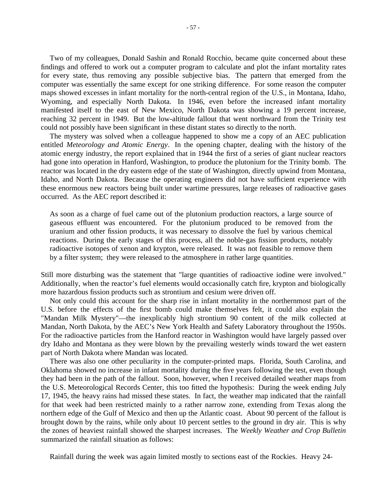Two of my colleagues, Donald Sashin and Ronald Rocchio, became quite concerned about these findings and offered to work out a computer program to calculate and plot the infant mortality rates for every state, thus removing any possible subjective bias. The pattern that emerged from the computer was essentially the same except for one striking difference. For some reason the computer maps showed excesses in infant mortality for the north-central region of the U.S., in Montana, Idaho, Wyoming, and especially North Dakota. In 1946, even before the increased infant mortality manifested itself to the east of New Mexico, North Dakota was showing a 19 percent increase, reaching 32 percent in 1949. But the low-altitude fallout that went northward from the Trinity test could not possibly have been significant in these distant states so directly to the north.

The mystery was solved when a colleague happened to show me a copy of an AEC publication entitled *Meteorology and Atomic Energy*. In the opening chapter, dealing with the history of the atomic energy industry, the report explained that in 1944 the first of a series of giant nuclear reactors had gone into operation in Hanford, Washington, to produce the plutonium for the Trinity bomb. The reactor was located in the dry eastern edge of the state of Washington, directly upwind from Montana, Idaho, and North Dakota. Because the operating engineers did not have sufficient experience with these enormous new reactors being built under wartime pressures, large releases of radioactive gases occurred. As the AEC report described it:

As soon as a charge of fuel came out of the plutonium production reactors, a large source of gaseous effluent was encountered. For the plutonium produced to be removed from the uranium and other fission products, it was necessary to dissolve the fuel by various chemical reactions. During the early stages of this process, all the noble-gas fission products, notably radioactive isotopes of xenon and krypton, were released. It was not feasible to remove them by a filter system; they were released to the atmosphere in rather large quantities.

Still more disturbing was the statement that "large quantities of radioactive iodine were involved." Additionally, when the reactor's fuel elements would occasionally catch fire, krypton and biologically more hazardous fission products such as strontium and cesium were driven off.

Not only could this account for the sharp rise in infant mortality in the northernmost part of the U.S. before the effects of the first bomb could make themselves felt, it could also explain the "Mandan Milk Mystery"—the inexplicably high strontium 90 content of the milk collected at Mandan, North Dakota, by the AEC's New York Health and Safety Laboratory throughout the 1950s. For the radioactive particles from the Hanford reactor in Washington would have largely passed over dry Idaho and Montana as they were blown by the prevailing westerly winds toward the wet eastern part of North Dakota where Mandan was located.

There was also one other peculiarity in the computer-printed maps. Florida, South Carolina, and Oklahoma showed no increase in infant mortality during the five years following the test, even though they had been in the path of the fallout. Soon, however, when I received detailed weather maps from the U.S. Meteorological Records Center, this too fitted the hypothesis: During the week ending July 17, 1945, the heavy rains had missed these states. In fact, the weather map indicated that the rainfall for that week had been restricted mainly to a rather narrow zone, extending from Texas along the northern edge of the Gulf of Mexico and then up the Atlantic coast. About 90 percent of the fallout is brought down by the rains, while only about 10 percent settles to the ground in dry air. This is why the zones of heaviest rainfall showed the sharpest increases. The *Weekly Weather and Crop Bulletin* summarized the rainfall situation as follows:

Rainfall during the week was again limited mostly to sections east of the Rockies. Heavy 24-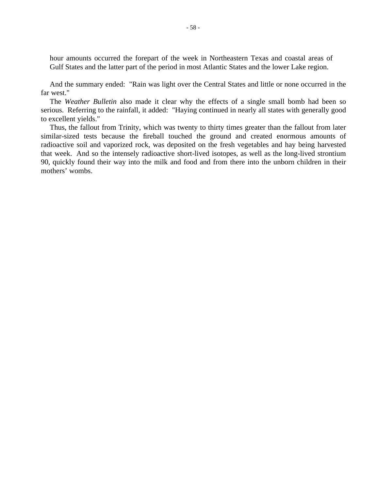hour amounts occurred the forepart of the week in Northeastern Texas and coastal areas of Gulf States and the latter part of the period in most Atlantic States and the lower Lake region.

And the summary ended: "Rain was light over the Central States and little or none occurred in the far west."

The *Weather Bulletin* also made it clear why the effects of a single small bomb had been so serious. Referring to the rainfall, it added: "Haying continued in nearly all states with generally good to excellent yields."

Thus, the fallout from Trinity, which was twenty to thirty times greater than the fallout from later similar-sized tests because the fireball touched the ground and created enormous amounts of radioactive soil and vaporized rock, was deposited on the fresh vegetables and hay being harvested that week. And so the intensely radioactive short-lived isotopes, as well as the long-lived strontium 90, quickly found their way into the milk and food and from there into the unborn children in their mothers' wombs.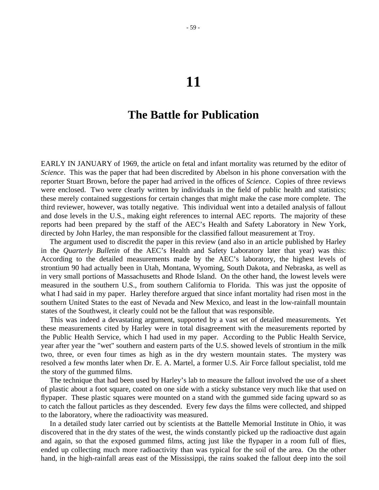# **11**

## **The Battle for Publication**

EARLY IN JANUARY of 1969, the article on fetal and infant mortality was returned by the editor of *Science*. This was the paper that had been discredited by Abelson in his phone conversation with the reporter Stuart Brown, before the paper had arrived in the offices of *Science*. Copies of three reviews were enclosed. Two were clearly written by individuals in the field of public health and statistics; these merely contained suggestions for certain changes that might make the case more complete. The third reviewer, however, was totally negative. This individual went into a detailed analysis of fallout and dose levels in the U.S., making eight references to internal AEC reports. The majority of these reports had been prepared by the staff of the AEC's Health and Safety Laboratory in New York, directed by John Harley, the man responsible for the classified fallout measurement at Troy.

The argument used to discredit the paper in this review (and also in an article published by Harley in the *Quarterly Bulletin* of the AEC's Health and Safety Laboratory later that year) was this: According to the detailed measurements made by the AEC's laboratory, the highest levels of strontium 90 had actually been in Utah, Montana, Wyoming, South Dakota, and Nebraska, as well as in very small portions of Massachusetts and Rhode Island. On the other hand, the lowest levels were measured in the southern U.S., from southern California to Florida. This was just the opposite of what I had said in my paper. Harley therefore argued that since infant mortality had risen most in the southern United States to the east of Nevada and New Mexico, and least in the low-rainfall mountain states of the Southwest, it clearly could not be the fallout that was responsible.

This was indeed a devastating argument, supported by a vast set of detailed measurements. Yet these measurements cited by Harley were in total disagreement with the measurements reported by the Public Health Service, which I had used in my paper. According to the Public Health Service, year after year the "wet" southern and eastern parts of the U.S. showed levels of strontium in the milk two, three, or even four times as high as in the dry western mountain states. The mystery was resolved a few months later when Dr. E. A. Martel, a former U.S. Air Force fallout specialist, told me the story of the gummed films.

The technique that had been used by Harley's lab to measure the fallout involved the use of a sheet of plastic about a foot square, coated on one side with a sticky substance very much like that used on flypaper. These plastic squares were mounted on a stand with the gummed side facing upward so as to catch the fallout particles as they descended. Every few days the films were collected, and shipped to the laboratory, where the radioactivity was measured.

In a detailed study later carried out by scientists at the Battelle Memorial Institute in Ohio, it was discovered that in the dry states of the west, the winds constantly picked up the radioactive dust again and again, so that the exposed gummed films, acting just like the flypaper in a room full of flies, ended up collecting much more radioactivity than was typical for the soil of the area. On the other hand, in the high-rainfall areas east of the Mississippi, the rains soaked the fallout deep into the soil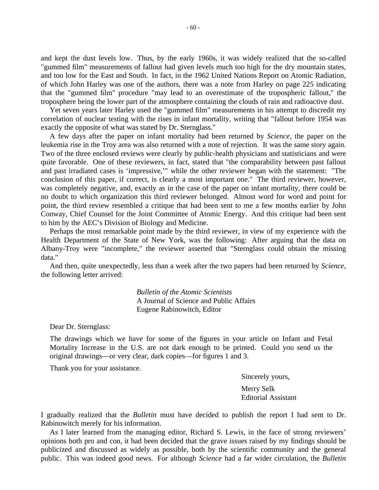and kept the dust levels low. Thus, by the early 1960s, it was widely realized that the so-called "gummed film" measurements of fallout had given levels much too high for the dry mountain states, and too low for the East and South. In fact, in the 1962 United Nations Report on Atomic Radiation, of which John Harley was one of the authors, there was a note from Harley on page 225 indicating that the "gummed film" procedure "may lead to an overestimate of the tropospheric fallout," the troposphere being the lower part of the atmosphere containing the clouds of rain and radioactive dust.

Yet seven years later Harley used the "gummed film" measurements in his attempt to discredit my correlation of nuclear testing with the rises in infant mortality, writing that "fallout before 1954 was exactly the opposite of what was stated by Dr. Sternglass."

A few days after the paper on infant mortality had been returned by *Science*, the paper on the leukemia rise in the Troy area was also returned with a note of rejection. It was the same story again. Two of the three enclosed reviews were clearly by public-health physicians and statisticians and were quite favorable. One of these reviewers, in fact, stated that "the comparability between past fallout and past irradiated cases is 'impressive,'" while the other reviewer began with the statement: "The conclusion of this paper, if correct, is clearly a most important one." The third reviewer, however, was completely negative, and, exactly as in the case of the paper on infant mortality, there could be no doubt to which organization this third reviewer belonged. Almost word for word and point for point, the third review resembled a critique that had been sent to me a few months earlier by John Conway, Chief Counsel for the Joint Committee of Atomic Energy. And this critique had been sent to him by the AEC's Division of Biology and Medicine.

Perhaps the most remarkable point made by the third reviewer, in view of my experience with the Health Department of the State of New York, was the following: After arguing that the data on Albany-Troy were "incomplete," the reviewer asserted that "Sternglass could obtain the missing data."

And then, quite unexpectedly, less than a week after the two papers had been returned by *Science*, the following letter arrived:

> *Bulletin of the Atomic Scientists* A Journal of Science and Public Affairs Eugene Rabinowitch, Editor

Dear Dr. Sternglass:

The drawings which we have for some of the figures in your article on Infant and Fetal Mortality Increase in the U.S. are not dark enough to be printed. Could you send us the original drawings—or very clear, dark copies—for figures 1 and 3.

Thank you for your assistance.

Sincerely yours, Merry Selk Editorial Assistant

I gradually realized that the *Bulletin* must have decided to publish the report I had sent to Dr. Rabinowitch merely for his information.

As I later learned from the managing editor, Richard S. Lewis, in the face of strong reviewers' opinions both pro and con, it had been decided that the grave issues raised by my findings should be publicized and discussed as widely as possible, both by the scientific community and the general public. This was indeed good news. For although *Science* had a far wider circulation, the *Bulletin*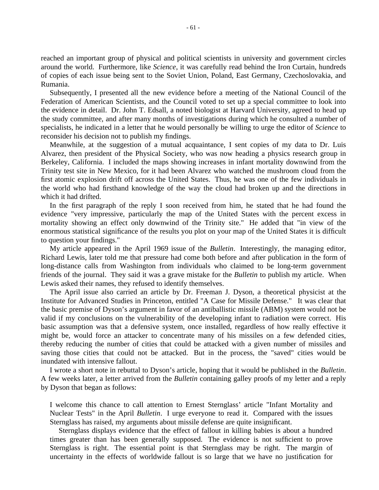reached an important group of physical and political scientists in university and government circles around the world. Furthermore, like *Science*, it was carefully read behind the Iron Curtain, hundreds of copies of each issue being sent to the Soviet Union, Poland, East Germany, Czechoslovakia, and Rumania.

Subsequently, I presented all the new evidence before a meeting of the National Council of the Federation of American Scientists, and the Council voted to set up a special committee to look into the evidence in detail. Dr. John T. Edsall, a noted biologist at Harvard University, agreed to head up the study committee, and after many months of investigations during which he consulted a number of specialists, he indicated in a letter that he would personally be willing to urge the editor of *Science* to reconsider his decision not to publish my findings.

Meanwhile, at the suggestion of a mutual acquaintance, I sent copies of my data to Dr. Luis Alvarez, then president of the Physical Society, who was now heading a physics research group in Berkeley, California. I included the maps showing increases in infant mortality downwind from the Trinity test site in New Mexico, for it had been Alvarez who watched the mushroom cloud from the first atomic explosion drift off across the United States. Thus, he was one of the few individuals in the world who had firsthand knowledge of the way the cloud had broken up and the directions in which it had drifted.

In the first paragraph of the reply I soon received from him, he stated that he had found the evidence "very impressive, particularly the map of the United States with the percent excess in mortality showing an effect only downwind of the Trinity site." He added that "in view of the enormous statistical significance of the results you plot on your map of the United States it is difficult to question your findings."

My article appeared in the April 1969 issue of the *Bulletin*. Interestingly, the managing editor, Richard Lewis, later told me that pressure had come both before and after publication in the form of long-distance calls from Washington from individuals who claimed to be long-term government friends of the journal. They said it was a grave mistake for the *Bulletin* to publish my article. When Lewis asked their names, they refused to identify themselves.

The April issue also carried an article by Dr. Freeman J. Dyson, a theoretical physicist at the Institute for Advanced Studies in Princeton, entitled "A Case for Missile Defense." It was clear that the basic premise of Dyson's argument in favor of an antiballistic missile (ABM) system would not be valid if my conclusions on the vulnerability of the developing infant to radiation were correct. His basic assumption was that a defensive system, once installed, regardless of how really effective it might be, would force an attacker to concentrate many of his missiles on a few defended cities, thereby reducing the number of cities that could be attacked with a given number of missiles and saving those cities that could not be attacked. But in the process, the "saved" cities would be inundated with intensive fallout.

I wrote a short note in rebuttal to Dyson's article, hoping that it would be published in the *Bulletin*. A few weeks later, a letter arrived from the *Bulletin* containing galley proofs of my letter and a reply by Dyson that began as follows:

I welcome this chance to call attention to Ernest Sternglass' article "Infant Mortality and Nuclear Tests" in the April *Bulletin*. I urge everyone to read it. Compared with the issues Sternglass has raised, my arguments about missile defense are quite insignificant.

Sternglass displays evidence that the effect of fallout in killing babies is about a hundred times greater than has been generally supposed. The evidence is not sufficient to prove Sternglass is right. The essential point is that Sternglass may be right. The margin of uncertainty in the effects of worldwide fallout is so large that we have no justification for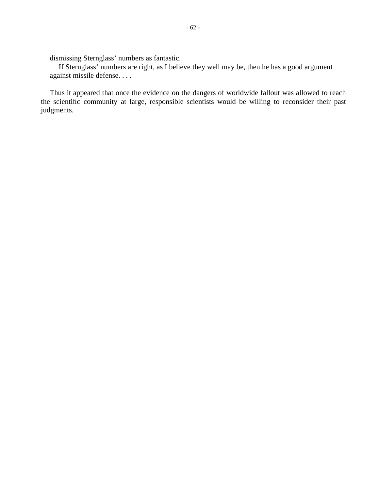dismissing Sternglass' numbers as fantastic.

If Sternglass' numbers are right, as I believe they well may be, then he has a good argument against missile defense. . . .

Thus it appeared that once the evidence on the dangers of worldwide fallout was allowed to reach the scientific community at large, responsible scientists would be willing to reconsider their past judgments.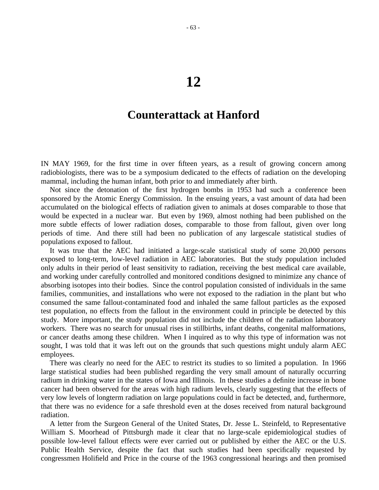# **12**

## **Counterattack at Hanford**

IN MAY 1969, for the first time in over fifteen years, as a result of growing concern among radiobiologists, there was to be a symposium dedicated to the effects of radiation on the developing mammal, including the human infant, both prior to and immediately after birth.

Not since the detonation of the first hydrogen bombs in 1953 had such a conference been sponsored by the Atomic Energy Commission. In the ensuing years, a vast amount of data had been accumulated on the biological effects of radiation given to animals at doses comparable to those that would be expected in a nuclear war. But even by 1969, almost nothing had been published on the more subtle effects of lower radiation doses, comparable to those from fallout, given over long periods of time. And there still had been no publication of any largescale statistical studies of populations exposed to fallout.

It was true that the AEC had initiated a large-scale statistical study of some 20,000 persons exposed to long-term, low-level radiation in AEC laboratories. But the study population included only adults in their period of least sensitivity to radiation, receiving the best medical care available, and working under carefully controlled and monitored conditions designed to minimize any chance of absorbing isotopes into their bodies. Since the control population consisted of individuals in the same families, communities, and installations who were not exposed to the radiation in the plant but who consumed the same fallout-contaminated food and inhaled the same fallout particles as the exposed test population, no effects from the fallout in the environment could in principle be detected by this study. More important, the study population did not include the children of the radiation laboratory workers. There was no search for unusual rises in stillbirths, infant deaths, congenital malformations, or cancer deaths among these children. When I inquired as to why this type of information was not sought, I was told that it was left out on the grounds that such questions might unduly alarm AEC employees.

There was clearly no need for the AEC to restrict its studies to so limited a population. In 1966 large statistical studies had been published regarding the very small amount of naturally occurring radium in drinking water in the states of Iowa and Illinois. In these studies a definite increase in bone cancer had been observed for the areas with high radium levels, clearly suggesting that the effects of very low levels of longterm radiation on large populations could in fact be detected, and, furthermore, that there was no evidence for a safe threshold even at the doses received from natural background radiation.

A letter from the Surgeon General of the United States, Dr. Jesse L. Steinfeld, to Representative William S. Moorhead of Pittsburgh made it clear that no large-scale epidemiological studies of possible low-level fallout effects were ever carried out or published by either the AEC or the U.S. Public Health Service, despite the fact that such studies had been specifically requested by congressmen Holifield and Price in the course of the 1963 congressional hearings and then promised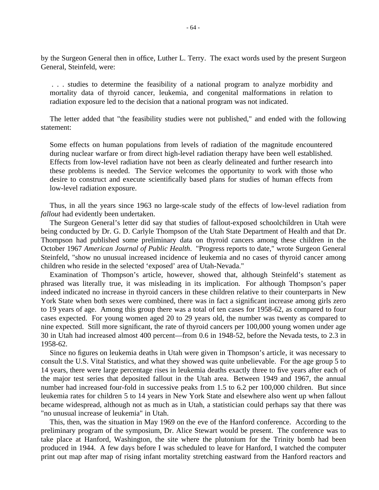by the Surgeon General then in office, Luther L. Terry. The exact words used by the present Surgeon General, Steinfeld, were:

. . . studies to determine the feasibility of a national program to analyze morbidity and mortality data of thyroid cancer, leukemia, and congenital malformations in relation to radiation exposure led to the decision that a national program was not indicated.

The letter added that "the feasibility studies were not published," and ended with the following statement:

Some effects on human populations from levels of radiation of the magnitude encountered during nuclear warfare or from direct high-level radiation therapy have been well established. Effects from low-level radiation have not been as clearly delineated and further research into these problems is needed. The Service welcomes the opportunity to work with those who desire to construct and execute scientifically based plans for studies of human effects from low-level radiation exposure.

Thus, in all the years since 1963 no large-scale study of the effects of low-level radiation from *fallout* had evidently been undertaken.

The Surgeon General's letter did say that studies of fallout-exposed schoolchildren in Utah were being conducted by Dr. G. D. Carlyle Thompson of the Utah State Department of Health and that Dr. Thompson had published some preliminary data on thyroid cancers among these children in the October 1967 *American Journal of Public Health*. "Progress reports to date," wrote Surgeon General Steinfeld, "show no unusual increased incidence of leukemia and no cases of thyroid cancer among children who reside in the selected 'exposed' area of Utah-Nevada."

Examination of Thompson's article, however, showed that, although Steinfeld's statement as phrased was literally true, it was misleading in its implication. For although Thompson's paper indeed indicated no increase in thyroid cancers in these children relative to their counterparts in New York State when both sexes were combined, there was in fact a significant increase among girls zero to 19 years of age. Among this group there was a total of ten cases for 1958-62, as compared to four cases expected. For young women aged 20 to 29 years old, the number was twenty as compared to nine expected. Still more significant, the rate of thyroid cancers per 100,000 young women under age 30 in Utah had increased almost 400 percent—from 0.6 in 1948-52, before the Nevada tests, to 2.3 in 1958-62.

Since no figures on leukemia deaths in Utah were given in Thompson's article, it was necessary to consult the U.S. Vital Statistics, and what they showed was quite unbelievable. For the age group 5 to 14 years, there were large percentage rises in leukemia deaths exactly three to five years after each of the major test series that deposited fallout in the Utah area. Between 1949 and 1967, the annual number had increased four-fold in successive peaks from 1.5 to 6.2 per 100,000 children. But since leukemia rates for children 5 to 14 years in New York State and elsewhere also went up when fallout became widespread, although not as much as in Utah, a statistician could perhaps say that there was "no unusual increase of leukemia" in Utah.

This, then, was the situation in May 1969 on the eve of the Hanford conference. According to the preliminary program of the symposium, Dr. Alice Stewart would be present. The conference was to take place at Hanford, Washington, the site where the plutonium for the Trinity bomb had been produced in 1944. A few days before I was scheduled to leave for Hanford, I watched the computer print out map after map of rising infant mortality stretching eastward from the Hanford reactors and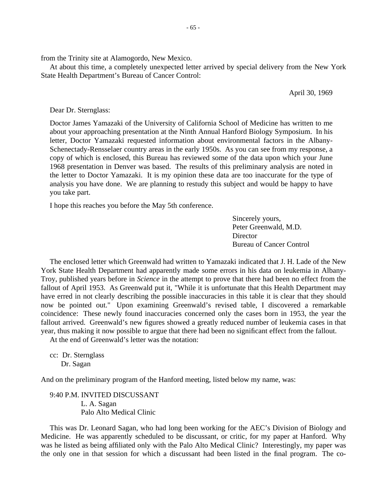from the Trinity site at Alamogordo, New Mexico.

At about this time, a completely unexpected letter arrived by special delivery from the New York State Health Department's Bureau of Cancer Control:

April 30, 1969

Dear Dr. Sternglass:

Doctor James Yamazaki of the University of California School of Medicine has written to me about your approaching presentation at the Ninth Annual Hanford Biology Symposium. In his letter, Doctor Yamazaki requested information about environmental factors in the Albany-Schenectady-Rensselaer country areas in the early 1950s. As you can see from my response, a copy of which is enclosed, this Bureau has reviewed some of the data upon which your June 1968 presentation in Denver was based. The results of this preliminary analysis are noted in the letter to Doctor Yamazaki. It is my opinion these data are too inaccurate for the type of analysis you have done. We are planning to restudy this subject and would be happy to have you take part.

I hope this reaches you before the May 5th conference.

Sincerely yours, Peter Greenwald, M.D. **Director** Bureau of Cancer Control

The enclosed letter which Greenwald had written to Yamazaki indicated that J. H. Lade of the New York State Health Department had apparently made some errors in his data on leukemia in Albany-Troy, published years before in *Science* in the attempt to prove that there had been no effect from the fallout of April 1953. As Greenwald put it, "While it is unfortunate that this Health Department may have erred in not clearly describing the possible inaccuracies in this table it is clear that they should now be pointed out." Upon examining Greenwald's revised table, I discovered a remarkable coincidence: These newly found inaccuracies concerned only the cases born in 1953, the year the fallout arrived. Greenwald's new figures showed a greatly reduced number of leukemia cases in that year, thus making it now possible to argue that there had been no significant effect from the fallout.

At the end of Greenwald's letter was the notation:

cc: Dr. Sternglass Dr. Sagan

And on the preliminary program of the Hanford meeting, listed below my name, was:

9:40 P.M. INVITED DISCUSSANT L. A. Sagan Palo Alto Medical Clinic

This was Dr. Leonard Sagan, who had long been working for the AEC's Division of Biology and Medicine. He was apparently scheduled to be discussant, or critic, for my paper at Hanford. Why was he listed as being affiliated only with the Palo Alto Medical Clinic? Interestingly, my paper was the only one in that session for which a discussant had been listed in the final program. The co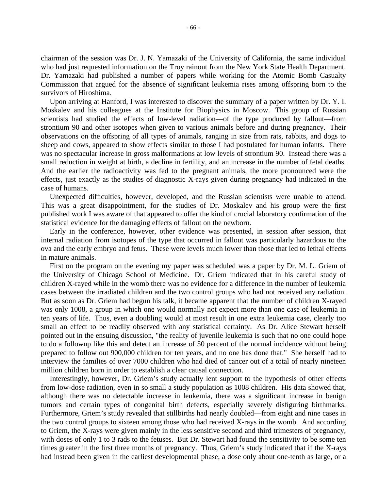chairman of the session was Dr. J. N. Yamazaki of the University of California, the same individual who had just requested information on the Troy rainout from the New York State Health Department. Dr. Yamazaki had published a number of papers while working for the Atomic Bomb Casualty Commission that argued for the absence of significant leukemia rises among offspring born to the survivors of Hiroshima.

Upon arriving at Hanford, I was interested to discover the summary of a paper written by Dr. Y. I. Moskalev and his colleagues at the Institute for Biophysics in Moscow. This group of Russian scientists had studied the effects of low-level radiation—of the type produced by fallout—from strontium 90 and other isotopes when given to various animals before and during pregnancy. Their observations on the offspring of all types of animals, ranging in size from rats, rabbits, and dogs to sheep and cows, appeared to show effects similar to those I had postulated for human infants. There was no spectacular increase in gross malformations at low levels of strontium 90. Instead there was a small reduction in weight at birth, a decline in fertility, and an increase in the number of fetal deaths. And the earlier the radioactivity was fed to the pregnant animals, the more pronounced were the effects, just exactly as the studies of diagnostic X-rays given during pregnancy had indicated in the case of humans.

Unexpected difficulties, however, developed, and the Russian scientists were unable to attend. This was a great disappointment, for the studies of Dr. Moskalev and his group were the first published work I was aware of that appeared to offer the kind of crucial laboratory confirmation of the statistical evidence for the damaging effects of fallout on the newborn.

Early in the conference, however, other evidence was presented, in session after session, that internal radiation from isotopes of the type that occurred in fallout was particularly hazardous to the ova and the early embryo and fetus. These were levels much lower than those that led to lethal effects in mature animals.

First on the program on the evening my paper was scheduled was a paper by Dr. M. L. Griem of the University of Chicago School of Medicine. Dr. Griem indicated that in his careful study of children X-rayed while in the womb there was no evidence for a difference in the number of leukemia cases between the irradiated children and the two control groups who had not received any radiation. But as soon as Dr. Griem had begun his talk, it became apparent that the number of children X-rayed was only 1008, a group in which one would normally not expect more than one case of leukemia in ten years of life. Thus, even a doubling would at most result in one extra leukemia case, clearly too small an effect to be readily observed with any statistical certainty. As Dr. Alice Stewart herself pointed out in the ensuing discussion, "the reality of juvenile leukemia is such that no one could hope to do a followup like this and detect an increase of 50 percent of the normal incidence without being prepared to follow out 900,000 children for ten years, and no one has done that." She herself had to interview the families of over 7000 children who had died of cancer out of a total of nearly nineteen million children born in order to establish a clear causal connection.

Interestingly, however, Dr. Griem's study actually lent support to the hypothesis of other effects from low-dose radiation, even in so small a study population as 1008 children. His data showed that, although there was no detectable increase in leukemia, there was a significant increase in benign tumors and certain types of congenital birth defects, especially severely disfiguring birthmarks. Furthermore, Griem's study revealed that stillbirths had nearly doubled—from eight and nine cases in the two control groups to sixteen among those who had received X-rays in the womb. And according to Griem, the X-rays were given mainly in the less sensitive second and third trimesters of pregnancy, with doses of only 1 to 3 rads to the fetuses. But Dr. Stewart had found the sensitivity to be some ten times greater in the first three months of pregnancy. Thus, Griem's study indicated that if the X-rays had instead been given in the earliest developmental phase, a dose only about one-tenth as large, or a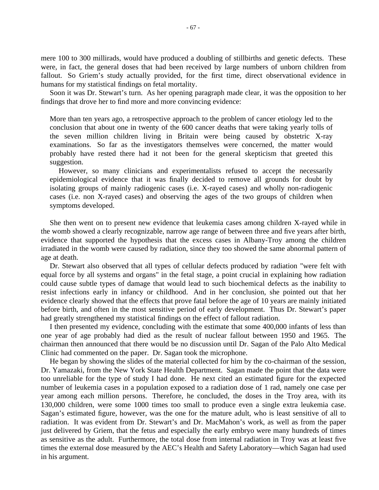mere 100 to 300 millirads, would have produced a doubling of stillbirths and genetic defects. These were, in fact, the general doses that had been received by large numbers of unborn children from fallout. So Griem's study actually provided, for the first time, direct observational evidence in humans for my statistical findings on fetal mortality.

Soon it was Dr. Stewart's turn. As her opening paragraph made clear, it was the opposition to her findings that drove her to find more and more convincing evidence:

More than ten years ago, a retrospective approach to the problem of cancer etiology led to the conclusion that about one in twenty of the 600 cancer deaths that were taking yearly tolls of the seven million children living in Britain were being caused by obstetric X-ray examinations. So far as the investigators themselves were concerned, the matter would probably have rested there had it not been for the general skepticism that greeted this suggestion.

However, so many clinicians and experimentalists refused to accept the necessarily epidemiological evidence that it was finally decided to remove all grounds for doubt by isolating groups of mainly radiogenic cases (i.e. X-rayed cases) and wholly non-radiogenic cases (i.e. non X-rayed cases) and observing the ages of the two groups of children when symptoms developed.

She then went on to present new evidence that leukemia cases among children X-rayed while in the womb showed a clearly recognizable, narrow age range of between three and five years after birth, evidence that supported the hypothesis that the excess cases in Albany-Troy among the children irradiated in the womb were caused by radiation, since they too showed the same abnormal pattern of age at death.

Dr. Stewart also observed that all types of cellular defects produced by radiation "were felt with equal force by all systems and organs" in the fetal stage, a point crucial in explaining how radiation could cause subtle types of damage that would lead to such biochemical defects as the inability to resist infections early in infancy or childhood. And in her conclusion, she pointed out that her evidence clearly showed that the effects that prove fatal before the age of 10 years are mainly initiated before birth, and often in the most sensitive period of early development. Thus Dr. Stewart's paper had greatly strengthened my statistical findings on the effect of fallout radiation.

I then presented my evidence, concluding with the estimate that some 400,000 infants of less than one year of age probably had died as the result of nuclear fallout between 1950 and 1965. The chairman then announced that there would be no discussion until Dr. Sagan of the Palo Alto Medical Clinic had commented on the paper. Dr. Sagan took the microphone.

He began by showing the slides of the material collected for him by the co-chairman of the session, Dr. Yamazaki, from the New York State Health Department. Sagan made the point that the data were too unreliable for the type of study I had done. He next cited an estimated figure for the expected number of leukemia cases in a population exposed to a radiation dose of 1 rad, namely one case per year among each million persons. Therefore, he concluded, the doses in the Troy area, with its 130,000 children, were some 1000 times too small to produce even a single extra leukemia case. Sagan's estimated figure, however, was the one for the mature adult, who is least sensitive of all to radiation. It was evident from Dr. Stewart's and Dr. MacMahon's work, as well as from the paper just delivered by Griem, that the fetus and especially the early embryo were many hundreds of times as sensitive as the adult. Furthermore, the total dose from internal radiation in Troy was at least five times the external dose measured by the AEC's Health and Safety Laboratory—which Sagan had used in his argument.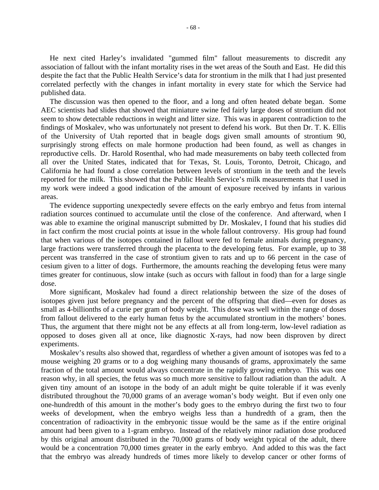He next cited Harley's invalidated "gummed film" fallout measurements to discredit any association of fallout with the infant mortality rises in the wet areas of the South and East. He did this despite the fact that the Public Health Service's data for strontium in the milk that I had just presented correlated perfectly with the changes in infant mortality in every state for which the Service had published data.

The discussion was then opened to the floor, and a long and often heated debate began. Some AEC scientists had slides that showed that miniature swine fed fairly large doses of strontium did not seem to show detectable reductions in weight and litter size. This was in apparent contradiction to the findings of Moskalev, who was unfortunately not present to defend his work. But then Dr. T. K. Ellis of the University of Utah reported that in beagle dogs given small amounts of strontium 90, surprisingly strong effects on male hormone production had been found, as well as changes in reproductive cells. Dr. Harold Rosenthal, who had made measurements on baby teeth collected from all over the United States, indicated that for Texas, St. Louis, Toronto, Detroit, Chicago, and California he had found a close correlation between levels of strontium in the teeth and the levels reported for the milk. This showed that the Public Health Service's milk measurements that I used in my work were indeed a good indication of the amount of exposure received by infants in various areas.

The evidence supporting unexpectedly severe effects on the early embryo and fetus from internal radiation sources continued to accumulate until the close of the conference. And afterward, when I was able to examine the original manuscript submitted by Dr. Moskalev, I found that his studies did in fact confirm the most crucial points at issue in the whole fallout controversy. His group had found that when various of the isotopes contained in fallout were fed to female animals during pregnancy, large fractions were transferred through the placenta to the developing fetus. For example, up to 38 percent was transferred in the case of strontium given to rats and up to 66 percent in the case of cesium given to a litter of dogs. Furthermore, the amounts reaching the developing fetus were many times greater for continuous, slow intake (such as occurs with fallout in food) than for a large single dose.

More significant, Moskalev had found a direct relationship between the size of the doses of isotopes given just before pregnancy and the percent of the offspring that died—even for doses as small as 4-billionths of a curie per gram of body weight. This dose was well within the range of doses from fallout delivered to the early human fetus by the accumulated strontium in the mothers' bones. Thus, the argument that there might not be any effects at all from long-term, low-level radiation as opposed to doses given all at once, like diagnostic X-rays, had now been disproven by direct experiments.

Moskalev's results also showed that, regardless of whether a given amount of isotopes was fed to a mouse weighing 20 grams or to a dog weighing many thousands of grams, approximately the same fraction of the total amount would always concentrate in the rapidly growing embryo. This was one reason why, in all species, the fetus was so much more sensitive to fallout radiation than the adult. A given tiny amount of an isotope in the body of an adult might be quite tolerable if it was evenly distributed throughout the 70,000 grams of an average woman's body weight. But if even only one one-hundredth of this amount in the mother's body goes to the embryo during the first two to four weeks of development, when the embryo weighs less than a hundredth of a gram, then the concentration of radioactivity in the embryonic tissue would be the same as if the entire original amount had been given to a 1-gram embryo. Instead of the relatively minor radiation dose produced by this original amount distributed in the 70,000 grams of body weight typical of the adult, there would be a concentration 70,000 times greater in the early embryo. And added to this was the fact that the embryo was already hundreds of times more likely to develop cancer or other forms of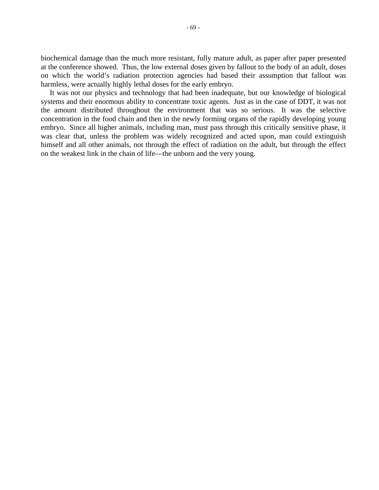biochemical damage than the much more resistant, fully mature adult, as paper after paper presented at the conference showed. Thus, the low external doses given by fallout to the body of an adult, doses on which the world's radiation protection agencies had based their assumption that fallout was harmless, were actually highly lethal doses for the early embryo.

It was not our physics and technology that had been inadequate, but our knowledge of biological systems and their enormous ability to concentrate toxic agents. Just as in the case of DDT, it was not the amount distributed throughout the environment that was so serious. It was the selective concentration in the food chain and then in the newly forming organs of the rapidly developing young embryo. Since all higher animals, including man, must pass through this critically sensitive phase, it was clear that, unless the problem was widely recognized and acted upon, man could extinguish himself and all other animals, not through the effect of radiation on the adult, but through the effect on the weakest link in the chain of life—the unborn and the very young.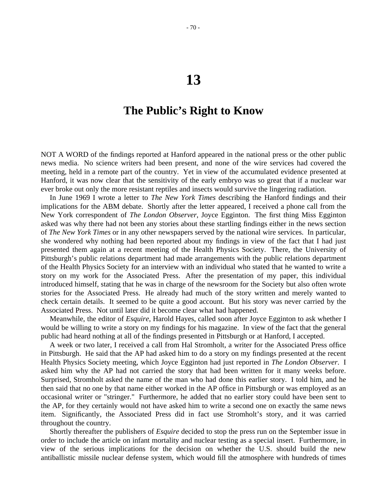# **13**

## **The Public's Right to Know**

NOT A WORD of the findings reported at Hanford appeared in the national press or the other public news media. No science writers had been present, and none of the wire services had covered the meeting, held in a remote part of the country. Yet in view of the accumulated evidence presented at Hanford, it was now clear that the sensitivity of the early embryo was so great that if a nuclear war ever broke out only the more resistant reptiles and insects would survive the lingering radiation.

In June 1969 I wrote a letter to *The New York Times* describing the Hanford findings and their implications for the ABM debate. Shortly after the letter appeared, I received a phone call from the New York correspondent of *The London Observer*, Joyce Egginton. The first thing Miss Egginton asked was why there had not been any stories about these startling findings either in the news section of *The New York Times* or in any other newspapers served by the national wire services. In particular, she wondered why nothing had been reported about my findings in view of the fact that I had just presented them again at a recent meeting of the Health Physics Society. There, the University of Pittsburgh's public relations department had made arrangements with the public relations department of the Health Physics Society for an interview with an individual who stated that he wanted to write a story on my work for the Associated Press. After the presentation of my paper, this individual introduced himself, stating that he was in charge of the newsroom for the Society but also often wrote stories for the Associated Press. He already had much of the story written and merely wanted to check certain details. It seemed to be quite a good account. But his story was never carried by the Associated Press. Not until later did it become clear what had happened.

Meanwhile, the editor of *Esquire*, Harold Hayes, called soon after Joyce Egginton to ask whether I would be willing to write a story on my findings for his magazine. In view of the fact that the general public had heard nothing at all of the findings presented in Pittsburgh or at Hanford, I accepted.

A week or two later, I received a call from Hal Stromholt, a writer for the Associated Press office in Pittsburgh. He said that the AP had asked him to do a story on my findings presented at the recent Health Physics Society meeting, which Joyce Egginton had just reported in *The London Observer*. I asked him why the AP had not carried the story that had been written for it many weeks before. Surprised, Stromholt asked the name of the man who had done this earlier story. I told him, and he then said that no one by that name either worked in the AP office in Pittsburgh or was employed as an occasional writer or "stringer." Furthermore, he added that no earlier story could have been sent to the AP, for they certainly would not have asked him to write a second one on exactly the same news item. Significantly, the Associated Press did in fact use Stromholt's story, and it was carried throughout the country.

Shortly thereafter the publishers of *Esquire* decided to stop the press run on the September issue in order to include the article on infant mortality and nuclear testing as a special insert. Furthermore, in view of the serious implications for the decision on whether the U.S. should build the new antiballistic missile nuclear defense system, which would fill the atmosphere with hundreds of times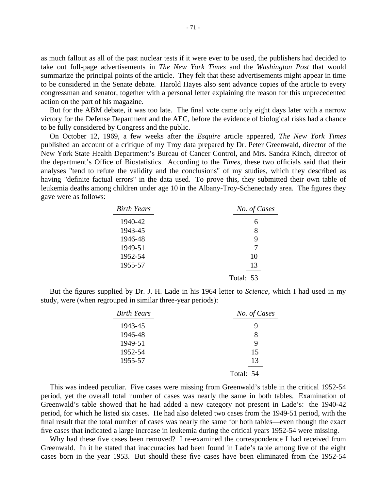as much fallout as all of the past nuclear tests if it were ever to be used, the publishers had decided to take out full-page advertisements in *The New York Times* and the *Washington Post* that would summarize the principal points of the article. They felt that these advertisements might appear in time to be considered in the Senate debate. Harold Hayes also sent advance copies of the article to every congressman and senator, together with a personal letter explaining the reason for this unprecedented action on the part of his magazine.

But for the ABM debate, it was too late. The final vote came only eight days later with a narrow victory for the Defense Department and the AEC, before the evidence of biological risks had a chance to be fully considered by Congress and the public.

On October 12, 1969, a few weeks after the *Esquire* article appeared, *The New York Times* published an account of a critique of my Troy data prepared by Dr. Peter Greenwald, director of the New York State Health Department's Bureau of Cancer Control, and Mrs. Sandra Kinch, director of the department's Office of Biostatistics. According to the *Times*, these two officials said that their analyses "tend to refute the validity and the conclusions" of my studies, which they described as having "definite factual errors" in the data used. To prove this, they submitted their own table of leukemia deaths among children under age 10 in the Albany-Troy-Schenectady area. The figures they gave were as follows:

| <b>Birth Years</b> | No. of Cases |
|--------------------|--------------|
| 1940-42            | 6            |
| 1943-45            | 8            |
| 1946-48            | 9            |
| 1949-51            | 7            |
| 1952-54            | 10           |
| 1955-57            | 13           |
|                    | Total: 53    |

But the figures supplied by Dr. J. H. Lade in his 1964 letter to *Science*, which I had used in my study, were (when regrouped in similar three-year periods):

| <b>Birth Years</b> | No. of Cases |
|--------------------|--------------|
| 1943-45            | 9            |
| 1946-48            | 8            |
| 1949-51            | 9            |
| 1952-54            | 15           |
| 1955-57            | 13           |
|                    | Total: 54    |

This was indeed peculiar. Five cases were missing from Greenwald's table in the critical 1952-54 period, yet the overall total number of cases was nearly the same in both tables. Examination of Greenwald's table showed that he had added a new category not present in Lade's: the 1940-42 period, for which he listed six cases. He had also deleted two cases from the 1949-51 period, with the final result that the total number of cases was nearly the same for both tables—even though the exact five cases that indicated a large increase in leukemia during the critical years 1952-54 were missing.

Why had these five cases been removed? I re-examined the correspondence I had received from Greenwald. In it he stated that inaccuracies had been found in Lade's table among five of the eight cases born in the year 1953. But should these five cases have been eliminated from the 1952-54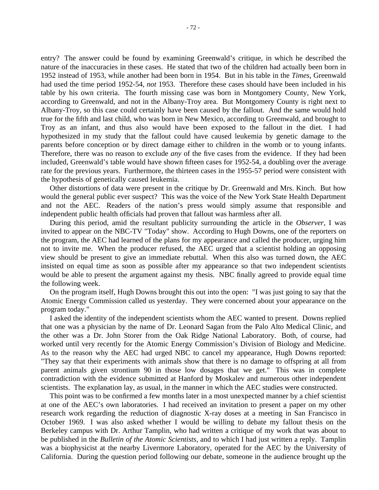entry? The answer could be found by examining Greenwald's critique, in which he described the nature of the inaccuracies in these cases. He stated that two of the children had actually been born in 1952 instead of 1953, while another had been born in 1954. But in his table in the *Times*, Greenwald had used the time period 1952-54, *not* 1953. Therefore these cases should have been included in his table by his own criteria. The fourth missing case was born in Montgomery County, New York, according to Greenwald, and not in the Albany-Troy area. But Montgomery County is right next to Albany-Troy, so this case could certainly have been caused by the fallout. And the same would hold true for the fifth and last child, who was born in New Mexico, according to Greenwald, and brought to Troy as an infant, and thus also would have been exposed to the fallout in the diet. I had hypothesized in my study that the fallout could have caused leukemia by genetic damage to the parents before conception or by direct damage either to children in the womb or to young infants. Therefore, there was no reason to exclude *any* of the five cases from the evidence. If they had been included, Greenwald's table would have shown fifteen cases for 1952-54, a doubling over the average rate for the previous years. Furthermore, the thirteen cases in the 1955-57 period were consistent with the hypothesis of genetically caused leukemia.

Other distortions of data were present in the critique by Dr. Greenwald and Mrs. Kinch. But how would the general public ever suspect? This was the voice of the New York State Health Department and not the AEC. Readers of the nation's press would simply assume that responsible and independent public health officials had proven that fallout was harmless after all.

During this period, amid the resultant publicity surrounding the article in the *Observer*, I was invited to appear on the NBC-TV "Today" show. According to Hugh Downs, one of the reporters on the program, the AEC had learned of the plans for my appearance and called the producer, urging him not to invite me. When the producer refused, the AEC urged that a scientist holding an opposing view should be present to give an immediate rebuttal. When this also was turned down, the AEC insisted on equal time as soon as possible after my appearance so that two independent scientists would be able to present the argument against my thesis. NBC finally agreed to provide equal time the following week.

On the program itself, Hugh Downs brought this out into the open: "I was just going to say that the Atomic Energy Commission called us yesterday. They were concerned about your appearance on the program today."

I asked the identity of the independent scientists whom the AEC wanted to present. Downs replied that one was a physician by the name of Dr. Leonard Sagan from the Palo Alto Medical Clinic, and the other was a Dr. John Storer from the Oak Ridge National Laboratory. Both, of course, had worked until very recently for the Atomic Energy Commission's Division of Biology and Medicine. As to the reason why the AEC had urged NBC to cancel my appearance, Hugh Downs reported: "They say that their experiments with animals show that there is no damage to offspring at all from parent animals given strontium 90 in those low dosages that we get." This was in complete contradiction with the evidence submitted at Hanford by Moskalev and numerous other independent scientists. The explanation lay, as usual, in the manner in which the AEC studies were constructed.

This point was to be confirmed a few months later in a most unexpected manner by a chief scientist at one of the AEC's own laboratories. I had received an invitation to present a paper on my other research work regarding the reduction of diagnostic X-ray doses at a meeting in San Francisco in October 1969. I was also asked whether I would be willing to debate my fallout thesis on the Berkeley campus with Dr. Arthur Tamplin, who had written a critique of my work that was about to be published in the *Bulletin of the Atomic Scientists*, and to which I had just written a reply. Tamplin was a biophysicist at the nearby Livermore Laboratory, operated for the AEC by the University of California. During the question period following our debate, someone in the audience brought up the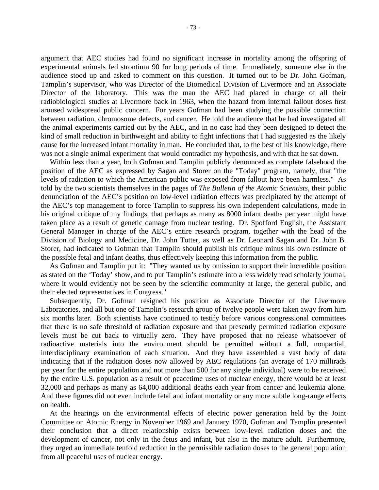argument that AEC studies had found no significant increase in mortality among the offspring of experimental animals fed strontium 90 for long periods of time. Immediately, someone else in the audience stood up and asked to comment on this question. It turned out to be Dr. John Gofman, Tamplin's supervisor, who was Director of the Biomedical Division of Livermore and an Associate Director of the laboratory. This was the man the AEC had placed in charge of all their radiobiological studies at Livermore back in 1963, when the hazard from internal fallout doses first aroused widespread public concern. For years Gofman had been studying the possible connection between radiation, chromosome defects, and cancer. He told the audience that he had investigated all the animal experiments carried out by the AEC, and in no case had they been designed to detect the kind of small reduction in birthweight and ability to fight infections that I had suggested as the likely cause for the increased infant mortality in man. He concluded that, to the best of his knowledge, there was not a single animal experiment that would contradict my hypothesis, and with that he sat down.

Within less than a year, both Gofman and Tamplin publicly denounced as complete falsehood the position of the AEC as expressed by Sagan and Storer on the "Today" program, namely, that "the levels of radiation to which the American public was exposed from fallout have been harmless." As told by the two scientists themselves in the pages of *The Bulletin of the Atomic Scientists*, their public denunciation of the AEC's position on low-level radiation effects was precipitated by the attempt of the AEC's top management to force Tamplin to suppress his own independent calculations, made in his original critique of my findings, that perhaps as many as 8000 infant deaths per year might have taken place as a result of genetic damage from nuclear testing. Dr. Spofford English, the Assistant General Manager in charge of the AEC's entire research program, together with the head of the Division of Biology and Medicine, Dr. John Totter, as well as Dr. Leonard Sagan and Dr. John B. Storer, had indicated to Gofman that Tamplin should publish his critique minus his own estimate of the possible fetal and infant deaths, thus effectively keeping this information from the public.

As Gofman and Tamplin put it: "They wanted us by omission to support their incredible position as stated on the 'Today' show, and to put Tamplin's estimate into a less widely read scholarly journal, where it would evidently not be seen by the scientific community at large, the general public, and their elected representatives in Congress."

Subsequently, Dr. Gofman resigned his position as Associate Director of the Livermore Laboratories, and all but one of Tamplin's research group of twelve people were taken away from him six months later. Both scientists have continued to testify before various congressional committees that there is no safe threshold of radiation exposure and that presently permitted radiation exposure levels must be cut back to virtually zero. They have proposed that no release whatsoever of radioactive materials into the environment should be permitted without a full, nonpartial, interdisciplinary examination of each situation. And they have assembled a vast body of data indicating that if the radiation doses now allowed by AEC regulations (an average of 170 millirads per year for the entire population and not more than 500 for any single individual) were to be received by the entire U.S. population as a result of peacetime uses of nuclear energy, there would be at least 32,000 and perhaps as many as 64,000 additional deaths each year from cancer and leukemia alone. And these figures did not even include fetal and infant mortality or any more subtle long-range effects on health.

At the hearings on the environmental effects of electric power generation held by the Joint Committee on Atomic Energy in November 1969 and January 1970, Gofman and Tamplin presented their conclusion that a direct relationship exists between low-level radiation doses and the development of cancer, not only in the fetus and infant, but also in the mature adult. Furthermore, they urged an immediate tenfold reduction in the permissible radiation doses to the general population from all peaceful uses of nuclear energy.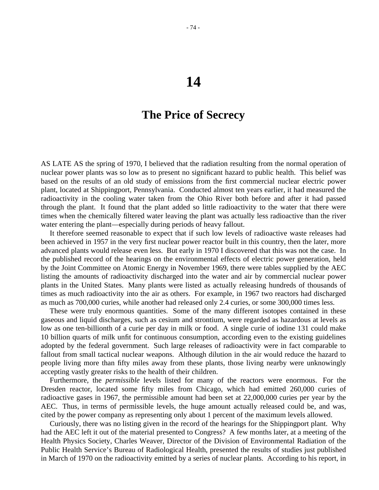### **14**

#### **The Price of Secrecy**

AS LATE AS the spring of 1970, I believed that the radiation resulting from the normal operation of nuclear power plants was so low as to present no significant hazard to public health. This belief was based on the results of an old study of emissions from the first commercial nuclear electric power plant, located at Shippingport, Pennsylvania. Conducted almost ten years earlier, it had measured the radioactivity in the cooling water taken from the Ohio River both before and after it had passed through the plant. It found that the plant added so little radioactivity to the water that there were times when the chemically filtered water leaving the plant was actually less radioactive than the river water entering the plant—especially during periods of heavy fallout.

It therefore seemed reasonable to expect that if such low levels of radioactive waste releases had been achieved in 1957 in the very first nuclear power reactor built in this country, then the later, more advanced plants would release even less. But early in 1970 I discovered that this was not the case. In the published record of the hearings on the environmental effects of electric power generation, held by the Joint Committee on Atomic Energy in November 1969, there were tables supplied by the AEC listing the amounts of radioactivity discharged into the water and air by commercial nuclear power plants in the United States. Many plants were listed as actually releasing hundreds of thousands of times as much radioactivity into the air as others. For example, in 1967 two reactors had discharged as much as 700,000 curies, while another had released only 2.4 curies, or some 300,000 times less.

These were truly enormous quantities. Some of the many different isotopes contained in these gaseous and liquid discharges, such as cesium and strontium, were regarded as hazardous at levels as low as one ten-billionth of a curie per day in milk or food. A single curie of iodine 131 could make 10 billion quarts of milk unfit for continuous consumption, according even to the existing guidelines adopted by the federal government. Such large releases of radioactivity were in fact comparable to fallout from small tactical nuclear weapons. Although dilution in the air would reduce the hazard to people living more than fifty miles away from these plants, those living nearby were unknowingly accepting vastly greater risks to the health of their children.

Furthermore, the *permissible* levels listed for many of the reactors were enormous. For the Dresden reactor, located some fifty miles from Chicago, which had emitted 260,000 curies of radioactive gases in 1967, the permissible amount had been set at 22,000,000 curies per year by the AEC. Thus, in terms of permissible levels, the huge amount actually released could be, and was, cited by the power company as representing only about 1 percent of the maximum levels allowed.

Curiously, there was no listing given in the record of the hearings for the Shippingport plant. Why had the AEC left it out of the material presented to Congress? A few months later, at a meeting of the Health Physics Society, Charles Weaver, Director of the Division of Environmental Radiation of the Public Health Service's Bureau of Radiological Health, presented the results of studies just published in March of 1970 on the radioactivity emitted by a series of nuclear plants. According to his report, in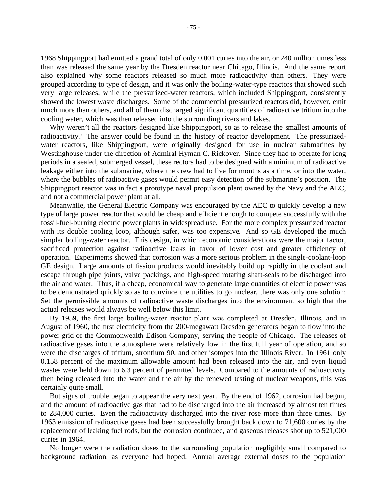1968 Shippingport had emitted a grand total of only 0.001 curies into the air, or 240 million times less than was released the same year by the Dresden reactor near Chicago, Illinois. And the same report also explained why some reactors released so much more radioactivity than others. They were grouped according to type of design, and it was only the boiling-water-type reactors that showed such very large releases, while the pressurized-water reactors, which included Shippingport, consistently showed the lowest waste discharges. Some of the commercial pressurized reactors did, however, emit much more than others, and all of them discharged significant quantities of radioactive tritium into the cooling water, which was then released into the surrounding rivers and lakes.

Why weren't all the reactors designed like Shippingport, so as to release the smallest amounts of radioactivity? The answer could be found in the history of reactor development. The pressurizedwater reactors, like Shippingport, were originally designed for use in nuclear submarines by Westinghouse under the direction of Admiral Hyman C. Rickover. Since they had to operate for long periods in a sealed, submerged vessel, these rectors had to be designed with a minimum of radioactive leakage either into the submarine, where the crew had to live for months as a time, or into the water, where the bubbles of radioactive gases would permit easy detection of the submarine's position. The Shippingport reactor was in fact a prototype naval propulsion plant owned by the Navy and the AEC, and not a commercial power plant at all.

Meanwhile, the General Electric Company was encouraged by the AEC to quickly develop a new type of large power reactor that would be cheap and efficient enough to compete successfully with the fossil-fuel-burning electric power plants in widespread use. For the more complex pressurized reactor with its double cooling loop, although safer, was too expensive. And so GE developed the much simpler boiling-water reactor. This design, in which economic considerations were the major factor, sacrificed protection against radioactive leaks in favor of lower cost and greater efficiency of operation. Experiments showed that corrosion was a more serious problem in the single-coolant-loop GE design. Large amounts of fission products would inevitably build up rapidly in the coolant and escape through pipe joints, valve packings, and high-speed rotating shaft-seals to be discharged into the air and water. Thus, if a cheap, economical way to generate large quantities of electric power was to be demonstrated quickly so as to convince the utilities to go nuclear, there was only one solution: Set the permissible amounts of radioactive waste discharges into the environment so high that the actual releases would always be well below this limit.

By 1959, the first large boiling-water reactor plant was completed at Dresden, Illinois, and in August of 1960, the first electricity from the 200-megawatt Dresden generators began to flow into the power grid of the Commonwealth Edison Company, serving the people of Chicago. The releases of radioactive gases into the atmosphere were relatively low in the first full year of operation, and so were the discharges of tritium, strontium 90, and other isotopes into the Illinois River. In 1961 only 0.158 percent of the maximum allowable amount had been released into the air, and even liquid wastes were held down to 6.3 percent of permitted levels. Compared to the amounts of radioactivity then being released into the water and the air by the renewed testing of nuclear weapons, this was certainly quite small.

But signs of trouble began to appear the very next year. By the end of 1962, corrosion had begun, and the amount of radioactive gas that had to be discharged into the air increased by almost ten times to 284,000 curies. Even the radioactivity discharged into the river rose more than three times. By 1963 emission of radioactive gases had been successfully brought back down to 71,600 curies by the replacement of leaking fuel rods, but the corrosion continued, and gaseous releases shot up to 521,000 curies in 1964.

No longer were the radiation doses to the surrounding population negligibly small compared to background radiation, as everyone had hoped. Annual average external doses to the population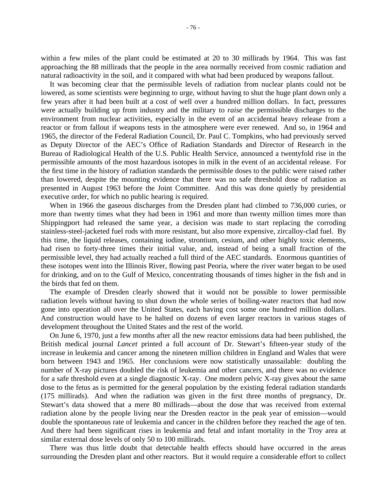within a few miles of the plant could be estimated at 20 to 30 millirads by 1964. This was fast approaching the 88 millirads that the people in the area normally received from cosmic radiation and natural radioactivity in the soil, and it compared with what had been produced by weapons fallout.

It was becoming clear that the permissible levels of radiation from nuclear plants could not be lowered, as some scientists were beginning to urge, without having to shut the huge plant down only a few years after it had been built at a cost of well over a hundred million dollars. In fact, pressures were actually building up from industry and the military to *raise* the permissible discharges to the environment from nuclear activities, especially in the event of an accidental heavy release from a reactor or from fallout if weapons tests in the atmosphere were ever renewed. And so, in 1964 and 1965, the director of the Federal Radiation Council, Dr. Paul C. Tompkins, who had previously served as Deputy Director of the AEC's Office of Radiation Standards and Director of Research in the Bureau of Radiological Health of the U.S. Public Health Service, announced a twentyfold rise in the permissible amounts of the most hazardous isotopes in milk in the event of an accidental release. For the first time in the history of radiation standards the permissible doses to the public were raised rather than lowered, despite the mounting evidence that there was no safe threshold dose of radiation as presented in August 1963 before the Joint Committee. And this was done quietly by presidential executive order, for which no public hearing is required.

When in 1966 the gaseous discharges from the Dresden plant had climbed to 736,000 curies, or more than twenty times what they had been in 1961 and more than twenty million times more than Shippingport had released the same year, a decision was made to start replacing the corroding stainless-steel-jacketed fuel rods with more resistant, but also more expensive, zircalloy-clad fuel. By this time, the liquid releases, containing iodine, strontium, cesium, and other highly toxic elements, had risen to forty-three times their initial value, and, instead of being a small fraction of the permissible level, they had actually reached a full third of the AEC standards. Enormous quantities of these isotopes went into the Illinois River, flowing past Peoria, where the river water began to be used for drinking, and on to the Gulf of Mexico, concentrating thousands of times higher in the fish and in the birds that fed on them.

The example of Dresden clearly showed that it would not be possible to lower permissible radiation levels without having to shut down the whole series of boiling-water reactors that had now gone into operation all over the United States, each having cost some one hundred million dollars. And construction would have to be halted on dozens of even larger reactors in various stages of development throughout the United States and the rest of the world.

On June 6, 1970, just a few months after all the new reactor emissions data had been published, the British medical journal *Lancet* printed a full account of Dr. Stewart's fifteen-year study of the increase in leukemia and cancer among the nineteen million children in England and Wales that were born between 1943 and 1965. Her conclusions were now statistically unassailable: doubling the number of X-ray pictures doubled the risk of leukemia and other cancers, and there was no evidence for a safe threshold even at a single diagnostic X-ray. One modern pelvic X-ray gives about the same dose to the fetus as is permitted for the general population by the existing federal radiation standards (175 millirads). And when the radiation was given in the first three months of pregnancy, Dr. Stewart's data showed that a mere 80 millirads—about the dose that was received from external radiation alone by the people living near the Dresden reactor in the peak year of emission—would double the spontaneous rate of leukemia and cancer in the children before they reached the age of ten. And there had been significant rises in leukemia and fetal and infant mortality in the Troy area at similar external dose levels of only 50 to 100 millirads.

There was thus little doubt that detectable health effects should have occurred in the areas surrounding the Dresden plant and other reactors. But it would require a considerable effort to collect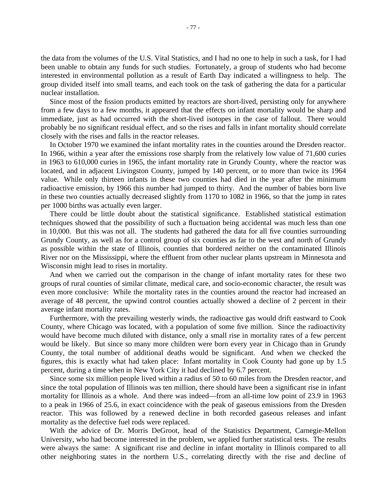the data from the volumes of the U.S. Vital Statistics, and I had no one to help in such a task, for I had been unable to obtain any funds for such studies. Fortunately, a group of students who had become interested in environmental pollution as a result of Earth Day indicated a willingness to help. The group divided itself into small teams, and each took on the task of gathering the data for a particular nuclear installation.

Since most of the fission products emitted by reactors are short-lived, persisting only for anywhere from a few days to a few months, it appeared that the effects on infant mortality would be sharp and immediate, just as had occurred with the short-lived isotopes in the case of fallout. There would probably be no significant residual effect, and so the rises and falls in infant mortality should correlate closely with the rises and falls in the reactor releases.

In October 1970 we examined the infant mortality rates in the counties around the Dresden reactor. In 1966, within a year after the emissions rose sharply from the relatively low value of 71,600 curies in 1963 to 610,000 curies in 1965, the infant mortality rate in Grundy County, where the reactor was located, and in adjacent Livingston County, jumped by 140 percent, or to more than twice its 1964 value. While only thirteen infants in these two counties had died in the year after the minimum radioactive emission, by 1966 this number had jumped to thirty. And the number of babies born live in these two counties actually decreased slightly from 1170 to 1082 in 1966, so that the jump in rates per 1000 births was actually even larger.

There could be little doubt about the statistical significance. Established statistical estimation techniques showed that the possibility of such a fluctuation being accidental was much less than one in 10,000. But this was not all. The students had gathered the data for all five counties surrounding Grundy County, as well as for a control group of six counties as far to the west and north of Grundy as possible within the state of Illinois, counties that bordered neither on the contaminated Illinois River nor on the Mississippi, where the effluent from other nuclear plants upstream in Minnesota and Wisconsin might lead to rises in mortality.

And when we carried out the comparison in the change of infant mortality rates for these two groups of rural counties of similar climate, medical care, and socio-economic character, the result was even more conclusive: While the mortality rates in the counties around the reactor had increased an average of 48 percent, the upwind control counties actually showed a decline of 2 percent in their average infant mortality rates.

Furthermore, with the prevailing westerly winds, the radioactive gas would drift eastward to Cook County, where Chicago was located, with a population of some five million. Since the radioactivity would have become much diluted with distance, only a small rise in mortality rates of a few percent would be likely. But since so many more children were born every year in Chicago than in Grundy County, the total number of additional deaths would be significant. And when we checked the figures, this is exactly what had taken place: Infant mortality in Cook County had gone up by 1.5 percent, during a time when in New York City it had declined by 6.7 percent.

Since some six million people lived within a radius of 50 to 60 miles from the Dresden reactor, and since the total population of Illinois was ten million, there should have been a significant rise in infant mortality for Illinois as a whole. And there was indeed—from an all-time low point of 23.9 in 1963 to a peak in 1966 of 25.6, in exact coincidence with the peak of gaseous emissions from the Dresden reactor. This was followed by a renewed decline in both recorded gaseous releases and infant mortality as the defective fuel rods were replaced.

With the advice of Dr. Morris DeGroot, head of the Statistics Department, Carnegie-Mellon University, who had become interested in the problem, we applied further statistical tests. The results were always the same: A significant rise and decline in infant mortality in Illinois compared to all other neighboring states in the northern U.S., correlating directly with the rise and decline of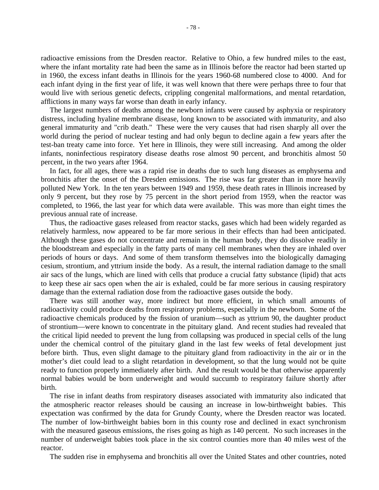radioactive emissions from the Dresden reactor. Relative to Ohio, a few hundred miles to the east, where the infant mortality rate had been the same as in Illinois before the reactor had been started up in 1960, the excess infant deaths in Illinois for the years 1960-68 numbered close to 4000. And for each infant dying in the first year of life, it was well known that there were perhaps three to four that would live with serious genetic defects, crippling congenital malformations, and mental retardation, afflictions in many ways far worse than death in early infancy.

The largest numbers of deaths among the newborn infants were caused by asphyxia or respiratory distress, including hyaline membrane disease, long known to be associated with immaturity, and also general immaturity and "crib death." These were the very causes that had risen sharply all over the world during the period of nuclear testing and had only begun to decline again a few years after the test-ban treaty came into force. Yet here in Illinois, they were still increasing. And among the older infants, noninfectious respiratory disease deaths rose almost 90 percent, and bronchitis almost 50 percent, in the two years after 1964.

In fact, for all ages, there was a rapid rise in deaths due to such lung diseases as emphysema and bronchitis after the onset of the Dresden emissions. The rise was far greater than in more heavily polluted New York. In the ten years between 1949 and 1959, these death rates in Illinois increased by only 9 percent, but they rose by 75 percent in the short period from 1959, when the reactor was completed, to 1966, the last year for which data were available. This was more than eight times the previous annual rate of increase.

Thus, the radioactive gases released from reactor stacks, gases which had been widely regarded as relatively harmless, now appeared to be far more serious in their effects than had been anticipated. Although these gases do not concentrate and remain in the human body, they do dissolve readily in the bloodstream and especially in the fatty parts of many cell membranes when they are inhaled over periods of hours or days. And some of them transform themselves into the biologically damaging cesium, strontium, and yttrium inside the body. As a result, the internal radiation damage to the small air sacs of the lungs, which are lined with cells that produce a crucial fatty substance (lipid) that acts to keep these air sacs open when the air is exhaled, could be far more serious in causing respiratory damage than the external radiation dose from the radioactive gases outside the body.

There was still another way, more indirect but more efficient, in which small amounts of radioactivity could produce deaths from respiratory problems, especially in the newborn. Some of the radioactive chemicals produced by the fission of uranium—such as yttrium 90, the daughter product of strontium—were known to concentrate in the pituitary gland. And recent studies had revealed that the critical lipid needed to prevent the lung from collapsing was produced in special cells of the lung under the chemical control of the pituitary gland in the last few weeks of fetal development just before birth. Thus, even slight damage to the pituitary gland from radioactivity in the air or in the mother's diet could lead to a slight retardation in development, so that the lung would not be quite ready to function properly immediately after birth. And the result would be that otherwise apparently normal babies would be born underweight and would succumb to respiratory failure shortly after birth.

The rise in infant deaths from respiratory diseases associated with immaturity also indicated that the atmospheric reactor releases should be causing an increase in low-birthweight babies. This expectation was confirmed by the data for Grundy County, where the Dresden reactor was located. The number of low-birthweight babies born in this county rose and declined in exact synchronism with the measured gaseous emissions, the rises going as high as 140 percent. No such increases in the number of underweight babies took place in the six control counties more than 40 miles west of the reactor.

The sudden rise in emphysema and bronchitis all over the United States and other countries, noted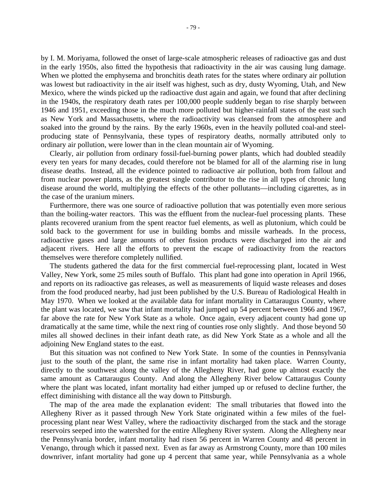by I. M. Moriyama, followed the onset of large-scale atmospheric releases of radioactive gas and dust in the early 1950s, also fitted the hypothesis that radioactivity in the air was causing lung damage. When we plotted the emphysema and bronchitis death rates for the states where ordinary air pollution was lowest but radioactivity in the air itself was highest, such as dry, dusty Wyoming, Utah, and New Mexico, where the winds picked up the radioactive dust again and again, we found that after declining in the 1940s, the respiratory death rates per 100,000 people suddenly began to rise sharply between 1946 and 1951, exceeding those in the much more polluted but higher-rainfall states of the east such as New York and Massachusetts, where the radioactivity was cleansed from the atmosphere and soaked into the ground by the rains. By the early 1960s, even in the heavily polluted coal-and steelproducing state of Pennsylvania, these types of respiratory deaths, normally attributed only to ordinary air pollution, were lower than in the clean mountain air of Wyoming.

Clearly, air pollution from ordinary fossil-fuel-burning power plants, which had doubled steadily every ten years for many decades, could therefore not be blamed for all of the alarming rise in lung disease deaths. Instead, all the evidence pointed to radioactive air pollution, both from fallout and from nuclear power plants, as the greatest single contributor to the rise in all types of chronic lung disease around the world, multiplying the effects of the other pollutants—including cigarettes, as in the case of the uranium miners.

Furthermore, there was one source of radioactive pollution that was potentially even more serious than the boiling-water reactors. This was the effluent from the nuclear-fuel processing plants. These plants recovered uranium from the spent reactor fuel elements, as well as plutonium, which could be sold back to the government for use in building bombs and missile warheads. In the process, radioactive gases and large amounts of other fission products were discharged into the air and adjacent rivers. Here all the efforts to prevent the escape of radioactivity from the reactors themselves were therefore completely nullified.

The students gathered the data for the first commercial fuel-reprocessing plant, located in West Valley, New York, some 25 miles south of Buffalo. This plant had gone into operation in April 1966, and reports on its radioactive gas releases, as well as measurements of liquid waste releases and doses from the food produced nearby, had just been published by the U.S. Bureau of Radiological Health in May 1970. When we looked at the available data for infant mortality in Cattaraugus County, where the plant was located, we saw that infant mortality had jumped up 54 percent between 1966 and 1967, far above the rate for New York State as a whole. Once again, every adjacent county had gone up dramatically at the same time, while the next ring of counties rose only slightly. And those beyond 50 miles all showed declines in their infant death rate, as did New York State as a whole and all the adjoining New England states to the east.

But this situation was not confined to New York State. In some of the counties in Pennsylvania just to the south of the plant, the same rise in infant mortality had taken place. Warren County, directly to the southwest along the valley of the Allegheny River, had gone up almost exactly the same amount as Cattaraugus County. And along the Allegheny River below Cattaraugus County where the plant was located, infant mortality had either jumped up or refused to decline further, the effect diminishing with distance all the way down to Pittsburgh.

The map of the area made the explanation evident: The small tributaries that flowed into the Allegheny River as it passed through New York State originated within a few miles of the fuelprocessing plant near West Valley, where the radioactivity discharged from the stack and the storage reservoirs seeped into the watershed for the entire Allegheny River system. Along the Allegheny near the Pennsylvania border, infant mortality had risen 56 percent in Warren County and 48 percent in Venango, through which it passed next. Even as far away as Armstrong County, more than 100 miles downriver, infant mortality had gone up 4 percent that same year, while Pennsylvania as a whole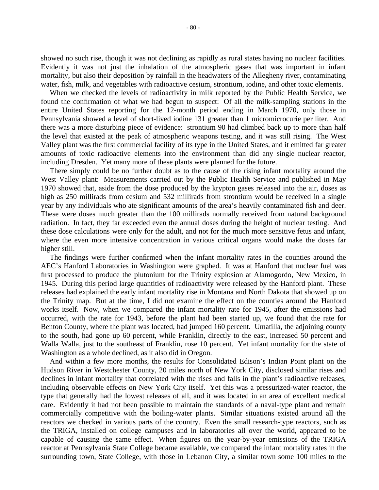showed no such rise, though it was not declining as rapidly as rural states having no nuclear facilities. Evidently it was not just the inhalation of the atmospheric gases that was important in infant mortality, but also their deposition by rainfall in the headwaters of the Allegheny river, contaminating water, fish, milk, and vegetables with radioactive cesium, strontium, iodine, and other toxic elements.

When we checked the levels of radioactivity in milk reported by the Public Health Service, we found the confirmation of what we had begun to suspect: Of all the milk-sampling stations in the entire United States reporting for the 12-month period ending in March 1970, only those in Pennsylvania showed a level of short-lived iodine 131 greater than 1 micromicrocurie per liter. And there was a more disturbing piece of evidence: strontium 90 had climbed back up to more than half the level that existed at the peak of atmospheric weapons testing, and it was still rising. The West Valley plant was the first commercial facility of its type in the United States, and it emitted far greater amounts of toxic radioactive elements into the environment than did any single nuclear reactor, including Dresden. Yet many more of these plants were planned for the future.

There simply could be no further doubt as to the cause of the rising infant mortality around the West Valley plant: Measurements carried out by the Public Health Service and published in May 1970 showed that, aside from the dose produced by the krypton gases released into the air, doses as high as 250 millirads from cesium and 532 millirads from strontium would be received in a single year by any individuals who ate significant amounts of the area's heavily contaminated fish and deer. These were doses much greater than the 100 millirads normally received from natural background radiation. In fact, they far exceeded even the annual doses during the height of nuclear testing. And these dose calculations were only for the adult, and not for the much more sensitive fetus and infant, where the even more intensive concentration in various critical organs would make the doses far higher still.

The findings were further confirmed when the infant mortality rates in the counties around the AEC's Hanford Laboratories in Washington were graphed. It was at Hanford that nuclear fuel was first processed to produce the plutonium for the Trinity explosion at Alamogordo, New Mexico, in 1945. During this period large quantities of radioactivity were released by the Hanford plant. These releases had explained the early infant mortality rise in Montana and North Dakota that showed up on the Trinity map. But at the time, I did not examine the effect on the counties around the Hanford works itself. Now, when we compared the infant mortality rate for 1945, after the emissions had occurred, with the rate for 1943, before the plant had been started up, we found that the rate for Benton County, where the plant was located, had jumped 160 percent. Umatilla, the adjoining county to the south, had gone up 60 percent, while Franklin, directly to the east, increased 50 percent and Walla Walla, just to the southeast of Franklin, rose 10 percent. Yet infant mortality for the state of Washington as a whole declined, as it also did in Oregon.

And within a few more months, the results for Consolidated Edison's Indian Point plant on the Hudson River in Westchester County, 20 miles north of New York City, disclosed similar rises and declines in infant mortality that correlated with the rises and falls in the plant's radioactive releases, including observable effects on New York City itself. Yet this was a pressurized-water reactor, the type that generally had the lowest releases of all, and it was located in an area of excellent medical care. Evidently it had not been possible to maintain the standards of a naval-type plant and remain commercially competitive with the boiling-water plants. Similar situations existed around all the reactors we checked in various parts of the country. Even the small research-type reactors, such as the TRIGA, installed on college campuses and in laboratories all over the world, appeared to be capable of causing the same effect. When figures on the year-by-year emissions of the TRIGA reactor at Pennsylvania State College became available, we compared the infant mortality rates in the surrounding town, State College, with those in Lebanon City, a similar town some 100 miles to the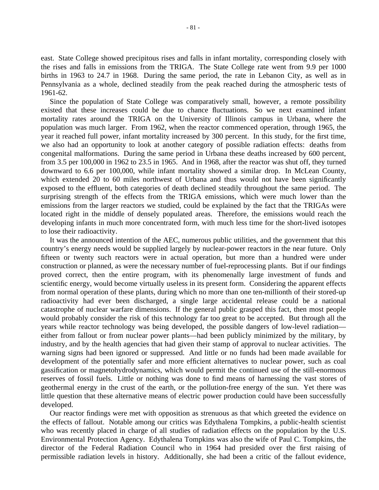east. State College showed precipitous rises and falls in infant mortality, corresponding closely with the rises and falls in emissions from the TRIGA. The State College rate went from 9.9 per 1000 births in 1963 to 24.7 in 1968. During the same period, the rate in Lebanon City, as well as in Pennsylvania as a whole, declined steadily from the peak reached during the atmospheric tests of 1961-62.

Since the population of State College was comparatively small, however, a remote possibility existed that these increases could be due to chance fluctuations. So we next examined infant mortality rates around the TRIGA on the University of Illinois campus in Urbana, where the population was much larger. From 1962, when the reactor commenced operation, through 1965, the year it reached full power, infant mortality increased by 300 percent. In this study, for the first time, we also had an opportunity to look at another category of possible radiation effects: deaths from congenital malformations. During the same period in Urbana these deaths increased by 600 percent, from 3.5 per 100,000 in 1962 to 23.5 in 1965. And in 1968, after the reactor was shut off, they turned downward to 6.6 per 100,000, while infant mortality showed a similar drop. In McLean County, which extended 20 to 60 miles northwest of Urbana and thus would not have been significantly exposed to the effluent, both categories of death declined steadily throughout the same period. The surprising strength of the effects from the TRIGA emissions, which were much lower than the emissions from the larger reactors we studied, could be explained by the fact that the TRIGAs were located right in the middle of densely populated areas. Therefore, the emissions would reach the developing infants in much more concentrated form, with much less time for the short-lived isotopes to lose their radioactivity.

It was the announced intention of the AEC, numerous public utilities, and the government that this country's energy needs would be supplied largely by nuclear-power reactors in the near future. Only fifteen or twenty such reactors were in actual operation, but more than a hundred were under construction or planned, as were the necessary number of fuel-reprocessing plants. But if our findings proved correct, then the entire program, with its phenomenally large investment of funds and scientific energy, would become virtually useless in its present form. Considering the apparent effects from normal operation of these plants, during which no more than one ten-millionth of their stored-up radioactivity had ever been discharged, a single large accidental release could be a national catastrophe of nuclear warfare dimensions. If the general public grasped this fact, then most people would probably consider the risk of this technology far too great to be accepted. But through all the years while reactor technology was being developed, the possible dangers of low-level radiation either from fallout or from nuclear power plants—had been publicly minimized by the military, by industry, and by the health agencies that had given their stamp of approval to nuclear activities. The warning signs had been ignored or suppressed. And little or no funds had been made available for development of the potentially safer and more efficient alternatives to nuclear power, such as coal gassification or magnetohydrodynamics, which would permit the continued use of the still-enormous reserves of fossil fuels. Little or nothing was done to find means of harnessing the vast stores of geothermal energy in the crust of the earth, or the pollution-free energy of the sun. Yet there was little question that these alternative means of electric power production could have been successfully developed.

Our reactor findings were met with opposition as strenuous as that which greeted the evidence on the effects of fallout. Notable among our critics was Edythalena Tompkins, a public-health scientist who was recently placed in charge of all studies of radiation effects on the population by the U.S. Environmental Protection Agency. Edythalena Tompkins was also the wife of Paul C. Tompkins, the director of the Federal Radiation Council who in 1964 had presided over the first raising of permissible radiation levels in history. Additionally, she had been a critic of the fallout evidence,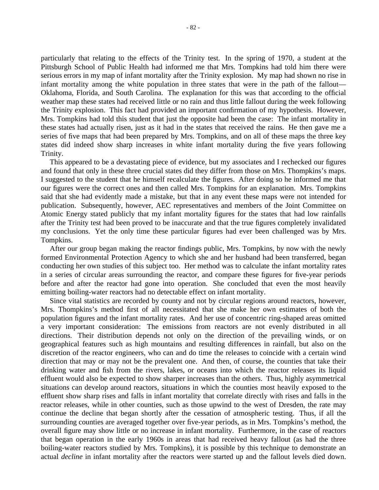particularly that relating to the effects of the Trinity test. In the spring of 1970, a student at the Pittsburgh School of Public Health had informed me that Mrs. Tompkins had told him there were serious errors in my map of infant mortality after the Trinity explosion. My map had shown no rise in infant mortality among the white population in three states that were in the path of the fallout— Oklahoma, Florida, and South Carolina. The explanation for this was that according to the official weather map these states had received little or no rain and thus little fallout during the week following the Trinity explosion. This fact had provided an important confirmation of my hypothesis. However, Mrs. Tompkins had told this student that just the opposite had been the case: The infant mortality in these states had actually risen, just as it had in the states that received the rains. He then gave me a series of five maps that had been prepared by Mrs. Tompkins, and on all of these maps the three key states did indeed show sharp increases in white infant mortality during the five years following Trinity.

This appeared to be a devastating piece of evidence, but my associates and I rechecked our figures and found that only in these three crucial states did they differ from those on Mrs. Thompkins's maps. I suggested to the student that he himself recalculate the figures. After doing so he informed me that our figures were the correct ones and then called Mrs. Tompkins for an explanation. Mrs. Tompkins said that she had evidently made a mistake, but that in any event these maps were not intended for publication. Subsequently, however, AEC representatives and members of the Joint Committee on Atomic Energy stated publicly that my infant mortality figures for the states that had low rainfalls after the Trinity test had been proved to be inaccurate and that the true figures completely invalidated my conclusions. Yet the only time these particular figures had ever been challenged was by Mrs. Tompkins.

After our group began making the reactor findings public, Mrs. Tompkins, by now with the newly formed Environmental Protection Agency to which she and her husband had been transferred, began conducting her own studies of this subject too. Her method was to calculate the infant mortality rates in a series of circular areas surrounding the reactor, and compare these figures for five-year periods before and after the reactor had gone into operation. She concluded that even the most heavily emitting boiling-water reactors had no detectable effect on infant mortality.

Since vital statistics are recorded by county and not by circular regions around reactors, however, Mrs. Thompkins's method first of all necessitated that she make her own estimates of both the population figures and the infant mortality rates. And her use of concentric ring-shaped areas omitted a very important consideration: The emissions from reactors are not evenly distributed in all directions. Their distribution depends not only on the direction of the prevailing winds, or on geographical features such as high mountains and resulting differences in rainfall, but also on the discretion of the reactor engineers, who can and do time the releases to coincide with a certain wind direction that may or may not be the prevalent one. And then, of course, the counties that take their drinking water and fish from the rivers, lakes, or oceans into which the reactor releases its liquid effluent would also be expected to show sharper increases than the others. Thus, highly asymmetrical situations can develop around reactors, situations in which the counties most heavily exposed to the effluent show sharp rises and falls in infant mortality that correlate directly with rises and falls in the reactor releases, while in other counties, such as those upwind to the west of Dresden, the rate may continue the decline that began shortly after the cessation of atmospheric testing. Thus, if all the surrounding counties are averaged together over five-year periods, as in Mrs. Tompkins's method, the overall figure may show little or no increase in infant mortality. Furthermore, in the case of reactors that began operation in the early 1960s in areas that had received heavy fallout (as had the three boiling-water reactors studied by Mrs. Tompkins), it is possible by this technique to demonstrate an actual *decline* in infant mortality after the reactors were started up and the fallout levels died down.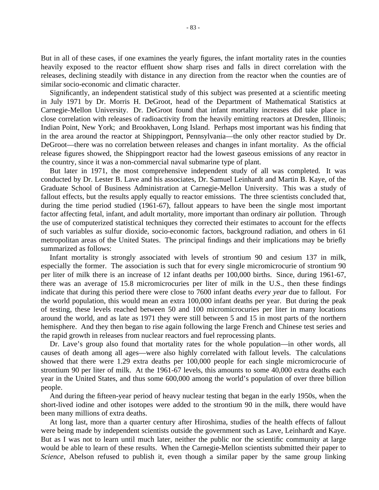But in all of these cases, if one examines the yearly figures, the infant mortality rates in the counties heavily exposed to the reactor effluent show sharp rises and falls in direct correlation with the releases, declining steadily with distance in any direction from the reactor when the counties are of similar socio-economic and climatic character.

Significantly, an independent statistical study of this subject was presented at a scientific meeting in July 1971 by Dr. Morris H. DeGroot, head of the Department of Mathematical Statistics at Carnegie-Mellon University. Dr. DeGroot found that infant mortality increases did take place in close correlation with releases of radioactivity from the heavily emitting reactors at Dresden, Illinois; Indian Point, New York; and Brookhaven, Long Island. Perhaps most important was his finding that in the area around the reactor at Shippingport, Pennsylvania—the only other reactor studied by Dr. DeGroot—there was no correlation between releases and changes in infant mortality. As the official release figures showed, the Shippingport reactor had the lowest gaseous emissions of any reactor in the country, since it was a non-commercial naval submarine type of plant.

But later in 1971, the most comprehensive independent study of all was completed. It was conducted by Dr. Lester B. Lave and his associates, Dr. Samuel Leinhardt and Martin B. Kaye, of the Graduate School of Business Administration at Carnegie-Mellon University. This was a study of fallout effects, but the results apply equally to reactor emissions. The three scientists concluded that, during the time period studied (1961-67), fallout appears to have been the single most important factor affecting fetal, infant, and adult mortality, more important than ordinary air pollution. Through the use of computerized statistical techniques they corrected their estimates to account for the effects of such variables as sulfur dioxide, socio-economic factors, background radiation, and others in 61 metropolitan areas of the United States. The principal findings and their implications may be briefly summarized as follows:

Infant mortality is strongly associated with levels of strontium 90 and cesium 137 in milk, especially the former. The association is such that for every single micromicrocurie of strontium 90 per liter of milk there is an increase of 12 infant deaths per 100,000 births. Since, during 1961-67, there was an average of 15.8 micromicrocuries per liter of milk in the U.S., then these findings indicate that during this period there were close to 7600 infant deaths *every year* due to fallout. For the world population, this would mean an extra 100,000 infant deaths per year. But during the peak of testing, these levels reached between 50 and 100 micromicrocuries per liter in many locations around the world, and as late as 1971 they were still between 5 and 15 in most parts of the northern hemisphere. And they then began to rise again following the large French and Chinese test series and the rapid growth in releases from nuclear reactors and fuel reprocessing plants.

Dr. Lave's group also found that mortality rates for the whole population—in other words, all causes of death among all ages—were also highly correlated with fallout levels. The calculations showed that there were 1.29 extra deaths per 100,000 people for each single micromicrocurie of strontium 90 per liter of milk. At the 1961-67 levels, this amounts to some 40,000 extra deaths each year in the United States, and thus some 600,000 among the world's population of over three billion people.

And during the fifteen-year period of heavy nuclear testing that began in the early 1950s, when the short-lived iodine and other isotopes were added to the strontium 90 in the milk, there would have been many millions of extra deaths.

At long last, more than a quarter century after Hiroshima, studies of the health effects of fallout were being made by independent scientists outside the government such as Lave, Leinhardt and Kaye. But as I was not to learn until much later, neither the public nor the scientific community at large would be able to learn of these results. When the Carnegie-Mellon scientists submitted their paper to *Science*, Abelson refused to publish it, even though a similar paper by the same group linking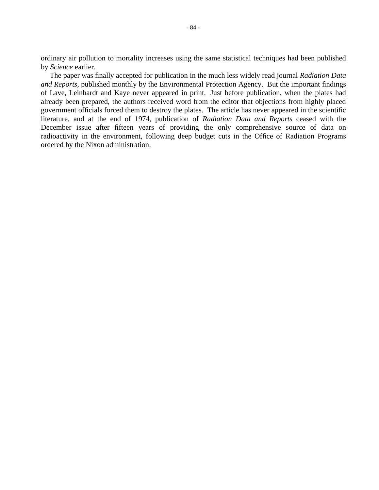ordinary air pollution to mortality increases using the same statistical techniques had been published by *Science* earlier.

The paper was finally accepted for publication in the much less widely read journal *Radiation Data and Reports*, published monthly by the Environmental Protection Agency. But the important findings of Lave, Leinhardt and Kaye never appeared in print. Just before publication, when the plates had already been prepared, the authors received word from the editor that objections from highly placed government officials forced them to destroy the plates. The article has never appeared in the scientific literature, and at the end of 1974, publication of *Radiation Data and Reports* ceased with the December issue after fifteen years of providing the only comprehensive source of data on radioactivity in the environment, following deep budget cuts in the Office of Radiation Programs ordered by the Nixon administration.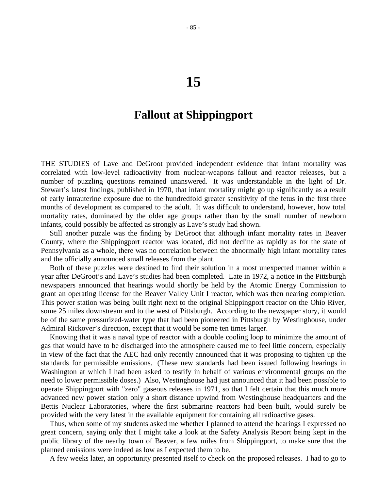## **15**

#### **Fallout at Shippingport**

THE STUDIES of Lave and DeGroot provided independent evidence that infant mortality was correlated with low-level radioactivity from nuclear-weapons fallout and reactor releases, but a number of puzzling questions remained unanswered. It was understandable in the light of Dr. Stewart's latest findings, published in 1970, that infant mortality might go up significantly as a result of early intrauterine exposure due to the hundredfold greater sensitivity of the fetus in the first three months of development as compared to the adult. It was difficult to understand, however, how total mortality rates, dominated by the older age groups rather than by the small number of newborn infants, could possibly be affected as strongly as Lave's study had shown.

Still another puzzle was the finding by DeGroot that although infant mortality rates in Beaver County, where the Shippingport reactor was located, did not decline as rapidly as for the state of Pennsylvania as a whole, there was no correlation between the abnormally high infant mortality rates and the officially announced small releases from the plant.

Both of these puzzles were destined to find their solution in a most unexpected manner within a year after DeGroot's and Lave's studies had been completed. Late in 1972, a notice in the Pittsburgh newspapers announced that hearings would shortly be held by the Atomic Energy Commission to grant an operating license for the Beaver Valley Unit I reactor, which was then nearing completion. This power station was being built right next to the original Shippingport reactor on the Ohio River, some 25 miles downstream and to the west of Pittsburgh. According to the newspaper story, it would be of the same pressurized-water type that had been pioneered in Pittsburgh by Westinghouse, under Admiral Rickover's direction, except that it would be some ten times larger.

Knowing that it was a naval type of reactor with a double cooling loop to minimize the amount of gas that would have to be discharged into the atmosphere caused me to feel little concern, especially in view of the fact that the AEC had only recently announced that it was proposing to tighten up the standards for permissible emissions. (These new standards had been issued following hearings in Washington at which I had been asked to testify in behalf of various environmental groups on the need to lower permissible doses.) Also, Westinghouse had just announced that it had been possible to operate Shippingport with "zero" gaseous releases in 1971, so that I felt certain that this much more advanced new power station only a short distance upwind from Westinghouse headquarters and the Bettis Nuclear Laboratories, where the first submarine reactors had been built, would surely be provided with the very latest in the available equipment for containing all radioactive gases.

Thus, when some of my students asked me whether I planned to attend the hearings I expressed no great concern, saying only that I might take a look at the Safety Analysis Report being kept in the public library of the nearby town of Beaver, a few miles from Shippingport, to make sure that the planned emissions were indeed as low as I expected them to be.

A few weeks later, an opportunity presented itself to check on the proposed releases. I had to go to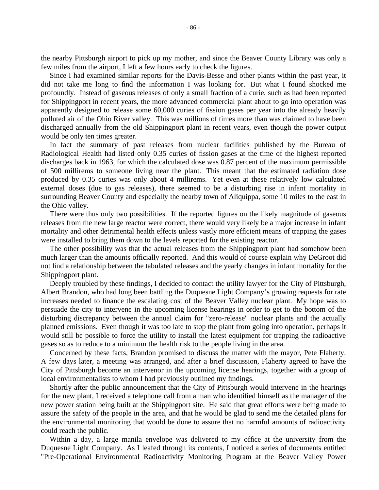the nearby Pittsburgh airport to pick up my mother, and since the Beaver County Library was only a few miles from the airport, I left a few hours early to check the figures.

Since I had examined similar reports for the Davis-Besse and other plants within the past year, it did not take me long to find the information I was looking for. But what I found shocked me profoundly. Instead of gaseous releases of only a small fraction of a curie, such as had been reported for Shippingport in recent years, the more advanced commercial plant about to go into operation was apparently designed to release some 60,000 curies of fission gases per year into the already heavily polluted air of the Ohio River valley. This was millions of times more than was claimed to have been discharged annually from the old Shippingport plant in recent years, even though the power output would be only ten times greater.

In fact the summary of past releases from nuclear facilities published by the Bureau of Radiological Health had listed only 0.35 curies of fission gases at the time of the highest reported discharges back in 1963, for which the calculated dose was 0.87 percent of the maximum permissible of 500 millirems to someone living near the plant. This meant that the estimated radiation dose produced by 0.35 curies was only about 4 millirems. Yet even at these relatively low calculated external doses (due to gas releases), there seemed to be a disturbing rise in infant mortality in surrounding Beaver County and especially the nearby town of Aliquippa, some 10 miles to the east in the Ohio valley.

There were thus only two possibilities. If the reported figures on the likely magnitude of gaseous releases from the new large reactor were correct, there would very likely be a major increase in infant mortality and other detrimental health effects unless vastly more efficient means of trapping the gases were installed to bring them down to the levels reported for the existing reactor.

The other possibility was that the actual releases from the Shippingport plant had somehow been much larger than the amounts officially reported. And this would of course explain why DeGroot did not find a relationship between the tabulated releases and the yearly changes in infant mortality for the Shippingport plant.

Deeply troubled by these findings, I decided to contact the utility lawyer for the City of Pittsburgh, Albert Brandon, who had long been battling the Duquesne Light Company's growing requests for rate increases needed to finance the escalating cost of the Beaver Valley nuclear plant. My hope was to persuade the city to intervene in the upcoming license hearings in order to get to the bottom of the disturbing discrepancy between the annual claim for "zero-release" nuclear plants and the actually planned emissions. Even though it was too late to stop the plant from going into operation, perhaps it would still be possible to force the utility to install the latest equipment for trapping the radioactive gases so as to reduce to a minimum the health risk to the people living in the area.

Concerned by these facts, Brandon promised to discuss the matter with the mayor, Pete Flaherty. A few days later, a meeting was arranged, and after a brief discussion, Flaherty agreed to have the City of Pittsburgh become an intervenor in the upcoming license hearings, together with a group of local environmentalists to whom I had previously outlined my findings.

Shortly after the public announcement that the City of Pittsburgh would intervene in the hearings for the new plant, I received a telephone call from a man who identified himself as the manager of the new power station being built at the Shippingport site. He said that great efforts were being made to assure the safety of the people in the area, and that he would be glad to send me the detailed plans for the environmental monitoring that would be done to assure that no harmful amounts of radioactivity could reach the public.

Within a day, a large manila envelope was delivered to my office at the university from the Duquesne Light Company. As I leafed through its contents, I noticed a series of documents entitled "Pre-Operational Environmental Radioactivity Monitoring Program at the Beaver Valley Power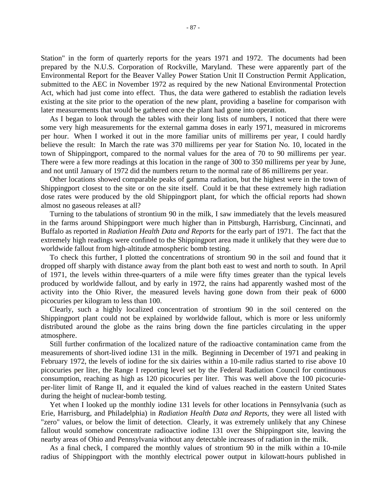Station" in the form of quarterly reports for the years 1971 and 1972. The documents had been prepared by the N.U.S. Corporation of Rockville, Maryland. These were apparently part of the Environmental Report for the Beaver Valley Power Station Unit II Construction Permit Application, submitted to the AEC in November 1972 as required by the new National Environmental Protection Act, which had just come into effect. Thus, the data were gathered to establish the radiation levels existing at the site prior to the operation of the new plant, providing a baseline for comparison with later measurements that would be gathered once the plant had gone into operation.

As I began to look through the tables with their long lists of numbers, I noticed that there were some very high measurements for the external gamma doses in early 1971, measured in microrems per hour. When I worked it out in the more familiar units of millirems per year, I could hardly believe the result: In March the rate was 370 millirems per year for Station No. 10, located in the town of Shippingport, compared to the normal values for the area of 70 to 90 millirems per year. There were a few more readings at this location in the range of 300 to 350 millirems per year by June, and not until January of 1972 did the numbers return to the normal rate of 86 millirems per year.

Other locations showed comparable peaks of gamma radiation, but the highest were in the town of Shippingport closest to the site or on the site itself. Could it be that these extremely high radiation dose rates were produced by the old Shippingport plant, for which the official reports had shown almost no gaseous releases at all?

Turning to the tabulations of strontium 90 in the milk, I saw immediately that the levels measured in the farms around Shippingport were much higher than in Pittsburgh, Harrisburg, Cincinnati, and Buffalo as reported in *Radiation Health Data and Reports* for the early part of 1971. The fact that the extremely high readings were confined to the Shippingport area made it unlikely that they were due to worldwide fallout from high-altitude atmospheric bomb testing.

To check this further, I plotted the concentrations of strontium 90 in the soil and found that it dropped off sharply with distance away from the plant both east to west and north to south. In April of 1971, the levels within three-quarters of a mile were fifty times greater than the typical levels produced by worldwide fallout, and by early in 1972, the rains had apparently washed most of the activity into the Ohio River, the measured levels having gone down from their peak of 6000 picocuries per kilogram to less than 100.

Clearly, such a highly localized concentration of strontium 90 in the soil centered on the Shippingport plant could not be explained by worldwide fallout, which is more or less uniformly distributed around the globe as the rains bring down the fine particles circulating in the upper atmosphere.

Still further confirmation of the localized nature of the radioactive contamination came from the measurements of short-lived iodine 131 in the milk. Beginning in December of 1971 and peaking in February 1972, the levels of iodine for the six dairies within a 10-mile radius started to rise above 10 picocuries per liter, the Range I reporting level set by the Federal Radiation Council for continuous consumption, reaching as high as 120 picocuries per liter. This was well above the 100 picocurieper-liter limit of Range II, and it equaled the kind of values reached in the eastern United States during the height of nuclear-bomb testing.

Yet when I looked up the monthly iodine 131 levels for other locations in Pennsylvania (such as Erie, Harrisburg, and Philadelphia) in *Radiation Health Data and Reports*, they were all listed with "zero" values, or below the limit of detection. Clearly, it was extremely unlikely that any Chinese fallout would somehow concentrate radioactive iodine 131 over the Shippingport site, leaving the nearby areas of Ohio and Pennsylvania without any detectable increases of radiation in the milk.

As a final check, I compared the monthly values of strontium 90 in the milk within a 10-mile radius of Shippingport with the monthly electrical power output in kilowatt-hours published in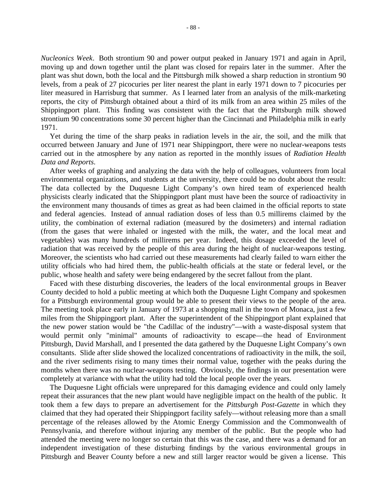*Nucleonics Week*. Both strontium 90 and power output peaked in January 1971 and again in April, moving up and down together until the plant was closed for repairs later in the summer. After the plant was shut down, both the local and the Pittsburgh milk showed a sharp reduction in strontium 90 levels, from a peak of 27 picocuries per liter nearest the plant in early 1971 down to 7 picocuries per liter measured in Harrisburg that summer. As I learned later from an analysis of the milk-marketing reports, the city of Pittsburgh obtained about a third of its milk from an area within 25 miles of the Shippingport plant. This finding was consistent with the fact that the Pittsburgh milk showed strontium 90 concentrations some 30 percent higher than the Cincinnati and Philadelphia milk in early 1971.

Yet during the time of the sharp peaks in radiation levels in the air, the soil, and the milk that occurred between January and June of 1971 near Shippingport, there were no nuclear-weapons tests carried out in the atmosphere by any nation as reported in the monthly issues of *Radiation Health Data and Reports*.

After weeks of graphing and analyzing the data with the help of colleagues, volunteers from local environmental organizations, and students at the university, there could be no doubt about the result: The data collected by the Duquesne Light Company's own hired team of experienced health physicists clearly indicated that the Shippingport plant must have been the source of radioactivity in the environment many thousands of times as great as had been claimed in the official reports to state and federal agencies. Instead of annual radiation doses of less than 0.5 millirems claimed by the utility, the combination of external radiation (measured by the dosimeters) and internal radiation (from the gases that were inhaled or ingested with the milk, the water, and the local meat and vegetables) was many hundreds of millirems per year. Indeed, this dosage exceeded the level of radiation that was received by the people of this area during the height of nuclear-weapons testing. Moreover, the scientists who had carried out these measurements had clearly failed to warn either the utility officials who had hired them, the public-health officials at the state or federal level, or the public, whose health and safety were being endangered by the secret fallout from the plant.

Faced with these disturbing discoveries, the leaders of the local environmental groups in Beaver County decided to hold a public meeting at which both the Duquesne Light Company and spokesmen for a Pittsburgh environmental group would be able to present their views to the people of the area. The meeting took place early in January of 1973 at a shopping mall in the town of Monaca, just a few miles from the Shippingport plant. After the superintendent of the Shippingport plant explained that the new power station would be "the Cadillac of the industry"—with a waste-disposal system that would permit only "minimal" amounts of radioactivity to escape—the head of Environment Pittsburgh, David Marshall, and I presented the data gathered by the Duquesne Light Company's own consultants. Slide after slide showed the localized concentrations of radioactivity in the milk, the soil, and the river sediments rising to many times their normal value, together with the peaks during the months when there was no nuclear-weapons testing. Obviously, the findings in our presentation were completely at variance with what the utility had told the local people over the years.

The Duquesne Light officials were unprepared for this damaging evidence and could only lamely repeat their assurances that the new plant would have negligible impact on the health of the public. It took them a few days to prepare an advertisement for the *Pittsburgh Post-Gazette* in which they claimed that they had operated their Shippingport facility safely—without releasing more than a small percentage of the releases allowed by the Atomic Energy Commission and the Commonwealth of Pennsylvania, and therefore without injuring any member of the public. But the people who had attended the meeting were no longer so certain that this was the case, and there was a demand for an independent investigation of these disturbing findings by the various environmental groups in Pittsburgh and Beaver County before a new and still larger reactor would be given a license. This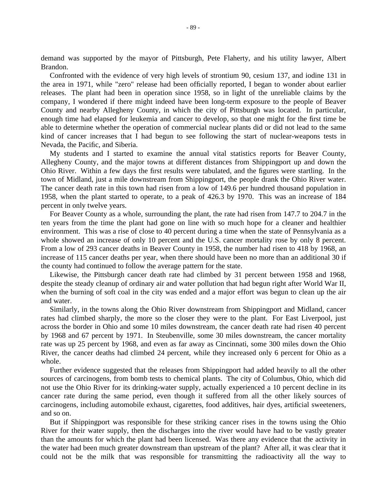demand was supported by the mayor of Pittsburgh, Pete Flaherty, and his utility lawyer, Albert Brandon.

Confronted with the evidence of very high levels of strontium 90, cesium 137, and iodine 131 in the area in 1971, while "zero" release had been officially reported, I began to wonder about earlier releases. The plant had been in operation since 1958, so in light of the unreliable claims by the company, I wondered if there might indeed have been long-term exposure to the people of Beaver County and nearby Allegheny County, in which the city of Pittsburgh was located. In particular, enough time had elapsed for leukemia and cancer to develop, so that one might for the first time be able to determine whether the operation of commercial nuclear plants did or did not lead to the same kind of cancer increases that I had begun to see following the start of nuclear-weapons tests in Nevada, the Pacific, and Siberia.

My students and I started to examine the annual vital statistics reports for Beaver County, Allegheny County, and the major towns at different distances from Shippingport up and down the Ohio River. Within a few days the first results were tabulated, and the figures were startling. In the town of Midland, just a mile downstream from Shippingport, the people drank the Ohio River water. The cancer death rate in this town had risen from a low of 149.6 per hundred thousand population in 1958, when the plant started to operate, to a peak of 426.3 by 1970. This was an increase of 184 percent in only twelve years.

For Beaver County as a whole, surrounding the plant, the rate had risen from 147.7 to 204.7 in the ten years from the time the plant had gone on line with so much hope for a cleaner and healthier environment. This was a rise of close to 40 percent during a time when the state of Pennsylvania as a whole showed an increase of only 10 percent and the U.S. cancer mortality rose by only 8 percent. From a low of 293 cancer deaths in Beaver County in 1958, the number had risen to 418 by 1968, an increase of 115 cancer deaths per year, when there should have been no more than an additional 30 if the county had continued to follow the average pattern for the state.

Likewise, the Pittsburgh cancer death rate had climbed by 31 percent between 1958 and 1968, despite the steady cleanup of ordinary air and water pollution that had begun right after World War II, when the burning of soft coal in the city was ended and a major effort was begun to clean up the air and water.

Similarly, in the towns along the Ohio River downstream from Shippingport and Midland, cancer rates had climbed sharply, the more so the closer they were to the plant. For East Liverpool, just across the border in Ohio and some 10 miles downstream, the cancer death rate had risen 40 percent by 1968 and 67 percent by 1971. In Steubenville, some 30 miles downstream, the cancer mortality rate was up 25 percent by 1968, and even as far away as Cincinnati, some 300 miles down the Ohio River, the cancer deaths had climbed 24 percent, while they increased only 6 percent for Ohio as a whole.

Further evidence suggested that the releases from Shippingport had added heavily to all the other sources of carcinogens, from bomb tests to chemical plants. The city of Columbus, Ohio, which did not use the Ohio River for its drinking-water supply, actually experienced a 10 percent decline in its cancer rate during the same period, even though it suffered from all the other likely sources of carcinogens, including automobile exhaust, cigarettes, food additives, hair dyes, artificial sweeteners, and so on.

But if Shippingport was responsible for these striking cancer rises in the towns using the Ohio River for their water supply, then the discharges into the river would have had to be vastly greater than the amounts for which the plant had been licensed. Was there any evidence that the activity in the water had been much greater downstream than upstream of the plant? After all, it was clear that it could not be the milk that was responsible for transmitting the radioactivity all the way to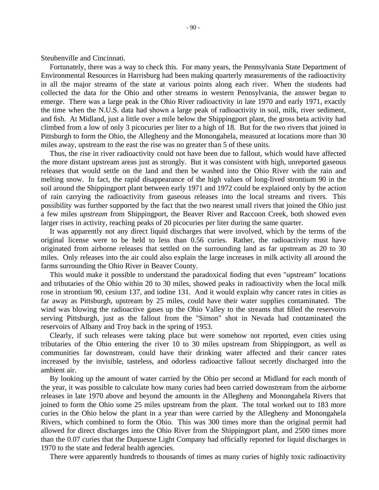Steubenville and Cincinnati.

Fortunately, there was a way to check this. For many years, the Pennsylvania State Department of Environmental Resources in Harrisburg had been making quarterly measurements of the radioactivity in all the major streams of the state at various points along each river. When the students had collected the data for the Ohio and other streams in western Pennsylvania, the answer began to emerge. There was a large peak in the Ohio River radioactivity in late 1970 and early 1971, exactly the time when the N.U.S. data had shown a large peak of radioactivity in soil, milk, river sediment, and fish. At Midland, just a little over a mile below the Shippingport plant, the gross beta activity had climbed from a low of only 3 picocuries per liter to a high of 18. But for the two rivers that joined in Pittsburgh to form the Ohio, the Allegheny and the Monongahela, measured at locations more than 30 miles away, upstream to the east the rise was no greater than 5 of these units.

Thus, the rise in river radioactivity could not have been due to fallout, which would have affected the more distant upstream areas just as strongly. But it was consistent with high, unreported gaseous releases that would settle on the land and then be washed into the Ohio River with the rain and melting snow. In fact, the rapid disappearance of the high values of long-lived strontium 90 in the soil around the Shippingport plant between early 1971 and 1972 could be explained only by the action of rain carrying the radioactivity from gaseous releases into the local streams and rivers. This possibility was further supported by the fact that the two nearest small rivers that joined the Ohio just a few miles *upstream* from Shippingport, the Beaver River and Raccoon Creek, both showed even larger rises in activity, reaching peaks of 20 picocuries per liter during the same quarter.

It was apparently not any direct liquid discharges that were involved, which by the terms of the original license were to be held to less than 0.56 curies. Rather, the radioactivity must have originated from airborne releases that settled on the surrounding land as far upstream as 20 to 30 miles. Only releases into the air could also explain the large increases in milk activity all around the farms surrounding the Ohio River in Beaver County.

This would make it possible to understand the paradoxical finding that even "upstream" locations and tributaries of the Ohio within 20 to 30 miles, showed peaks in radioactivity when the local milk rose in strontium 90, cesium 137, and iodine 131. And it would explain why cancer rates in cities as far away as Pittsburgh, upstream by 25 miles, could have their water supplies contaminated. The wind was blowing the radioactive gases up the Ohio Valley to the streams that filled the reservoirs serving Pittsburgh, just as the fallout from the "Simon" shot in Nevada had contaminated the reservoirs of Albany and Troy back in the spring of 1953.

Clearly, if such releases were taking place but were somehow not reported, even cities using tributaries of the Ohio entering the river 10 to 30 miles upstream from Shippingport, as well as communities far downstream, could have their drinking water affected and their cancer rates increased by the invisible, tasteless, and odorless radioactive fallout secretly discharged into the ambient air.

By looking up the amount of water carried by the Ohio per second at Midland for each month of the year, it was possible to calculate how many curies had been carried downstream from the airborne releases in late 1970 above and beyond the amounts in the Allegheny and Monongahela Rivers that joined to form the Ohio some 25 miles upstream from the plant. The total worked out to 183 more curies in the Ohio below the plant in a year than were carried by the Allegheny and Monongahela Rivers, which combined to form the Ohio. This was 300 times more than the original permit had allowed for direct discharges into the Ohio River from the Shippingport plant, and 2500 times more than the 0.07 curies that the Duquesne Light Company had officially reported for liquid discharges in 1970 to the state and federal health agencies.

There were apparently hundreds to thousands of times as many curies of highly toxic radioactivity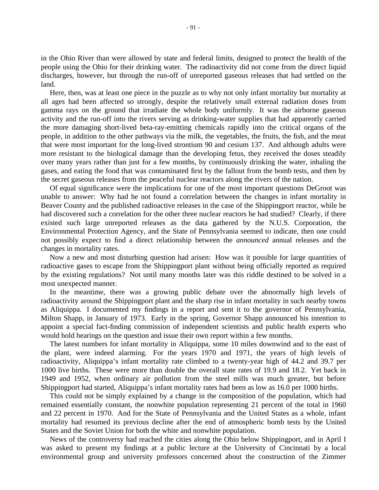in the Ohio River than were allowed by state and federal limits, designed to protect the health of the people using the Ohio for their drinking water. The radioactivity did not come from the direct liquid discharges, however, but through the run-off of unreported gaseous releases that had settled on the land.

Here, then, was at least one piece in the puzzle as to why not only infant mortality but mortality at all ages had been affected so strongly, despite the relatively small external radiation doses from gamma rays on the ground that irradiate the whole body uniformly. It was the airborne gaseous activity and the run-off into the rivers serving as drinking-water supplies that had apparently carried the more damaging short-lived beta-ray-emitting chemicals rapidly into the critical organs of the people, in addition to the other pathways via the milk, the vegetables, the fruits, the fish, and the meat that were most important for the long-lived strontium 90 and cesium 137. And although adults were more resistant to the biological damage than the developing fetus, they received the doses steadily over many years rather than just for a few months, by continuously drinking the water, inhaling the gases, and eating the food that was contaminated first by the fallout from the bomb tests, and then by the secret gaseous releases from the peaceful nuclear reactors along the rivers of the nation.

Of equal significance were the implications for one of the most important questions DeGroot was unable to answer: Why had he not found a correlation between the changes in infant mortality in Beaver County and the published radioactive releases in the case of the Shippingport reactor, while he had discovered such a correlation for the other three nuclear reactors he had studied? Clearly, if there existed such large unreported releases as the data gathered by the N.U.S. Corporation, the Environmental Protection Agency, and the State of Pennsylvania seemed to indicate, then one could not possibly expect to find a direct relationship between the *announced* annual releases and the changes in mortality rates.

Now a new and most disturbing question had arisen: How was it possible for large quantities of radioactive gases to escape from the Shippingport plant without being officially reported as required by the existing regulations? Not until many months later was this riddle destined to be solved in a most unexpected manner.

In the meantime, there was a growing public debate over the abnormally high levels of radioactivity around the Shippingport plant and the sharp rise in infant mortality in such nearby towns as Aliquippa. I documented my findings in a report and sent it to the governor of Pennsylvania, Milton Shapp, in January of 1973. Early in the spring, Governor Shapp announced his intention to appoint a special fact-finding commission of independent scientists and public health experts who would hold hearings on the question and issue their own report within a few months.

The latest numbers for infant mortality in Aliquippa, some 10 miles downwind and to the east of the plant, were indeed alarming. For the years 1970 and 1971, the years of high levels of radioactivity, Aliquippa's infant mortality rate climbed to a twenty-year high of 44.2 and 39.7 per 1000 live births. These were more than double the overall state rates of 19.9 and 18.2. Yet back in 1949 and 1952, when ordinary air pollution from the steel mills was much greater, but before Shippingport had started, Aliquippa's infant mortality rates had been as low as 16.0 per 1000 births.

This could not be simply explained by a change in the composition of the population, which had remained essentially constant, the nonwhite population representing 21 percent of the total in 1960 and 22 percent in 1970. And for the State of Pennsylvania and the United States as a whole, infant mortality had resumed its previous decline after the end of atmospheric bomb tests by the United States and the Soviet Union for both the white and nonwhite population.

News of the controversy had reached the cities along the Ohio below Shippingport, and in April I was asked to present my findings at a public lecture at the University of Cincinnati by a local environmental group and university professors concerned about the construction of the Zimmer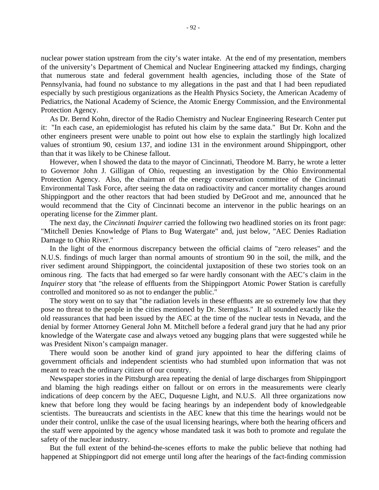nuclear power station upstream from the city's water intake. At the end of my presentation, members of the university's Department of Chemical and Nuclear Engineering attacked my findings, charging that numerous state and federal government health agencies, including those of the State of Pennsylvania, had found no substance to my allegations in the past and that I had been repudiated especially by such prestigious organizations as the Health Physics Society, the American Academy of Pediatrics, the National Academy of Science, the Atomic Energy Commission, and the Environmental Protection Agency.

As Dr. Bernd Kohn, director of the Radio Chemistry and Nuclear Engineering Research Center put it: "In each case, an epidemiologist has refuted his claim by the same data." But Dr. Kohn and the other engineers present were unable to point out how else to explain the startlingly high localized values of strontium 90, cesium 137, and iodine 131 in the environment around Shippingport, other than that it was likely to be Chinese fallout.

However, when I showed the data to the mayor of Cincinnati, Theodore M. Barry, he wrote a letter to Governor John J. Gilligan of Ohio, requesting an investigation by the Ohio Environmental Protection Agency. Also, the chairman of the energy conservation committee of the Cincinnati Environmental Task Force, after seeing the data on radioactivity and cancer mortality changes around Shippingport and the other reactors that had been studied by DeGroot and me, announced that he would recommend that the City of Cincinnati become an intervenor in the public hearings on an operating license for the Zimmer plant.

The next day, the *Cincinnati Inquirer* carried the following two headlined stories on its front page: "Mitchell Denies Knowledge of Plans to Bug Watergate" and, just below, "AEC Denies Radiation Damage to Ohio River."

In the light of the enormous discrepancy between the official claims of "zero releases" and the N.U.S. findings of much larger than normal amounts of strontium 90 in the soil, the milk, and the river sediment around Shippingport, the coincidental juxtaposition of these two stories took on an ominous ring. The facts that had emerged so far were hardly consonant with the AEC's claim in the *Inquirer* story that "the release of effluents from the Shippingport Atomic Power Station is carefully controlled and monitored so as not to endanger the public."

The story went on to say that "the radiation levels in these effluents are so extremely low that they pose no threat to the people in the cities mentioned by Dr. Sternglass." It all sounded exactly like the old reassurances that had been issued by the AEC at the time of the nuclear tests in Nevada, and the denial by former Attorney General John M. Mitchell before a federal grand jury that he had any prior knowledge of the Watergate case and always vetoed any bugging plans that were suggested while he was President Nixon's campaign manager.

There would soon be another kind of grand jury appointed to hear the differing claims of government officials and independent scientists who had stumbled upon information that was not meant to reach the ordinary citizen of our country.

Newspaper stories in the Pittsburgh area repeating the denial of large discharges from Shippingport and blaming the high readings either on fallout or on errors in the measurements were clearly indications of deep concern by the AEC, Duquesne Light, and N.U.S. All three organizations now knew that before long they would be facing hearings by an independent body of knowledgeable scientists. The bureaucrats and scientists in the AEC knew that this time the hearings would not be under their control, unlike the case of the usual licensing hearings, where both the hearing officers and the staff were appointed by the agency whose mandated task it was both to promote and regulate the safety of the nuclear industry.

But the full extent of the behind-the-scenes efforts to make the public believe that nothing had happened at Shippingport did not emerge until long after the hearings of the fact-finding commission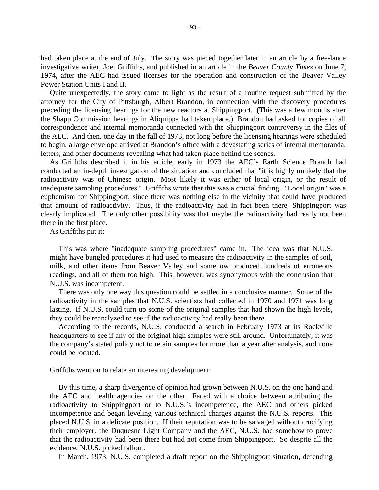had taken place at the end of July. The story was pieced together later in an article by a free-lance investigative writer, Joel Griffiths, and published in an article in the *Beaver County Times* on June 7, 1974, after the AEC had issued licenses for the operation and construction of the Beaver Valley Power Station Units I and II.

Quite unexpectedly, the story came to light as the result of a routine request submitted by the attorney for the City of Pittsburgh, Albert Brandon, in connection with the discovery procedures preceding the licensing hearings for the new reactors at Shippingport. (This was a few months after the Shapp Commission hearings in Aliquippa had taken place.) Brandon had asked for copies of all correspondence and internal memoranda connected with the Shippingport controversy in the files of the AEC. And then, one day in the fall of 1973, not long before the licensing hearings were scheduled to begin, a large envelope arrived at Brandon's office with a devastating series of internal memoranda, letters, and other documents revealing what had taken place behind the scenes.

As Griffiths described it in his article, early in 1973 the AEC's Earth Science Branch had conducted an in-depth investigation of the situation and concluded that "it is highly unlikely that the radioactivity was of Chinese origin. Most likely it was either of local origin, or the result of inadequate sampling procedures." Griffiths wrote that this was a crucial finding. "Local origin" was a euphemism for Shippingport, since there was nothing else in the vicinity that could have produced that amount of radioactivity. Thus, if the radioactivity had in fact been there, Shippingport was clearly implicated. The only other possibility was that maybe the radioactivity had really not been there in the first place.

As Griffiths put it:

This was where "inadequate sampling procedures" came in. The idea was that N.U.S. might have bungled procedures it had used to measure the radioactivity in the samples of soil, milk, and other items from Beaver Valley and somehow produced hundreds of erroneous readings, and all of them too high. This, however, was synonymous with the conclusion that N.U.S. was incompetent.

There was only one way this question could be settled in a conclusive manner. Some of the radioactivity in the samples that N.U.S. scientists had collected in 1970 and 1971 was long lasting. If N.U.S. could turn up some of the original samples that had shown the high levels, they could be reanalyzed to see if the radioactivity had really been there.

According to the records, N.U.S. conducted a search in February 1973 at its Rockville headquarters to see if any of the original high samples were still around. Unfortunately, it was the company's stated policy not to retain samples for more than a year after analysis, and none could be located.

Griffiths went on to relate an interesting development:

By this time, a sharp divergence of opinion had grown between N.U.S. on the one hand and the AEC and health agencies on the other. Faced with a choice between attributing the radioactivity to Shippingport or to N.U.S.'s incompetence, the AEC and others picked incompetence and began leveling various technical charges against the N.U.S. reports. This placed N.U.S. in a delicate position. If their reputation was to be salvaged without crucifying their employer, the Duquesne Light Company and the AEC, N.U.S. had somehow to prove that the radioactivity had been there but had not come from Shippingport. So despite all the evidence, N.U.S. picked fallout.

In March, 1973, N.U.S. completed a draft report on the Shippingport situation, defending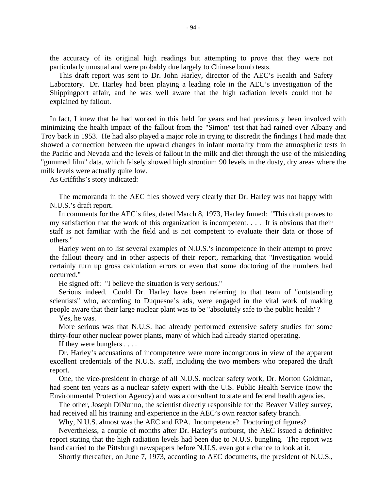the accuracy of its original high readings but attempting to prove that they were not particularly unusual and were probably due largely to Chinese bomb tests.

This draft report was sent to Dr. John Harley, director of the AEC's Health and Safety Laboratory. Dr. Harley had been playing a leading role in the AEC's investigation of the Shippingport affair, and he was well aware that the high radiation levels could not be explained by fallout.

In fact, I knew that he had worked in this field for years and had previously been involved with minimizing the health impact of the fallout from the "Simon" test that had rained over Albany and Troy back in 1953. He had also played a major role in trying to discredit the findings I had made that showed a connection between the upward changes in infant mortality from the atmospheric tests in the Pacific and Nevada and the levels of fallout in the milk and diet through the use of the misleading "gummed film" data, which falsely showed high strontium 90 levels in the dusty, dry areas where the milk levels were actually quite low.

As Griffiths's story indicated:

The memoranda in the AEC files showed very clearly that Dr. Harley was not happy with N.U.S.'s draft report.

In comments for the AEC's files, dated March 8, 1973, Harley fumed: "This draft proves to my satisfaction that the work of this organization is incompetent. . . . It is obvious that their staff is not familiar with the field and is not competent to evaluate their data or those of others."

Harley went on to list several examples of N.U.S.'s incompetence in their attempt to prove the fallout theory and in other aspects of their report, remarking that "Investigation would certainly turn up gross calculation errors or even that some doctoring of the numbers had occurred."

He signed off: "I believe the situation is very serious."

Serious indeed. Could Dr. Harley have been referring to that team of "outstanding scientists" who, according to Duquesne's ads, were engaged in the vital work of making people aware that their large nuclear plant was to be "absolutely safe to the public health"?

Yes, he was.

More serious was that N.U.S. had already performed extensive safety studies for some thirty-four other nuclear power plants, many of which had already started operating.

If they were bunglers ....

Dr. Harley's accusations of incompetence were more incongruous in view of the apparent excellent credentials of the N.U.S. staff, including the two members who prepared the draft report.

One, the vice-president in charge of all N.U.S. nuclear safety work, Dr. Morton Goldman, had spent ten years as a nuclear safety expert with the U.S. Public Health Service (now the Environmental Protection Agency) and was a consultant to state and federal health agencies.

The other, Joseph DiNunno, the scientist directly responsible for the Beaver Valley survey, had received all his training and experience in the AEC's own reactor safety branch.

Why, N.U.S. almost was the AEC and EPA. Incompetence? Doctoring of figures?

Nevertheless, a couple of months after Dr. Harley's outburst, the AEC issued a definitive report stating that the high radiation levels had been due to N.U.S. bungling. The report was hand carried to the Pittsburgh newspapers before N.U.S. even got a chance to look at it.

Shortly thereafter, on June 7, 1973, according to AEC documents, the president of N.U.S.,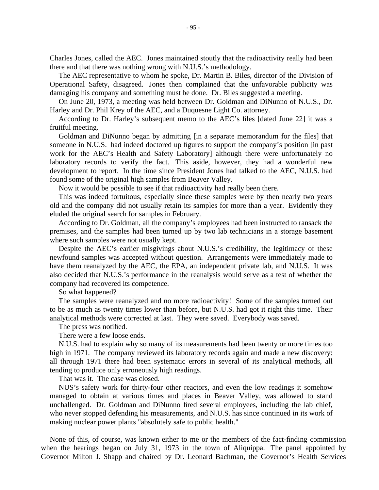Charles Jones, called the AEC. Jones maintained stoutly that the radioactivity really had been there and that there was nothing wrong with N.U.S.'s methodology.

The AEC representative to whom he spoke, Dr. Martin B. Biles, director of the Division of Operational Safety, disagreed. Jones then complained that the unfavorable publicity was damaging his company and something must be done. Dr. Biles suggested a meeting.

On June 20, 1973, a meeting was held between Dr. Goldman and DiNunno of N.U.S., Dr. Harley and Dr. Phil Krey of the AEC, and a Duquesne Light Co. attorney.

According to Dr. Harley's subsequent memo to the AEC's files [dated June 22] it was a fruitful meeting.

Goldman and DiNunno began by admitting [in a separate memorandum for the files] that someone in N.U.S. had indeed doctored up figures to support the company's position [in past work for the AEC's Health and Safety Laboratory] although there were unfortunately no laboratory records to verify the fact. This aside, however, they had a wonderful new development to report. In the time since President Jones had talked to the AEC, N.U.S. had found some of the original high samples from Beaver Valley.

Now it would be possible to see if that radioactivity had really been there.

This was indeed fortuitous, especially since these samples were by then nearly two years old and the company did not usually retain its samples for more than a year. Evidently they eluded the original search for samples in February.

According to Dr. Goldman, all the company's employees had been instructed to ransack the premises, and the samples had been turned up by two lab technicians in a storage basement where such samples were not usually kept.

Despite the AEC's earlier misgivings about N.U.S.'s credibility, the legitimacy of these newfound samples was accepted without question. Arrangements were immediately made to have them reanalyzed by the AEC, the EPA, an independent private lab, and N.U.S. It was also decided that N.U.S.'s performance in the reanalysis would serve as a test of whether the company had recovered its competence.

So what happened?

The samples were reanalyzed and no more radioactivity! Some of the samples turned out to be as much as twenty times lower than before, but N.U.S. had got it right this time. Their analytical methods were corrected at last. They were saved. Everybody was saved.

The press was notified.

There were a few loose ends.

N.U.S. had to explain why so many of its measurements had been twenty or more times too high in 1971. The company reviewed its laboratory records again and made a new discovery: all through 1971 there had been systematic errors in several of its analytical methods, all tending to produce only erroneously high readings.

That was it. The case was closed.

NUS's safety work for thirty-four other reactors, and even the low readings it somehow managed to obtain at various times and places in Beaver Valley, was allowed to stand unchallenged. Dr. Goldman and DiNunno fired several employees, including the lab chief, who never stopped defending his measurements, and N.U.S. has since continued in its work of making nuclear power plants "absolutely safe to public health."

None of this, of course, was known either to me or the members of the fact-finding commission when the hearings began on July 31, 1973 in the town of Aliquippa. The panel appointed by Governor Milton J. Shapp and chaired by Dr. Leonard Bachman, the Governor's Health Services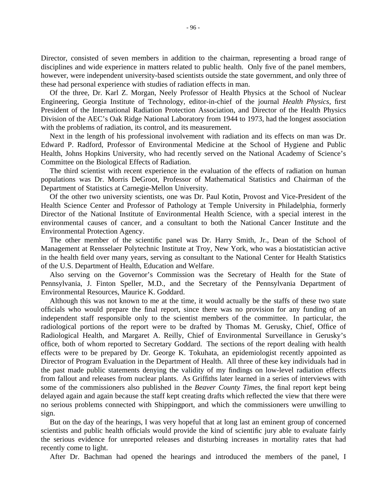Director, consisted of seven members in addition to the chairman, representing a broad range of disciplines and wide experience in matters related to public health. Only five of the panel members, however, were independent university-based scientists outside the state government, and only three of these had personal experience with studies of radiation effects in man.

Of the three, Dr. Karl Z. Morgan, Neely Professor of Health Physics at the School of Nuclear Engineering, Georgia Institute of Technology, editor-in-chief of the journal *Health Physics*, first President of the International Radiation Protection Association, and Director of the Health Physics Division of the AEC's Oak Ridge National Laboratory from 1944 to 1973, had the longest association with the problems of radiation, its control, and its measurement.

Next in the length of his professional involvement with radiation and its effects on man was Dr. Edward P. Radford, Professor of Environmental Medicine at the School of Hygiene and Public Health, Johns Hopkins University, who had recently served on the National Academy of Science's Committee on the Biological Effects of Radiation.

The third scientist with recent experience in the evaluation of the effects of radiation on human populations was Dr. Morris DeGroot, Professor of Mathematical Statistics and Chairman of the Department of Statistics at Carnegie-Mellon University.

Of the other two university scientists, one was Dr. Paul Kotin, Provost and Vice-President of the Health Science Center and Professor of Pathology at Temple University in Philadelphia, formerly Director of the National Institute of Environmental Health Science, with a special interest in the environmental causes of cancer, and a consultant to both the National Cancer Institute and the Environmental Protection Agency.

The other member of the scientific panel was Dr. Harry Smith, Jr., Dean of the School of Management at Rensselaer Polytechnic Institute at Troy, New York, who was a biostatistician active in the health field over many years, serving as consultant to the National Center for Health Statistics of the U.S. Department of Health, Education and Welfare.

Also serving on the Governor's Commission was the Secretary of Health for the State of Pennsylvania, J. Finton Speller, M.D., and the Secretary of the Pennsylvania Department of Environmental Resources, Maurice K. Goddard.

Although this was not known to me at the time, it would actually be the staffs of these two state officials who would prepare the final report, since there was no provision for any funding of an independent staff responsible only to the scientist members of the committee. In particular, the radiological portions of the report were to be drafted by Thomas M. Gerusky, Chief, Office of Radiological Health, and Margaret A. Reilly, Chief of Environmental Surveillance in Gerusky's office, both of whom reported to Secretary Goddard. The sections of the report dealing with health effects were to be prepared by Dr. George K. Tokuhata, an epidemiologist recently appointed as Director of Program Evaluation in the Department of Health. All three of these key individuals had in the past made public statements denying the validity of my findings on low-level radiation effects from fallout and releases from nuclear plants. As Griffiths later learned in a series of interviews with some of the commissioners also published in the *Beaver County Times*, the final report kept being delayed again and again because the staff kept creating drafts which reflected the view that there were no serious problems connected with Shippingport, and which the commissioners were unwilling to sign.

But on the day of the hearings, I was very hopeful that at long last an eminent group of concerned scientists and public health officials would provide the kind of scientific jury able to evaluate fairly the serious evidence for unreported releases and disturbing increases in mortality rates that had recently come to light.

After Dr. Bachman had opened the hearings and introduced the members of the panel, I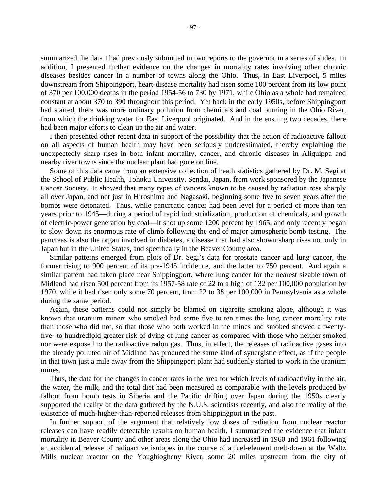summarized the data I had previously submitted in two reports to the governor in a series of slides. In addition, I presented further evidence on the changes in mortality rates involving other chronic diseases besides cancer in a number of towns along the Ohio. Thus, in East Liverpool, 5 miles downstream from Shippingport, heart-disease mortality had risen some 100 percent from its low point of 370 per 100,000 deaths in the period 1954-56 to 730 by 1971, while Ohio as a whole had remained constant at about 370 to 390 throughout this period. Yet back in the early 1950s, before Shippingport had started, there was more ordinary pollution from chemicals and coal burning in the Ohio River, from which the drinking water for East Liverpool originated. And in the ensuing two decades, there had been major efforts to clean up the air and water.

I then presented other recent data in support of the possibility that the action of radioactive fallout on all aspects of human health may have been seriously underestimated, thereby explaining the unexpectedly sharp rises in both infant mortality, cancer, and chronic diseases in Aliquippa and nearby river towns since the nuclear plant had gone on line.

Some of this data came from an extensive collection of heath statistics gathered by Dr. M. Segi at the School of Public Health, Tohoku University, Sendai, Japan, from work sponsored by the Japanese Cancer Society. It showed that many types of cancers known to be caused by radiation rose sharply all over Japan, and not just in Hiroshima and Nagasaki, beginning some five to seven years after the bombs were detonated. Thus, while pancreatic cancer had been level for a period of more than ten years prior to 1945—during a period of rapid industrialization, production of chemicals, and growth of electric-power generation by coal—it shot up some 1200 percent by 1965, and only recently began to slow down its enormous rate of climb following the end of major atmospheric bomb testing. The pancreas is also the organ involved in diabetes, a disease that had also shown sharp rises not only in Japan but in the United States, and specifically in the Beaver County area.

Similar patterns emerged from plots of Dr. Segi's data for prostate cancer and lung cancer, the former rising to 900 percent of its pre-1945 incidence, and the latter to 750 percent. And again a similar pattern had taken place near Shippingport, where lung cancer for the nearest sizable town of Midland had risen 500 percent from its 1957-58 rate of 22 to a high of 132 per 100,000 population by 1970, while it had risen only some 70 percent, from 22 to 38 per 100,000 in Pennsylvania as a whole during the same period.

Again, these patterns could not simply be blamed on cigarette smoking alone, although it was known that uranium miners who smoked had some five to ten times the lung cancer mortality rate than those who did not, so that those who both worked in the mines and smoked showed a twentyfive- to hundredfold greater risk of dying of lung cancer as compared with those who neither smoked nor were exposed to the radioactive radon gas. Thus, in effect, the releases of radioactive gases into the already polluted air of Midland has produced the same kind of synergistic effect, as if the people in that town just a mile away from the Shippingport plant had suddenly started to work in the uranium mines.

Thus, the data for the changes in cancer rates in the area for which levels of radioactivity in the air, the water, the milk, and the total diet had been measured as comparable with the levels produced by fallout from bomb tests in Siberia and the Pacific drifting over Japan during the 1950s clearly supported the reality of the data gathered by the N.U.S. scientists recently, and also the reality of the existence of much-higher-than-reported releases from Shippingport in the past.

In further support of the argument that relatively low doses of radiation from nuclear reactor releases can have readily detectable results on human health, I summarized the evidence that infant mortality in Beaver County and other areas along the Ohio had increased in 1960 and 1961 following an accidental release of radioactive isotopes in the course of a fuel-element melt-down at the Waltz Mills nuclear reactor on the Youghiogheny River, some 20 miles upstream from the city of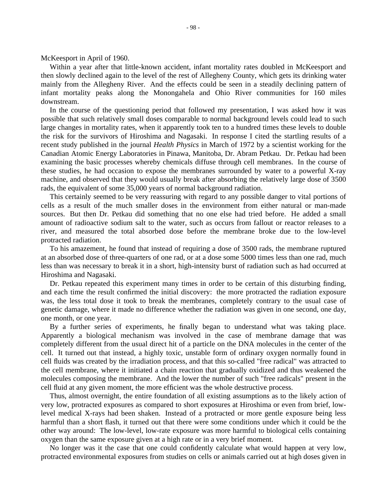McKeesport in April of 1960.

Within a year after that little-known accident, infant mortality rates doubled in McKeesport and then slowly declined again to the level of the rest of Allegheny County, which gets its drinking water mainly from the Allegheny River. And the effects could be seen in a steadily declining pattern of infant mortality peaks along the Monongahela and Ohio River communities for 160 miles downstream.

In the course of the questioning period that followed my presentation, I was asked how it was possible that such relatively small doses comparable to normal background levels could lead to such large changes in mortality rates, when it apparently took ten to a hundred times these levels to double the risk for the survivors of Hiroshima and Nagasaki. In response I cited the startling results of a recent study published in the journal *Health Physics* in March of 1972 by a scientist working for the Canadian Atomic Energy Laboratories in Pinawa, Manitoba, Dr. Abram Petkau. Dr. Petkau had been examining the basic processes whereby chemicals diffuse through cell membranes. In the course of these studies, he had occasion to expose the membranes surrounded by water to a powerful X-ray machine, and observed that they would usually break after absorbing the relatively large dose of 3500 rads, the equivalent of some 35,000 years of normal background radiation.

This certainly seemed to be very reassuring with regard to any possible danger to vital portions of cells as a result of the much smaller doses in the environment from either natural or man-made sources. But then Dr. Petkau did something that no one else had tried before. He added a small amount of radioactive sodium salt to the water, such as occurs from fallout or reactor releases to a river, and measured the total absorbed dose before the membrane broke due to the low-level protracted radiation.

To his amazement, he found that instead of requiring a dose of 3500 rads, the membrane ruptured at an absorbed dose of three-quarters of one rad, or at a dose some 5000 times less than one rad, much less than was necessary to break it in a short, high-intensity burst of radiation such as had occurred at Hiroshima and Nagasaki.

Dr. Petkau repeated this experiment many times in order to be certain of this disturbing finding, and each time the result confirmed the initial discovery: the more protracted the radiation exposure was, the less total dose it took to break the membranes, completely contrary to the usual case of genetic damage, where it made no difference whether the radiation was given in one second, one day, one month, or one year.

By a further series of experiments, he finally began to understand what was taking place. Apparently a biological mechanism was involved in the case of membrane damage that was completely different from the usual direct hit of a particle on the DNA molecules in the center of the cell. It turned out that instead, a highly toxic, unstable form of ordinary oxygen normally found in cell fluids was created by the irradiation process, and that this so-called "free radical" was attracted to the cell membrane, where it initiated a chain reaction that gradually oxidized and thus weakened the molecules composing the membrane. And the lower the number of such "free radicals" present in the cell fluid at any given moment, the more efficient was the whole destructive process.

Thus, almost overnight, the entire foundation of all existing assumptions as to the likely action of very low, protracted exposures as compared to short exposures at Hiroshima or even from brief, lowlevel medical X-rays had been shaken. Instead of a protracted or more gentle exposure being less harmful than a short flash, it turned out that there were some conditions under which it could be the other way around: The low-level, low-rate exposure was more harmful to biological cells containing oxygen than the same exposure given at a high rate or in a very brief moment.

No longer was it the case that one could confidently calculate what would happen at very low, protracted environmental exposures from studies on cells or animals carried out at high doses given in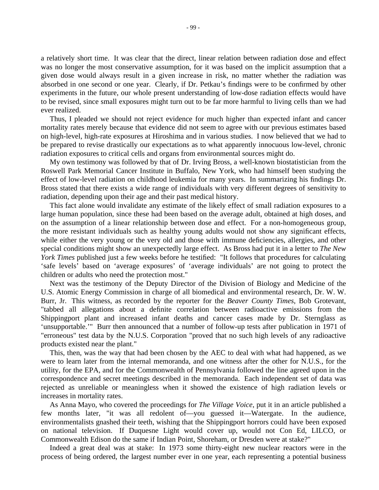a relatively short time. It was clear that the direct, linear relation between radiation dose and effect was no longer the most conservative assumption, for it was based on the implicit assumption that a given dose would always result in a given increase in risk, no matter whether the radiation was absorbed in one second or one year. Clearly, if Dr. Petkau's findings were to be confirmed by other experiments in the future, our whole present understanding of low-dose radiation effects would have to be revised, since small exposures might turn out to be far more harmful to living cells than we had ever realized.

Thus, I pleaded we should not reject evidence for much higher than expected infant and cancer mortality rates merely because that evidence did not seem to agree with our previous estimates based on high-level, high-rate exposures at Hiroshima and in various studies. I now believed that we had to be prepared to revise drastically our expectations as to what apparently innocuous low-level, chronic radiation exposures to critical cells and organs from environmental sources might do.

My own testimony was followed by that of Dr. Irving Bross, a well-known biostatistician from the Roswell Park Memorial Cancer Institute in Buffalo, New York, who had himself been studying the effect of low-level radiation on childhood leukemia for many years. In summarizing his findings Dr. Bross stated that there exists a wide range of individuals with very different degrees of sensitivity to radiation, depending upon their age and their past medical history.

This fact alone would invalidate any estimate of the likely effect of small radiation exposures to a large human population, since these had been based on the average adult, obtained at high doses, and on the assumption of a linear relationship between dose and effect. For a non-homogeneous group, the more resistant individuals such as healthy young adults would not show any significant effects, while either the very young or the very old and those with immune deficiencies, allergies, and other special conditions might show an unexpectedly large effect. As Bross had put it in a letter to *The New York Times* published just a few weeks before he testified: "It follows that procedures for calculating 'safe levels' based on 'average exposures' of 'average individuals' are not going to protect the children or adults who need the protection most."

Next was the testimony of the Deputy Director of the Division of Biology and Medicine of the U.S. Atomic Energy Commission in charge of all biomedical and environmental research, Dr. W. W. Burr, Jr. This witness, as recorded by the reporter for the *Beaver County Times*, Bob Grotevant, "tabbed all allegations about a definite correlation between radioactive emissions from the Shippingport plant and increased infant deaths and cancer cases made by Dr. Sternglass as 'unsupportable.'" Burr then announced that a number of follow-up tests after publication in 1971 of "erroneous" test data by the N.U.S. Corporation "proved that no such high levels of any radioactive products existed near the plant."

This, then, was the way that had been chosen by the AEC to deal with what had happened, as we were to learn later from the internal memoranda, and one witness after the other for N.U.S., for the utility, for the EPA, and for the Commonwealth of Pennsylvania followed the line agreed upon in the correspondence and secret meetings described in the memoranda. Each independent set of data was rejected as unreliable or meaningless when it showed the existence of high radiation levels or increases in mortality rates.

As Anna Mayo, who covered the proceedings for *The Village Voice*, put it in an article published a few months later, "it was all redolent of—you guessed it—Watergate. In the audience, environmentalists gnashed their teeth, wishing that the Shippingport horrors could have been exposed on national television. If Duquesne Light would cover up, would not Con Ed, LILCO, or Commonwealth Edison do the same if Indian Point, Shoreham, or Dresden were at stake?"

Indeed a great deal was at stake: In 1973 some thirty-eight new nuclear reactors were in the process of being ordered, the largest number ever in one year, each representing a potential business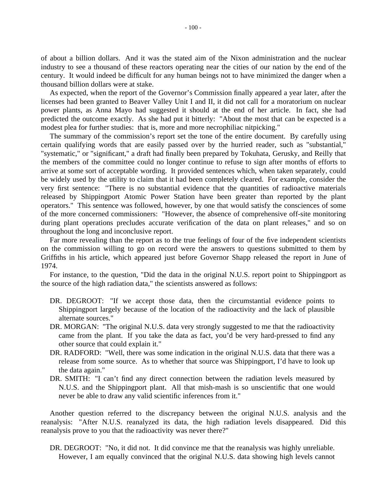of about a billion dollars. And it was the stated aim of the Nixon administration and the nuclear industry to see a thousand of these reactors operating near the cities of our nation by the end of the century. It would indeed be difficult for any human beings not to have minimized the danger when a thousand billion dollars were at stake.

As expected, when the report of the Governor's Commission finally appeared a year later, after the licenses had been granted to Beaver Valley Unit I and II, it did not call for a moratorium on nuclear power plants, as Anna Mayo had suggested it should at the end of her article. In fact, she had predicted the outcome exactly. As she had put it bitterly: "About the most that can be expected is a modest plea for further studies: that is, more and more necrophiliac nitpicking."

The summary of the commission's report set the tone of the entire document. By carefully using certain qualifying words that are easily passed over by the hurried reader, such as "substantial," "systematic," or "significant," a draft had finally been prepared by Tokuhata, Gerusky, and Reilly that the members of the committee could no longer continue to refuse to sign after months of efforts to arrive at some sort of acceptable wording. It provided sentences which, when taken separately, could be widely used by the utility to claim that it had been completely cleared. For example, consider the very first sentence: "There is no substantial evidence that the quantities of radioactive materials released by Shippingport Atomic Power Station have been greater than reported by the plant operators." This sentence was followed, however, by one that would satisfy the consciences of some of the more concerned commissioners: "However, the absence of comprehensive off-site monitoring during plant operations precludes accurate verification of the data on plant releases," and so on throughout the long and inconclusive report.

Far more revealing than the report as to the true feelings of four of the five independent scientists on the commission willing to go on record were the answers to questions submitted to them by Griffiths in his article, which appeared just before Governor Shapp released the report in June of 1974.

For instance, to the question, "Did the data in the original N.U.S. report point to Shippingport as the source of the high radiation data," the scientists answered as follows:

- DR. DEGROOT: "If we accept those data, then the circumstantial evidence points to Shippingport largely because of the location of the radioactivity and the lack of plausible alternate sources."
- DR. MORGAN: "The original N.U.S. data very strongly suggested to me that the radioactivity came from the plant. If you take the data as fact, you'd be very hard-pressed to find any other source that could explain it."
- DR. RADFORD: "Well, there was some indication in the original N.U.S. data that there was a release from some source. As to whether that source was Shippingport, I'd have to look up the data again."
- DR. SMITH: "I can't find any direct connection between the radiation levels measured by N.U.S. and the Shippingport plant. All that mish-mash is so unscientific that one would never be able to draw any valid scientific inferences from it."

Another question referred to the discrepancy between the original N.U.S. analysis and the reanalysis: "After N.U.S. reanalyzed its data, the high radiation levels disappeared. Did this reanalysis prove to you that the radioactivity was never there?"

DR. DEGROOT: "No, it did not. It did convince me that the reanalysis was highly unreliable. However, I am equally convinced that the original N.U.S. data showing high levels cannot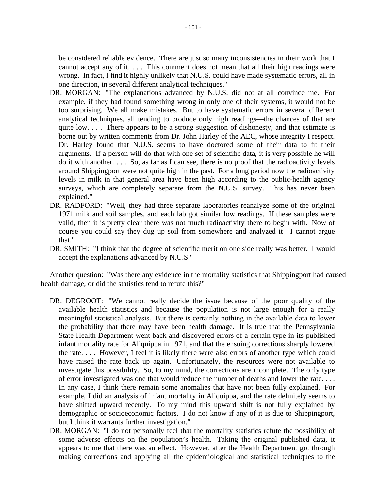be considered reliable evidence. There are just so many inconsistencies in their work that I cannot accept any of it. . . . This comment does not mean that all their high readings were wrong. In fact, I find it highly unlikely that N.U.S. could have made systematic errors, all in one direction, in several different analytical techniques."

- DR. MORGAN: "The explanations advanced by N.U.S. did not at all convince me. For example, if they had found something wrong in only one of their systems, it would not be too surprising. We all make mistakes. But to have systematic errors in several different analytical techniques, all tending to produce only high readings—the chances of that are quite low.... There appears to be a strong suggestion of dishonesty, and that estimate is borne out by written comments from Dr. John Harley of the AEC, whose integrity I respect. Dr. Harley found that N.U.S. seems to have doctored some of their data to fit their arguments. If a person will do that with one set of scientific data, it is very possible he will do it with another. . . . So, as far as I can see, there is no proof that the radioactivity levels around Shippingport were not quite high in the past. For a long period now the radioactivity levels in milk in that general area have been high according to the public-health agency surveys, which are completely separate from the N.U.S. survey. This has never been explained."
- DR. RADFORD: "Well, they had three separate laboratories reanalyze some of the original 1971 milk and soil samples, and each lab got similar low readings. If these samples were valid, then it is pretty clear there was not much radioactivity there to begin with. Now of course you could say they dug up soil from somewhere and analyzed it—I cannot argue that."
- DR. SMITH: "I think that the degree of scientific merit on one side really was better. I would accept the explanations advanced by N.U.S."

Another question: "Was there any evidence in the mortality statistics that Shippingport had caused health damage, or did the statistics tend to refute this?"

- DR. DEGROOT: "We cannot really decide the issue because of the poor quality of the available health statistics and because the population is not large enough for a really meaningful statistical analysis. But there is certainly nothing in the available data to lower the probability that there may have been health damage. It is true that the Pennsylvania State Health Department went back and discovered errors of a certain type in its published infant mortality rate for Aliquippa in 1971, and that the ensuing corrections sharply lowered the rate. . . . However, I feel it is likely there were also errors of another type which could have raised the rate back up again. Unfortunately, the resources were not available to investigate this possibility. So, to my mind, the corrections are incomplete. The only type of error investigated was one that would reduce the number of deaths and lower the rate. . . . In any case, I think there remain some anomalies that have not been fully explained. For example, I did an analysis of infant mortality in Aliquippa, and the rate definitely seems to have shifted upward recently. To my mind this upward shift is not fully explained by demographic or socioeconomic factors. I do not know if any of it is due to Shippingport, but I think it warrants further investigation."
- DR. MORGAN: "I do not personally feel that the mortality statistics refute the possibility of some adverse effects on the population's health. Taking the original published data, it appears to me that there was an effect. However, after the Health Department got through making corrections and applying all the epidemiological and statistical techniques to the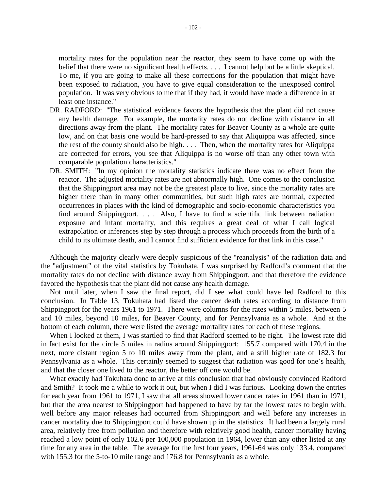mortality rates for the population near the reactor, they seem to have come up with the belief that there were no significant health effects. . . . I cannot help but be a little skeptical. To me, if you are going to make all these corrections for the population that might have been exposed to radiation, you have to give equal consideration to the unexposed control population. It was very obvious to me that if they had, it would have made a difference in at least one instance."

- DR. RADFORD: "The statistical evidence favors the hypothesis that the plant did not cause any health damage. For example, the mortality rates do not decline with distance in all directions away from the plant. The mortality rates for Beaver County as a whole are quite low, and on that basis one would be hard-pressed to say that Aliquippa was affected, since the rest of the county should also be high. . . . Then, when the mortality rates for Aliquippa are corrected for errors, you see that Aliquippa is no worse off than any other town with comparable population characteristics."
- DR. SMITH: "In my opinion the mortality statistics indicate there was no effect from the reactor. The adjusted mortality rates are not abnormally high. One comes to the conclusion that the Shippingport area may not be the greatest place to live, since the mortality rates are higher there than in many other communities, but such high rates are normal, expected occurrences in places with the kind of demographic and socio-economic characteristics you find around Shippingport. . . . Also, I have to find a scientific link between radiation exposure and infant mortality, and this requires a great deal of what I call logical extrapolation or inferences step by step through a process which proceeds from the birth of a child to its ultimate death, and I cannot find sufficient evidence for that link in this case."

Although the majority clearly were deeply suspicious of the "reanalysis" of the radiation data and the "adjustment" of the vital statistics by Tokuhata, I was surprised by Radford's comment that the mortality rates do not decline with distance away from Shippingport, and that therefore the evidence favored the hypothesis that the plant did not cause any health damage.

Not until later, when I saw the final report, did I see what could have led Radford to this conclusion. In Table 13, Tokuhata had listed the cancer death rates according to distance from Shippingport for the years 1961 to 1971. There were columns for the rates within 5 miles, between 5 and 10 miles, beyond 10 miles, for Beaver County, and for Pennsylvania as a whole. And at the bottom of each column, there were listed the average mortality rates for each of these regions.

When I looked at them, I was startled to find that Radford seemed to be right. The lowest rate did in fact exist for the circle 5 miles in radius around Shippingport: 155.7 compared with 170.4 in the next, more distant region 5 to 10 miles away from the plant, and a still higher rate of 182.3 for Pennsylvania as a whole. This certainly seemed to suggest that radiation was good for one's health, and that the closer one lived to the reactor, the better off one would be.

What exactly had Tokuhata done to arrive at this conclusion that had obviously convinced Radford and Smith? It took me a while to work it out, but when I did I was furious. Looking down the entries for each year from 1961 to 1971, I saw that all areas showed lower cancer rates in 1961 than in 1971, but that the area nearest to Shippingport had happened to have by far the lowest rates to begin with, well before any major releases had occurred from Shippingport and well before any increases in cancer mortality due to Shippingport could have shown up in the statistics. It had been a largely rural area, relatively free from pollution and therefore with relatively good health, cancer mortality having reached a low point of only 102.6 per 100,000 population in 1964, lower than any other listed at any time for any area in the table. The average for the first four years, 1961-64 was only 133.4, compared with 155.3 for the 5-to-10 mile range and 176.8 for Pennsylvania as a whole.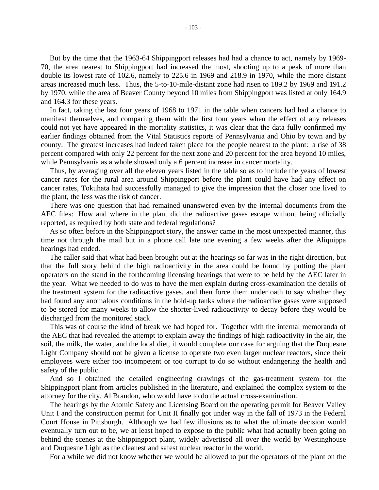But by the time that the 1963-64 Shippingport releases had had a chance to act, namely by 1969- 70, the area nearest to Shippingport had increased the most, shooting up to a peak of more than double its lowest rate of 102.6, namely to 225.6 in 1969 and 218.9 in 1970, while the more distant areas increased much less. Thus, the 5-to-10-mile-distant zone had risen to 189.2 by 1969 and 191.2 by 1970, while the area of Beaver County beyond 10 miles from Shippingport was listed at only 164.9 and 164.3 for these years.

In fact, taking the last four years of 1968 to 1971 in the table when cancers had had a chance to manifest themselves, and comparing them with the first four years when the effect of any releases could not yet have appeared in the mortality statistics, it was clear that the data fully confirmed my earlier findings obtained from the Vital Statistics reports of Pennsylvania and Ohio by town and by county. The greatest increases had indeed taken place for the people nearest to the plant: a rise of 38 percent compared with only 22 percent for the next zone and 20 percent for the area beyond 10 miles, while Pennsylvania as a whole showed only a 6 percent increase in cancer mortality.

Thus, by averaging over all the eleven years listed in the table so as to include the years of lowest cancer rates for the rural area around Shippingport before the plant could have had any effect on cancer rates, Tokuhata had successfully managed to give the impression that the closer one lived to the plant, the less was the risk of cancer.

There was one question that had remained unanswered even by the internal documents from the AEC files: How and where in the plant did the radioactive gases escape without being officially reported, as required by both state and federal regulations?

As so often before in the Shippingport story, the answer came in the most unexpected manner, this time not through the mail but in a phone call late one evening a few weeks after the Aliquippa hearings had ended.

The caller said that what had been brought out at the hearings so far was in the right direction, but that the full story behind the high radioactivity in the area could be found by putting the plant operators on the stand in the forthcoming licensing hearings that were to be held by the AEC later in the year. What we needed to do was to have the men explain during cross-examination the details of the treatment system for the radioactive gases, and then force them under oath to say whether they had found any anomalous conditions in the hold-up tanks where the radioactive gases were supposed to be stored for many weeks to allow the shorter-lived radioactivity to decay before they would be discharged from the monitored stack.

This was of course the kind of break we had hoped for. Together with the internal memoranda of the AEC that had revealed the attempt to explain away the findings of high radioactivity in the air, the soil, the milk, the water, and the local diet, it would complete our case for arguing that the Duquesne Light Company should not be given a license to operate two even larger nuclear reactors, since their employees were either too incompetent or too corrupt to do so without endangering the health and safety of the public.

And so I obtained the detailed engineering drawings of the gas-treatment system for the Shippingport plant from articles published in the literature, and explained the complex system to the attorney for the city, Al Brandon, who would have to do the actual cross-examination.

The hearings by the Atomic Safety and Licensing Board on the operating permit for Beaver Valley Unit I and the construction permit for Unit II finally got under way in the fall of 1973 in the Federal Court House in Pittsburgh. Although we had few illusions as to what the ultimate decision would eventually turn out to be, we at least hoped to expose to the public what had actually been going on behind the scenes at the Shippingport plant, widely advertised all over the world by Westinghouse and Duquesne Light as the cleanest and safest nuclear reactor in the world.

For a while we did not know whether we would be allowed to put the operators of the plant on the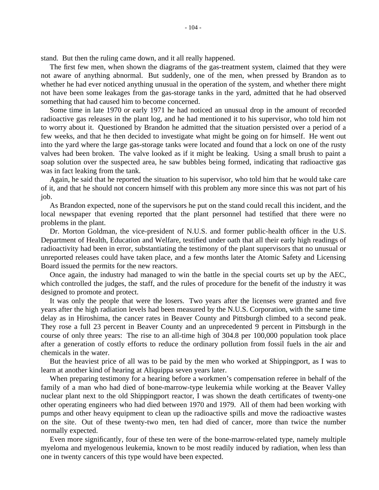stand. But then the ruling came down, and it all really happened.

The first few men, when shown the diagrams of the gas-treatment system, claimed that they were not aware of anything abnormal. But suddenly, one of the men, when pressed by Brandon as to whether he had ever noticed anything unusual in the operation of the system, and whether there might not have been some leakages from the gas-storage tanks in the yard, admitted that he had observed something that had caused him to become concerned.

Some time in late 1970 or early 1971 he had noticed an unusual drop in the amount of recorded radioactive gas releases in the plant log, and he had mentioned it to his supervisor, who told him not to worry about it. Questioned by Brandon he admitted that the situation persisted over a period of a few weeks, and that he then decided to investigate what might be going on for himself. He went out into the yard where the large gas-storage tanks were located and found that a lock on one of the rusty valves had been broken. The valve looked as if it might be leaking. Using a small brush to paint a soap solution over the suspected area, he saw bubbles being formed, indicating that radioactive gas was in fact leaking from the tank.

Again, he said that he reported the situation to his supervisor, who told him that he would take care of it, and that he should not concern himself with this problem any more since this was not part of his job.

As Brandon expected, none of the supervisors he put on the stand could recall this incident, and the local newspaper that evening reported that the plant personnel had testified that there were no problems in the plant.

Dr. Morton Goldman, the vice-president of N.U.S. and former public-health officer in the U.S. Department of Health, Education and Welfare, testified under oath that all their early high readings of radioactivity had been in error, substantiating the testimony of the plant supervisors that no unusual or unreported releases could have taken place, and a few months later the Atomic Safety and Licensing Board issued the permits for the new reactors.

Once again, the industry had managed to win the battle in the special courts set up by the AEC, which controlled the judges, the staff, and the rules of procedure for the benefit of the industry it was designed to promote and protect.

It was only the people that were the losers. Two years after the licenses were granted and five years after the high radiation levels had been measured by the N.U.S. Corporation, with the same time delay as in Hiroshima, the cancer rates in Beaver County and Pittsburgh climbed to a second peak. They rose a full 23 percent in Beaver County and an unprecedented 9 percent in Pittsburgh in the course of only three years: The rise to an all-time high of 304.8 per 100,000 population took place after a generation of costly efforts to reduce the ordinary pollution from fossil fuels in the air and chemicals in the water.

But the heaviest price of all was to be paid by the men who worked at Shippingport, as I was to learn at another kind of hearing at Aliquippa seven years later.

When preparing testimony for a hearing before a workmen's compensation referee in behalf of the family of a man who had died of bone-marrow-type leukemia while working at the Beaver Valley nuclear plant next to the old Shippingport reactor, I was shown the death certificates of twenty-one other operating engineers who had died between 1970 and 1979. All of them had been working with pumps and other heavy equipment to clean up the radioactive spills and move the radioactive wastes on the site. Out of these twenty-two men, ten had died of cancer, more than twice the number normally expected.

Even more significantly, four of these ten were of the bone-marrow-related type, namely multiple myeloma and myelogenous leukemia, known to be most readily induced by radiation, when less than one in twenty cancers of this type would have been expected.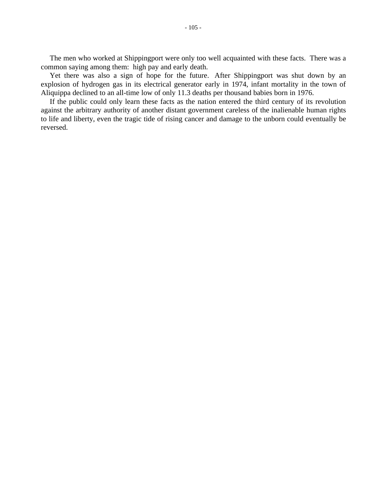The men who worked at Shippingport were only too well acquainted with these facts. There was a common saying among them: high pay and early death.

Yet there was also a sign of hope for the future. After Shippingport was shut down by an explosion of hydrogen gas in its electrical generator early in 1974, infant mortality in the town of Aliquippa declined to an all-time low of only 11.3 deaths per thousand babies born in 1976.

If the public could only learn these facts as the nation entered the third century of its revolution against the arbitrary authority of another distant government careless of the inalienable human rights to life and liberty, even the tragic tide of rising cancer and damage to the unborn could eventually be reversed.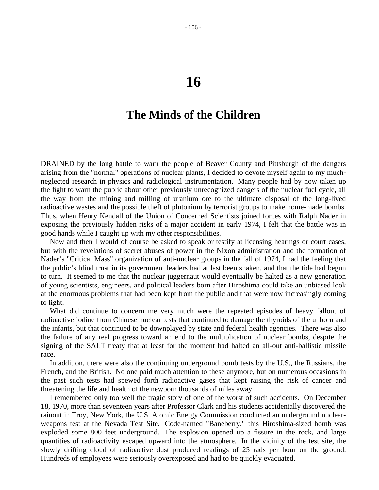# **16**

#### **The Minds of the Children**

DRAINED by the long battle to warn the people of Beaver County and Pittsburgh of the dangers arising from the "normal" operations of nuclear plants, I decided to devote myself again to my muchneglected research in physics and radiological instrumentation. Many people had by now taken up the fight to warn the public about other previously unrecognized dangers of the nuclear fuel cycle, all the way from the mining and milling of uranium ore to the ultimate disposal of the long-lived radioactive wastes and the possible theft of plutonium by terrorist groups to make home-made bombs. Thus, when Henry Kendall of the Union of Concerned Scientists joined forces with Ralph Nader in exposing the previously hidden risks of a major accident in early 1974, I felt that the battle was in good hands while I caught up with my other responsibilities.

Now and then I would of course be asked to speak or testify at licensing hearings or court cases, but with the revelations of secret abuses of power in the Nixon administration and the formation of Nader's "Critical Mass" organization of anti-nuclear groups in the fall of 1974, I had the feeling that the public's blind trust in its government leaders had at last been shaken, and that the tide had begun to turn. It seemed to me that the nuclear juggernaut would eventually be halted as a new generation of young scientists, engineers, and political leaders born after Hiroshima could take an unbiased look at the enormous problems that had been kept from the public and that were now increasingly coming to light.

What did continue to concern me very much were the repeated episodes of heavy fallout of radioactive iodine from Chinese nuclear tests that continued to damage the thyroids of the unborn and the infants, but that continued to be downplayed by state and federal health agencies. There was also the failure of any real progress toward an end to the multiplication of nuclear bombs, despite the signing of the SALT treaty that at least for the moment had halted an all-out anti-ballistic missile race.

In addition, there were also the continuing underground bomb tests by the U.S., the Russians, the French, and the British. No one paid much attention to these anymore, but on numerous occasions in the past such tests had spewed forth radioactive gases that kept raising the risk of cancer and threatening the life and health of the newborn thousands of miles away.

I remembered only too well the tragic story of one of the worst of such accidents. On December 18, 1970, more than seventeen years after Professor Clark and his students accidentally discovered the rainout in Troy, New York, the U.S. Atomic Energy Commission conducted an underground nuclearweapons test at the Nevada Test Site. Code-named "Baneberry," this Hiroshima-sized bomb was exploded some 800 feet underground. The explosion opened up a fissure in the rock, and large quantities of radioactivity escaped upward into the atmosphere. In the vicinity of the test site, the slowly drifting cloud of radioactive dust produced readings of 25 rads per hour on the ground. Hundreds of employees were seriously overexposed and had to be quickly evacuated.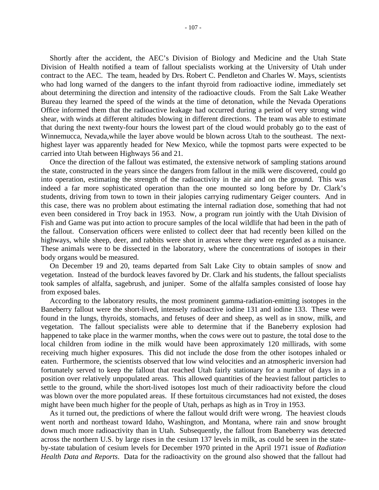Shortly after the accident, the AEC's Division of Biology and Medicine and the Utah State Division of Health notified a team of fallout specialists working at the University of Utah under contract to the AEC. The team, headed by Drs. Robert C. Pendleton and Charles W. Mays, scientists who had long warned of the dangers to the infant thyroid from radioactive iodine, immediately set about determining the direction and intensity of the radioactive clouds. From the Salt Lake Weather Bureau they learned the speed of the winds at the time of detonation, while the Nevada Operations Office informed them that the radioactive leakage had occurred during a period of very strong wind shear, with winds at different altitudes blowing in different directions. The team was able to estimate that during the next twenty-four hours the lowest part of the cloud would probably go to the east of Winnemucca, Nevada,while the layer above would be blown across Utah to the southeast. The nexthighest layer was apparently headed for New Mexico, while the topmost parts were expected to be carried into Utah between Highways 56 and 21.

Once the direction of the fallout was estimated, the extensive network of sampling stations around the state, constructed in the years since the dangers from fallout in the milk were discovered, could go into operation, estimating the strength of the radioactivity in the air and on the ground. This was indeed a far more sophisticated operation than the one mounted so long before by Dr. Clark's students, driving from town to town in their jalopies carrying rudimentary Geiger counters. And in this case, there was no problem about estimating the internal radiation dose, something that had not even been considered in Troy back in 1953. Now, a program run jointly with the Utah Division of Fish and Game was put into action to procure samples of the local wildlife that had been in the path of the fallout. Conservation officers were enlisted to collect deer that had recently been killed on the highways, while sheep, deer, and rabbits were shot in areas where they were regarded as a nuisance. These animals were to be dissected in the laboratory, where the concentrations of isotopes in their body organs would be measured.

On December 19 and 20, teams departed from Salt Lake City to obtain samples of snow and vegetation. Instead of the burdock leaves favored by Dr. Clark and his students, the fallout specialists took samples of alfalfa, sagebrush, and juniper. Some of the alfalfa samples consisted of loose hay from exposed bales.

According to the laboratory results, the most prominent gamma-radiation-emitting isotopes in the Baneberry fallout were the short-lived, intensely radioactive iodine 131 and iodine 133. These were found in the lungs, thyroids, stomachs, and fetuses of deer and sheep, as well as in snow, milk, and vegetation. The fallout specialists were able to determine that if the Baneberry explosion had happened to take place in the warmer months, when the cows were out to pasture, the total dose to the local children from iodine in the milk would have been approximately 120 millirads, with some receiving much higher exposures. This did not include the dose from the other isotopes inhaled or eaten. Furthermore, the scientists observed that low wind velocities and an atmospheric inversion had fortunately served to keep the fallout that reached Utah fairly stationary for a number of days in a position over relatively unpopulated areas. This allowed quantities of the heaviest fallout particles to settle to the ground, while the short-lived isotopes lost much of their radioactivity before the cloud was blown over the more populated areas. If these fortuitous circumstances had not existed, the doses might have been much higher for the people of Utah, perhaps as high as in Troy in 1953.

As it turned out, the predictions of where the fallout would drift were wrong. The heaviest clouds went north and northeast toward Idaho, Washington, and Montana, where rain and snow brought down much more radioactivity than in Utah. Subsequently, the fallout from Baneberry was detected across the northern U.S. by large rises in the cesium 137 levels in milk, as could be seen in the stateby-state tabulation of cesium levels for December 1970 printed in the April 1971 issue of *Radiation Health Data and Reports*. Data for the radioactivity on the ground also showed that the fallout had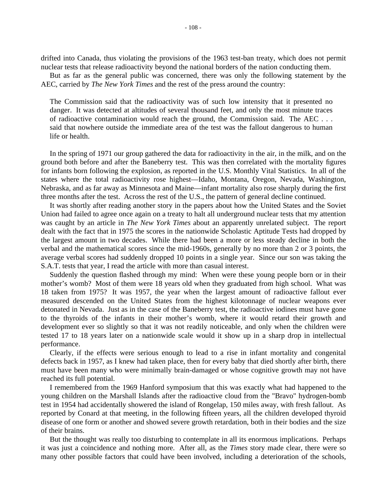drifted into Canada, thus violating the provisions of the 1963 test-ban treaty, which does not permit nuclear tests that release radioactivity beyond the national borders of the nation conducting them.

But as far as the general public was concerned, there was only the following statement by the AEC, carried by *The New York Times* and the rest of the press around the country:

The Commission said that the radioactivity was of such low intensity that it presented no danger. It was detected at altitudes of several thousand feet, and only the most minute traces of radioactive contamination would reach the ground, the Commission said. The AEC... said that nowhere outside the immediate area of the test was the fallout dangerous to human life or health.

In the spring of 1971 our group gathered the data for radioactivity in the air, in the milk, and on the ground both before and after the Baneberry test. This was then correlated with the mortality figures for infants born following the explosion, as reported in the U.S. Monthly Vital Statistics. In all of the states where the total radioactivity rose highest—Idaho, Montana, Oregon, Nevada, Washington, Nebraska, and as far away as Minnesota and Maine—infant mortality also rose sharply during the first three months after the test. Across the rest of the U.S., the pattern of general decline continued.

It was shortly after reading another story in the papers about how the United States and the Soviet Union had failed to agree once again on a treaty to halt all underground nuclear tests that my attention was caught by an article in *The New York Times* about an apparently unrelated subject. The report dealt with the fact that in 1975 the scores in the nationwide Scholastic Aptitude Tests had dropped by the largest amount in two decades. While there had been a more or less steady decline in both the verbal and the mathematical scores since the mid-1960s, generally by no more than 2 or 3 points, the average verbal scores had suddenly dropped 10 points in a single year. Since our son was taking the S.A.T. tests that year, I read the article with more than casual interest.

Suddenly the question flashed through my mind: When were these young people born or in their mother's womb? Most of them were 18 years old when they graduated from high school. What was 18 taken from 1975? It was 1957, the year when the largest amount of radioactive fallout ever measured descended on the United States from the highest kilotonnage of nuclear weapons ever detonated in Nevada. Just as in the case of the Baneberry test, the radioactive iodines must have gone to the thyroids of the infants in their mother's womb, where it would retard their growth and development ever so slightly so that it was not readily noticeable, and only when the children were tested 17 to 18 years later on a nationwide scale would it show up in a sharp drop in intellectual performance.

Clearly, if the effects were serious enough to lead to a rise in infant mortality and congenital defects back in 1957, as I knew had taken place, then for every baby that died shortly after birth, there must have been many who were minimally brain-damaged or whose cognitive growth may not have reached its full potential.

I remembered from the 1969 Hanford symposium that this was exactly what had happened to the young children on the Marshall Islands after the radioactive cloud from the "Bravo" hydrogen-bomb test in 1954 had accidentally showered the island of Rongelap, 150 miles away, with fresh fallout. As reported by Conard at that meeting, in the following fifteen years, all the children developed thyroid disease of one form or another and showed severe growth retardation, both in their bodies and the size of their brains.

But the thought was really too disturbing to contemplate in all its enormous implications. Perhaps it was just a coincidence and nothing more. After all, as the *Times* story made clear, there were so many other possible factors that could have been involved, including a deterioration of the schools,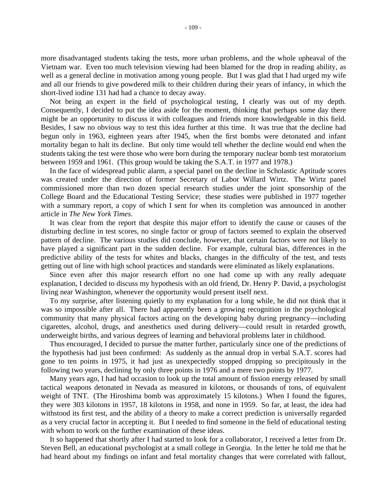more disadvantaged students taking the tests, more urban problems, and the whole upheaval of the Vietnam war. Even too much television viewing had been blamed for the drop in reading ability, as well as a general decline in motivation among young people. But I was glad that I had urged my wife and all our friends to give powdered milk to their children during their years of infancy, in which the short-lived iodine 131 had had a chance to decay away.

Not being an expert in the field of psychological testing, I clearly was out of my depth. Consequently, I decided to put the idea aside for the moment, thinking that perhaps some day there might be an opportunity to discuss it with colleagues and friends more knowledgeable in this field. Besides, I saw no obvious way to test this idea further at this time. It was true that the decline had begun only in 1963, eighteen years after 1945, when the first bombs were detonated and infant mortality began to halt its decline. But only time would tell whether the decline would end when the students taking the test were those who were born during the temporary nuclear bomb test moratorium between 1959 and 1961. (This group would be taking the S.A.T. in 1977 and 1978.)

In the face of widespread public alarm, a special panel on the decline in Scholastic Aptitude scores was created under the direction of former Secretary of Labor Willard Wirtz. The Wirtz panel commissioned more than two dozen special research studies under the joint sponsorship of the College Board and the Educational Testing Service; these studies were published in 1977 together with a summary report, a copy of which I sent for when its completion was announced in another article in *The New York Times*.

It was clear from the report that despite this major effort to identify the cause or causes of the disturbing decline in test scores, no single factor or group of factors seemed to explain the observed pattern of decline. The various studies did conclude, however, that certain factors were *not* likely to have played a significant part in the sudden decline. For example, cultural bias, differences in the predictive ability of the tests for whites and blacks, changes in the difficulty of the test, and tests getting out of line with high school practices and standards were eliminated as likely explanations.

Since even after this major research effort no one had come up with any really adequate explanation, I decided to discuss my hypothesis with an old friend, Dr. Henry P. David, a psychologist living near Washington, whenever the opportunity would present itself next.

To my surprise, after listening quietly to my explanation for a long while, he did not think that it was so impossible after all. There had apparently been a growing recognition in the psychological community that many physical factors acting on the developing baby during pregnancy—including cigarettes, alcohol, drugs, and anesthetics used during delivery—could result in retarded growth, underweight births, and various degrees of learning and behavioral problems later in childhood.

Thus encouraged, I decided to pursue the matter further, particularly since one of the predictions of the hypothesis had just been confirmed: As suddenly as the annual drop in verbal S.A.T. scores had gone to ten points in 1975, it had just as unexpectedly stopped dropping so precipitously in the following two years, declining by only three points in 1976 and a mere two points by 1977.

Many years ago, I had had occasion to look up the total amount of fission energy released by small tactical weapons detonated in Nevada as measured in kilotons, or thousands of tons, of equivalent weight of TNT. (The Hiroshima bomb was approximately 15 kilotons.) When I found the figures, they were 303 kilotons in 1957, 18 kilotons in 1958, and none in 1959. So far, at least, the idea had withstood its first test, and the ability of a theory to make a correct prediction is universally regarded as a very crucial factor in accepting it. But I needed to find someone in the field of educational testing with whom to work on the further examination of these ideas.

It so happened that shortly after I had started to look for a collaborator, I received a letter from Dr. Steven Bell, an educational psychologist at a small college in Georgia. In the letter he told me that he had heard about my findings on infant and fetal mortality changes that were correlated with fallout,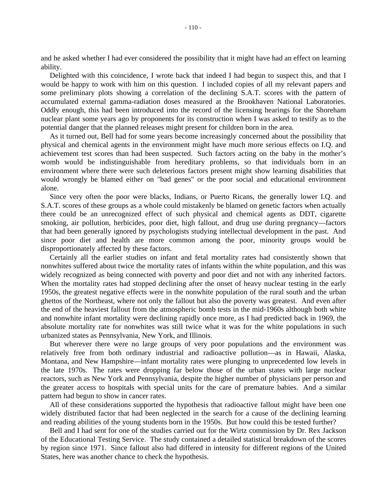and he asked whether I had ever considered the possibility that it might have had an effect on learning ability.

Delighted with this coincidence, I wrote back that indeed I had begun to suspect this, and that I would be happy to work with him on this question. I included copies of all my relevant papers and some preliminary plots showing a correlation of the declining S.A.T. scores with the pattern of accumulated external gamma-radiation doses measured at the Brookhaven National Laboratories. Oddly enough, this had been introduced into the record of the licensing hearings for the Shoreham nuclear plant some years ago by proponents for its construction when I was asked to testify as to the potential danger that the planned releases might present for children born in the area.

As it turned out, Bell had for some years become increasingly concerned about the possibility that physical and chemical agents in the environment might have much more serious effects on I.Q. and achievement test scores than had been suspected. Such factors acting on the baby in the mother's womb would be indistinguishable from hereditary problems, so that individuals born in an environment where there were such deleterious factors present might show learning disabilities that would wrongly be blamed either on "bad genes" or the poor social and educational environment alone.

Since very often the poor were blacks, Indians, or Puerto Ricans, the generally lower I.Q. and S.A.T. scores of these groups as a whole could mistakenly be blamed on genetic factors when actually there could be an unrecognized effect of such physical and chemical agents as DDT, cigarette smoking, air pollution, herbicides, poor diet, high fallout, and drug use during pregnancy—factors that had been generally ignored by psychologists studying intellectual development in the past. And since poor diet and health are more common among the poor, minority groups would be disproportionately affected by these factors.

Certainly all the earlier studies on infant and fetal mortality rates had consistently shown that nonwhites suffered about twice the mortality rates of infants within the white population, and this was widely recognized as being connected with poverty and poor diet and not with any inherited factors. When the mortality rates had stopped declining after the onset of heavy nuclear testing in the early 1950s, the greatest negative effects were in the nonwhite population of the rural south and the urban ghettos of the Northeast, where not only the fallout but also the poverty was greatest. And even after the end of the heaviest fallout from the atmospheric bomb tests in the mid-1960s although both white and nonwhite infant mortality were declining rapidly once more, as I had predicted back in 1969, the absolute mortality rate for nonwhites was still twice what it was for the white populations in such urbanized states as Pennsylvania, New York, and Illinois.

But wherever there were no large groups of very poor populations and the environment was relatively free from both ordinary industrial and radioactive pollution—as in Hawaii, Alaska, Montana, and New Hampshire—infant mortality rates were plunging to unprecedented low levels in the late 1970s. The rates were dropping far below those of the urban states with large nuclear reactors, such as New York and Pennsylvania, despite the higher number of physicians per person and the greater access to hospitals with special units for the care of premature babies. And a similar pattern had begun to show in cancer rates.

All of these considerations supported the hypothesis that radioactive fallout might have been one widely distributed factor that had been neglected in the search for a cause of the declining learning and reading abilities of the young students born in the 1950s. But how could this be tested further?

Bell and I had sent for one of the studies carried out for the Wirtz commission by Dr. Rex Jackson of the Educational Testing Service. The study contained a detailed statistical breakdown of the scores by region since 1971. Since fallout also had differed in intensity for different regions of the United States, here was another chance to check the hypothesis.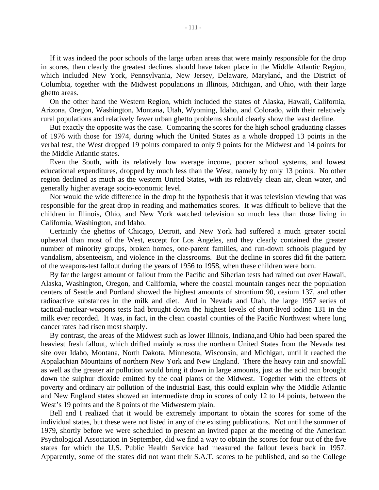If it was indeed the poor schools of the large urban areas that were mainly responsible for the drop in scores, then clearly the greatest declines should have taken place in the Middle Atlantic Region, which included New York, Pennsylvania, New Jersey, Delaware, Maryland, and the District of Columbia, together with the Midwest populations in Illinois, Michigan, and Ohio, with their large ghetto areas.

On the other hand the Western Region, which included the states of Alaska, Hawaii, California, Arizona, Oregon, Washington, Montana, Utah, Wyoming, Idaho, and Colorado, with their relatively rural populations and relatively fewer urban ghetto problems should clearly show the least decline.

But exactly the opposite was the case. Comparing the scores for the high school graduating classes of 1976 with those for 1974, during which the United States as a whole dropped 13 points in the verbal test, the West dropped 19 points compared to only 9 points for the Midwest and 14 points for the Middle Atlantic states.

Even the South, with its relatively low average income, poorer school systems, and lowest educational expenditures, dropped by much less than the West, namely by only 13 points. No other region declined as much as the western United States, with its relatively clean air, clean water, and generally higher average socio-economic level.

Nor would the wide difference in the drop fit the hypothesis that it was television viewing that was responsible for the great drop in reading and mathematics scores. It was difficult to believe that the children in Illinois, Ohio, and New York watched television so much less than those living in California, Washington, and Idaho.

Certainly the ghettos of Chicago, Detroit, and New York had suffered a much greater social upheaval than most of the West, except for Los Angeles, and they clearly contained the greater number of minority groups, broken homes, one-parent families, and run-down schools plagued by vandalism, absenteeism, and violence in the classrooms. But the decline in scores did fit the pattern of the weapons-test fallout during the years of 1956 to 1958, when these children were born.

By far the largest amount of fallout from the Pacific and Siberian tests had rained out over Hawaii, Alaska, Washington, Oregon, and California, where the coastal mountain ranges near the population centers of Seattle and Portland showed the highest amounts of strontium 90, cesium 137, and other radioactive substances in the milk and diet. And in Nevada and Utah, the large 1957 series of tactical-nuclear-weapons tests had brought down the highest levels of short-lived iodine 131 in the milk ever recorded. It was, in fact, in the clean coastal counties of the Pacific Northwest where lung cancer rates had risen most sharply.

By contrast, the areas of the Midwest such as lower Illinois, Indiana,and Ohio had been spared the heaviest fresh fallout, which drifted mainly across the northern United States from the Nevada test site over Idaho, Montana, North Dakota, Minnesota, Wisconsin, and Michigan, until it reached the Appalachian Mountains of northern New York and New England. There the heavy rain and snowfall as well as the greater air pollution would bring it down in large amounts, just as the acid rain brought down the sulphur dioxide emitted by the coal plants of the Midwest. Together with the effects of poverty and ordinary air pollution of the industrial East, this could explain why the Middle Atlantic and New England states showed an intermediate drop in scores of only 12 to 14 points, between the West's 19 points and the 8 points of the Midwestern plain.

Bell and I realized that it would be extremely important to obtain the scores for some of the individual states, but these were not listed in any of the existing publications. Not until the summer of 1979, shortly before we were scheduled to present an invited paper at the meeting of the American Psychological Association in September, did we find a way to obtain the scores for four out of the five states for which the U.S. Public Health Service had measured the fallout levels back in 1957. Apparently, some of the states did not want their S.A.T. scores to be published, and so the College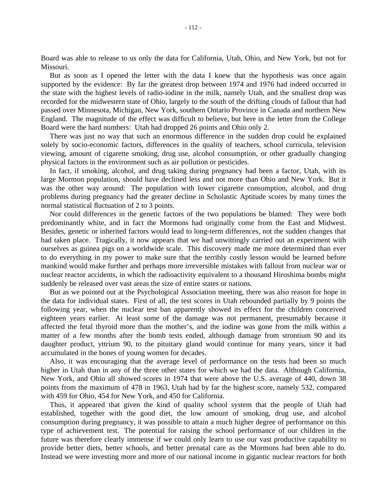Board was able to release to us only the data for California, Utah, Ohio, and New York, but not for Missouri.

But as soon as I opened the letter with the data I knew that the hypothesis was once again supported by the evidence: By far the greatest drop between 1974 and 1976 had indeed occurred in the state with the highest levels of radio-iodine in the milk, namely Utah, and the smallest drop was recorded for the midwestern state of Ohio, largely to the south of the drifting clouds of fallout that had passed over Minnesota, Michigan, New York, southern Ontario Province in Canada and northern New England. The magnitude of the effect was difficult to believe, but here in the letter from the College Board were the hard numbers: Utah had dropped 26 points and Ohio only 2.

There was just no way that such an enormous difference in the sudden drop could be explained solely by socio-economic factors, differences in the quality of teachers, school curricula, television viewing, amount of cigarette smoking, drug use, alcohol consumption, or other gradually changing physical factors in the environment such as air pollution or pesticides.

In fact, if smoking, alcohol, and drug taking during pregnancy had been a factor, Utah, with its large Mormon population, should have declined less and not more than Ohio and New York. But it was the other way around: The population with lower cigarette consumption, alcohol, and drug problems during pregnancy had the greater decline in Scholastic Aptitude scores by many times the normal statistical fluctuation of 2 to 3 points.

Nor could differences in the genetic factors of the two populations be blamed: They were both predominantly white, and in fact the Mormons had originally come from the East and Midwest. Besides, genetic or inherited factors would lead to long-term differences, not the sudden changes that had taken place. Tragically, it now appears that we had unwittingly carried out an experiment with ourselves as guinea pigs on a worldwide scale. This discovery made me more determined than ever to do everything in my power to make sure that the terribly costly lesson would be learned before mankind would make further and perhaps more irreversible mistakes with fallout from nuclear war or nuclear reactor accidents, in which the radioactivity equivalent to a thousand Hiroshima bombs might suddenly be released over vast areas the size of entire states or nations.

But as we pointed out at the Psychological Association meeting, there was also reason for hope in the data for individual states. First of all, the test scores in Utah rebounded partially by 9 points the following year, when the nuclear test ban apparently showed its effect for the children conceived eighteen years earlier. At least some of the damage was not permanent, presumably because it affected the fetal thyroid more than the mother's, and the iodine was gone from the milk within a matter of a few months after the bomb tests ended, although damage from strontium 90 and its daughter product, yttrium 90, to the pituitary gland would continue for many years, since it had accumulated in the bones of young women for decades.

Also, it was encouraging that the average level of performance on the tests had been so much higher in Utah than in any of the three other states for which we had the data. Although California, New York, and Ohio all showed scores in 1974 that were above the U.S. average of 440, down 38 points from the maximum of 478 in 1963, Utah had by far the highest score, namely 532, compared with 459 for Ohio, 454 for New York, and 450 for California.

Thus, it appeared that given the kind of quality school system that the people of Utah had established, together with the good diet, the low amount of smoking, drug use, and alcohol consumption during pregnancy, it was possible to attain a much higher degree of performance on this type of achievement test. The potential for raising the school performance of our children in the future was therefore clearly immense if we could only learn to use our vast productive capability to provide better diets, better schools, and better prenatal care as the Mormons had been able to do. Instead we were investing more and more of our national income in gigantic nuclear reactors for both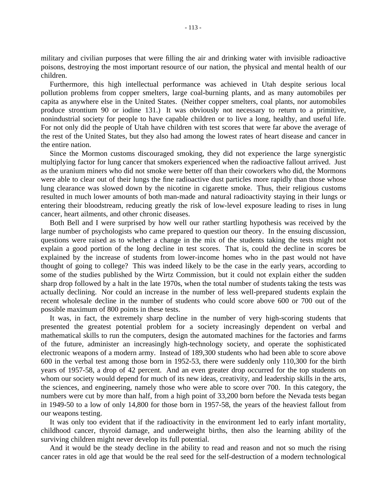military and civilian purposes that were filling the air and drinking water with invisible radioactive poisons, destroying the most important resource of our nation, the physical and mental health of our children.

Furthermore, this high intellectual performance was achieved in Utah despite serious local pollution problems from copper smelters, large coal-burning plants, and as many automobiles per capita as anywhere else in the United States. (Neither copper smelters, coal plants, nor automobiles produce strontium 90 or iodine 131.) It was obviously not necessary to return to a primitive, nonindustrial society for people to have capable children or to live a long, healthy, and useful life. For not only did the people of Utah have children with test scores that were far above the average of the rest of the United States, but they also had among the lowest rates of heart disease and cancer in the entire nation.

Since the Mormon customs discouraged smoking, they did not experience the large synergistic multiplying factor for lung cancer that smokers experienced when the radioactive fallout arrived. Just as the uranium miners who did not smoke were better off than their coworkers who did, the Mormons were able to clear out of their lungs the fine radioactive dust particles more rapidly than those whose lung clearance was slowed down by the nicotine in cigarette smoke. Thus, their religious customs resulted in much lower amounts of both man-made and natural radioactivity staying in their lungs or entering their bloodstream, reducing greatly the risk of low-level exposure leading to rises in lung cancer, heart ailments, and other chronic diseases.

Both Bell and I were surprised by how well our rather startling hypothesis was received by the large number of psychologists who came prepared to question our theory. In the ensuing discussion, questions were raised as to whether a change in the mix of the students taking the tests might not explain a good portion of the long decline in test scores. That is, could the decline in scores be explained by the increase of students from lower-income homes who in the past would not have thought of going to college? This was indeed likely to be the case in the early years, according to some of the studies published by the Wirtz Commission, but it could not explain either the sudden sharp drop followed by a halt in the late 1970s, when the total number of students taking the tests was actually declining. Nor could an increase in the number of less well-prepared students explain the recent wholesale decline in the number of students who could score above 600 or 700 out of the possible maximum of 800 points in these tests.

It was, in fact, the extremely sharp decline in the number of very high-scoring students that presented the greatest potential problem for a society increasingly dependent on verbal and mathematical skills to run the computers, design the automated machines for the factories and farms of the future, administer an increasingly high-technology society, and operate the sophisticated electronic weapons of a modern army. Instead of 189,300 students who had been able to score above 600 in the verbal test among those born in 1952-53, there were suddenly only 110,300 for the birth years of 1957-58, a drop of 42 percent. And an even greater drop occurred for the top students on whom our society would depend for much of its new ideas, creativity, and leadership skills in the arts, the sciences, and engineering, namely those who were able to score over 700. In this category, the numbers were cut by more than half, from a high point of 33,200 born before the Nevada tests began in 1949-50 to a low of only 14,800 for those born in 1957-58, the years of the heaviest fallout from our weapons testing.

It was only too evident that if the radioactivity in the environment led to early infant mortality, childhood cancer, thyroid damage, and underweight births, then also the learning ability of the surviving children might never develop its full potential.

And it would be the steady decline in the ability to read and reason and not so much the rising cancer rates in old age that would be the real seed for the self-destruction of a modern technological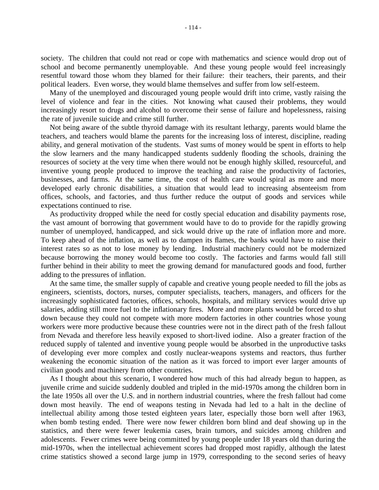society. The children that could not read or cope with mathematics and science would drop out of school and become permanently unemployable. And these young people would feel increasingly resentful toward those whom they blamed for their failure: their teachers, their parents, and their political leaders. Even worse, they would blame themselves and suffer from low self-esteem.

Many of the unemployed and discouraged young people would drift into crime, vastly raising the level of violence and fear in the cities. Not knowing what caused their problems, they would increasingly resort to drugs and alcohol to overcome their sense of failure and hopelessness, raising the rate of juvenile suicide and crime still further.

Not being aware of the subtle thyroid damage with its resultant lethargy, parents would blame the teachers, and teachers would blame the parents for the increasing loss of interest, discipline, reading ability, and general motivation of the students. Vast sums of money would be spent in efforts to help the slow learners and the many handicapped students suddenly flooding the schools, draining the resources of society at the very time when there would not be enough highly skilled, resourceful, and inventive young people produced to improve the teaching and raise the productivity of factories, businesses, and farms. At the same time, the cost of health care would spiral as more and more developed early chronic disabilities, a situation that would lead to increasing absenteeism from offices, schools, and factories, and thus further reduce the output of goods and services while expectations continued to rise.

As productivity dropped while the need for costly special education and disability payments rose, the vast amount of borrowing that government would have to do to provide for the rapidly growing number of unemployed, handicapped, and sick would drive up the rate of inflation more and more. To keep ahead of the inflation, as well as to dampen its flames, the banks would have to raise their interest rates so as not to lose money by lending. Industrial machinery could not be modernized because borrowing the money would become too costly. The factories and farms would fall still further behind in their ability to meet the growing demand for manufactured goods and food, further adding to the pressures of inflation.

At the same time, the smaller supply of capable and creative young people needed to fill the jobs as engineers, scientists, doctors, nurses, computer specialists, teachers, managers, and officers for the increasingly sophisticated factories, offices, schools, hospitals, and military services would drive up salaries, adding still more fuel to the inflationary fires. More and more plants would be forced to shut down because they could not compete with more modern factories in other countries whose young workers were more productive because these countries were not in the direct path of the fresh fallout from Nevada and therefore less heavily exposed to short-lived iodine. Also a greater fraction of the reduced supply of talented and inventive young people would be absorbed in the unproductive tasks of developing ever more complex and costly nuclear-weapons systems and reactors, thus further weakening the economic situation of the nation as it was forced to import ever larger amounts of civilian goods and machinery from other countries.

As I thought about this scenario, I wondered how much of this had already begun to happen, as juvenile crime and suicide suddenly doubled and tripled in the mid-1970s among the children born in the late 1950s all over the U.S. and in northern industrial countries, where the fresh fallout had come down most heavily. The end of weapons testing in Nevada had led to a halt in the decline of intellectual ability among those tested eighteen years later, especially those born well after 1963, when bomb testing ended. There were now fewer children born blind and deaf showing up in the statistics, and there were fewer leukemia cases, brain tumors, and suicides among children and adolescents. Fewer crimes were being committed by young people under 18 years old than during the mid-1970s, when the intellectual achievement scores had dropped most rapidly, although the latest crime statistics showed a second large jump in 1979, corresponding to the second series of heavy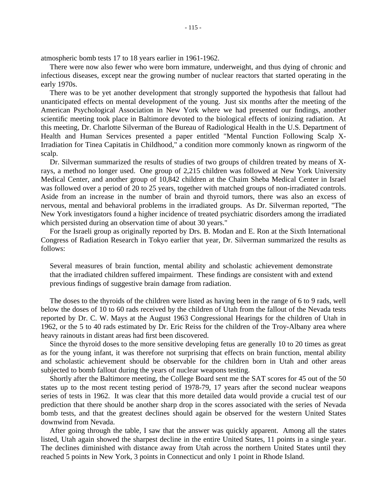atmospheric bomb tests 17 to 18 years earlier in 1961-1962.

There were now also fewer who were born immature, underweight, and thus dying of chronic and infectious diseases, except near the growing number of nuclear reactors that started operating in the early 1970s.

There was to be yet another development that strongly supported the hypothesis that fallout had unanticipated effects on mental development of the young. Just six months after the meeting of the American Psychological Association in New York where we had presented our findings, another scientific meeting took place in Baltimore devoted to the biological effects of ionizing radiation. At this meeting, Dr. Charlotte Silverman of the Bureau of Radiological Health in the U.S. Department of Health and Human Services presented a paper entitled "Mental Function Following Scalp X-Irradiation for Tinea Capitatis in Childhood," a condition more commonly known as ringworm of the scalp.

Dr. Silverman summarized the results of studies of two groups of children treated by means of Xrays, a method no longer used. One group of 2,215 children was followed at New York University Medical Center, and another group of 10,842 children at the Chaim Sheba Medical Center in Israel was followed over a period of 20 to 25 years, together with matched groups of non-irradiated controls. Aside from an increase in the number of brain and thyroid tumors, there was also an excess of nervous, mental and behavioral problems in the irradiated groups. As Dr. Silverman reported, "The New York investigators found a higher incidence of treated psychiatric disorders among the irradiated which persisted during an observation time of about 30 years."

For the Israeli group as originally reported by Drs. B. Modan and E. Ron at the Sixth International Congress of Radiation Research in Tokyo earlier that year, Dr. Silverman summarized the results as follows:

Several measures of brain function, mental ability and scholastic achievement demonstrate that the irradiated children suffered impairment. These findings are consistent with and extend previous findings of suggestive brain damage from radiation.

The doses to the thyroids of the children were listed as having been in the range of 6 to 9 rads, well below the doses of 10 to 60 rads received by the children of Utah from the fallout of the Nevada tests reported by Dr. C. W. Mays at the August 1963 Congressional Hearings for the children of Utah in 1962, or the 5 to 40 rads estimated by Dr. Eric Reiss for the children of the Troy-Albany area where heavy rainouts in distant areas had first been discovered.

Since the thyroid doses to the more sensitive developing fetus are generally 10 to 20 times as great as for the young infant, it was therefore not surprising that effects on brain function, mental ability and scholastic achievement should be observable for the children born in Utah and other areas subjected to bomb fallout during the years of nuclear weapons testing.

Shortly after the Baltimore meeting, the College Board sent me the SAT scores for 45 out of the 50 states up to the most recent testing period of 1978-79, 17 years after the second nuclear weapons series of tests in 1962. It was clear that this more detailed data would provide a crucial test of our prediction that there should be another sharp drop in the scores associated with the series of Nevada bomb tests, and that the greatest declines should again be observed for the western United States downwind from Nevada.

After going through the table, I saw that the answer was quickly apparent. Among all the states listed, Utah again showed the sharpest decline in the entire United States, 11 points in a single year. The declines diminished with distance away from Utah across the northern United States until they reached 5 points in New York, 3 points in Connecticut and only 1 point in Rhode Island.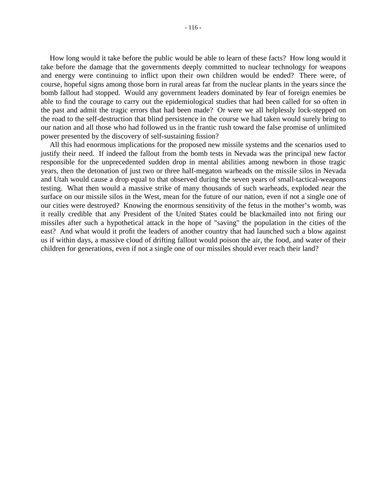How long would it take before the public would be able to learn of these facts? How long would it take before the damage that the governments deeply committed to nuclear technology for weapons and energy were continuing to inflict upon their own children would be ended? There were, of course, hopeful signs among those born in rural areas far from the nuclear plants in the years since the bomb fallout had stopped. Would any government leaders dominated by fear of foreign enemies be able to find the courage to carry out the epidemiological studies that had been called for so often in the past and admit the tragic errors that had been made? Or were we all helplessly lock-stepped on the road to the self-destruction that blind persistence in the course we had taken would surely bring to our nation and all those who had followed us in the frantic rush toward the false promise of unlimited power presented by the discovery of self-sustaining fission?

All this had enormous implications for the proposed new missile systems and the scenarios used to justify their need. If indeed the fallout from the bomb tests in Nevada was the principal new factor responsible for the unprecedented sudden drop in mental abilities among newborn in those tragic years, then the detonation of just two or three half-megaton warheads on the missile silos in Nevada and Utah would cause a drop equal to that observed during the seven years of small-tactical-weapons testing. What then would a massive strike of many thousands of such warheads, exploded near the surface on our missile silos in the West, mean for the future of our nation, even if not a single one of our cities were destroyed? Knowing the enormous sensitivity of the fetus in the mother's womb, was it really credible that any President of the United States could be blackmailed into not firing our missiles after such a hypothetical attack in the hope of "saving" the population in the cities of the east? And what would it profit the leaders of another country that had launched such a blow against us if within days, a massive cloud of drifting fallout would poison the air, the food, and water of their children for generations, even if not a single one of our missiles should ever reach their land?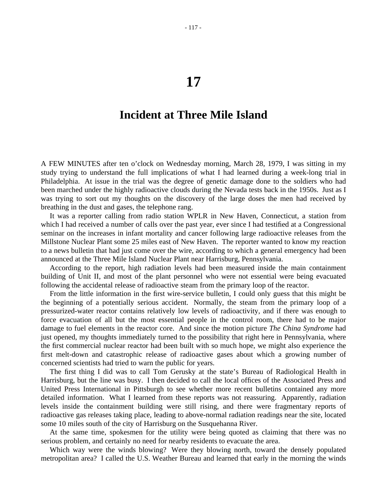### **17**

### **Incident at Three Mile Island**

A FEW MINUTES after ten o'clock on Wednesday morning, March 28, 1979, I was sitting in my study trying to understand the full implications of what I had learned during a week-long trial in Philadelphia. At issue in the trial was the degree of genetic damage done to the soldiers who had been marched under the highly radioactive clouds during the Nevada tests back in the 1950s. Just as I was trying to sort out my thoughts on the discovery of the large doses the men had received by breathing in the dust and gases, the telephone rang.

It was a reporter calling from radio station WPLR in New Haven, Connecticut, a station from which I had received a number of calls over the past year, ever since I had testified at a Congressional seminar on the increases in infant mortality and cancer following large radioactive releases from the Millstone Nuclear Plant some 25 miles east of New Haven. The reporter wanted to know my reaction to a news bulletin that had just come over the wire, according to which a general emergency had been announced at the Three Mile Island Nuclear Plant near Harrisburg, Pennsylvania.

According to the report, high radiation levels had been measured inside the main containment building of Unit II, and most of the plant personnel who were not essential were being evacuated following the accidental release of radioactive steam from the primary loop of the reactor.

From the little information in the first wire-service bulletin, I could only guess that this might be the beginning of a potentially serious accident. Normally, the steam from the primary loop of a pressurized-water reactor contains relatively low levels of radioactivity, and if there was enough to force evacuation of all but the most essential people in the control room, there had to be major damage to fuel elements in the reactor core. And since the motion picture *The China Syndrome* had just opened, my thoughts immediately turned to the possibility that right here in Pennsylvania, where the first commercial nuclear reactor had been built with so much hope, we might also experience the first melt-down and catastrophic release of radioactive gases about which a growing number of concerned scientists had tried to warn the public for years.

The first thing I did was to call Tom Gerusky at the state's Bureau of Radiological Health in Harrisburg, but the line was busy. I then decided to call the local offices of the Associated Press and United Press International in Pittsburgh to see whether more recent bulletins contained any more detailed information. What I learned from these reports was not reassuring. Apparently, radiation levels inside the containment building were still rising, and there were fragmentary reports of radioactive gas releases taking place, leading to above-normal radiation readings near the site, located some 10 miles south of the city of Harrisburg on the Susquehanna River.

At the same time, spokesmen for the utility were being quoted as claiming that there was no serious problem, and certainly no need for nearby residents to evacuate the area.

Which way were the winds blowing? Were they blowing north, toward the densely populated metropolitan area? I called the U.S. Weather Bureau and learned that early in the morning the winds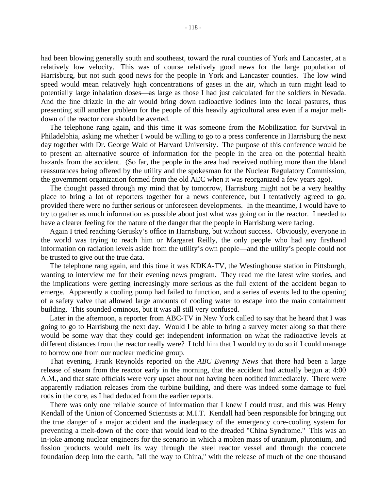had been blowing generally south and southeast, toward the rural counties of York and Lancaster, at a relatively low velocity. This was of course relatively good news for the large population of Harrisburg, but not such good news for the people in York and Lancaster counties. The low wind speed would mean relatively high concentrations of gases in the air, which in turn might lead to potentially large inhalation doses—as large as those I had just calculated for the soldiers in Nevada. And the fine drizzle in the air would bring down radioactive iodines into the local pastures, thus presenting still another problem for the people of this heavily agricultural area even if a major meltdown of the reactor core should be averted.

The telephone rang again, and this time it was someone from the Mobilization for Survival in Philadelphia, asking me whether I would be willing to go to a press conference in Harrisburg the next day together with Dr. George Wald of Harvard University. The purpose of this conference would be to present an alternative source of information for the people in the area on the potential health hazards from the accident. (So far, the people in the area had received nothing more than the bland reassurances being offered by the utility and the spokesman for the Nuclear Regulatory Commission, the government organization formed from the old AEC when it was reorganized a few years ago).

The thought passed through my mind that by tomorrow, Harrisburg might not be a very healthy place to bring a lot of reporters together for a news conference, but I tentatively agreed to go, provided there were no further serious or unforeseen developments. In the meantime, I would have to try to gather as much information as possible about just what was going on in the reactor. I needed to have a clearer feeling for the nature of the danger that the people in Harrisburg were facing.

Again I tried reaching Gerusky's office in Harrisburg, but without success. Obviously, everyone in the world was trying to reach him or Margaret Reilly, the only people who had any firsthand information on radiation levels aside from the utility's own people—and the utility's people could not be trusted to give out the true data.

The telephone rang again, and this time it was KDKA-TV, the Westinghouse station in Pittsburgh, wanting to interview me for their evening news program. They read me the latest wire stories, and the implications were getting increasingly more serious as the full extent of the accident began to emerge. Apparently a cooling pump had failed to function, and a series of events led to the opening of a safety valve that allowed large amounts of cooling water to escape into the main containment building. This sounded ominous, but it was all still very confused.

Later in the afternoon, a reporter from ABC-TV in New York called to say that he heard that I was going to go to Harrisburg the next day. Would I be able to bring a survey meter along so that there would be some way that they could get independent information on what the radioactive levels at different distances from the reactor really were? I told him that I would try to do so if I could manage to borrow one from our nuclear medicine group.

That evening, Frank Reynolds reported on the *ABC Evening News* that there had been a large release of steam from the reactor early in the morning, that the accident had actually begun at 4:00 A.M., and that state officials were very upset about not having been notified immediately. There were apparently radiation releases from the turbine building, and there was indeed some damage to fuel rods in the core, as I had deduced from the earlier reports.

There was only one reliable source of information that I knew I could trust, and this was Henry Kendall of the Union of Concerned Scientists at M.I.T. Kendall had been responsible for bringing out the true danger of a major accident and the inadequacy of the emergency core-cooling system for preventing a melt-down of the core that would lead to the dreaded "China Syndrome." This was an in-joke among nuclear engineers for the scenario in which a molten mass of uranium, plutonium, and fission products would melt its way through the steel reactor vessel and through the concrete foundation deep into the earth, "all the way to China," with the release of much of the one thousand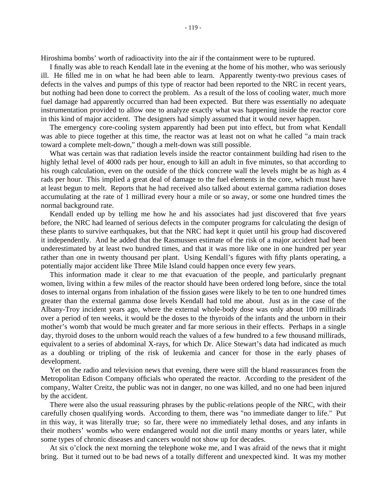Hiroshima bombs' worth of radioactivity into the air if the containment were to be ruptured.

I finally was able to reach Kendall late in the evening at the home of his mother, who was seriously ill. He filled me in on what he had been able to learn. Apparently twenty-two previous cases of defects in the valves and pumps of this type of reactor had been reported to the NRC in recent years, but nothing had been done to correct the problem. As a result of the loss of cooling water, much more fuel damage had apparently occurred than had been expected. But there was essentially no adequate instrumentation provided to allow one to analyze exactly what was happening inside the reactor core in this kind of major accident. The designers had simply assumed that it would never happen.

The emergency core-cooling system apparently had been put into effect, but from what Kendall was able to piece together at this time, the reactor was at least not on what he called "a main track toward a complete melt-down," though a melt-down was still possible.

What was certain was that radiation levels inside the reactor containment building had risen to the highly lethal level of 4000 rads per hour, enough to kill an adult in five minutes, so that according to his rough calculation, even on the outside of the thick concrete wall the levels might be as high as 4 rads per hour. This implied a great deal of damage to the fuel elements in the core, which must have at least begun to melt. Reports that he had received also talked about external gamma radiation doses accumulating at the rate of 1 millirad every hour a mile or so away, or some one hundred times the normal background rate.

Kendall ended up by telling me how he and his associates had just discovered that five years before, the NRC had learned of serious defects in the computer programs for calculating the design of these plants to survive earthquakes, but that the NRC had kept it quiet until his group had discovered it independently. And he added that the Rasmussen estimate of the risk of a major accident had been underestimated by at least two hundred times, and that it was more like one in one hundred per year rather than one in twenty thousand per plant. Using Kendall's figures with fifty plants operating, a potentially major accident like Three Mile Island could happen once every few years.

This information made it clear to me that evacuation of the people, and particularly pregnant women, living within a few miles of the reactor should have been ordered long before, since the total doses to internal organs from inhalation of the fission gases were likely to be ten to one hundred times greater than the external gamma dose levels Kendall had told me about. Just as in the case of the Albany-Troy incident years ago, where the external whole-body dose was only about 100 millirads over a period of ten weeks, it would be the doses to the thyroids of the infants and the unborn in their mother's womb that would be much greater and far more serious in their effects. Perhaps in a single day, thyroid doses to the unborn would reach the values of a few hundred to a few thousand millirads, equivalent to a series of abdominal X-rays, for which Dr. Alice Stewart's data had indicated as much as a doubling or tripling of the risk of leukemia and cancer for those in the early phases of development.

Yet on the radio and television news that evening, there were still the bland reassurances from the Metropolitan Edison Company officials who operated the reactor. According to the president of the company, Walter Creitz, the public was not in danger, no one was killed, and no one had been injured by the accident.

There were also the usual reassuring phrases by the public-relations people of the NRC, with their carefully chosen qualifying words. According to them, there was "no immediate danger to life." Put in this way, it was literally true; so far, there were no immediately lethal doses, and any infants in their mothers' wombs who were endangered would not die until many months or years later, while some types of chronic diseases and cancers would not show up for decades.

At six o'clock the next morning the telephone woke me, and I was afraid of the news that it might bring. But it turned out to be bad news of a totally different and unexpected kind. It was my mother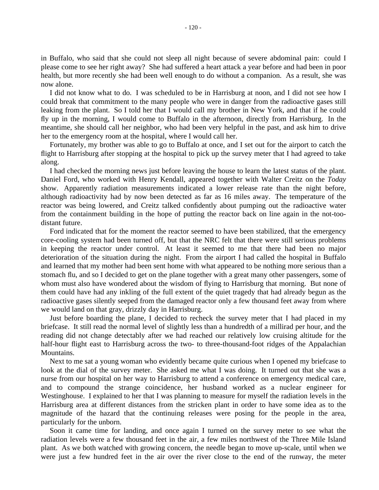in Buffalo, who said that she could not sleep all night because of severe abdominal pain: could I please come to see her right away? She had suffered a heart attack a year before and had been in poor health, but more recently she had been well enough to do without a companion. As a result, she was now alone.

I did not know what to do. I was scheduled to be in Harrisburg at noon, and I did not see how I could break that commitment to the many people who were in danger from the radioactive gases still leaking from the plant. So I told her that I would call my brother in New York, and that if he could fly up in the morning, I would come to Buffalo in the afternoon, directly from Harrisburg. In the meantime, she should call her neighbor, who had been very helpful in the past, and ask him to drive her to the emergency room at the hospital, where I would call her.

Fortunately, my brother was able to go to Buffalo at once, and I set out for the airport to catch the flight to Harrisburg after stopping at the hospital to pick up the survey meter that I had agreed to take along.

I had checked the morning news just before leaving the house to learn the latest status of the plant. Daniel Ford, who worked with Henry Kendall, appeared together with Walter Creitz on the *Today* show. Apparently radiation measurements indicated a lower release rate than the night before, although radioactivity had by now been detected as far as 16 miles away. The temperature of the reactor was being lowered, and Creitz talked confidently about pumping out the radioactive water from the containment building in the hope of putting the reactor back on line again in the not-toodistant future.

Ford indicated that for the moment the reactor seemed to have been stabilized, that the emergency core-cooling system had been turned off, but that the NRC felt that there were still serious problems in keeping the reactor under control. At least it seemed to me that there had been no major deterioration of the situation during the night. From the airport I had called the hospital in Buffalo and learned that my mother had been sent home with what appeared to be nothing more serious than a stomach flu, and so I decided to get on the plane together with a great many other passengers, some of whom must also have wondered about the wisdom of flying to Harrisburg that morning. But none of them could have had any inkling of the full extent of the quiet tragedy that had already begun as the radioactive gases silently seeped from the damaged reactor only a few thousand feet away from where we would land on that gray, drizzly day in Harrisburg.

Just before boarding the plane, I decided to recheck the survey meter that I had placed in my briefcase. It still read the normal level of slightly less than a hundredth of a millirad per hour, and the reading did not change detectably after we had reached our relatively low cruising altitude for the half-hour flight east to Harrisburg across the two- to three-thousand-foot ridges of the Appalachian Mountains.

Next to me sat a young woman who evidently became quite curious when I opened my briefcase to look at the dial of the survey meter. She asked me what I was doing. It turned out that she was a nurse from our hospital on her way to Harrisburg to attend a conference on emergency medical care, and to compound the strange coincidence, her husband worked as a nuclear engineer for Westinghouse. I explained to her that I was planning to measure for myself the radiation levels in the Harrisburg area at different distances from the stricken plant in order to have some idea as to the magnitude of the hazard that the continuing releases were posing for the people in the area, particularly for the unborn.

Soon it came time for landing, and once again I turned on the survey meter to see what the radiation levels were a few thousand feet in the air, a few miles northwest of the Three Mile Island plant. As we both watched with growing concern, the needle began to move up-scale, until when we were just a few hundred feet in the air over the river close to the end of the runway, the meter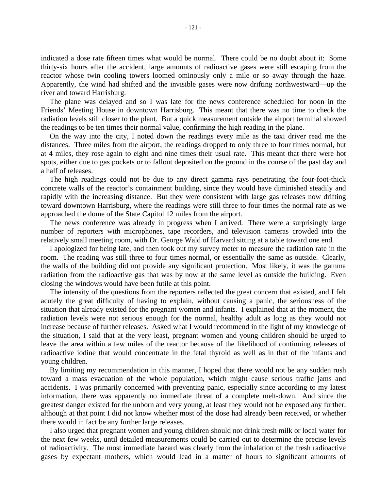indicated a dose rate fifteen times what would be normal. There could be no doubt about it: Some thirty-six hours after the accident, large amounts of radioactive gases were still escaping from the reactor whose twin cooling towers loomed ominously only a mile or so away through the haze. Apparently, the wind had shifted and the invisible gases were now drifting northwestward—up the river and toward Harrisburg.

The plane was delayed and so I was late for the news conference scheduled for noon in the Friends' Meeting House in downtown Harrisburg. This meant that there was no time to check the radiation levels still closer to the plant. But a quick measurement outside the airport terminal showed the readings to be ten times their normal value, confirming the high reading in the plane.

On the way into the city, I noted down the readings every mile as the taxi driver read me the distances. Three miles from the airport, the readings dropped to only three to four times normal, but at 4 miles, they rose again to eight and nine times their usual rate. This meant that there were hot spots, either due to gas pockets or to fallout deposited on the ground in the course of the past day and a half of releases.

The high readings could not be due to any direct gamma rays penetrating the four-foot-thick concrete walls of the reactor's containment building, since they would have diminished steadily and rapidly with the increasing distance. But they were consistent with large gas releases now drifting toward downtown Harrisburg, where the readings were still three to four times the normal rate as we approached the dome of the State Capitol 12 miles from the airport.

The news conference was already in progress when I arrived. There were a surprisingly large number of reporters with microphones, tape recorders, and television cameras crowded into the relatively small meeting room, with Dr. George Wald of Harvard sitting at a table toward one end.

I apologized for being late, and then took out my survey meter to measure the radiation rate in the room. The reading was still three to four times normal, or essentially the same as outside. Clearly, the walls of the building did not provide any significant protection. Most likely, it was the gamma radiation from the radioactive gas that was by now at the same level as outside the building. Even closing the windows would have been futile at this point.

The intensity of the questions from the reporters reflected the great concern that existed, and I felt acutely the great difficulty of having to explain, without causing a panic, the seriousness of the situation that already existed for the pregnant women and infants. I explained that at the moment, the radiation levels were not serious enough for the normal, healthy adult as long as they would not increase because of further releases. Asked what I would recommend in the light of my knowledge of the situation, I said that at the very least, pregnant women and young children should be urged to leave the area within a few miles of the reactor because of the likelihood of continuing releases of radioactive iodine that would concentrate in the fetal thyroid as well as in that of the infants and young children.

By limiting my recommendation in this manner, I hoped that there would not be any sudden rush toward a mass evacuation of the whole population, which might cause serious traffic jams and accidents. I was primarily concerned with preventing panic, especially since according to my latest information, there was apparently no immediate threat of a complete melt-down. And since the greatest danger existed for the unborn and very young, at least they would not be exposed any further, although at that point I did not know whether most of the dose had already been received, or whether there would in fact be any further large releases.

I also urged that pregnant women and young children should not drink fresh milk or local water for the next few weeks, until detailed measurements could be carried out to determine the precise levels of radioactivity. The most immediate hazard was clearly from the inhalation of the fresh radioactive gases by expectant mothers, which would lead in a matter of hours to significant amounts of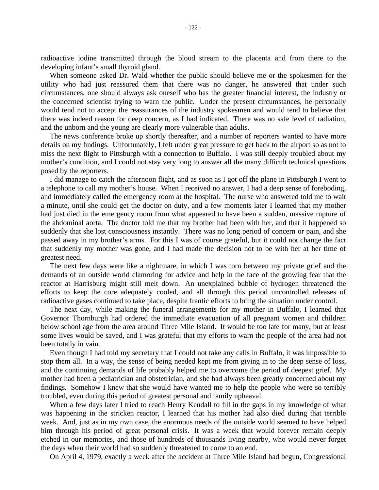radioactive iodine transmitted through the blood stream to the placenta and from there to the developing infant's small thyroid gland.

When someone asked Dr. Wald whether the public should believe me or the spokesmen for the utility who had just reassured them that there was no danger, he answered that under such circumstances, one should always ask oneself who has the greater financial interest, the industry or the concerned scientist trying to warn the public. Under the present circumstances, he personally would tend not to accept the reassurances of the industry spokesmen and would tend to believe that there was indeed reason for deep concern, as I had indicated. There was no safe level of radiation, and the unborn and the young are clearly more vulnerable than adults.

The news conference broke up shortly thereafter, and a number of reporters wanted to have more details on my findings. Unfortunately, I felt under great pressure to get back to the airport so as not to miss the next flight to Pittsburgh with a connection to Buffalo. I was still deeply troubled about my mother's condition, and I could not stay very long to answer all the many difficult technical questions posed by the reporters.

I did manage to catch the afternoon flight, and as soon as I got off the plane in Pittsburgh I went to a telephone to call my mother's house. When I received no answer, I had a deep sense of foreboding, and immediately called the emergency room at the hospital. The nurse who answered told me to wait a minute, until she could get the doctor on duty, and a few moments later I learned that my mother had just died in the emergency room from what appeared to have been a sudden, massive rupture of the abdominal aorta. The doctor told me that my brother had been with her, and that it happened so suddenly that she lost consciousness instantly. There was no long period of concern or pain, and she passed away in my brother's arms. For this I was of course grateful, but it could not change the fact that suddenly my mother was gone, and I had made the decision not to be with her at her time of greatest need.

The next few days were like a nightmare, in which I was torn between my private grief and the demands of an outside world clamoring for advice and help in the face of the growing fear that the reactor at Harrisburg might still melt down. An unexplained bubble of hydrogen threatened the efforts to keep the core adequately cooled, and all through this period uncontrolled releases of radioactive gases continued to take place, despite frantic efforts to bring the situation under control.

The next day, while making the funeral arrangements for my mother in Buffalo, I learned that Governor Thornburgh had ordered the immediate evacuation of all pregnant women and children below school age from the area around Three Mile Island. It would be too late for many, but at least some lives would be saved, and I was grateful that my efforts to warn the people of the area had not been totally in vain.

Even though I had told my secretary that I could not take any calls in Buffalo, it was impossible to stop them all. In a way, the sense of being needed kept me from giving in to the deep sense of loss, and the continuing demands of life probably helped me to overcome the period of deepest grief. My mother had been a pediatrician and obstetrician, and she had always been greatly concerned about my findings. Somehow I knew that she would have wanted me to help the people who were so terribly troubled, even during this period of greatest personal and family upheaval.

When a few days later I tried to reach Henry Kendall to fill in the gaps in my knowledge of what was happening in the stricken reactor, I learned that his mother had also died during that terrible week. And, just as in my own case, the enormous needs of the outside world seemed to have helped him through his period of great personal crisis. It was a week that would forever remain deeply etched in our memories, and those of hundreds of thousands living nearby, who would never forget the days when their world had so suddenly threatened to come to an end.

On April 4, 1979, exactly a week after the accident at Three Mile Island had begun, Congressional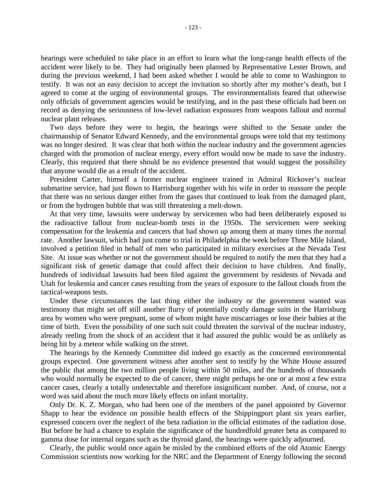hearings were scheduled to take place in an effort to learn what the long-range health effects of the accident were likely to be. They had originally been planned by Representative Lester Brown, and during the previous weekend, I had been asked whether I would be able to come to Washington to testify. It was not an easy decision to accept the invitation so shortly after my mother's death, but I agreed to come at the urging of environmental groups. The environmentalists feared that otherwise only officials of government agencies would be testifying, and in the past these officials had been on record as denying the seriousness of low-level radiation exposures from weapons fallout and normal nuclear plant releases.

Two days before they were to begin, the hearings were shifted to the Senate under the chairmanship of Senator Edward Kennedy, and the environmental groups were told that my testimony was no longer desired. It was clear that both within the nuclear industry and the government agencies charged with the promotion of nuclear energy, every effort would now be made to save the industry. Clearly, this required that there should be no evidence presented that would suggest the possibility that anyone would die as a result of the accident.

President Carter, himself a former nuclear engineer trained in Admiral Rickover's nuclear submarine service, had just flown to Harrisburg together with his wife in order to reassure the people that there was no serious danger either from the gases that continued to leak from the damaged plant, or from the hydrogen bubble that was still threatening a melt-down.

At that very time, lawsuits were underway by servicemen who had been deliberately exposed to the radioactive fallout from nuclear-bomb tests in the 1950s. The servicemen were seeking compensation for the leukemia and cancers that had shown up among them at many times the normal rate. Another lawsuit, which had just come to trial in Philadelphia the week before Three Mile Island, involved a petition filed in behalf of men who participated in military exercises at the Nevada Test Site. At issue was whether or not the government should be required to notify the men that they had a significant risk of genetic damage that could affect their decision to have children. And finally, hundreds of individual lawsuits had been filed against the government by residents of Nevada and Utah for leukemia and cancer cases resulting from the years of exposure to the fallout clouds from the tactical-weapons tests.

Under these circumstances the last thing either the industry or the government wanted was testimony that might set off still another flurry of potentially costly damage suits in the Harrisburg area by women who were pregnant, some of whom might have miscarriages or lose their babies at the time of birth. Even the possibility of one such suit could threaten the survival of the nuclear industry, already reeling from the shock of an accident that it had assured the public would be as unlikely as being hit by a meteor while walking on the street.

The hearings by the Kennedy Committee did indeed go exactly as the concerned environmental groups expected. One government witness after another sent to testify by the White House assured the public that among the two million people living within 50 miles, and the hundreds of thousands who would normally be expected to die of cancer, there might perhaps be one or at most a few extra cancer cases, clearly a totally undetectable and therefore insignificant number. And, of course, not a word was said about the much more likely effects on infant mortality.

Only Dr. K. Z. Morgan, who had been one of the members of the panel appointed by Governor Shapp to hear the evidence on possible health effects of the Shippingport plant six years earlier, expressed concern over the neglect of the beta radiation in the official estimates of the radiation dose. But before he had a chance to explain the significance of the hundredfold greater beta as compared to gamma dose for internal organs such as the thyroid gland, the hearings were quickly adjourned.

Clearly, the public would once again be misled by the combined efforts of the old Atomic Energy Commission scientists now working for the NRC and the Department of Energy following the second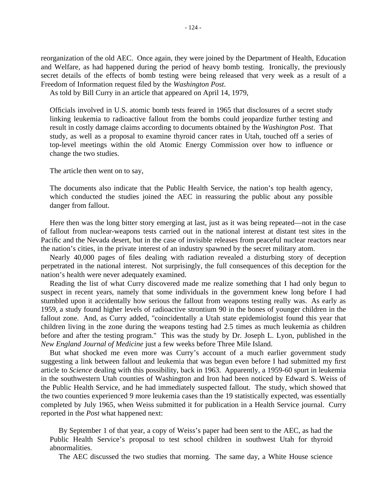reorganization of the old AEC. Once again, they were joined by the Department of Health, Education and Welfare, as had happened during the period of heavy bomb testing. Ironically, the previously secret details of the effects of bomb testing were being released that very week as a result of a Freedom of Information request filed by the *Washington Post*.

As told by Bill Curry in an article that appeared on April 14, 1979,

Officials involved in U.S. atomic bomb tests feared in 1965 that disclosures of a secret study linking leukemia to radioactive fallout from the bombs could jeopardize further testing and result in costly damage claims according to documents obtained by the *Washington Post*. That study, as well as a proposal to examine thyroid cancer rates in Utah, touched off a series of top-level meetings within the old Atomic Energy Commission over how to influence or change the two studies.

The article then went on to say,

The documents also indicate that the Public Health Service, the nation's top health agency, which conducted the studies joined the AEC in reassuring the public about any possible danger from fallout.

Here then was the long bitter story emerging at last, just as it was being repeated—not in the case of fallout from nuclear-weapons tests carried out in the national interest at distant test sites in the Pacific and the Nevada desert, but in the case of invisible releases from peaceful nuclear reactors near the nation's cities, in the private interest of an industry spawned by the secret military atom.

Nearly 40,000 pages of files dealing with radiation revealed a disturbing story of deception perpetrated in the national interest. Not surprisingly, the full consequences of this deception for the nation's health were never adequately examined.

Reading the list of what Curry discovered made me realize something that I had only begun to suspect in recent years, namely that some individuals in the government knew long before I had stumbled upon it accidentally how serious the fallout from weapons testing really was. As early as 1959, a study found higher levels of radioactive strontium 90 in the bones of younger children in the fallout zone. And, as Curry added, "coincidentally a Utah state epidemiologist found this year that children living in the zone during the weapons testing had 2.5 times as much leukemia as children before and after the testing program." This was the study by Dr. Joseph L. Lyon, published in the *New England Journal of Medicine* just a few weeks before Three Mile Island.

But what shocked me even more was Curry's account of a much earlier government study suggesting a link between fallout and leukemia that was begun even before I had submitted my first article to *Science* dealing with this possibility, back in 1963. Apparently, a 1959-60 spurt in leukemia in the southwestern Utah counties of Washington and Iron had been noticed by Edward S. Weiss of the Public Health Service, and he had immediately suspected fallout. The study, which showed that the two counties experienced 9 more leukemia cases than the 19 statistically expected, was essentially completed by July 1965, when Weiss submitted it for publication in a Health Service journal. Curry reported in the *Post* what happened next:

By September 1 of that year, a copy of Weiss's paper had been sent to the AEC, as had the Public Health Service's proposal to test school children in southwest Utah for thyroid abnormalities.

The AEC discussed the two studies that morning. The same day, a White House science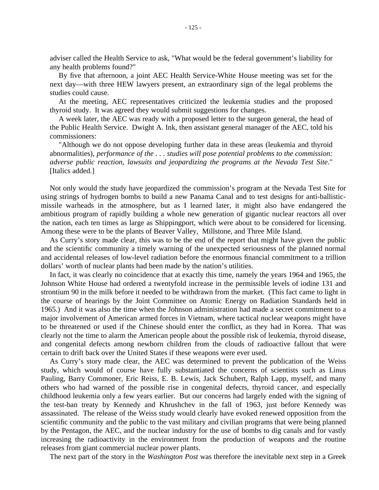adviser called the Health Service to ask, "What would be the federal government's liability for any health problems found?"

By five that afternoon, a joint AEC Health Service-White House meeting was set for the next day—with three HEW lawyers present, an extraordinary sign of the legal problems the studies could cause.

At the meeting, AEC representatives criticized the leukemia studies and the proposed thyroid study. It was agreed they would submit suggestions for changes.

A week later, the AEC was ready with a proposed letter to the surgeon general, the head of the Public Health Service. Dwight A. Ink, then assistant general manager of the AEC, told his commissioners:

"Although we do not oppose developing further data in these areas (leukemia and thyroid abnormalities), *performance of the . . . studies will pose potential problems to the commission: adverse public reaction, lawsuits and jeopardizing the programs at the Nevada Test Site*." [Italics added.]

Not only would the study have jeopardized the commission's program at the Nevada Test Site for using strings of hydrogen bombs to build a new Panama Canal and to test designs for anti-ballisticmissile warheads in the atmosphere, but as I learned later, it might also have endangered the ambitious program of rapidly building a whole new generation of gigantic nuclear reactors all over the nation, each ten times as large as Shippingport, which were about to be considered for licensing. Among these were to be the plants of Beaver Valley, Millstone, and Three Mile Island.

As Curry's story made clear, this was to be the end of the report that might have given the public and the scientific community a timely warning of the unexpected seriousness of the planned normal and accidental releases of low-level radiation before the enormous financial commitment to a trillion dollars' worth of nuclear plants had been made by the nation's utilities.

In fact, it was clearly no coincidence that at exactly this time, namely the years 1964 and 1965, the Johnson White House had ordered a twentyfold increase in the permissible levels of iodine 131 and strontium 90 in the milk before it needed to be withdrawn from the market. (This fact came to light in the course of hearings by the Joint Committee on Atomic Energy on Radiation Standards held in 1965.) And it was also the time when the Johnson administration had made a secret commitment to a major involvement of American armed forces in Vietnam, where tactical nuclear weapons might have to be threatened or used if the Chinese should enter the conflict, as they had in Korea. That was clearly not the time to alarm the American people about the possible risk of leukemia, thyroid disease, and congenital defects among newborn children from the clouds of radioactive fallout that were certain to drift back over the United States if these weapons were ever used.

As Curry's story made clear, the AEC was determined to prevent the publication of the Weiss study, which would of course have fully substantiated the concerns of scientists such as Linus Pauling, Barry Commoner, Eric Reiss, E. B. Lewis, Jack Schubert, Ralph Lapp, myself, and many others who had warned of the possible rise in congenital defects, thyroid cancer, and especially childhood leukemia only a few years earlier. But our concerns had largely ended with the signing of the test-ban treaty by Kennedy and Khrushchev in the fall of 1963, just before Kennedy was assassinated. The release of the Weiss study would clearly have evoked renewed opposition from the scientific community and the public to the vast military and civilian programs that were being planned by the Pentagon, the AEC, and the nuclear industry for the use of bombs to dig canals and for vastly increasing the radioactivity in the environment from the production of weapons and the routine releases from giant commercial nuclear power plants.

The next part of the story in the *Washington Post* was therefore the inevitable next step in a Greek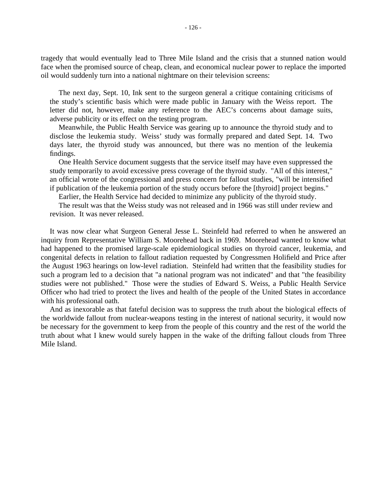tragedy that would eventually lead to Three Mile Island and the crisis that a stunned nation would face when the promised source of cheap, clean, and economical nuclear power to replace the imported oil would suddenly turn into a national nightmare on their television screens:

The next day, Sept. 10, Ink sent to the surgeon general a critique containing criticisms of the study's scientific basis which were made public in January with the Weiss report. The letter did not, however, make any reference to the AEC's concerns about damage suits, adverse publicity or its effect on the testing program.

Meanwhile, the Public Health Service was gearing up to announce the thyroid study and to disclose the leukemia study. Weiss' study was formally prepared and dated Sept. 14. Two days later, the thyroid study was announced, but there was no mention of the leukemia findings.

One Health Service document suggests that the service itself may have even suppressed the study temporarily to avoid excessive press coverage of the thyroid study. "All of this interest," an official wrote of the congressional and press concern for fallout studies, "will be intensified if publication of the leukemia portion of the study occurs before the [thyroid] project begins."

Earlier, the Health Service had decided to minimize any publicity of the thyroid study.

The result was that the Weiss study was not released and in 1966 was still under review and revision. It was never released.

It was now clear what Surgeon General Jesse L. Steinfeld had referred to when he answered an inquiry from Representative William S. Moorehead back in 1969. Moorehead wanted to know what had happened to the promised large-scale epidemiological studies on thyroid cancer, leukemia, and congenital defects in relation to fallout radiation requested by Congressmen Holifield and Price after the August 1963 hearings on low-level radiation. Steinfeld had written that the feasibility studies for such a program led to a decision that "a national program was not indicated" and that "the feasibility studies were not published." Those were the studies of Edward S. Weiss, a Public Health Service Officer who had tried to protect the lives and health of the people of the United States in accordance with his professional oath.

And as inexorable as that fateful decision was to suppress the truth about the biological effects of the worldwide fallout from nuclear-weapons testing in the interest of national security, it would now be necessary for the government to keep from the people of this country and the rest of the world the truth about what I knew would surely happen in the wake of the drifting fallout clouds from Three Mile Island.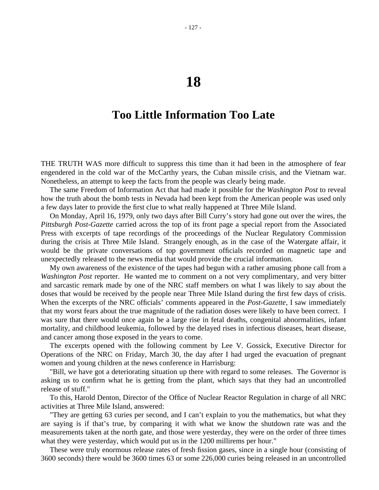# **18**

### **Too Little Information Too Late**

THE TRUTH WAS more difficult to suppress this time than it had been in the atmosphere of fear engendered in the cold war of the McCarthy years, the Cuban missile crisis, and the Vietnam war. Nonetheless, an attempt to keep the facts from the people was clearly being made.

The same Freedom of Information Act that had made it possible for the *Washington Post* to reveal how the truth about the bomb tests in Nevada had been kept from the American people was used only a few days later to provide the first clue to what really happened at Three Mile Island.

On Monday, April 16, 1979, only two days after Bill Curry's story had gone out over the wires, the *Pittsburgh Post-Gazette* carried across the top of its front page a special report from the Associated Press with excerpts of tape recordings of the proceedings of the Nuclear Regulatory Commission during the crisis at Three Mile Island. Strangely enough, as in the case of the Watergate affair, it would be the private conversations of top government officials recorded on magnetic tape and unexpectedly released to the news media that would provide the crucial information.

My own awareness of the existence of the tapes had begun with a rather amusing phone call from a *Washington Post* reporter. He wanted me to comment on a not very complimentary, and very bitter and sarcastic remark made by one of the NRC staff members on what I was likely to say about the doses that would be received by the people near Three Mile Island during the first few days of crisis. When the excerpts of the NRC officials' comments appeared in the *Post-Gazette*, I saw immediately that my worst fears about the true magnitude of the radiation doses were likely to have been correct. I was sure that there would once again be a large rise in fetal deaths, congenital abnormalities, infant mortality, and childhood leukemia, followed by the delayed rises in infectious diseases, heart disease, and cancer among those exposed in the years to come.

The excerpts opened with the following comment by Lee V. Gossick, Executive Director for Operations of the NRC on Friday, March 30, the day after I had urged the evacuation of pregnant women and young children at the news conference in Harrisburg:

"Bill, we have got a deteriorating situation up there with regard to some releases. The Governor is asking us to confirm what he is getting from the plant, which says that they had an uncontrolled release of stuff."

To this, Harold Denton, Director of the Office of Nuclear Reactor Regulation in charge of all NRC activities at Three Mile Island, answered:

"They are getting 63 curies per second, and I can't explain to you the mathematics, but what they are saying is if that's true, by comparing it with what we know the shutdown rate was and the measurements taken at the north gate, and those were yesterday, they were on the order of three times what they were yesterday, which would put us in the 1200 millirems per hour."

These were truly enormous release rates of fresh fission gases, since in a single hour (consisting of 3600 seconds) there would be 3600 times 63 or some 226,000 curies being released in an uncontrolled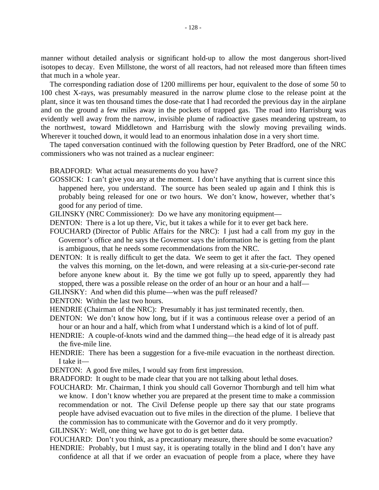manner without detailed analysis or significant hold-up to allow the most dangerous short-lived isotopes to decay. Even Millstone, the worst of all reactors, had not released more than fifteen times that much in a whole year.

The corresponding radiation dose of 1200 millirems per hour, equivalent to the dose of some 50 to 100 chest X-rays, was presumably measured in the narrow plume close to the release point at the plant, since it was ten thousand times the dose-rate that I had recorded the previous day in the airplane and on the ground a few miles away in the pockets of trapped gas. The road into Harrisburg was evidently well away from the narrow, invisible plume of radioactive gases meandering upstream, to the northwest, toward Middletown and Harrisburg with the slowly moving prevailing winds. Wherever it touched down, it would lead to an enormous inhalation dose in a very short time.

The taped conversation continued with the following question by Peter Bradford, one of the NRC commissioners who was not trained as a nuclear engineer:

BRADFORD: What actual measurements do you have?

- GOSSICK: I can't give you any at the moment. I don't have anything that is current since this happened here, you understand. The source has been sealed up again and I think this is probably being released for one or two hours. We don't know, however, whether that's good for any period of time.
- GILINSKY (NRC Commissioner): Do we have any monitoring equipment—
- DENTON: There is a lot up there, Vic, but it takes a while for it to ever get back here.
- FOUCHARD (Director of Public Affairs for the NRC): I just had a call from my guy in the Governor's office and he says the Governor says the information he is getting from the plant is ambiguous, that he needs some recommendations from the NRC.
- DENTON: It is really difficult to get the data. We seem to get it after the fact. They opened the valves this morning, on the let-down, and were releasing at a six-curie-per-second rate before anyone knew about it. By the time we got fully up to speed, apparently they had stopped, there was a possible release on the order of an hour or an hour and a half—
- GILINSKY: And when did this plume—when was the puff released?

DENTON: Within the last two hours.

- HENDRIE (Chairman of the NRC): Presumably it has just terminated recently, then.
- DENTON: We don't know how long, but if it was a continuous release over a period of an hour or an hour and a half, which from what I understand which is a kind of lot of puff.
- HENDRIE: A couple-of-knots wind and the dammed thing—the head edge of it is already past the five-mile line.
- HENDRIE: There has been a suggestion for a five-mile evacuation in the northeast direction. I take it—
- DENTON: A good five miles, I would say from first impression.
- BRADFORD: It ought to be made clear that you are not talking about lethal doses.
- FOUCHARD: Mr. Chairman, I think you should call Governor Thornburgh and tell him what we know. I don't know whether you are prepared at the present time to make a commission recommendation or not. The Civil Defense people up there say that our state programs people have advised evacuation out to five miles in the direction of the plume. I believe that the commission has to communicate with the Governor and do it very promptly.
- GILINSKY: Well, one thing we have got to do is get better data.

FOUCHARD: Don't you think, as a precautionary measure, there should be some evacuation?

HENDRIE: Probably, but I must say, it is operating totally in the blind and I don't have any confidence at all that if we order an evacuation of people from a place, where they have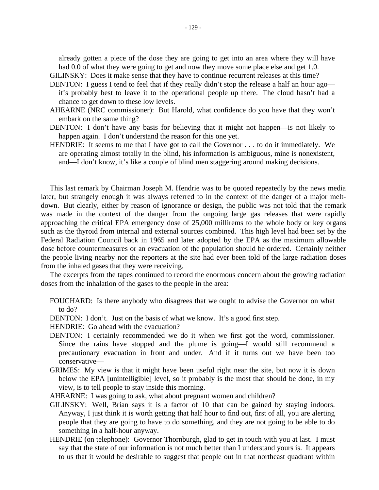already gotten a piece of the dose they are going to get into an area where they will have had 0.0 of what they were going to get and now they move some place else and get 1.0.

GILINSKY: Does it make sense that they have to continue recurrent releases at this time?

- DENTON: I guess I tend to feel that if they really didn't stop the release a half an hour ago it's probably best to leave it to the operational people up there. The cloud hasn't had a chance to get down to these low levels.
- AHEARNE (NRC commissioner): But Harold, what confidence do you have that they won't embark on the same thing?
- DENTON: I don't have any basis for believing that it might not happen—is not likely to happen again. I don't understand the reason for this one yet.
- HENDRIE: It seems to me that I have got to call the Governor . . . to do it immediately. We are operating almost totally in the blind, his information is ambiguous, mine is nonexistent, and—I don't know, it's like a couple of blind men staggering around making decisions.

This last remark by Chairman Joseph M. Hendrie was to be quoted repeatedly by the news media later, but strangely enough it was always referred to in the context of the danger of a major meltdown. But clearly, either by reason of ignorance or design, the public was not told that the remark was made in the context of the danger from the ongoing large gas releases that were rapidly approaching the critical EPA emergency dose of 25,000 millirems to the whole body or key organs such as the thyroid from internal and external sources combined. This high level had been set by the Federal Radiation Council back in 1965 and later adopted by the EPA as the maximum allowable dose before countermeasures or an evacuation of the population should be ordered. Certainly neither the people living nearby nor the reporters at the site had ever been told of the large radiation doses from the inhaled gases that they were receiving.

The excerpts from the tapes continued to record the enormous concern about the growing radiation doses from the inhalation of the gases to the people in the area:

- FOUCHARD: Is there anybody who disagrees that we ought to advise the Governor on what to do?
- DENTON: I don't. Just on the basis of what we know. It's a good first step.
- HENDRIE: Go ahead with the evacuation?
- DENTON: I certainly recommended we do it when we first got the word, commissioner. Since the rains have stopped and the plume is going—I would still recommend a precautionary evacuation in front and under. And if it turns out we have been too conservative—
- GRIMES: My view is that it might have been useful right near the site, but now it is down below the EPA [unintelligible] level, so it probably is the most that should be done, in my view, is to tell people to stay inside this morning.
- AHEARNE: I was going to ask, what about pregnant women and children?
- GILINSKY: Well, Brian says it is a factor of 10 that can be gained by staying indoors. Anyway, I just think it is worth getting that half hour to find out, first of all, you are alerting people that they are going to have to do something, and they are not going to be able to do something in a half-hour anyway.
- HENDRIE (on telephone): Governor Thornburgh, glad to get in touch with you at last. I must say that the state of our information is not much better than I understand yours is. It appears to us that it would be desirable to suggest that people out in that northeast quadrant within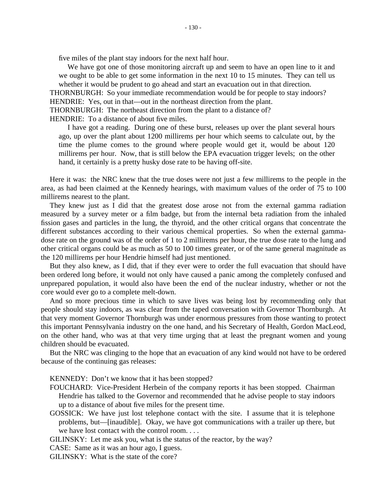five miles of the plant stay indoors for the next half hour.

We have got one of those monitoring aircraft up and seem to have an open line to it and we ought to be able to get some information in the next 10 to 15 minutes. They can tell us whether it would be prudent to go ahead and start an evacuation out in that direction. THORNBURGH: So your immediate recommendation would be for people to stay indoors?

HENDRIE: Yes, out in that—out in the northeast direction from the plant.

THORNBURGH: The northeast direction from the plant to a distance of?

HENDRIE: To a distance of about five miles.

I have got a reading. During one of these burst, releases up over the plant several hours ago, up over the plant about 1200 millirems per hour which seems to calculate out, by the time the plume comes to the ground where people would get it, would be about 120 millirems per hour. Now, that is still below the EPA evacuation trigger levels; on the other hand, it certainly is a pretty husky dose rate to be having off-site.

Here it was: the NRC knew that the true doses were not just a few millirems to the people in the area, as had been claimed at the Kennedy hearings, with maximum values of the order of 75 to 100 millirems nearest to the plant.

They knew just as I did that the greatest dose arose not from the external gamma radiation measured by a survey meter or a film badge, but from the internal beta radiation from the inhaled fission gases and particles in the lung, the thyroid, and the other critical organs that concentrate the different substances according to their various chemical properties. So when the external gammadose rate on the ground was of the order of 1 to 2 millirems per hour, the true dose rate to the lung and other critical organs could be as much as 50 to 100 times greater, or of the same general magnitude as the 120 millirems per hour Hendrie himself had just mentioned.

But they also knew, as I did, that if they ever were to order the full evacuation that should have been ordered long before, it would not only have caused a panic among the completely confused and unprepared population, it would also have been the end of the nuclear industry, whether or not the core would ever go to a complete melt-down.

And so more precious time in which to save lives was being lost by recommending only that people should stay indoors, as was clear from the taped conversation with Governor Thornburgh. At that very moment Governor Thornburgh was under enormous pressures from those wanting to protect this important Pennsylvania industry on the one hand, and his Secretary of Health, Gordon MacLeod, on the other hand, who was at that very time urging that at least the pregnant women and young children should be evacuated.

But the NRC was clinging to the hope that an evacuation of any kind would not have to be ordered because of the continuing gas releases:

KENNEDY: Don't we know that it has been stopped?

- FOUCHARD: Vice-President Herbein of the company reports it has been stopped. Chairman Hendrie has talked to the Governor and recommended that he advise people to stay indoors up to a distance of about five miles for the present time.
- GOSSICK: We have just lost telephone contact with the site. I assume that it is telephone problems, but—[inaudible]. Okay, we have got communications with a trailer up there, but we have lost contact with the control room....

GILINSKY: Let me ask you, what is the status of the reactor, by the way?

CASE: Same as it was an hour ago, I guess.

GILINSKY: What is the state of the core?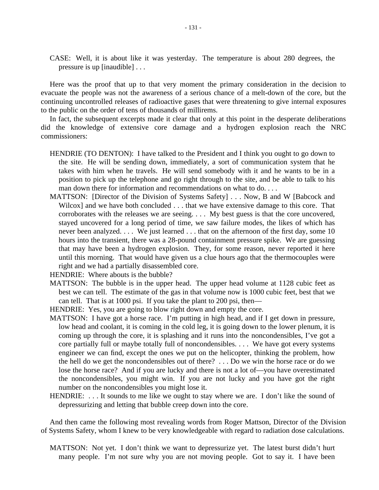CASE: Well, it is about like it was yesterday. The temperature is about 280 degrees, the pressure is up [inaudible] . . .

Here was the proof that up to that very moment the primary consideration in the decision to evacuate the people was not the awareness of a serious chance of a melt-down of the core, but the continuing uncontrolled releases of radioactive gases that were threatening to give internal exposures to the public on the order of tens of thousands of millirems.

In fact, the subsequent excerpts made it clear that only at this point in the desperate deliberations did the knowledge of extensive core damage and a hydrogen explosion reach the NRC commissioners:

- HENDRIE (TO DENTON): I have talked to the President and I think you ought to go down to the site. He will be sending down, immediately, a sort of communication system that he takes with him when he travels. He will send somebody with it and he wants to be in a position to pick up the telephone and go right through to the site, and be able to talk to his man down there for information and recommendations on what to do....
- MATTSON: [Director of the Division of Systems Safety] . . . Now, B and W [Babcock and Wilcox] and we have both concluded . . . that we have extensive damage to this core. That corroborates with the releases we are seeing. . . . My best guess is that the core uncovered, stayed uncovered for a long period of time, we saw failure modes, the likes of which has never been analyzed. . . . We just learned . . . that on the afternoon of the first day, some 10 hours into the transient, there was a 28-pound containment pressure spike. We are guessing that may have been a hydrogen explosion. They, for some reason, never reported it here until this morning. That would have given us a clue hours ago that the thermocouples were right and we had a partially disassembled core.

HENDRIE: Where abouts is the bubble?

- MATTSON: The bubble is in the upper head. The upper head volume at 1128 cubic feet as best we can tell. The estimate of the gas in that volume now is 1000 cubic feet, best that we can tell. That is at 1000 psi. If you take the plant to 200 psi, then—
- HENDRIE: Yes, you are going to blow right down and empty the core.
- MATTSON: I have got a horse race. I'm putting in high head, and if I get down in pressure, low head and coolant, it is coming in the cold leg, it is going down to the lower plenum, it is coming up through the core, it is splashing and it runs into the noncondensibles, I've got a core partially full or maybe totally full of noncondensibles. . . . We have got every systems engineer we can find, except the ones we put on the helicopter, thinking the problem, how the hell do we get the noncondensibles out of there? . . . Do we win the horse race or do we lose the horse race? And if you are lucky and there is not a lot of—you have overestimated the noncondensibles, you might win. If you are not lucky and you have got the right number on the noncondensibles you might lose it.
- HENDRIE: . . . It sounds to me like we ought to stay where we are. I don't like the sound of depressurizing and letting that bubble creep down into the core.

And then came the following most revealing words from Roger Mattson, Director of the Division of Systems Safety, whom I knew to be very knowledgeable with regard to radiation dose calculations.

MATTSON: Not yet. I don't think we want to depressurize yet. The latest burst didn't hurt many people. I'm not sure why you are not moving people. Got to say it. I have been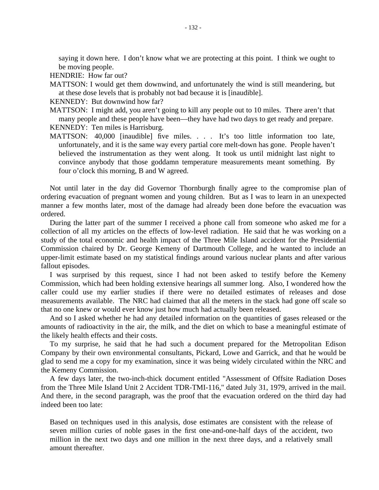saying it down here. I don't know what we are protecting at this point. I think we ought to be moving people.

HENDRIE: How far out?

MATTSON: I would get them downwind, and unfortunately the wind is still meandering, but at these dose levels that is probably not bad because it is [inaudible].

KENNEDY: But downwind how far?

MATTSON: I might add, you aren't going to kill any people out to 10 miles. There aren't that many people and these people have been—they have had two days to get ready and prepare. KENNEDY: Ten miles is Harrisburg.

MATTSON: 40,000 [inaudible] five miles. . . . It's too little information too late, unfortunately, and it is the same way every partial core melt-down has gone. People haven't believed the instrumentation as they went along. It took us until midnight last night to convince anybody that those goddamn temperature measurements meant something. By four o'clock this morning, B and W agreed.

Not until later in the day did Governor Thornburgh finally agree to the compromise plan of ordering evacuation of pregnant women and young children. But as I was to learn in an unexpected manner a few months later, most of the damage had already been done before the evacuation was ordered.

During the latter part of the summer I received a phone call from someone who asked me for a collection of all my articles on the effects of low-level radiation. He said that he was working on a study of the total economic and health impact of the Three Mile Island accident for the Presidential Commission chaired by Dr. George Kemeny of Dartmouth College, and he wanted to include an upper-limit estimate based on my statistical findings around various nuclear plants and after various fallout episodes.

I was surprised by this request, since I had not been asked to testify before the Kemeny Commission, which had been holding extensive hearings all summer long. Also, I wondered how the caller could use my earlier studies if there were no detailed estimates of releases and dose measurements available. The NRC had claimed that all the meters in the stack had gone off scale so that no one knew or would ever know just how much had actually been released.

And so I asked whether he had any detailed information on the quantities of gases released or the amounts of radioactivity in the air, the milk, and the diet on which to base a meaningful estimate of the likely health effects and their costs.

To my surprise, he said that he had such a document prepared for the Metropolitan Edison Company by their own environmental consultants, Pickard, Lowe and Garrick, and that he would be glad to send me a copy for my examination, since it was being widely circulated within the NRC and the Kemeny Commission.

A few days later, the two-inch-thick document entitled "Assessment of Offsite Radiation Doses from the Three Mile Island Unit 2 Accident TDR-TMI-116," dated July 31, 1979, arrived in the mail. And there, in the second paragraph, was the proof that the evacuation ordered on the third day had indeed been too late:

Based on techniques used in this analysis, dose estimates are consistent with the release of seven million curies of noble gases in the first one-and-one-half days of the accident, two million in the next two days and one million in the next three days, and a relatively small amount thereafter.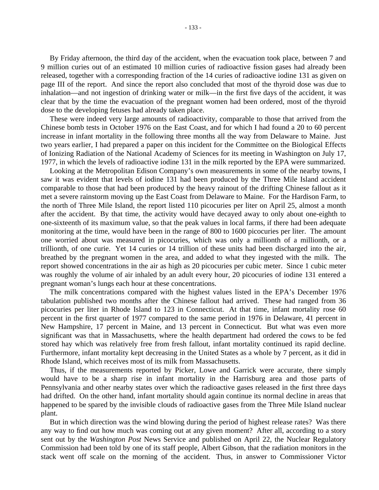By Friday afternoon, the third day of the accident, when the evacuation took place, between 7 and 9 million curies out of an estimated 10 million curies of radioactive fission gases had already been released, together with a corresponding fraction of the 14 curies of radioactive iodine 131 as given on page III of the report. And since the report also concluded that most of the thyroid dose was due to inhalation—and not ingestion of drinking water or milk—in the first five days of the accident, it was clear that by the time the evacuation of the pregnant women had been ordered, most of the thyroid dose to the developing fetuses had already taken place.

These were indeed very large amounts of radioactivity, comparable to those that arrived from the Chinese bomb tests in October 1976 on the East Coast, and for which I had found a 20 to 60 percent increase in infant mortality in the following three months all the way from Delaware to Maine. Just two years earlier, I had prepared a paper on this incident for the Committee on the Biological Effects of Ionizing Radiation of the National Academy of Sciences for its meeting in Washington on July 17, 1977, in which the levels of radioactive iodine 131 in the milk reported by the EPA were summarized.

Looking at the Metropolitan Edison Company's own measurements in some of the nearby towns, I saw it was evident that levels of iodine 131 had been produced by the Three Mile Island accident comparable to those that had been produced by the heavy rainout of the drifting Chinese fallout as it met a severe rainstorm moving up the East Coast from Delaware to Maine. For the Hardison Farm, to the north of Three Mile Island, the report listed 110 picocuries per liter on April 25, almost a month after the accident. By that time, the activity would have decayed away to only about one-eighth to one-sixteenth of its maximum value, so that the peak values in local farms, if there had been adequate monitoring at the time, would have been in the range of 800 to 1600 picocuries per liter. The amount one worried about was measured in picocuries, which was only a millionth of a millionth, or a trillionth, of one curie. Yet 14 curies or 14 trillion of these units had been discharged into the air, breathed by the pregnant women in the area, and added to what they ingested with the milk. The report showed concentrations in the air as high as 20 picocuries per cubic meter. Since 1 cubic meter was roughly the volume of air inhaled by an adult every hour, 20 picocuries of iodine 131 entered a pregnant woman's lungs each hour at these concentrations.

The milk concentrations compared with the highest values listed in the EPA's December 1976 tabulation published two months after the Chinese fallout had arrived. These had ranged from 36 picocuries per liter in Rhode Island to 123 in Connecticut. At that time, infant mortality rose 60 percent in the first quarter of 1977 compared to the same period in 1976 in Delaware, 41 percent in New Hampshire, 17 percent in Maine, and 13 percent in Connecticut. But what was even more significant was that in Massachusetts, where the health department had ordered the cows to be fed stored hay which was relatively free from fresh fallout, infant mortality continued its rapid decline. Furthermore, infant mortality kept decreasing in the United States as a whole by 7 percent, as it did in Rhode Island, which receives most of its milk from Massachusetts.

Thus, if the measurements reported by Picker, Lowe and Garrick were accurate, there simply would have to be a sharp rise in infant mortality in the Harrisburg area and those parts of Pennsylvania and other nearby states over which the radioactive gases released in the first three days had drifted. On the other hand, infant mortality should again continue its normal decline in areas that happened to be spared by the invisible clouds of radioactive gases from the Three Mile Island nuclear plant.

But in which direction was the wind blowing during the period of highest release rates? Was there any way to find out how much was coming out at any given moment? After all, according to a story sent out by the *Washington Post* News Service and published on April 22, the Nuclear Regulatory Commission had been told by one of its staff people, Albert Gibson, that the radiation monitors in the stack went off scale on the morning of the accident. Thus, in answer to Commissioner Victor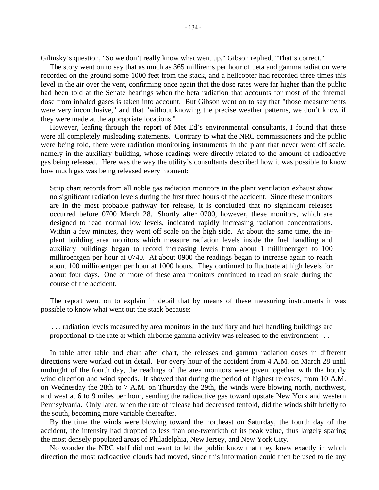Gilinsky's question, "So we don't really know what went up," Gibson replied, "That's correct."

The story went on to say that as much as 365 millirems per hour of beta and gamma radiation were recorded on the ground some 1000 feet from the stack, and a helicopter had recorded three times this level in the air over the vent, confirming once again that the dose rates were far higher than the public had been told at the Senate hearings when the beta radiation that accounts for most of the internal dose from inhaled gases is taken into account. But Gibson went on to say that "those measurements were very inconclusive," and that "without knowing the precise weather patterns, we don't know if they were made at the appropriate locations."

However, leafing through the report of Met Ed's environmental consultants, I found that these were all completely misleading statements. Contrary to what the NRC commissioners and the public were being told, there were radiation monitoring instruments in the plant that never went off scale, namely in the auxiliary building, whose readings were directly related to the amount of radioactive gas being released. Here was the way the utility's consultants described how it was possible to know how much gas was being released every moment:

Strip chart records from all noble gas radiation monitors in the plant ventilation exhaust show no significant radiation levels during the first three hours of the accident. Since these monitors are in the most probable pathway for release, it is concluded that no significant releases occurred before 0700 March 28. Shortly after 0700, however, these monitors, which are designed to read normal low levels, indicated rapidly increasing radiation concentrations. Within a few minutes, they went off scale on the high side. At about the same time, the inplant building area monitors which measure radiation levels inside the fuel handling and auxiliary buildings began to record increasing levels from about 1 milliroentgen to 100 milliroentgen per hour at 0740. At about 0900 the readings began to increase again to reach about 100 milliroentgen per hour at 1000 hours. They continued to fluctuate at high levels for about four days. One or more of these area monitors continued to read on scale during the course of the accident.

The report went on to explain in detail that by means of these measuring instruments it was possible to know what went out the stack because:

. . . radiation levels measured by area monitors in the auxiliary and fuel handling buildings are proportional to the rate at which airborne gamma activity was released to the environment . . .

In table after table and chart after chart, the releases and gamma radiation doses in different directions were worked out in detail. For every hour of the accident from 4 A.M. on March 28 until midnight of the fourth day, the readings of the area monitors were given together with the hourly wind direction and wind speeds. It showed that during the period of highest releases, from 10 A.M. on Wednesday the 28th to 7 A.M. on Thursday the 29th, the winds were blowing north, northwest, and west at 6 to 9 miles per hour, sending the radioactive gas toward upstate New York and western Pennsylvania. Only later, when the rate of release had decreased tenfold, did the winds shift briefly to the south, becoming more variable thereafter.

By the time the winds were blowing toward the northeast on Saturday, the fourth day of the accident, the intensity had dropped to less than one-twentieth of its peak value, thus largely sparing the most densely populated areas of Philadelphia, New Jersey, and New York City.

No wonder the NRC staff did not want to let the public know that they knew exactly in which direction the most radioactive clouds had moved, since this information could then be used to tie any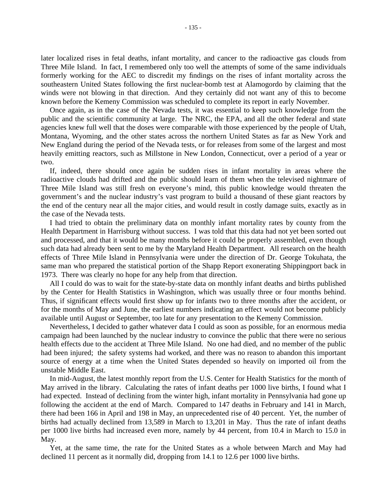later localized rises in fetal deaths, infant mortality, and cancer to the radioactive gas clouds from Three Mile Island. In fact, I remembered only too well the attempts of some of the same individuals formerly working for the AEC to discredit my findings on the rises of infant mortality across the southeastern United States following the first nuclear-bomb test at Alamogordo by claiming that the winds were not blowing in that direction. And they certainly did not want any of this to become known before the Kemeny Commission was scheduled to complete its report in early November.

Once again, as in the case of the Nevada tests, it was essential to keep such knowledge from the public and the scientific community at large. The NRC, the EPA, and all the other federal and state agencies knew full well that the doses were comparable with those experienced by the people of Utah, Montana, Wyoming, and the other states across the northern United States as far as New York and New England during the period of the Nevada tests, or for releases from some of the largest and most heavily emitting reactors, such as Millstone in New London, Connecticut, over a period of a year or two.

If, indeed, there should once again be sudden rises in infant mortality in areas where the radioactive clouds had drifted and the public should learn of them when the televised nightmare of Three Mile Island was still fresh on everyone's mind, this public knowledge would threaten the government's and the nuclear industry's vast program to build a thousand of these giant reactors by the end of the century near all the major cities, and would result in costly damage suits, exactly as in the case of the Nevada tests.

I had tried to obtain the preliminary data on monthly infant mortality rates by county from the Health Department in Harrisburg without success. I was told that this data had not yet been sorted out and processed, and that it would be many months before it could be properly assembled, even though such data had already been sent to me by the Maryland Health Department. All research on the health effects of Three Mile Island in Pennsylvania were under the direction of Dr. George Tokuhata, the same man who prepared the statistical portion of the Shapp Report exonerating Shippingport back in 1973. There was clearly no hope for any help from that direction.

All I could do was to wait for the state-by-state data on monthly infant deaths and births published by the Center for Health Statistics in Washington, which was usually three or four months behind. Thus, if significant effects would first show up for infants two to three months after the accident, or for the months of May and June, the earliest numbers indicating an effect would not become publicly available until August or September, too late for any presentation to the Kemeny Commission.

Nevertheless, I decided to gather whatever data I could as soon as possible, for an enormous media campaign had been launched by the nuclear industry to convince the public that there were no serious health effects due to the accident at Three Mile Island. No one had died, and no member of the public had been injured; the safety systems had worked, and there was no reason to abandon this important source of energy at a time when the United States depended so heavily on imported oil from the unstable Middle East.

In mid-August, the latest monthly report from the U.S. Center for Health Statistics for the month of May arrived in the library. Calculating the rates of infant deaths per 1000 live births, I found what I had expected. Instead of declining from the winter high, infant mortality in Pennsylvania had gone up following the accident at the end of March. Compared to 147 deaths in February and 141 in March, there had been 166 in April and 198 in May, an unprecedented rise of 40 percent. Yet, the number of births had actually declined from 13,589 in March to 13,201 in May. Thus the rate of infant deaths per 1000 live births had increased even more, namely by 44 percent, from 10.4 in March to 15.0 in May.

Yet, at the same time, the rate for the United States as a whole between March and May had declined 11 percent as it normally did, dropping from 14.1 to 12.6 per 1000 live births.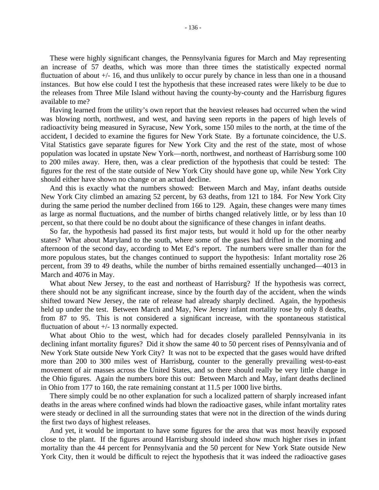These were highly significant changes, the Pennsylvania figures for March and May representing an increase of 57 deaths, which was more than three times the statistically expected normal fluctuation of about +/- 16, and thus unlikely to occur purely by chance in less than one in a thousand instances. But how else could I test the hypothesis that these increased rates were likely to be due to the releases from Three Mile Island without having the county-by-county and the Harrisburg figures available to me?

Having learned from the utility's own report that the heaviest releases had occurred when the wind was blowing north, northwest, and west, and having seen reports in the papers of high levels of radioactivity being measured in Syracuse, New York, some 150 miles to the north, at the time of the accident, I decided to examine the figures for New York State. By a fortunate coincidence, the U.S. Vital Statistics gave separate figures for New York City and the rest of the state, most of whose population was located in upstate New York—north, northwest, and northeast of Harrisburg some 100 to 200 miles away. Here, then, was a clear prediction of the hypothesis that could be tested: The figures for the rest of the state outside of New York City should have gone up, while New York City should either have shown no change or an actual decline.

And this is exactly what the numbers showed: Between March and May, infant deaths outside New York City climbed an amazing 52 percent, by 63 deaths, from 121 to 184. For New York City during the same period the number declined from 166 to 129. Again, these changes were many times as large as normal fluctuations, and the number of births changed relatively little, or by less than 10 percent, so that there could be no doubt about the significance of these changes in infant deaths.

So far, the hypothesis had passed its first major tests, but would it hold up for the other nearby states? What about Maryland to the south, where some of the gases had drifted in the morning and afternoon of the second day, according to Met Ed's report. The numbers were smaller than for the more populous states, but the changes continued to support the hypothesis: Infant mortality rose 26 percent, from 39 to 49 deaths, while the number of births remained essentially unchanged—4013 in March and 4076 in May.

What about New Jersey, to the east and northeast of Harrisburg? If the hypothesis was correct, there should not be any significant increase, since by the fourth day of the accident, when the winds shifted toward New Jersey, the rate of release had already sharply declined. Again, the hypothesis held up under the test. Between March and May, New Jersey infant mortality rose by only 8 deaths, from 87 to 95. This is not considered a significant increase, with the spontaneous statistical fluctuation of about +/- 13 normally expected.

What about Ohio to the west, which had for decades closely paralleled Pennsylvania in its declining infant mortality figures? Did it show the same 40 to 50 percent rises of Pennsylvania and of New York State outside New York City? It was not to be expected that the gases would have drifted more than 200 to 300 miles west of Harrisburg, counter to the generally prevailing west-to-east movement of air masses across the United States, and so there should really be very little change in the Ohio figures. Again the numbers bore this out: Between March and May, infant deaths declined in Ohio from 177 to 160, the rate remaining constant at 11.5 per 1000 live births.

There simply could be no other explanation for such a localized pattern of sharply increased infant deaths in the areas where confined winds had blown the radioactive gases, while infant mortality rates were steady or declined in all the surrounding states that were not in the direction of the winds during the first two days of highest releases.

And yet, it would be important to have some figures for the area that was most heavily exposed close to the plant. If the figures around Harrisburg should indeed show much higher rises in infant mortality than the 44 percent for Pennsylvania and the 50 percent for New York State outside New York City, then it would be difficult to reject the hypothesis that it was indeed the radioactive gases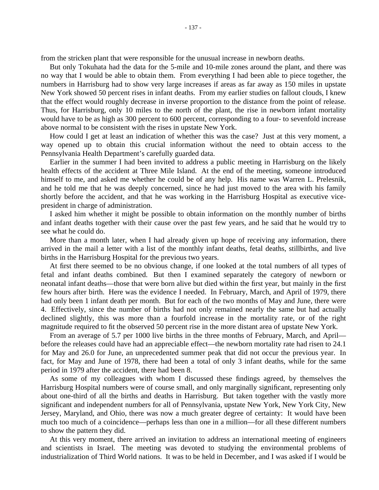from the stricken plant that were responsible for the unusual increase in newborn deaths.

But only Tokuhata had the data for the 5-mile and 10-mile zones around the plant, and there was no way that I would be able to obtain them. From everything I had been able to piece together, the numbers in Harrisburg had to show very large increases if areas as far away as 150 miles in upstate New York showed 50 percent rises in infant deaths. From my earlier studies on fallout clouds, I knew that the effect would roughly decrease in inverse proportion to the distance from the point of release. Thus, for Harrisburg, only 10 miles to the north of the plant, the rise in newborn infant mortality would have to be as high as 300 percent to 600 percent, corresponding to a four- to sevenfold increase above normal to be consistent with the rises in upstate New York.

How could I get at least an indication of whether this was the case? Just at this very moment, a way opened up to obtain this crucial information without the need to obtain access to the Pennsylvania Health Department's carefully guarded data.

Earlier in the summer I had been invited to address a public meeting in Harrisburg on the likely health effects of the accident at Three Mile Island. At the end of the meeting, someone introduced himself to me, and asked me whether he could be of any help. His name was Warren L. Prelesnik, and he told me that he was deeply concerned, since he had just moved to the area with his family shortly before the accident, and that he was working in the Harrisburg Hospital as executive vicepresident in charge of administration.

I asked him whether it might be possible to obtain information on the monthly number of births and infant deaths together with their cause over the past few years, and he said that he would try to see what he could do.

More than a month later, when I had already given up hope of receiving any information, there arrived in the mail a letter with a list of the monthly infant deaths, fetal deaths, stillbirths, and live births in the Harrisburg Hospital for the previous two years.

At first there seemed to be no obvious change, if one looked at the total numbers of all types of fetal and infant deaths combined. But then I examined separately the category of newborn or neonatal infant deaths—those that were born alive but died within the first year, but mainly in the first few hours after birth. Here was the evidence I needed. In February, March, and April of 1979, there had only been 1 infant death per month. But for each of the two months of May and June, there were 4. Effectively, since the number of births had not only remained nearly the same but had actually declined slightly, this was more than a fourfold increase in the mortality rate, or of the right magnitude required to fit the observed 50 percent rise in the more distant area of upstate New York.

From an average of 5.7 per 1000 live births in the three months of February, March, and April before the releases could have had an appreciable effect—the newborn mortality rate had risen to 24.1 for May and 26.0 for June, an unprecedented summer peak that did not occur the previous year. In fact, for May and June of 1978, there had been a total of only 3 infant deaths, while for the same period in 1979 after the accident, there had been 8.

As some of my colleagues with whom I discussed these findings agreed, by themselves the Harrisburg Hospital numbers were of course small, and only marginally significant, representing only about one-third of all the births and deaths in Harrisburg. But taken together with the vastly more significant and independent numbers for all of Pennsylvania, upstate New York, New York City, New Jersey, Maryland, and Ohio, there was now a much greater degree of certainty: It would have been much too much of a coincidence—perhaps less than one in a million—for all these different numbers to show the pattern they did.

At this very moment, there arrived an invitation to address an international meeting of engineers and scientists in Israel. The meeting was devoted to studying the environmental problems of industrialization of Third World nations. It was to be held in December, and I was asked if I would be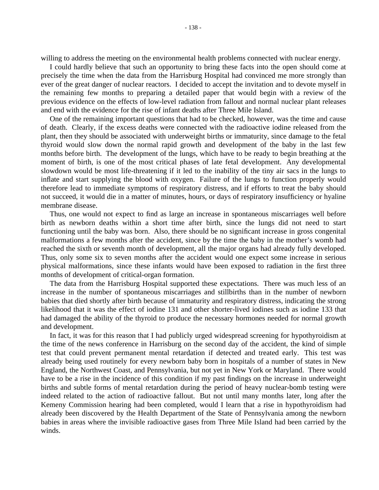willing to address the meeting on the environmental health problems connected with nuclear energy.

I could hardly believe that such an opportunity to bring these facts into the open should come at precisely the time when the data from the Harrisburg Hospital had convinced me more strongly than ever of the great danger of nuclear reactors. I decided to accept the invitation and to devote myself in the remaining few months to preparing a detailed paper that would begin with a review of the previous evidence on the effects of low-level radiation from fallout and normal nuclear plant releases and end with the evidence for the rise of infant deaths after Three Mile Island.

One of the remaining important questions that had to be checked, however, was the time and cause of death. Clearly, if the excess deaths were connected with the radioactive iodine released from the plant, then they should be associated with underweight births or immaturity, since damage to the fetal thyroid would slow down the normal rapid growth and development of the baby in the last few months before birth. The development of the lungs, which have to be ready to begin breathing at the moment of birth, is one of the most critical phases of late fetal development. Any developmental slowdown would be most life-threatening if it led to the inability of the tiny air sacs in the lungs to inflate and start supplying the blood with oxygen. Failure of the lungs to function properly would therefore lead to immediate symptoms of respiratory distress, and if efforts to treat the baby should not succeed, it would die in a matter of minutes, hours, or days of respiratory insufficiency or hyaline membrane disease.

Thus, one would not expect to find as large an increase in spontaneous miscarriages well before birth as newborn deaths within a short time after birth, since the lungs did not need to start functioning until the baby was born. Also, there should be no significant increase in gross congenital malformations a few months after the accident, since by the time the baby in the mother's womb had reached the sixth or seventh month of development, all the major organs had already fully developed. Thus, only some six to seven months after the accident would one expect some increase in serious physical malformations, since these infants would have been exposed to radiation in the first three months of development of critical-organ formation.

The data from the Harrisburg Hospital supported these expectations. There was much less of an increase in the number of spontaneous miscarriages and stillbirths than in the number of newborn babies that died shortly after birth because of immaturity and respiratory distress, indicating the strong likelihood that it was the effect of iodine 131 and other shorter-lived iodines such as iodine 133 that had damaged the ability of the thyroid to produce the necessary hormones needed for normal growth and development.

In fact, it was for this reason that I had publicly urged widespread screening for hypothyroidism at the time of the news conference in Harrisburg on the second day of the accident, the kind of simple test that could prevent permanent mental retardation if detected and treated early. This test was already being used routinely for every newborn baby born in hospitals of a number of states in New England, the Northwest Coast, and Pennsylvania, but not yet in New York or Maryland. There would have to be a rise in the incidence of this condition if my past findings on the increase in underweight births and subtle forms of mental retardation during the period of heavy nuclear-bomb testing were indeed related to the action of radioactive fallout. But not until many months later, long after the Kemeny Commission hearing had been completed, would I learn that a rise in hypothyroidism had already been discovered by the Health Department of the State of Pennsylvania among the newborn babies in areas where the invisible radioactive gases from Three Mile Island had been carried by the winds.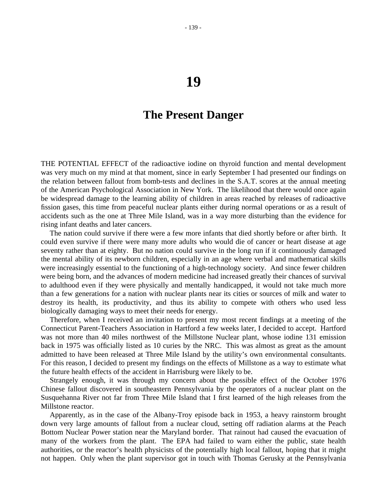# **19**

#### **The Present Danger**

THE POTENTIAL EFFECT of the radioactive iodine on thyroid function and mental development was very much on my mind at that moment, since in early September I had presented our findings on the relation between fallout from bomb-tests and declines in the S.A.T. scores at the annual meeting of the American Psychological Association in New York. The likelihood that there would once again be widespread damage to the learning ability of children in areas reached by releases of radioactive fission gases, this time from peaceful nuclear plants either during normal operations or as a result of accidents such as the one at Three Mile Island, was in a way more disturbing than the evidence for rising infant deaths and later cancers.

The nation could survive if there were a few more infants that died shortly before or after birth. It could even survive if there were many more adults who would die of cancer or heart disease at age seventy rather than at eighty. But no nation could survive in the long run if it continuously damaged the mental ability of its newborn children, especially in an age where verbal and mathematical skills were increasingly essential to the functioning of a high-technology society. And since fewer children were being born, and the advances of modern medicine had increased greatly their chances of survival to adulthood even if they were physically and mentally handicapped, it would not take much more than a few generations for a nation with nuclear plants near its cities or sources of milk and water to destroy its health, its productivity, and thus its ability to compete with others who used less biologically damaging ways to meet their needs for energy.

Therefore, when I received an invitation to present my most recent findings at a meeting of the Connecticut Parent-Teachers Association in Hartford a few weeks later, I decided to accept. Hartford was not more than 40 miles northwest of the Millstone Nuclear plant, whose iodine 131 emission back in 1975 was officially listed as 10 curies by the NRC. This was almost as great as the amount admitted to have been released at Three Mile Island by the utility's own environmental consultants. For this reason, I decided to present my findings on the effects of Millstone as a way to estimate what the future health effects of the accident in Harrisburg were likely to be.

Strangely enough, it was through my concern about the possible effect of the October 1976 Chinese fallout discovered in southeastern Pennsylvania by the operators of a nuclear plant on the Susquehanna River not far from Three Mile Island that I first learned of the high releases from the Millstone reactor.

Apparently, as in the case of the Albany-Troy episode back in 1953, a heavy rainstorm brought down very large amounts of fallout from a nuclear cloud, setting off radiation alarms at the Peach Bottom Nuclear Power station near the Maryland border. That rainout had caused the evacuation of many of the workers from the plant. The EPA had failed to warn either the public, state health authorities, or the reactor's health physicists of the potentially high local fallout, hoping that it might not happen. Only when the plant supervisor got in touch with Thomas Gerusky at the Pennsylvania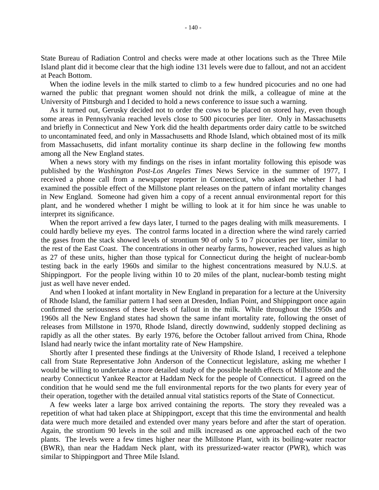State Bureau of Radiation Control and checks were made at other locations such as the Three Mile Island plant did it become clear that the high iodine 131 levels were due to fallout, and not an accident at Peach Bottom.

When the iodine levels in the milk started to climb to a few hundred picocuries and no one had warned the public that pregnant women should not drink the milk, a colleague of mine at the University of Pittsburgh and I decided to hold a news conference to issue such a warning.

As it turned out, Gerusky decided not to order the cows to be placed on stored hay, even though some areas in Pennsylvania reached levels close to 500 picocuries per liter. Only in Massachusetts and briefly in Connecticut and New York did the health departments order dairy cattle to be switched to uncontaminated feed, and only in Massachusetts and Rhode Island, which obtained most of its milk from Massachusetts, did infant mortality continue its sharp decline in the following few months among all the New England states.

When a news story with my findings on the rises in infant mortality following this episode was published by the *Washington Post-Los Angeles Times* News Service in the summer of 1977, I received a phone call from a newspaper reporter in Connecticut, who asked me whether I had examined the possible effect of the Millstone plant releases on the pattern of infant mortality changes in New England. Someone had given him a copy of a recent annual environmental report for this plant, and he wondered whether I might be willing to look at it for him since he was unable to interpret its significance.

When the report arrived a few days later, I turned to the pages dealing with milk measurements. I could hardly believe my eyes. The control farms located in a direction where the wind rarely carried the gases from the stack showed levels of strontium 90 of only 5 to 7 picocuries per liter, similar to the rest of the East Coast. The concentrations in other nearby farms, however, reached values as high as 27 of these units, higher than those typical for Connecticut during the height of nuclear-bomb testing back in the early 1960s and similar to the highest concentrations measured by N.U.S. at Shippingport. For the people living within 10 to 20 miles of the plant, nuclear-bomb testing might just as well have never ended.

And when I looked at infant mortality in New England in preparation for a lecture at the University of Rhode Island, the familiar pattern I had seen at Dresden, Indian Point, and Shippingport once again confirmed the seriousness of these levels of fallout in the milk. While throughout the 1950s and 1960s all the New England states had shown the same infant mortality rate, following the onset of releases from Millstone in 1970, Rhode Island, directly downwind, suddenly stopped declining as rapidly as all the other states. By early 1976, before the October fallout arrived from China, Rhode Island had nearly twice the infant mortality rate of New Hampshire.

Shortly after I presented these findings at the University of Rhode Island, I received a telephone call from State Representative John Anderson of the Connecticut legislature, asking me whether I would be willing to undertake a more detailed study of the possible health effects of Millstone and the nearby Connecticut Yankee Reactor at Haddam Neck for the people of Connecticut. I agreed on the condition that he would send me the full environmental reports for the two plants for every year of their operation, together with the detailed annual vital statistics reports of the State of Connecticut.

A few weeks later a large box arrived containing the reports. The story they revealed was a repetition of what had taken place at Shippingport, except that this time the environmental and health data were much more detailed and extended over many years before and after the start of operation. Again, the strontium 90 levels in the soil and milk increased as one approached each of the two plants. The levels were a few times higher near the Millstone Plant, with its boiling-water reactor (BWR), than near the Haddam Neck plant, with its pressurized-water reactor (PWR), which was similar to Shippingport and Three Mile Island.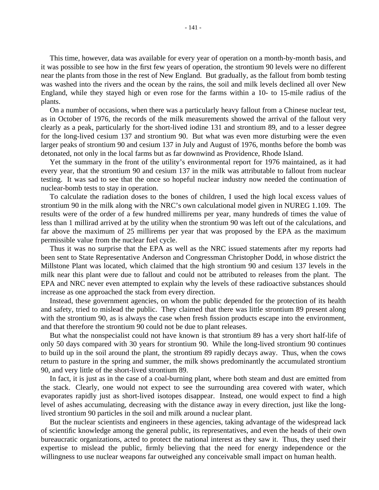This time, however, data was available for every year of operation on a month-by-month basis, and it was possible to see how in the first few years of operation, the strontium 90 levels were no different near the plants from those in the rest of New England. But gradually, as the fallout from bomb testing was washed into the rivers and the ocean by the rains, the soil and milk levels declined all over New England, while they stayed high or even rose for the farms within a 10- to 15-mile radius of the plants.

On a number of occasions, when there was a particularly heavy fallout from a Chinese nuclear test, as in October of 1976, the records of the milk measurements showed the arrival of the fallout very clearly as a peak, particularly for the short-lived iodine 131 and strontium 89, and to a lesser degree for the long-lived cesium 137 and strontium 90. But what was even more disturbing were the even larger peaks of strontium 90 and cesium 137 in July and August of 1976, months before the bomb was detonated, not only in the local farms but as far downwind as Providence, Rhode Island.

Yet the summary in the front of the utility's environmental report for 1976 maintained, as it had every year, that the strontium 90 and cesium 137 in the milk was attributable to fallout from nuclear testing. It was sad to see that the once so hopeful nuclear industry now needed the continuation of nuclear-bomb tests to stay in operation.

To calculate the radiation doses to the bones of children, I used the high local excess values of strontium 90 in the milk along with the NRC's own calculational model given in NUREG 1.109. The results were of the order of a few hundred millirems per year, many hundreds of times the value of less than 1 millirad arrived at by the utility when the strontium 90 was left out of the calculations, and far above the maximum of 25 millirems per year that was proposed by the EPA as the maximum permissible value from the nuclear fuel cycle.

Thus it was no surprise that the EPA as well as the NRC issued statements after my reports had been sent to State Representative Anderson and Congressman Christopher Dodd, in whose district the Millstone Plant was located, which claimed that the high strontium 90 and cesium 137 levels in the milk near this plant were due to fallout and could not be attributed to releases from the plant. The EPA and NRC never even attempted to explain why the levels of these radioactive substances should increase as one approached the stack from every direction.

Instead, these government agencies, on whom the public depended for the protection of its health and safety, tried to mislead the public. They claimed that there was little strontium 89 present along with the strontium 90, as is always the case when fresh fission products escape into the environment, and that therefore the strontium 90 could not be due to plant releases.

But what the nonspecialist could not have known is that strontium 89 has a very short half-life of only 50 days compared with 30 years for strontium 90. While the long-lived strontium 90 continues to build up in the soil around the plant, the strontium 89 rapidly decays away. Thus, when the cows return to pasture in the spring and summer, the milk shows predominantly the accumulated strontium 90, and very little of the short-lived strontium 89.

In fact, it is just as in the case of a coal-burning plant, where both steam and dust are emitted from the stack. Clearly, one would not expect to see the surrounding area covered with water, which evaporates rapidly just as short-lived isotopes disappear. Instead, one would expect to find a high level of ashes accumulating, decreasing with the distance away in every direction, just like the longlived strontium 90 particles in the soil and milk around a nuclear plant.

But the nuclear scientists and engineers in these agencies, taking advantage of the widespread lack of scientific knowledge among the general public, its representatives, and even the heads of their own bureaucratic organizations, acted to protect the national interest as they saw it. Thus, they used their expertise to mislead the public, firmly believing that the need for energy independence or the willingness to use nuclear weapons far outweighed any conceivable small impact on human health.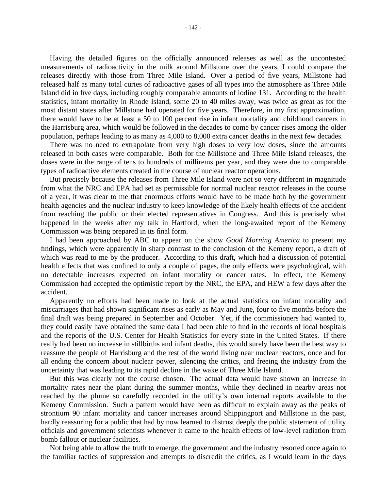Having the detailed figures on the officially announced releases as well as the uncontested measurements of radioactivity in the milk around Millstone over the years, I could compare the releases directly with those from Three Mile Island. Over a period of five years, Millstone had released half as many total curies of radioactive gases of all types into the atmosphere as Three Mile Island did in five days, including roughly comparable amounts of iodine 131. According to the health statistics, infant mortality in Rhode Island, some 20 to 40 miles away, was twice as great as for the most distant states after Millstone had operated for five years. Therefore, in my first approximation, there would have to be at least a 50 to 100 percent rise in infant mortality and childhood cancers in the Harrisburg area, which would be followed in the decades to come by cancer rises among the older population, perhaps leading to as many as 4,000 to 8,000 extra cancer deaths in the next few decades.

There was no need to extrapolate from very high doses to very low doses, since the amounts released in both cases were comparable. Both for the Millstone and Three Mile Island releases, the doses were in the range of tens to hundreds of millirems per year, and they were due to comparable types of radioactive elements created in the course of nuclear reactor operations.

But precisely because the releases from Three Mile Island were not so very different in magnitude from what the NRC and EPA had set as permissible for normal nuclear reactor releases in the course of a year, it was clear to me that enormous efforts would have to be made both by the government health agencies and the nuclear industry to keep knowledge of the likely health effects of the accident from reaching the public or their elected representatives in Congress. And this is precisely what happened in the weeks after my talk in Hartford, when the long-awaited report of the Kemeny Commission was being prepared in its final form.

I had been approached by ABC to appear on the show *Good Morning America* to present my findings, which were apparently in sharp contrast to the conclusion of the Kemeny report, a draft of which was read to me by the producer. According to this draft, which had a discussion of potential health effects that was confined to only a couple of pages, the only effects were psychological, with no detectable increases expected on infant mortality or cancer rates. In effect, the Kemeny Commission had accepted the optimistic report by the NRC, the EPA, and HEW a few days after the accident.

Apparently no efforts had been made to look at the actual statistics on infant mortality and miscarriages that had shown significant rises as early as May and June, four to five months before the final draft was being prepared in September and October. Yet, if the commissioners had wanted to, they could easily have obtained the same data I had been able to find in the records of local hospitals and the reports of the U.S. Center for Health Statistics for every state in the United States. If there really had been no increase in stillbirths and infant deaths, this would surely have been the best way to reassure the people of Harrisburg and the rest of the world living near nuclear reactors, once and for all ending the concern about nuclear power, silencing the critics, and freeing the industry from the uncertainty that was leading to its rapid decline in the wake of Three Mile Island.

But this was clearly not the course chosen. The actual data would have shown an increase in mortality rates near the plant during the summer months, while they declined in nearby areas not reached by the plume so carefully recorded in the utility's own internal reports available to the Kemeny Commission. Such a pattern would have been as difficult to explain away as the peaks of strontium 90 infant mortality and cancer increases around Shippingport and Millstone in the past, hardly reassuring for a public that had by now learned to distrust deeply the public statement of utility officials and government scientists whenever it came to the health effects of low-level radiation from bomb fallout or nuclear facilities.

Not being able to allow the truth to emerge, the government and the industry resorted once again to the familiar tactics of suppression and attempts to discredit the critics, as I would learn in the days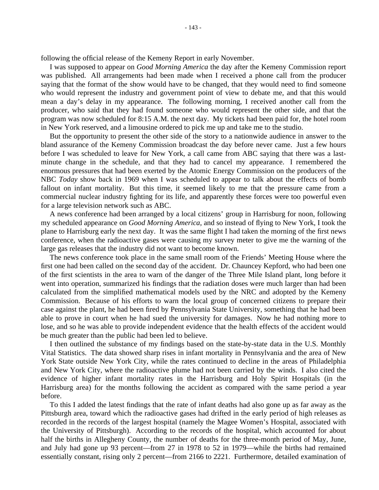following the official release of the Kemeny Report in early November.

I was supposed to appear on *Good Morning America* the day after the Kemeny Commission report was published. All arrangements had been made when I received a phone call from the producer saying that the format of the show would have to be changed, that they would need to find someone who would represent the industry and government point of view to debate me, and that this would mean a day's delay in my appearance. The following morning, I received another call from the producer, who said that they had found someone who would represent the other side, and that the program was now scheduled for 8:15 A.M. the next day. My tickets had been paid for, the hotel room in New York reserved, and a limousine ordered to pick me up and take me to the studio.

But the opportunity to present the other side of the story to a nationwide audience in answer to the bland assurance of the Kemeny Commission broadcast the day before never came. Just a few hours before I was scheduled to leave for New York, a call came from ABC saying that there was a lastminute change in the schedule, and that they had to cancel my appearance. I remembered the enormous pressures that had been exerted by the Atomic Energy Commission on the producers of the NBC *Today* show back in 1969 when I was scheduled to appear to talk about the effects of bomb fallout on infant mortality. But this time, it seemed likely to me that the pressure came from a commercial nuclear industry fighting for its life, and apparently these forces were too powerful even for a large television network such as ABC.

A news conference had been arranged by a local citizens' group in Harrisburg for noon, following my scheduled appearance on *Good Morning America*, and so instead of flying to New York, I took the plane to Harrisburg early the next day. It was the same flight I had taken the morning of the first news conference, when the radioactive gases were causing my survey meter to give me the warning of the large gas releases that the industry did not want to become known.

The news conference took place in the same small room of the Friends' Meeting House where the first one had been called on the second day of the accident. Dr. Chauncey Kepford, who had been one of the first scientists in the area to warn of the danger of the Three Mile Island plant, long before it went into operation, summarized his findings that the radiation doses were much larger than had been calculated from the simplified mathematical models used by the NRC and adopted by the Kemeny Commission. Because of his efforts to warn the local group of concerned citizens to prepare their case against the plant, he had been fired by Pennsylvania State University, something that he had been able to prove in court when he had sued the university for damages. Now he had nothing more to lose, and so he was able to provide independent evidence that the health effects of the accident would be much greater than the public had been led to believe.

I then outlined the substance of my findings based on the state-by-state data in the U.S. Monthly Vital Statistics. The data showed sharp rises in infant mortality in Pennsylvania and the area of New York State outside New York City, while the rates continued to decline in the areas of Philadelphia and New York City, where the radioactive plume had not been carried by the winds. I also cited the evidence of higher infant mortality rates in the Harrisburg and Holy Spirit Hospitals (in the Harrisburg area) for the months following the accident as compared with the same period a year before.

To this I added the latest findings that the rate of infant deaths had also gone up as far away as the Pittsburgh area, toward which the radioactive gases had drifted in the early period of high releases as recorded in the records of the largest hospital (namely the Magee Women's Hospital, associated with the University of Pittsburgh). According to the records of the hospital, which accounted for about half the births in Allegheny County, the number of deaths for the three-month period of May, June, and July had gone up 93 percent—from 27 in 1978 to 52 in 1979—while the births had remained essentially constant, rising only 2 percent—from 2166 to 2221. Furthermore, detailed examination of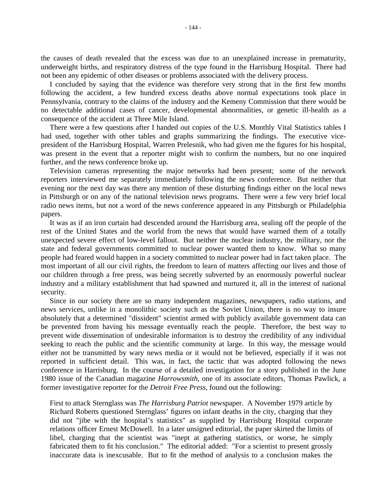the causes of death revealed that the excess was due to an unexplained increase in prematurity, underweight births, and respiratory distress of the type found in the Harrisburg Hospital. There had not been any epidemic of other diseases or problems associated with the delivery process.

I concluded by saying that the evidence was therefore very strong that in the first few months following the accident, a few hundred excess deaths above normal expectations took place in Pennsylvania, contrary to the claims of the industry and the Kemeny Commission that there would be no detectable additional cases of cancer, developmental abnormalities, or genetic ill-health as a consequence of the accident at Three Mile Island.

There were a few questions after I handed out copies of the U.S. Monthly Vital Statistics tables I had used, together with other tables and graphs summarizing the findings. The executive vicepresident of the Harrisburg Hospital, Warren Prelesnik, who had given me the figures for his hospital, was present in the event that a reporter might wish to confirm the numbers, but no one inquired further, and the news conference broke up.

Television cameras representing the major networks had been present; some of the network reporters interviewed me separately immediately following the news conference. But neither that evening nor the next day was there any mention of these disturbing findings either on the local news in Pittsburgh or on any of the national television news programs. There were a few very brief local radio news items, but not a word of the news conference appeared in any Pittsburgh or Philadelphia papers.

It was as if an iron curtain had descended around the Harrisburg area, sealing off the people of the rest of the United States and the world from the news that would have warned them of a totally unexpected severe effect of low-level fallout. But neither the nuclear industry, the military, nor the state and federal governments committed to nuclear power wanted them to know. What so many people had feared would happen in a society committed to nuclear power had in fact taken place. The most important of all our civil rights, the freedom to learn of matters affecting our lives and those of our children through a free press, was being secretly subverted by an enormously powerful nuclear industry and a military establishment that had spawned and nurtured it, all in the interest of national security.

Since in our society there are so many independent magazines, newspapers, radio stations, and news services, unlike in a monolithic society such as the Soviet Union, there is no way to insure absolutely that a determined "dissident" scientist armed with publicly available government data can be prevented from having his message eventually reach the people. Therefore, the best way to prevent wide dissemination of undesirable information is to destroy the credibility of any individual seeking to reach the public and the scientific community at large. In this way, the message would either not be transmitted by wary news media or it would not be believed, especially if it was not reported in sufficient detail. This was, in fact, the tactic that was adopted following the news conference in Harrisburg. In the course of a detailed investigation for a story published in the June 1980 issue of the Canadian magazine *Harrowsmith*, one of its associate editors, Thomas Pawlick, a former investigative reporter for the *Detroit Free Press*, found out the following:

First to attack Sternglass was *The Harrisburg Patriot* newspaper. A November 1979 article by Richard Roberts questioned Sternglass' figures on infant deaths in the city, charging that they did not "jibe with the hospital's statistics" as supplied by Harrisburg Hospital corporate relations officer Ernest McDowell. In a later unsigned editorial, the paper skirted the limits of libel, charging that the scientist was "inept at gathering statistics, or worse, he simply fabricated them to fit his conclusion." The editorial added: "For a scientist to present grossly inaccurate data is inexcusable. But to fit the method of analysis to a conclusion makes the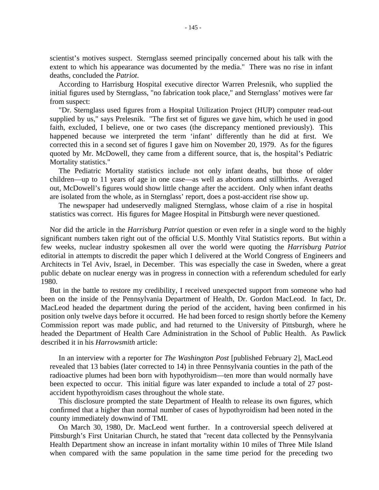scientist's motives suspect. Sternglass seemed principally concerned about his talk with the extent to which his appearance was documented by the media." There was no rise in infant deaths, concluded the *Patriot*.

According to Harrisburg Hospital executive director Warren Prelesnik, who supplied the initial figures used by Sternglass, "no fabrication took place," and Sternglass' motives were far from suspect:

"Dr. Sternglass used figures from a Hospital Utilization Project (HUP) computer read-out supplied by us," says Prelesnik. "The first set of figures we gave him, which he used in good faith, excluded, I believe, one or two cases (the discrepancy mentioned previously). This happened because we interpreted the term 'infant' differently than he did at first. We corrected this in a second set of figures I gave him on November 20, 1979. As for the figures quoted by Mr. McDowell, they came from a different source, that is, the hospital's Pediatric Mortality statistics."

The Pediatric Mortality statistics include not only infant deaths, but those of older children—up to 11 years of age in one case—as well as abortions and stillbirths. Averaged out, McDowell's figures would show little change after the accident. Only when infant deaths are isolated from the whole, as in Sternglass' report, does a post-accident rise show up.

The newspaper had undeservedly maligned Sternglass, whose claim of a rise in hospital statistics was correct. His figures for Magee Hospital in Pittsburgh were never questioned.

Nor did the article in the *Harrisburg Patriot* question or even refer in a single word to the highly significant numbers taken right out of the official U.S. Monthly Vital Statistics reports. But within a few weeks, nuclear industry spokesmen all over the world were quoting the *Harrisburg Patriot* editorial in attempts to discredit the paper which I delivered at the World Congress of Engineers and Architects in Tel Aviv, Israel, in December. This was especially the case in Sweden, where a great public debate on nuclear energy was in progress in connection with a referendum scheduled for early 1980.

But in the battle to restore my credibility, I received unexpected support from someone who had been on the inside of the Pennsylvania Department of Health, Dr. Gordon MacLeod. In fact, Dr. MacLeod headed the department during the period of the accident, having been confirmed in his position only twelve days before it occurred. He had been forced to resign shortly before the Kemeny Commission report was made public, and had returned to the University of Pittsburgh, where he headed the Department of Health Care Administration in the School of Public Health. As Pawlick described it in his *Harrowsmith* article:

In an interview with a reporter for *The Washington Post* [published February 2], MacLeod revealed that 13 babies (later corrected to 14) in three Pennsylvania counties in the path of the radioactive plumes had been born with hypothyroidism—ten more than would normally have been expected to occur. This initial figure was later expanded to include a total of 27 postaccident hypothyroidism cases throughout the whole state.

This disclosure prompted the state Department of Health to release its own figures, which confirmed that a higher than normal number of cases of hypothyroidism had been noted in the county immediately downwind of TMI.

On March 30, 1980, Dr. MacLeod went further. In a controversial speech delivered at Pittsburgh's First Unitarian Church, he stated that "recent data collected by the Pennsylvania Health Department show an increase in infant mortality within 10 miles of Three Mile Island when compared with the same population in the same time period for the preceding two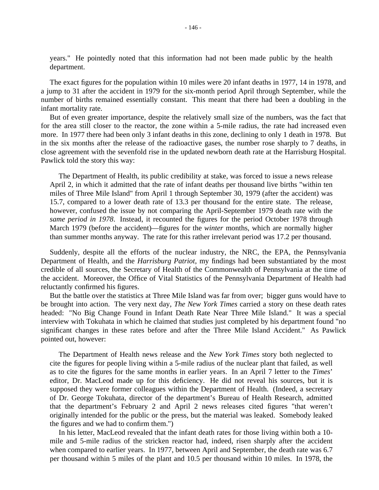years." He pointedly noted that this information had not been made public by the health department.

The exact figures for the population within 10 miles were 20 infant deaths in 1977, 14 in 1978, and a jump to 31 after the accident in 1979 for the six-month period April through September, while the number of births remained essentially constant. This meant that there had been a doubling in the infant mortality rate.

But of even greater importance, despite the relatively small size of the numbers, was the fact that for the area still closer to the reactor, the zone within a 5-mile radius, the rate had increased even more. In 1977 there had been only 3 infant deaths in this zone, declining to only 1 death in 1978. But in the six months after the release of the radioactive gases, the number rose sharply to 7 deaths, in close agreement with the sevenfold rise in the updated newborn death rate at the Harrisburg Hospital. Pawlick told the story this way:

The Department of Health, its public credibility at stake, was forced to issue a news release April 2, in which it admitted that the rate of infant deaths per thousand live births "within ten miles of Three Mile Island" from April 1 through September 30, 1979 (after the accident) was 15.7, compared to a lower death rate of 13.3 per thousand for the entire state. The release, however, confused the issue by not comparing the April-September 1979 death rate with the *same period in 1978*. Instead, it recounted the figures for the period October 1978 through March 1979 (before the accident)—figures for the *winter* months, which are normally higher than summer months anyway. The rate for this rather irrelevant period was 17.2 per thousand.

Suddenly, despite all the efforts of the nuclear industry, the NRC, the EPA, the Pennsylvania Department of Health, and the *Harrisburg Patriot*, my findings had been substantiated by the most credible of all sources, the Secretary of Health of the Commonwealth of Pennsylvania at the time of the accident. Moreover, the Office of Vital Statistics of the Pennsylvania Department of Health had reluctantly confirmed his figures.

But the battle over the statistics at Three Mile Island was far from over; bigger guns would have to be brought into action. The very next day, *The New York Times* carried a story on these death rates headed: "No Big Change Found in Infant Death Rate Near Three Mile Island." It was a special interview with Tokuhata in which he claimed that studies just completed by his department found "no significant changes in these rates before and after the Three Mile Island Accident." As Pawlick pointed out, however:

The Department of Health news release and the *New York Times* story both neglected to cite the figures for people living within a 5-mile radius of the nuclear plant that failed, as well as to cite the figures for the same months in earlier years. In an April 7 letter to the *Times*' editor, Dr. MacLeod made up for this deficiency. He did not reveal his sources, but it is supposed they were former colleagues within the Department of Health. (Indeed, a secretary of Dr. George Tokuhata, director of the department's Bureau of Health Research, admitted that the department's February 2 and April 2 news releases cited figures "that weren't originally intended for the public or the press, but the material was leaked. Somebody leaked the figures and we had to confirm them.")

In his letter, MacLeod revealed that the infant death rates for those living within both a 10 mile and 5-mile radius of the stricken reactor had, indeed, risen sharply after the accident when compared to earlier years. In 1977, between April and September, the death rate was 6.7 per thousand within 5 miles of the plant and 10.5 per thousand within 10 miles. In 1978, the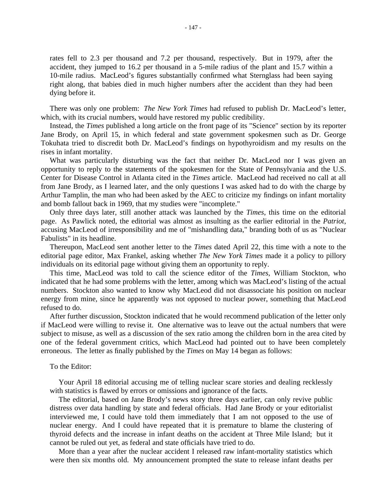rates fell to 2.3 per thousand and 7.2 per thousand, respectively. But in 1979, after the accident, they jumped to 16.2 per thousand in a 5-mile radius of the plant and 15.7 within a 10-mile radius. MacLeod's figures substantially confirmed what Sternglass had been saying right along, that babies died in much higher numbers after the accident than they had been dying before it.

There was only one problem: *The New York Times* had refused to publish Dr. MacLeod's letter, which, with its crucial numbers, would have restored my public credibility.

Instead, the *Times* published a long article on the front page of its "Science" section by its reporter Jane Brody, on April 15, in which federal and state government spokesmen such as Dr. George Tokuhata tried to discredit both Dr. MacLeod's findings on hypothyroidism and my results on the rises in infant mortality.

What was particularly disturbing was the fact that neither Dr. MacLeod nor I was given an opportunity to reply to the statements of the spokesmen for the State of Pennsylvania and the U.S. Center for Disease Control in Atlanta cited in the *Times* article. MacLeod had received no call at all from Jane Brody, as I learned later, and the only questions I was asked had to do with the charge by Arthur Tamplin, the man who had been asked by the AEC to criticize my findings on infant mortality and bomb fallout back in 1969, that my studies were "incomplete."

Only three days later, still another attack was launched by the *Times*, this time on the editorial page. As Pawlick noted, the editorial was almost as insulting as the earlier editorial in the *Patriot*, accusing MacLeod of irresponsibility and me of "mishandling data," branding both of us as "Nuclear Fabulists" in its headline.

Thereupon, MacLeod sent another letter to the *Times* dated April 22, this time with a note to the editorial page editor, Max Frankel, asking whether *The New York Times* made it a policy to pillory individuals on its editorial page without giving them an opportunity to reply.

This time, MacLeod was told to call the science editor of the *Times*, William Stockton, who indicated that he had some problems with the letter, among which was MacLeod's listing of the actual numbers. Stockton also wanted to know why MacLeod did not disassociate his position on nuclear energy from mine, since he apparently was not opposed to nuclear power, something that MacLeod refused to do.

After further discussion, Stockton indicated that he would recommend publication of the letter only if MacLeod were willing to revise it. One alternative was to leave out the actual numbers that were subject to misuse, as well as a discussion of the sex ratio among the children born in the area cited by one of the federal government critics, which MacLeod had pointed out to have been completely erroneous. The letter as finally published by the *Times* on May 14 began as follows:

### To the Editor:

Your April 18 editorial accusing me of telling nuclear scare stories and dealing recklessly with statistics is flawed by errors or omissions and ignorance of the facts.

The editorial, based on Jane Brody's news story three days earlier, can only revive public distress over data handling by state and federal officials. Had Jane Brody or your editorialist interviewed me, I could have told them immediately that I am not opposed to the use of nuclear energy. And I could have repeated that it is premature to blame the clustering of thyroid defects and the increase in infant deaths on the accident at Three Mile Island; but it cannot be ruled out yet, as federal and state officials have tried to do.

More than a year after the nuclear accident I released raw infant-mortality statistics which were then six months old. My announcement prompted the state to release infant deaths per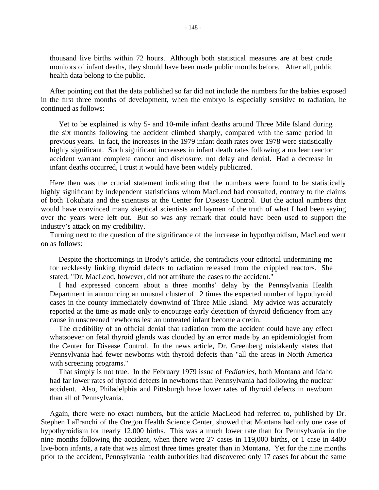thousand live births within 72 hours. Although both statistical measures are at best crude monitors of infant deaths, they should have been made public months before. After all, public health data belong to the public.

After pointing out that the data published so far did not include the numbers for the babies exposed in the first three months of development, when the embryo is especially sensitive to radiation, he continued as follows:

Yet to be explained is why 5- and 10-mile infant deaths around Three Mile Island during the six months following the accident climbed sharply, compared with the same period in previous years. In fact, the increases in the 1979 infant death rates over 1978 were statistically highly significant. Such significant increases in infant death rates following a nuclear reactor accident warrant complete candor and disclosure, not delay and denial. Had a decrease in infant deaths occurred, I trust it would have been widely publicized.

Here then was the crucial statement indicating that the numbers were found to be statistically highly significant by independent statisticians whom MacLeod had consulted, contrary to the claims of both Tokuhata and the scientists at the Center for Disease Control. But the actual numbers that would have convinced many skeptical scientists and laymen of the truth of what I had been saying over the years were left out. But so was any remark that could have been used to support the industry's attack on my credibility.

Turning next to the question of the significance of the increase in hypothyroidism, MacLeod went on as follows:

Despite the shortcomings in Brody's article, she contradicts your editorial undermining me for recklessly linking thyroid defects to radiation released from the crippled reactors. She stated, "Dr. MacLeod, however, did not attribute the cases to the accident."

I had expressed concern about a three months' delay by the Pennsylvania Health Department in announcing an unusual cluster of 12 times the expected number of hypothyroid cases in the county immediately downwind of Three Mile Island. My advice was accurately reported at the time as made only to encourage early detection of thyroid deficiency from any cause in unscreened newborns lest an untreated infant become a cretin.

The credibility of an official denial that radiation from the accident could have any effect whatsoever on fetal thyroid glands was clouded by an error made by an epidemiologist from the Center for Disease Control. In the news article, Dr. Greenberg mistakenly states that Pennsylvania had fewer newborns with thyroid defects than "all the areas in North America with screening programs."

That simply is not true. In the February 1979 issue of *Pediatrics*, both Montana and Idaho had far lower rates of thyroid defects in newborns than Pennsylvania had following the nuclear accident. Also, Philadelphia and Pittsburgh have lower rates of thyroid defects in newborn than all of Pennsylvania.

Again, there were no exact numbers, but the article MacLeod had referred to, published by Dr. Stephen LaFranchi of the Oregon Health Science Center, showed that Montana had only one case of hypothyroidism for nearly 12,000 births. This was a much lower rate than for Pennsylvania in the nine months following the accident, when there were 27 cases in 119,000 births, or 1 case in 4400 live-born infants, a rate that was almost three times greater than in Montana. Yet for the nine months prior to the accident, Pennsylvania health authorities had discovered only 17 cases for about the same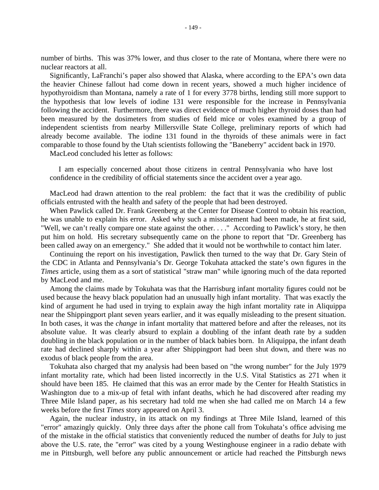number of births. This was 37% lower, and thus closer to the rate of Montana, where there were no nuclear reactors at all.

Significantly, LaFranchi's paper also showed that Alaska, where according to the EPA's own data the heavier Chinese fallout had come down in recent years, showed a much higher incidence of hypothyroidism than Montana, namely a rate of 1 for every 3778 births, lending still more support to the hypothesis that low levels of iodine 131 were responsible for the increase in Pennsylvania following the accident. Furthermore, there was direct evidence of much higher thyroid doses than had been measured by the dosimeters from studies of field mice or voles examined by a group of independent scientists from nearby Millersville State College, preliminary reports of which had already become available. The iodine 131 found in the thyroids of these animals were in fact comparable to those found by the Utah scientists following the "Baneberry" accident back in 1970.

MacLeod concluded his letter as follows:

I am especially concerned about those citizens in central Pennsylvania who have lost confidence in the credibility of official statements since the accident over a year ago.

MacLeod had drawn attention to the real problem: the fact that it was the credibility of public officials entrusted with the health and safety of the people that had been destroyed.

When Pawlick called Dr. Frank Greenberg at the Center for Disease Control to obtain his reaction, he was unable to explain his error. Asked why such a misstatement had been made, he at first said, "Well, we can't really compare one state against the other. . . ." According to Pawlick's story, he then put him on hold. His secretary subsequently came on the phone to report that "Dr. Greenberg has been called away on an emergency." She added that it would not be worthwhile to contact him later.

Continuing the report on his investigation, Pawlick then turned to the way that Dr. Gary Stein of the CDC in Atlanta and Pennsylvania's Dr. George Tokuhata attacked the state's own figures in the *Times* article, using them as a sort of statistical "straw man" while ignoring much of the data reported by MacLeod and me.

Among the claims made by Tokuhata was that the Harrisburg infant mortality figures could not be used because the heavy black population had an unusually high infant mortality. That was exactly the kind of argument he had used in trying to explain away the high infant mortality rate in Aliquippa near the Shippingport plant seven years earlier, and it was equally misleading to the present situation. In both cases, it was the *change* in infant mortality that mattered before and after the releases, not its absolute value. It was clearly absurd to explain a doubling of the infant death rate by a sudden doubling in the black population or in the number of black babies born. In Aliquippa, the infant death rate had declined sharply within a year after Shippingport had been shut down, and there was no exodus of black people from the area.

Tokuhata also charged that my analysis had been based on "the wrong number" for the July 1979 infant mortality rate, which had been listed incorrectly in the U.S. Vital Statistics as 271 when it should have been 185. He claimed that this was an error made by the Center for Health Statistics in Washington due to a mix-up of fetal with infant deaths, which he had discovered after reading my Three Mile Island paper, as his secretary had told me when she had called me on March 14 a few weeks before the first *Times* story appeared on April 3.

Again, the nuclear industry, in its attack on my findings at Three Mile Island, learned of this "error" amazingly quickly. Only three days after the phone call from Tokuhata's office advising me of the mistake in the official statistics that conveniently reduced the number of deaths for July to just above the U.S. rate, the "error" was cited by a young Westinghouse engineer in a radio debate with me in Pittsburgh, well before any public announcement or article had reached the Pittsburgh news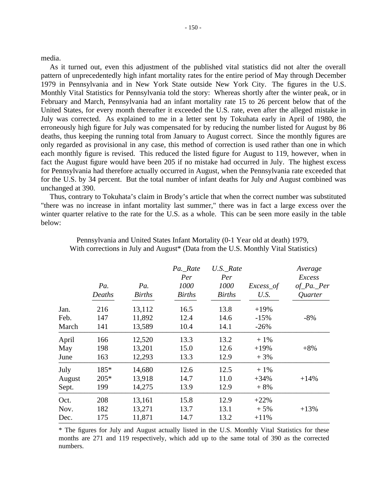media.

As it turned out, even this adjustment of the published vital statistics did not alter the overall pattern of unprecedentedly high infant mortality rates for the entire period of May through December 1979 in Pennsylvania and in New York State outside New York City. The figures in the U.S. Monthly Vital Statistics for Pennsylvania told the story: Whereas shortly after the winter peak, or in February and March, Pennsylvania had an infant mortality rate 15 to 26 percent below that of the United States, for every month thereafter it exceeded the U.S. rate, even after the alleged mistake in July was corrected. As explained to me in a letter sent by Tokuhata early in April of 1980, the erroneously high figure for July was compensated for by reducing the number listed for August by 86 deaths, thus keeping the running total from January to August correct. Since the monthly figures are only regarded as provisional in any case, this method of correction is used rather than one in which each monthly figure is revised. This reduced the listed figure for August to 119, however, when in fact the August figure would have been 205 if no mistake had occurred in July. The highest excess for Pennsylvania had therefore actually occurred in August, when the Pennsylvania rate exceeded that for the U.S. by 34 percent. But the total number of infant deaths for July *and* August combined was unchanged at 390.

Thus, contrary to Tokuhata's claim in Brody's article that when the correct number was substituted "there was no increase in infant mortality last summer," there was in fact a large excess over the winter quarter relative to the rate for the U.S. as a whole. This can be seen more easily in the table below:

| Jan.   | Pa.<br>Deaths<br>216 | Pa.<br><b>Births</b><br>13,112 | Pa._Rate<br>Per<br>1000<br><b>Births</b><br>16.5 | U.S._Rate<br>Per<br>1000<br><b>Births</b><br>13.8 | Excess_of<br>U.S.<br>$+19%$ | Average<br>Excess<br>of_Pa._Per<br>Quarter |
|--------|----------------------|--------------------------------|--------------------------------------------------|---------------------------------------------------|-----------------------------|--------------------------------------------|
| Feb.   | 147                  | 11,892                         | 12.4                                             | 14.6                                              | $-15%$                      | $-8%$                                      |
| March  | 141                  | 13,589                         | 10.4                                             | 14.1                                              | $-26%$                      |                                            |
| April  | 166                  | 12,520                         | 13.3                                             | 13.2                                              | $+1\%$                      |                                            |
| May    | 198                  | 13,201                         | 15.0                                             | 12.6                                              | $+19%$                      | $+8%$                                      |
| June   | 163                  | 12,293                         | 13.3                                             | 12.9                                              | $+3%$                       |                                            |
| July   | 185*                 | 14,680                         | 12.6                                             | 12.5                                              | $+1\%$                      |                                            |
| August | $205*$               | 13,918                         | 14.7                                             | 11.0                                              | $+34%$                      | $+14%$                                     |
| Sept.  | 199                  | 14,275                         | 13.9                                             | 12.9                                              | $+8%$                       |                                            |
| Oct.   | 208                  | 13,161                         | 15.8                                             | 12.9                                              | $+22%$                      |                                            |
| Nov.   | 182                  | 13,271                         | 13.7                                             | 13.1                                              | $+5%$                       | $+13%$                                     |
| Dec.   | 175                  | 11,871                         | 14.7                                             | 13.2                                              | $+11\%$                     |                                            |

Pennsylvania and United States Infant Mortality (0-1 Year old at death) 1979, With corrections in July and August\* (Data from the U.S. Monthly Vital Statistics)

\* The figures for July and August actually listed in the U.S. Monthly Vital Statistics for these months are 271 and 119 respectively, which add up to the same total of 390 as the corrected numbers.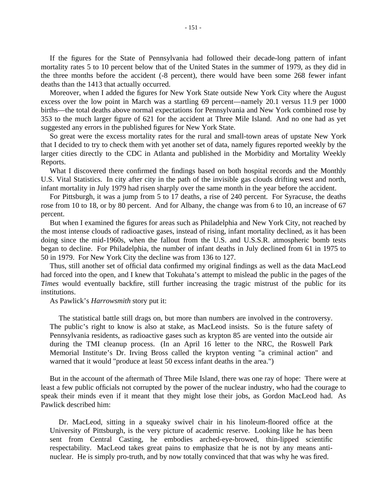If the figures for the State of Pennsylvania had followed their decade-long pattern of infant mortality rates 5 to 10 percent below that of the United States in the summer of 1979, as they did in the three months before the accident (-8 percent), there would have been some 268 fewer infant deaths than the 1413 that actually occurred.

Moreover, when I added the figures for New York State outside New York City where the August excess over the low point in March was a startling 69 percent—namely 20.1 versus 11.9 per 1000 births—the total deaths above normal expectations for Pennsylvania and New York combined rose by 353 to the much larger figure of 621 for the accident at Three Mile Island. And no one had as yet suggested any errors in the published figures for New York State.

So great were the excess mortality rates for the rural and small-town areas of upstate New York that I decided to try to check them with yet another set of data, namely figures reported weekly by the larger cities directly to the CDC in Atlanta and published in the Morbidity and Mortality Weekly Reports.

What I discovered there confirmed the findings based on both hospital records and the Monthly U.S. Vital Statistics. In city after city in the path of the invisible gas clouds drifting west and north, infant mortality in July 1979 had risen sharply over the same month in the year before the accident.

For Pittsburgh, it was a jump from 5 to 17 deaths, a rise of 240 percent. For Syracuse, the deaths rose from 10 to 18, or by 80 percent. And for Albany, the change was from 6 to 10, an increase of 67 percent.

But when I examined the figures for areas such as Philadelphia and New York City, not reached by the most intense clouds of radioactive gases, instead of rising, infant mortality declined, as it has been doing since the mid-1960s, when the fallout from the U.S. and U.S.S.R. atmospheric bomb tests began to decline. For Philadelphia, the number of infant deaths in July declined from 61 in 1975 to 50 in 1979. For New York City the decline was from 136 to 127.

Thus, still another set of official data confirmed my original findings as well as the data MacLeod had forced into the open, and I knew that Tokuhata's attempt to mislead the public in the pages of the *Times* would eventually backfire, still further increasing the tragic mistrust of the public for its institutions.

As Pawlick's *Harrowsmith* story put it:

The statistical battle still drags on, but more than numbers are involved in the controversy. The public's right to know is also at stake, as MacLeod insists. So is the future safety of Pennsylvania residents, as radioactive gases such as krypton 85 are vented into the outside air during the TMI cleanup process. (In an April 16 letter to the NRC, the Roswell Park Memorial Institute's Dr. Irving Bross called the krypton venting "a criminal action" and warned that it would "produce at least 50 excess infant deaths in the area.")

But in the account of the aftermath of Three Mile Island, there was one ray of hope: There were at least a few public officials not corrupted by the power of the nuclear industry, who had the courage to speak their minds even if it meant that they might lose their jobs, as Gordon MacLeod had. As Pawlick described him:

Dr. MacLeod, sitting in a squeaky swivel chair in his linoleum-floored office at the University of Pittsburgh, is the very picture of academic reserve. Looking like he has been sent from Central Casting, he embodies arched-eye-browed, thin-lipped scientific respectability. MacLeod takes great pains to emphasize that he is not by any means antinuclear. He is simply pro-truth, and by now totally convinced that that was why he was fired.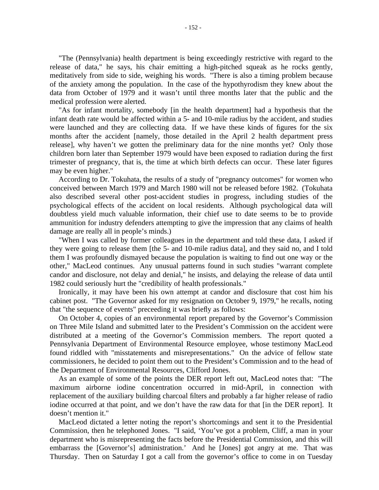"The (Pennsylvania) health department is being exceedingly restrictive with regard to the release of data," he says, his chair emitting a high-pitched squeak as he rocks gently, meditatively from side to side, weighing his words. "There is also a timing problem because of the anxiety among the population. In the case of the hypothyrodism they knew about the data from October of 1979 and it wasn't until three months later that the public and the medical profession were alerted.

"As for infant mortality, somebody [in the health department] had a hypothesis that the infant death rate would be affected within a 5- and 10-mile radius by the accident, and studies were launched and they are collecting data. If we have these kinds of figures for the six months after the accident [namely, those detailed in the April 2 health department press release], why haven't we gotten the preliminary data for the nine months yet? Only those children born later than September 1979 would have been exposed to radiation during the first trimester of pregnancy, that is, the time at which birth defects can occur. These later figures may be even higher."

According to Dr. Tokuhata, the results of a study of "pregnancy outcomes" for women who conceived between March 1979 and March 1980 will not be released before 1982. (Tokuhata also described several other post-accident studies in progress, including studies of the psychological effects of the accident on local residents. Although psychological data will doubtless yield much valuable information, their chief use to date seems to be to provide ammunition for industry defenders attempting to give the impression that any claims of health damage are really all in people's minds.)

"When I was called by former colleagues in the department and told these data, I asked if they were going to release them [the 5- and 10-mile radius data], and they said no, and I told them I was profoundly dismayed because the population is waiting to find out one way or the other," MacLeod continues. Any unusual patterns found in such studies "warrant complete candor and disclosure, not delay and denial," he insists, and delaying the release of data until 1982 could seriously hurt the "credibility of health professionals."

Ironically, it may have been his own attempt at candor and disclosure that cost him his cabinet post. "The Governor asked for my resignation on October 9, 1979," he recalls, noting that "the sequence of events" preceeding it was briefly as follows:

On October 4, copies of an environmental report prepared by the Governor's Commission on Three Mile Island and submitted later to the President's Commission on the accident were distributed at a meeting of the Governor's Commission members. The report quoted a Pennsylvania Department of Environmental Resource employee, whose testimony MacLeod found riddled with "misstatements and misrepresentations." On the advice of fellow state commissioners, he decided to point them out to the President's Commission and to the head of the Department of Environmental Resources, Clifford Jones.

As an example of some of the points the DER report left out, MacLeod notes that: "The maximum airborne iodine concentration occurred in mid-April, in connection with replacement of the auxiliary building charcoal filters and probably a far higher release of radio iodine occurred at that point, and we don't have the raw data for that [in the DER report]. It doesn't mention it."

MacLeod dictated a letter noting the report's shortcomings and sent it to the Presidential Commission, then he telephoned Jones. "I said, 'You've got a problem, Cliff, a man in your department who is misrepresenting the facts before the Presidential Commission, and this will embarrass the [Governor's] administration.' And he [Jones] got angry at me. That was Thursday. Then on Saturday I got a call from the governor's office to come in on Tuesday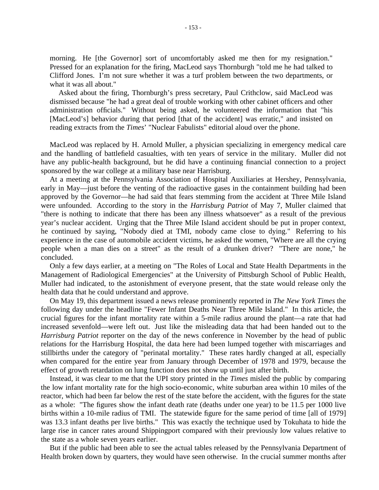morning. He [the Governor] sort of uncomfortably asked me then for my resignation." Pressed for an explanation for the firing, MacLeod says Thornburgh "told me he had talked to Clifford Jones. I'm not sure whether it was a turf problem between the two departments, or what it was all about."

Asked about the firing, Thornburgh's press secretary, Paul Crithclow, said MacLeod was dismissed because "he had a great deal of trouble working with other cabinet officers and other administration officials." Without being asked, he volunteered the information that "his [MacLeod's] behavior during that period [that of the accident] was erratic," and insisted on reading extracts from the *Times*' "Nuclear Fabulists" editorial aloud over the phone.

MacLeod was replaced by H. Arnold Muller, a physician specializing in emergency medical care and the handling of battlefield casualties, with ten years of service in the military. Muller did not have any public-health background, but he did have a continuing financial connection to a project sponsored by the war college at a military base near Harrisburg.

At a meeting at the Pennsylvania Association of Hospital Auxiliaries at Hershey, Pennsylvania, early in May—just before the venting of the radioactive gases in the containment building had been approved by the Governor—he had said that fears stemming from the accident at Three Mile Island were unfounded. According to the story in the *Harrisburg Patriot* of May 7, Muller claimed that "there is nothing to indicate that there has been any illness whatsoever" as a result of the previous year's nuclear accident. Urging that the Three Mile Island accident should be put in proper context, he continued by saying, "Nobody died at TMI, nobody came close to dying." Referring to his experience in the case of automobile accident victims, he asked the women, "Where are all the crying people when a man dies on a street" as the result of a drunken driver? "There are none," he concluded.

Only a few days earlier, at a meeting on "The Roles of Local and State Health Departments in the Management of Radiological Emergencies" at the University of Pittsburgh School of Public Health, Muller had indicated, to the astonishment of everyone present, that the state would release only the health data that he could understand and approve.

On May 19, this department issued a news release prominently reported in *The New York Times* the following day under the headline "Fewer Infant Deaths Near Three Mile Island." In this article, the crucial figures for the infant mortality rate within a 5-mile radius around the plant—a rate that had increased sevenfold—were left out. Just like the misleading data that had been handed out to the *Harrisburg Patriot* reporter on the day of the news conference in November by the head of public relations for the Harrisburg Hospital, the data here had been lumped together with miscarriages and stillbirths under the category of "perinatal mortality." These rates hardly changed at all, especially when compared for the entire year from January through December of 1978 and 1979, because the effect of growth retardation on lung function does not show up until just after birth.

Instead, it was clear to me that the UPI story printed in the *Times* misled the public by comparing the low infant mortality rate for the high socio-economic, white suburban area within 10 miles of the reactor, which had been far below the rest of the state before the accident, with the figures for the state as a whole: "The figures show the infant death rate (deaths under one year) to be 11.5 per 1000 live births within a 10-mile radius of TMI. The statewide figure for the same period of time [all of 1979] was 13.3 infant deaths per live births." This was exactly the technique used by Tokuhata to hide the large rise in cancer rates around Shippingport compared with their previously low values relative to the state as a whole seven years earlier.

But if the public had been able to see the actual tables released by the Pennsylvania Department of Health broken down by quarters, they would have seen otherwise. In the crucial summer months after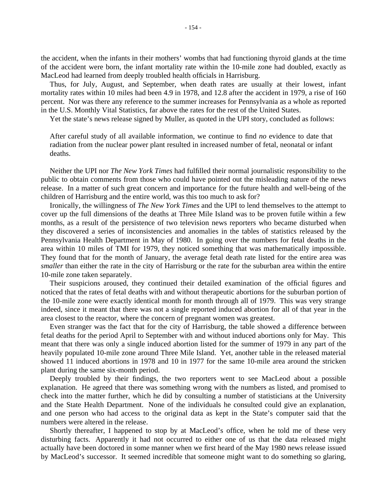the accident, when the infants in their mothers' wombs that had functioning thyroid glands at the time of the accident were born, the infant mortality rate within the 10-mile zone had doubled, exactly as MacLeod had learned from deeply troubled health officials in Harrisburg.

Thus, for July, August, and September, when death rates are usually at their lowest, infant mortality rates within 10 miles had been 4.9 in 1978, and 12.8 after the accident in 1979, a rise of 160 percent. Nor was there any reference to the summer increases for Pennsylvania as a whole as reported in the U.S. Monthly Vital Statistics, far above the rates for the rest of the United States.

Yet the state's news release signed by Muller, as quoted in the UPI story, concluded as follows:

After careful study of all available information, we continue to find *no* evidence to date that radiation from the nuclear power plant resulted in increased number of fetal, neonatal or infant deaths.

Neither the UPI nor *The New York Times* had fulfilled their normal journalistic responsibility to the public to obtain comments from those who could have pointed out the misleading nature of the news release. In a matter of such great concern and importance for the future health and well-being of the children of Harrisburg and the entire world, was this too much to ask for?

Ironically, the willingness of *The New York Times* and the UPI to lend themselves to the attempt to cover up the full dimensions of the deaths at Three Mile Island was to be proven futile within a few months, as a result of the persistence of two television news reporters who became disturbed when they discovered a series of inconsistencies and anomalies in the tables of statistics released by the Pennsylvania Health Department in May of 1980. In going over the numbers for fetal deaths in the area within 10 miles of TMI for 1979, they noticed something that was mathematically impossible. They found that for the month of January, the average fetal death rate listed for the entire area was *smaller* than either the rate in the city of Harrisburg or the rate for the suburban area within the entire 10-mile zone taken separately.

Their suspicions aroused, they continued their detailed examination of the official figures and noticed that the rates of fetal deaths with and without therapeutic abortions for the suburban portion of the 10-mile zone were exactly identical month for month through all of 1979. This was very strange indeed, since it meant that there was not a single reported induced abortion for all of that year in the area closest to the reactor, where the concern of pregnant women was greatest.

Even stranger was the fact that for the city of Harrisburg, the table showed a difference between fetal deaths for the period April to September with and without induced abortions only for May. This meant that there was only a single induced abortion listed for the summer of 1979 in any part of the heavily populated 10-mile zone around Three Mile Island. Yet, another table in the released material showed 11 induced abortions in 1978 and 10 in 1977 for the same 10-mile area around the stricken plant during the same six-month period.

Deeply troubled by their findings, the two reporters went to see MacLeod about a possible explanation. He agreed that there was something wrong with the numbers as listed, and promised to check into the matter further, which he did by consulting a number of statisticians at the University and the State Health Department. None of the individuals he consulted could give an explanation, and one person who had access to the original data as kept in the State's computer said that the numbers were altered in the release.

Shortly thereafter, I happened to stop by at MacLeod's office, when he told me of these very disturbing facts. Apparently it had not occurred to either one of us that the data released might actually have been doctored in some manner when we first heard of the May 1980 news release issued by MacLeod's successor. It seemed incredible that someone might want to do something so glaring,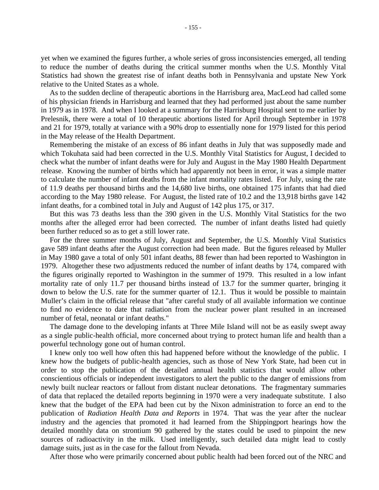yet when we examined the figures further, a whole series of gross inconsistencies emerged, all tending to reduce the number of deaths during the critical summer months when the U.S. Monthly Vital Statistics had shown the greatest rise of infant deaths both in Pennsylvania and upstate New York relative to the United States as a whole.

As to the sudden decline of therapeutic abortions in the Harrisburg area, MacLeod had called some of his physician friends in Harrisburg and learned that they had performed just about the same number in 1979 as in 1978. And when I looked at a summary for the Harrisburg Hospital sent to me earlier by Prelesnik, there were a total of 10 therapeutic abortions listed for April through September in 1978 and 21 for 1979, totally at variance with a 90% drop to essentially none for 1979 listed for this period in the May release of the Health Department.

Remembering the mistake of an excess of 86 infant deaths in July that was supposedly made and which Tokuhata said had been corrected in the U.S. Monthly Vital Statistics for August, I decided to check what the number of infant deaths were for July and August in the May 1980 Health Department release. Knowing the number of births which had apparently not been in error, it was a simple matter to calculate the number of infant deaths from the infant mortality rates listed. For July, using the rate of 11.9 deaths per thousand births and the 14,680 live births, one obtained 175 infants that had died according to the May 1980 release. For August, the listed rate of 10.2 and the 13,918 births gave 142 infant deaths, for a combined total in July and August of 142 plus 175, or 317.

But this was 73 deaths less than the 390 given in the U.S. Monthly Vital Statistics for the two months after the alleged error had been corrected. The number of infant deaths listed had quietly been further reduced so as to get a still lower rate.

For the three summer months of July, August and September, the U.S. Monthly Vital Statistics gave 589 infant deaths after the August correction had been made. But the figures released by Muller in May 1980 gave a total of only 501 infant deaths, 88 fewer than had been reported to Washington in 1979. Altogether these two adjustments reduced the number of infant deaths by 174, compared with the figures originally reported to Washington in the summer of 1979. This resulted in a low infant mortality rate of only 11.7 per thousand births instead of 13.7 for the summer quarter, bringing it down to below the U.S. rate for the summer quarter of 12.1. Thus it would be possible to maintain Muller's claim in the official release that "after careful study of all available information we continue to find *no* evidence to date that radiation from the nuclear power plant resulted in an increased number of fetal, neonatal or infant deaths."

The damage done to the developing infants at Three Mile Island will not be as easily swept away as a single public-health official, more concerned about trying to protect human life and health than a powerful technology gone out of human control.

I knew only too well how often this had happened before without the knowledge of the public. I knew how the budgets of public-health agencies, such as those of New York State, had been cut in order to stop the publication of the detailed annual health statistics that would allow other conscientious officials or independent investigators to alert the public to the danger of emissions from newly built nuclear reactors or fallout from distant nuclear detonations. The fragmentary summaries of data that replaced the detailed reports beginning in 1970 were a very inadequate substitute. I also knew that the budget of the EPA had been cut by the Nixon administration to force an end to the publication of *Radiation Health Data and Reports* in 1974. That was the year after the nuclear industry and the agencies that promoted it had learned from the Shippingport hearings how the detailed monthly data on strontium 90 gathered by the states could be used to pinpoint the new sources of radioactivity in the milk. Used intelligently, such detailed data might lead to costly damage suits, just as in the case for the fallout from Nevada.

After those who were primarily concerned about public health had been forced out of the NRC and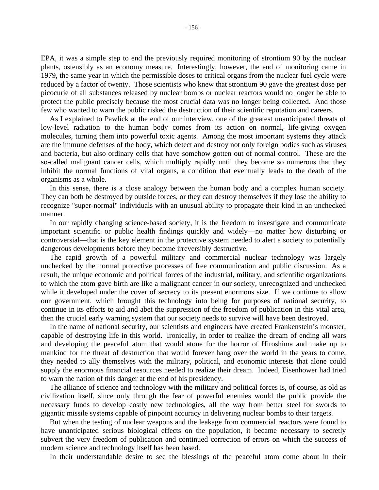EPA, it was a simple step to end the previously required monitoring of strontium 90 by the nuclear plants, ostensibly as an economy measure. Interestingly, however, the end of monitoring came in 1979, the same year in which the permissible doses to critical organs from the nuclear fuel cycle were reduced by a factor of twenty. Those scientists who knew that strontium 90 gave the greatest dose per picocurie of all substances released by nuclear bombs or nuclear reactors would no longer be able to protect the public precisely because the most crucial data was no longer being collected. And those few who wanted to warn the public risked the destruction of their scientific reputation and careers.

As I explained to Pawlick at the end of our interview, one of the greatest unanticipated threats of low-level radiation to the human body comes from its action on normal, life-giving oxygen molecules, turning them into powerful toxic agents. Among the most important systems they attack are the immune defenses of the body, which detect and destroy not only foreign bodies such as viruses and bacteria, but also ordinary cells that have somehow gotten out of normal control. These are the so-called malignant cancer cells, which multiply rapidly until they become so numerous that they inhibit the normal functions of vital organs, a condition that eventually leads to the death of the organisms as a whole.

In this sense, there is a close analogy between the human body and a complex human society. They can both be destroyed by outside forces, or they can destroy themselves if they lose the ability to recognize "super-normal" individuals with an unusual ability to propagate their kind in an unchecked manner.

In our rapidly changing science-based society, it is the freedom to investigate and communicate important scientific or public health findings quickly and widely—no matter how disturbing or controversial—that is the key element in the protective system needed to alert a society to potentially dangerous developments before they become irreversibly destructive.

The rapid growth of a powerful military and commercial nuclear technology was largely unchecked by the normal protective processes of free communication and public discussion. As a result, the unique economic and political forces of the industrial, military, and scientific organizations to which the atom gave birth are like a malignant cancer in our society, unrecognized and unchecked while it developed under the cover of secrecy to its present enormous size. If we continue to allow our government, which brought this technology into being for purposes of national security, to continue in its efforts to aid and abet the suppression of the freedom of publication in this vital area, then the crucial early warning system that our society needs to survive will have been destroyed.

In the name of national security, our scientists and engineers have created Frankenstein's monster, capable of destroying life in this world. Ironically, in order to realize the dream of ending all wars and developing the peaceful atom that would atone for the horror of Hiroshima and make up to mankind for the threat of destruction that would forever hang over the world in the years to come, they needed to ally themselves with the military, political, and economic interests that alone could supply the enormous financial resources needed to realize their dream. Indeed, Eisenhower had tried to warn the nation of this danger at the end of his presidency.

The alliance of science and technology with the military and political forces is, of course, as old as civilization itself, since only through the fear of powerful enemies would the public provide the necessary funds to develop costly new technologies, all the way from better steel for swords to gigantic missile systems capable of pinpoint accuracy in delivering nuclear bombs to their targets.

But when the testing of nuclear weapons and the leakage from commercial reactors were found to have unanticipated serious biological effects on the population, it became necessary to secretly subvert the very freedom of publication and continued correction of errors on which the success of modern science and technology itself has been based.

In their understandable desire to see the blessings of the peaceful atom come about in their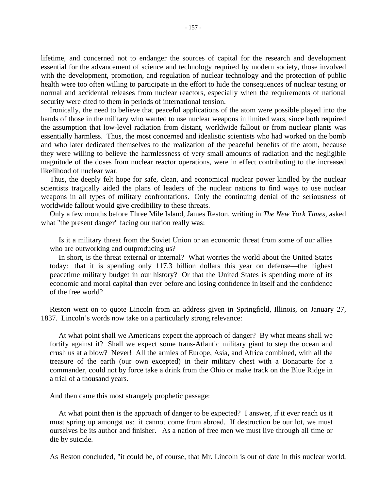lifetime, and concerned not to endanger the sources of capital for the research and development essential for the advancement of science and technology required by modern society, those involved with the development, promotion, and regulation of nuclear technology and the protection of public health were too often willing to participate in the effort to hide the consequences of nuclear testing or normal and accidental releases from nuclear reactors, especially when the requirements of national security were cited to them in periods of international tension.

Ironically, the need to believe that peaceful applications of the atom were possible played into the hands of those in the military who wanted to use nuclear weapons in limited wars, since both required the assumption that low-level radiation from distant, worldwide fallout or from nuclear plants was essentially harmless. Thus, the most concerned and idealistic scientists who had worked on the bomb and who later dedicated themselves to the realization of the peaceful benefits of the atom, because they were willing to believe the harmlessness of very small amounts of radiation and the negligible magnitude of the doses from nuclear reactor operations, were in effect contributing to the increased likelihood of nuclear war.

Thus, the deeply felt hope for safe, clean, and economical nuclear power kindled by the nuclear scientists tragically aided the plans of leaders of the nuclear nations to find ways to use nuclear weapons in all types of military confrontations. Only the continuing denial of the seriousness of worldwide fallout would give credibility to these threats.

Only a few months before Three Mile Island, James Reston, writing in *The New York Times*, asked what "the present danger" facing our nation really was:

Is it a military threat from the Soviet Union or an economic threat from some of our allies who are outworking and outproducing us?

In short, is the threat external or internal? What worries the world about the United States today: that it is spending only 117.3 billion dollars this year on defense—the highest peacetime military budget in our history? Or that the United States is spending more of its economic and moral capital than ever before and losing confidence in itself and the confidence of the free world?

Reston went on to quote Lincoln from an address given in Springfield, Illinois, on January 27, 1837. Lincoln's words now take on a particularly strong relevance:

At what point shall we Americans expect the approach of danger? By what means shall we fortify against it? Shall we expect some trans-Atlantic military giant to step the ocean and crush us at a blow? Never! All the armies of Europe, Asia, and Africa combined, with all the treasure of the earth (our own excepted) in their military chest with a Bonaparte for a commander, could not by force take a drink from the Ohio or make track on the Blue Ridge in a trial of a thousand years.

And then came this most strangely prophetic passage:

At what point then is the approach of danger to be expected? I answer, if it ever reach us it must spring up amongst us: it cannot come from abroad. If destruction be our lot, we must ourselves be its author and finisher. As a nation of free men we must live through all time or die by suicide.

As Reston concluded, "it could be, of course, that Mr. Lincoln is out of date in this nuclear world,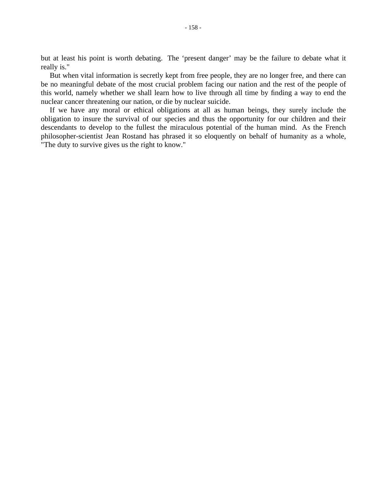but at least his point is worth debating. The 'present danger' may be the failure to debate what it really is."

But when vital information is secretly kept from free people, they are no longer free, and there can be no meaningful debate of the most crucial problem facing our nation and the rest of the people of this world, namely whether we shall learn how to live through all time by finding a way to end the nuclear cancer threatening our nation, or die by nuclear suicide.

If we have any moral or ethical obligations at all as human beings, they surely include the obligation to insure the survival of our species and thus the opportunity for our children and their descendants to develop to the fullest the miraculous potential of the human mind. As the French philosopher-scientist Jean Rostand has phrased it so eloquently on behalf of humanity as a whole, "The duty to survive gives us the right to know."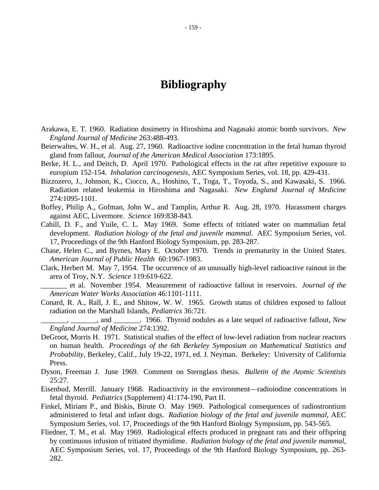# **Bibliography**

- Arakawa, E. T. 1960. Radiation dosimetry in Hiroshima and Nagasaki atomic bomb survivors. *New England Journal of Medicine* 263:488-493.
- Beierwaltes, W. H., et al. Aug. 27, 1960. Radioactive iodine concentration in the fetal human thyroid gland from fallout, *Journal of the American Medical Association* 173:1895.
- Berke, H. L., and Deitch, D. April 1970. Pathological effects in the rat after repetitive exposure to europium 152-154. *Inhalation carcinogenesis*, AEC Symposium Series, vol. 18, pp. 429-431.
- Bizzozero, J., Johnson, K., Ciocco, A., Hoshino, T., Toga, T., Toyoda, S., and Kawasaki, S. 1966. Radiation related leukemia in Hiroshima and Nagasaki. *New England Journal of Medicine* 274:1095-1101.
- Boffey, Philip A., Gofman, John W., and Tamplin, Arthur R. Aug. 28, 1970. Harassment charges against AEC, Livermore. *Science* 169:838-843.
- Cahill, D. F., and Yuile, C. L. May 1969. Some effects of tritiated water on mammalian fetal development. *Radiation biology of the fetal and juvenile mammal*. AEC Symposium Series, vol. 17, Proceedings of the 9th Hanford Biology Symposium, pp. 283-287.
- Chase, Helen C., and Byrnes, Mary E. October 1970. Trends in prematurity in the United States. *American Journal of Public Health* 60:1967-1983.
- Clark, Herbert M. May 7, 1954. The occurrence of an unusually high-level radioactive rainout in the area of Troy, N.Y. *Science* 119:619-622.
- \_\_\_\_\_\_\_ et al. November 1954. Measurement of radioactive fallout in reservoirs. *Journal of the American Water Works Association* 46:1101-1111.
- Conard, R. A., Rall, J. E., and Shitow, W. W. 1965. Growth status of children exposed to fallout radiation on the Marshall Islands, *Pediatrics* 36:721.

\_\_\_\_\_\_\_, \_\_\_\_\_\_\_, and \_\_\_\_\_\_\_. 1966. Thyroid nodules as a late sequel of radioactive fallout, *New England Journal of Medicine* 274:1392.

- DeGroot, Morris H. 1971. Statistical studies of the effect of low-level radiation from nuclear reactors on human health. *Proceedings of the 6th Berkeley Symposium on Mathematical Statistics and Probability*, Berkeley, Calif., July 19-22, 1971, ed. J. Neyman. Berkeley: University of California Press.
- Dyson, Freeman J. June 1969. Comment on Sternglass thesis. *Bulletin of the Atomic Scientists* 25:27.
- Eisenbud, Merrill. January 1968. Radioactivity in the environment—radioiodine concentrations in fetal thyroid. *Pediatrics* (Supplement) 41:174-190, Part II.
- Finkel, Miriam P., and Biskis, Birute O. May 1969. Pathological consequences of radiostrontium administered to fetal and infant dogs. *Radiation biology of the fetal and juvenile mammal*, AEC Symposium Series, vol. 17, Proceedings of the 9th Hanford Biology Symposium, pp. 543-565.
- Fliedner, T. M., et al. May 1969. Radiological effects produced in pregnant rats and their offspring by continuous infusion of tritiated thymidime. *Radiation biology of the fetal and juvenile mammal*, AEC Symposium Series, vol. 17, Proceedings of the 9th Hanford Biology Symposium, pp. 263- 282.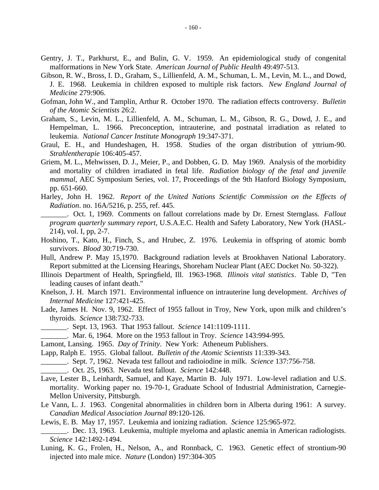- Gentry, J. T., Parkhurst, E., and Bulin, G. V. 1959. An epidemiological study of congenital malformations in New York State. *American Journal of Public Health* 49:497-513.
- Gibson, R. W., Bross, I. D., Graham, S., Lillienfeld, A. M., Schuman, L. M., Levin, M. L., and Dowd, J. E. 1968. Leukemia in children exposed to multiple risk factors. *New England Journal of Medicine* 279:906.
- Gofman, John W., and Tamplin, Arthur R. October 1970. The radiation effects controversy. *Bulletin of the Atomic Scientists* 26:2.
- Graham, S., Levin, M. L., Lillienfeld, A. M., Schuman, L. M., Gibson, R. G., Dowd, J. E., and Hempelman, L. 1966. Preconception, intrauterine, and postnatal irradiation as related to leukemia. *National Cancer Institute Monograph* 19:347-371.
- Graul, E. H., and Hundeshagen, H. 1958. Studies of the organ distribution of yttrium-90. *Strahlentherapie* 106:405-457.
- Griem, M. L., Mehwissen, D. J., Meier, P., and Dobben, G. D. May 1969. Analysis of the morbidity and mortality of children irradiated in fetal life. *Radiation biology of the fetal and juvenile mammal*, AEC Symposium Series, vol. 17, Proceedings of the 9th Hanford Biology Symposium, pp. 651-660.
- Harley, John H. 1962. *Report of the United Nations Scientific Commission on the Effects of Radiation*. no. 16A/5216, p. 255, ref. 445.
- \_\_\_\_\_\_\_. Oct. 1, 1969. Comments on fallout correlations made by Dr. Ernest Sternglass. *Fallout program quarterly summary report*, U.S.A.E.C. Health and Safety Laboratory, New York (HASL-214), vol. I, pp, 2-7.
- Hoshino, T., Kato, H., Finch, S., and Hrubec, Z. 1976. Leukemia in offspring of atomic bomb survivors. *Blood* 30:719-730.
- Hull, Andrew P. May 15,1970. Background radiation levels at Brookhaven National Laboratory. Report submitted at the Licensing Hearings, Shoreham Nuclear Plant (AEC Docket No. 50-322).
- Illinois Department of Health, Springfield, Ill. 1963-1968. *Illinois vital statistics*. Table D, "Ten leading causes of infant death."
- Knelson, J. H. March 1971. Environmental influence on intrauterine lung development. *Archives of Internal Medicine* 127:421-425.
- Lade, James H. Nov. 9, 1962. Effect of 1955 fallout in Troy, New York, upon milk and children's thyroids. *Science* 138:732-733.
- \_\_\_\_\_\_\_. Sept. 13, 1963. That 1953 fallout. *Science* 141:1109-1111.
- \_\_\_\_\_\_\_. Mar. 6, 1964. More on the 1953 fallout in Troy. *Science* 143:994-995.
- Lamont, Lansing. 1965. *Day of Trinity*. New York: Atheneum Publishers.
- Lapp, Ralph E. 1955. Global fallout. *Bulletin of the Atomic Scientists* 11:339-343.
- \_\_\_\_\_\_\_. Sept. 7, 1962. Nevada test fallout and radioiodine in milk. *Science* 137:756-758.
	- \_\_\_\_\_\_\_. Oct. 25, 1963. Nevada test fallout. *Science* 142:448.
- Lave, Lester B., Leinhardt, Samuel, and Kaye, Martin B. July 1971. Low-level radiation and U.S. mortality. Working paper no. 19-70-1, Graduate School of Industrial Administration, Carnegie-Mellon University, Pittsburgh.
- Le Vann, L. J. 1963. Congenital abnormalities in children born in Alberta during 1961: A survey. *Canadian Medical Association Journal* 89:120-126.

Lewis, E. B. May 17, 1957. Leukemia and ionizing radiation. *Science* 125:965-972.

\_\_\_\_\_\_\_. Dec. 13, 1963. Leukemia, multiple myeloma and aplastic anemia in American radiologists. *Science* 142:1492-1494.

Luning, K. G., Frolen, H., Nelson, A., and Ronnback, C. 1963. Genetic effect of strontium-90 injected into male mice. *Nature* (London) 197:304-305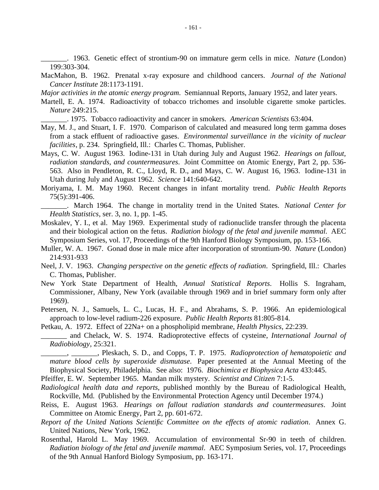\_\_\_\_\_\_\_. 1963. Genetic effect of strontium-90 on immature germ cells in mice. *Nature* (London) 199:303-304.

- MacMahon, B. 1962. Prenatal x-ray exposure and childhood cancers. *Journal of the National Cancer Institute* 28:1173-1191.
- *Major activities in the atomic energy program*. Semiannual Reports, January 1952, and later years.
- Martell, E. A. 1974. Radioactivity of tobacco trichomes and insoluble cigarette smoke particles. *Nature* 249:215.

\_\_\_\_\_\_\_. 1975. Tobacco radioactivity and cancer in smokers. *American Scientists* 63:404.

- May, M. J., and Stuart, I. F. 1970. Comparison of calculated and measured long term gamma doses from a stack effluent of radioactive gases. *Environmental surveillance in the vicinity of nuclear facilities*, p. 234. Springfield, Ill.: Charles C. Thomas, Publisher.
- Mays, C. W. August 1963. Iodine-131 in Utah during July and August 1962. *Hearings on fallout, radiation standards, and countermeasures*. Joint Committee on Atomic Energy, Part 2, pp. 536- 563. Also in Pendleton, R. C., Lloyd, R. D., and Mays, C. W. August 16, 1963. Iodine-131 in Utah during July and August 1962. *Science* 141:640-642.
- Moriyama, I. M. May 1960. Recent changes in infant mortality trend. *Public Health Reports* 75(5):391-406.
- \_\_\_\_\_\_\_. March 1964. The change in mortality trend in the United States. *National Center for Health Statistics*, ser. 3, no. 1, pp. 1-45.
- Moskalev, Y. I., et al. May 1969. Experimental study of radionuclide transfer through the placenta and their biological action on the fetus. *Radiation biology of the fetal and juvenile mammal.* AEC Symposium Series, vol. 17, Proceedings of the 9th Hanford Biology Symposium, pp. 153-166.
- Muller, W. A. 1967. Gonad dose in male mice after incorporation of strontium-90. *Nature* (London) 214:931-933
- Neel, J. V. 1963. *Changing perspective on the genetic effects of radiation*. Springfield, Ill.: Charles C. Thomas, Publisher.
- New York State Department of Health, *Annual Statistical Reports*. Hollis S. Ingraham, Commissioner, Albany, New York (available through 1969 and in brief summary form only after 1969).
- Petersen, N. J., Samuels, L. C., Lucas, H. F., and Abrahams, S. P. 1966. An epidemiological approach to low-level radium-226 exposure. *Public Health Reports* 81:805-814.

Petkau, A. 1972. Effect of 22Na+ on a phospholipid membrane, *Health Physics*, 22:239.

\_\_\_\_\_\_\_ and Chelack, W. S. 1974. Radioprotective effects of cysteine, *International Journal of Radiobiology*, 25:321.

\_\_\_\_\_\_\_, \_\_\_\_\_\_\_, Pleskach, S. D., and Copps, T. P. 1975. *Radioprotection of hematopoietic and mature blood cells by superoxide dismutase*. Paper presented at the Annual Meeting of the Biophysical Society, Philadelphia. See also: 1976. *Biochimica et Biophysica Acta* 433:445.

Pfeiffer, E. W. September 1965. Mandan milk mystery. *Scientist and Citizen* 7:1-5.

*Radiological health data and reports*, published monthly by the Bureau of Radiological Health, Rockville, Md. (Published by the Environmental Protection Agency until December 1974.)

- Reiss, E. August 1963. *Hearings on fallout radiation standards and countermeasures*. Joint Committee on Atomic Energy, Part 2, pp. 601-672.
- *Report of the United Nations Scientific Committee on the effects of atomic radiation*. Annex G. United Nations, New York, 1962.
- Rosenthal, Harold L. May 1969. Accumulation of environmental Sr-90 in teeth of children. *Radiation biology of the fetal and juvenile mammal*. AEC Symposium Series, vol. 17, Proceedings of the 9th Annual Hanford Biology Symposium, pp. 163-171.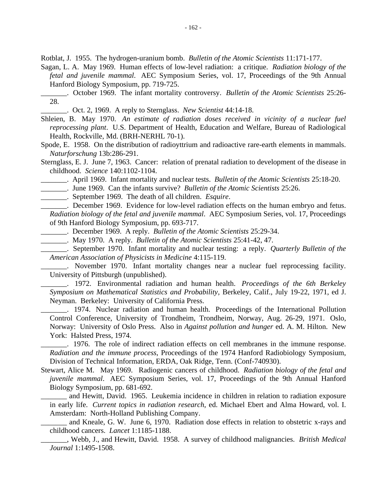Rotblat, J. 1955. The hydrogen-uranium bomb. *Bulletin of the Atomic Scientists* 11:171-177.

Sagan, L. A. May 1969. Human effects of low-level radiation: a critique. *Radiation biology of the fetal and juvenile mammal*. AEC Symposium Series, vol. 17, Proceedings of the 9th Annual Hanford Biology Symposium, pp. 719-725.

\_\_\_\_\_\_\_. Oct. 2, 1969. A reply to Sternglass. *New Scientist* 44:14-18.

Shleien, B. May 1970. *An estimate of radiation doses received in vicinity of a nuclear fuel reprocessing plant*. U.S. Department of Health, Education and Welfare, Bureau of Radiological Health, Rockville, Md. (BRH-NERHL 70-1).

Spode, E. 1958. On the distribution of radioyttrium and radioactive rare-earth elements in mammals. *Naturforschung* 13b:286-291.

Sternglass, E. J. June 7, 1963. Cancer: relation of prenatal radiation to development of the disease in childhood. *Science* 140:1102-1104.

\_\_\_\_\_\_\_. April 1969. Infant mortality and nuclear tests. *Bulletin of the Atomic Scientists* 25:18-20.

\_\_\_\_\_\_\_. June 1969. Can the infants survive? *Bulletin of the Atomic Scientists* 25:26.

\_\_\_\_\_\_\_. September 1969. The death of all children. *Esquire*.

\_\_\_\_\_\_\_. December 1969. Evidence for low-level radiation effects on the human embryo and fetus. *Radiation biology of the fetal and juvenile mammal*. AEC Symposium Series, vol. 17, Proceedings of 9th Hanford Biology Symposium, pp. 693-717.

\_\_\_\_\_\_\_. December 1969. A reply. *Bulletin of the Atomic Scientists* 25:29-34.

\_\_\_\_\_\_\_. May 1970. A reply. *Bulletin of the Atomic Scientists* 25:41-42, 47.

\_\_\_\_\_\_\_. September 1970. Infant mortality and nuclear testing: a reply. *Quarterly Bulletin of the American Association of Physicists in Medicine* 4:115-119.

\_\_\_\_\_\_\_. November 1970. Infant mortality changes near a nuclear fuel reprocessing facility. University of Pittsburgh (unpublished).

\_\_\_\_\_\_\_. 1972. Environmental radiation and human health. *Proceedings of the 6th Berkeley Symposium on Mathematical Statistics and Probability*, Berkeley, Calif., July 19-22, 1971, ed J. Neyman. Berkeley: University of California Press.

\_\_\_\_\_\_\_. 1974. Nuclear radiation and human health. Proceedings of the International Pollution Control Conference, University of Trondheim, Trondheim, Norway, Aug. 26-29, 1971. Oslo, Norway: University of Oslo Press. Also in *Against pollution and hunger* ed. A. M. Hilton. New York: Halsted Press, 1974.

\_\_\_\_\_\_\_. 1976. The role of indirect radiation effects on cell membranes in the immune response. *Radiation and the immune process*, Proceedings of the 1974 Hanford Radiobiology Symposium, Division of Technical Information, ERDA, Oak Ridge, Tenn. (Conf-740930).

Stewart, Alice M. May 1969. Radiogenic cancers of childhood. *Radiation biology of the fetal and juvenile mammal*. AEC Symposium Series, vol. 17, Proceedings of the 9th Annual Hanford Biology Symposium, pp. 681-692.

and Hewitt, David. 1965. Leukemia incidence in children in relation to radiation exposure in early life. *Current topics in radiation research*, ed. Michael Ebert and Alma Howard, vol. I. Amsterdam: North-Holland Publishing Company.

and Kneale, G. W. June 6, 1970. Radiation dose effects in relation to obstetric x-rays and childhood cancers. *Lancet* 1:1185-1188.

\_\_\_\_\_\_\_, Webb, J., and Hewitt, David. 1958. A survey of childhood malignancies. *British Medical Journal* 1:1495-1508.

\_\_\_\_\_\_\_. October 1969. The infant mortality controversy. *Bulletin of the Atomic Scientists* 25:26- 28.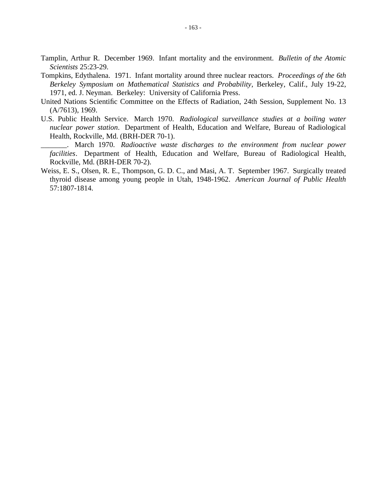- Tamplin, Arthur R. December 1969. Infant mortality and the environment. *Bulletin of the Atomic Scientists* 25:23-29.
- Tompkins, Edythalena. 1971. Infant mortality around three nuclear reactors. *Proceedings of the 6th Berkeley Symposium on Mathematical Statistics and Probability*, Berkeley, Calif., July 19-22, 1971, ed. J. Neyman. Berkeley: University of California Press.
- United Nations Scientific Committee on the Effects of Radiation, 24th Session, Supplement No. 13 (A/7613), 1969.
- U.S. Public Health Service. March 1970. *Radiological surveillance studies at a boiling water nuclear power station*. Department of Health, Education and Welfare, Bureau of Radiological Health, Rockville, Md. (BRH-DER 70-1).
	- \_\_\_\_\_\_\_. March 1970. *Radioactive waste discharges to the environment from nuclear power facilities*. Department of Health, Education and Welfare, Bureau of Radiological Health, Rockville, Md. (BRH-DER 70-2).
- Weiss, E. S., Olsen, R. E., Thompson, G. D. C., and Masi, A. T. September 1967. Surgically treated thyroid disease among young people in Utah, 1948-1962. *American Journal of Public Health* 57:1807-1814.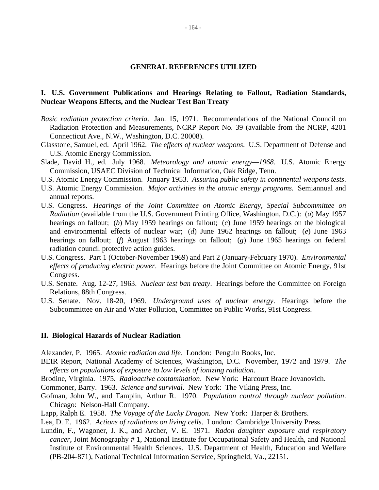#### **GENERAL REFERENCES UTILIZED**

## **I. U.S. Government Publications and Hearings Relating to Fallout, Radiation Standards, Nuclear Weapons Effects, and the Nuclear Test Ban Treaty**

- *Basic radiation protection criteria*. Jan. 15, 1971. Recommendations of the National Council on Radiation Protection and Measurements, NCRP Report No. 39 (available from the NCRP, 4201 Connecticut Ave., N.W., Washington, D.C. 20008).
- Glasstone, Samuel, ed. April 1962. *The effects of nuclear weapons*. U.S. Department of Defense and U.S. Atomic Energy Commission.
- Slade, David H., ed. July 1968. *Meteorology and atomic energy—1968*. U.S. Atomic Energy Commission, USAEC Division of Technical Information, Oak Ridge, Tenn.
- U.S. Atomic Energy Commission. January 1953. *Assuring public safety in continental weapons tests*.
- U.S. Atomic Energy Commission. *Major activities in the atomic energy programs*. Semiannual and annual reports.
- U.S. Congress. *Hearings of the Joint Committee on Atomic Energy, Special Subcommittee on Radiation* (available from the U.S. Government Printing Office, Washington, D.C.): (*a*) May 1957 hearings on fallout; (*b*) May 1959 hearings on fallout; (*c*) June 1959 hearings on the biological and environmental effects of nuclear war; (*d*) June 1962 hearings on fallout; (*e*) June 1963 hearings on fallout; (*f*) August 1963 hearings on fallout; (*g*) June 1965 hearings on federal radiation council protective action guides.
- U.S. Congress. Part 1 (October-November 1969) and Part 2 (January-February 1970). *Environmental effects of producing electric power*. Hearings before the Joint Committee on Atomic Energy, 91st Congress.
- U.S. Senate. Aug. 12-27, 1963. *Nuclear test ban treaty*. Hearings before the Committee on Foreign Relations, 88th Congress.
- U.S. Senate. Nov. 18-20, 1969. *Underground uses of nuclear energy*. Hearings before the Subcommittee on Air and Water Pollution, Committee on Public Works, 91st Congress.

#### **II. Biological Hazards of Nuclear Radiation**

Alexander, P. 1965. *Atomic radiation and life*. London: Penguin Books, Inc.

- BEIR Report, National Academy of Sciences, Washington, D.C. November, 1972 and 1979. *The effects on populations of exposure to low levels of ionizing radiation*.
- Brodine, Virginia. 1975. *Radioactive contamination*. New York: Harcourt Brace Jovanovich.

Commoner, Barry. 1963. *Science and survival*. New York: The Viking Press, Inc.

- Gofman, John W., and Tamplin, Arthur R. 1970. *Population control through nuclear pollution*. Chicago: Nelson-Hall Company.
- Lapp, Ralph E. 1958. *The Voyage of the Lucky Dragon*. New York: Harper & Brothers.

Lea, D. E. 1962. *Actions of radiations on living cells*. London: Cambridge University Press.

Lundin, F., Wagoner, J. K., and Archer, V. E. 1971. *Radon daughter exposure and respiratory cancer*, Joint Monography # 1, National Institute for Occupational Safety and Health, and National Institute of Environmental Health Sciences. U.S. Department of Health, Education and Welfare (PB-204-871), National Technical Information Service, Springfield, Va., 22151.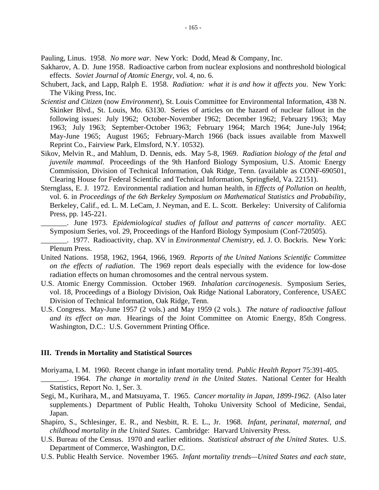Pauling, Linus. 1958. *No more war*. New York: Dodd, Mead & Company, Inc.

- Sakharov, A. D. June 1958. Radioactive carbon from nuclear explosions and nonthreshold biological effects. *Soviet Journal of Atomic Energy*, vol. 4, no. 6.
- Schubert, Jack, and Lapp, Ralph E. 1958. *Radiation: what it is and how it affects you*. New York: The Viking Press, Inc.
- *Scientist and Citizen* (now *Environment*), St. Louis Committee for Environmental Information, 438 N. Skinker Blvd., St. Louis, Mo. 63130. Series of articles on the hazard of nuclear fallout in the following issues: July 1962; October-November 1962; December 1962; February 1963; May 1963; July 1963; September-October 1963; February 1964; March 1964; June-July 1964; May-June 1965; August 1965; February-March 1966 (back issues available from Maxwell Reprint Co., Fairview Park, Elmsford, N.Y. 10532).
- Sikov, Melvin R., and Mahlum, D. Dennis, eds. May 5-8, 1969. *Radiation biology of the fetal and juvenile mammal*. Proceedings of the 9th Hanford Biology Symposium, U.S. Atomic Energy Commission, Division of Technical Information, Oak Ridge, Tenn. (available as CONF-690501, Clearing House for Federal Scientific and Technical Information, Springfield, Va. 22151).
- Sternglass, E. J. 1972. Environmental radiation and human health, in *Effects of Pollution on health*, vol. 6. in *Proceedings of the 6th Berkeley Symposium on Mathematical Statistics and Probability*, Berkeley, Calif., ed. L. M. LeCam, J. Neyman, and E. L. Scott. Berkeley: University of California Press, pp. 145-221.

\_\_\_\_\_\_\_. June 1973. *Epidemiological studies of fallout and patterns of cancer mortality*. AEC Symposium Series, vol. 29, Proceedings of the Hanford Biology Symposium (Conf-720505).

\_\_\_\_\_\_\_. 1977. Radioactivity, chap. XV in *Environmental Chemistry*, ed. J. O. Bockris. New York: Plenum Press.

- United Nations. 1958, 1962, 1964, 1966, 1969. *Reports of the United Nations Scientific Committee on the effects of radiation*. The 1969 report deals especially with the evidence for low-dose radiation effects on human chromosomes and the central nervous system.
- U.S. Atomic Energy Commission. October 1969. *Inhalation carcinogenesis*. Symposium Series, vol. 18, Proceedings of a Biology Division, Oak Ridge National Laboratory, Conference, USAEC Division of Technical Information, Oak Ridge, Tenn.
- U.S. Congress. May-June 1957 (2 vols.) and May 1959 (2 vols.). *The nature of radioactive fallout and its effect on man*. Hearings of the Joint Committee on Atomic Energy, 85th Congress. Washington, D.C.: U.S. Government Printing Office.

### **III. Trends in Mortality and Statistical Sources**

Moriyama, I. M. 1960. Recent change in infant mortality trend. *Public Health Report* 75:391-405.

- \_\_\_\_\_\_\_. 1964. *The change in mortality trend in the United States*. National Center for Health Statistics, Report No. 1, Ser. 3.
- Segi, M., Kurihara, M., and Matsuyama, T. 1965. *Cancer mortality in Japan, 1899-1962*. (Also later supplements.) Department of Public Health, Tohoku University School of Medicine, Sendai, Japan.
- Shapiro, S., Schlesinger, E. R., and Nesbitt, R. E. L., Jr. 1968. *Infant, perinatal, maternal, and childhood mortality in the United States*. Cambridge: Harvard University Press.
- U.S. Bureau of the Census. 1970 and earlier editions. *Statistical abstract of the United States*. U.S. Department of Commerce, Washington, D.C.
- U.S. Public Health Service. November 1965. *Infant mortality trends—United States and each state,*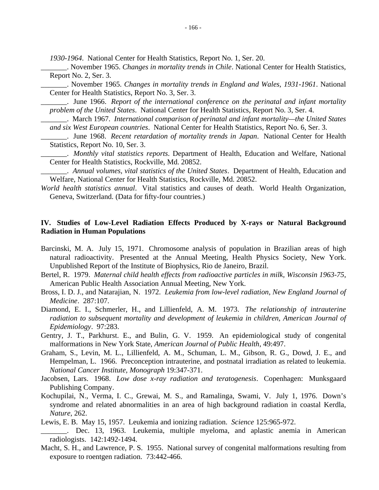*1930-1964*. National Center for Health Statistics, Report No. 1, Ser. 20.

\_\_\_\_\_\_\_. November 1965. *Changes in mortality trends in Chile*. National Center for Health Statistics, Report No. 2, Ser. 3.

\_\_\_\_\_\_\_. November 1965. *Changes in mortality trends in England and Wales, 1931-1961*. National Center for Health Statistics, Report No. 3, Ser. 3.

\_\_\_\_\_\_\_. June 1966. *Report of the international conference on the perinatal and infant mortality problem of the United States*. National Center for Health Statistics, Report No. 3, Ser. 4.

\_\_\_\_\_\_\_. March 1967. *International comparison of perinatal and infant mortality—the United States and six West European countries*. National Center for Health Statistics, Report No. 6, Ser. 3.

- \_\_\_\_\_\_\_. June 1968. *Recent retardation of mortality trends in Japan*. National Center for Health Statistics, Report No. 10, Ser. 3.
- \_\_\_\_\_\_\_. *Monthly vital statistics reports*. Department of Health, Education and Welfare, National Center for Health Statistics, Rockville, Md. 20852.

\_\_\_\_\_\_\_. *Annual volumes, vital statistics of the United States*. Department of Health, Education and Welfare, National Center for Health Statistics, Rockville, Md. 20852.

*World health statistics annual*. Vital statistics and causes of death. World Health Organization, Geneva, Switzerland. (Data for fifty-four countries.)

## **IV. Studies of Low-Level Radiation Effects Produced by X-rays or Natural Background Radiation in Human Populations**

- Barcinski, M. A. July 15, 1971. Chromosome analysis of population in Brazilian areas of high natural radioactivity. Presented at the Annual Meeting, Health Physics Society, New York. Unpublished Report of the Institute of Biophysics, Rio de Janeiro, Brazil.
- Bertel, R. 1979. *Maternal child health effects from radioactive particles in milk, Wisconsin 1963-75*, American Public Health Association Annual Meeting, New York.
- Bross, I. D. J., and Natarajian, N. 1972. *Leukemia from low-level radiation, New England Journal of Medicine*. 287:107.
- Diamond, E. I., Schmerler, H., and Lillienfeld, A. M. 1973. *The relationship of intrauterine radiation to subsequent mortality and development of leukemia in children, American Journal of Epidemiology*. 97:283.
- Gentry, J. T., Parkhurst. E., and Bulin, G. V. 1959. An epidemiological study of congenital malformations in New York State, *American Journal of Public Health*, 49:497.
- Graham, S., Levin, M. L., Lillienfeld, A. M., Schuman, L. M., Gibson, R. G., Dowd, J. E., and Hempelman, L. 1966. Preconception intrauterine, and postnatal irradiation as related to leukemia. *National Cancer Institute, Monograph* 19:347-371.
- Jacobsen, Lars. 1968. *Low dose x-ray radiation and teratogenesis*. Copenhagen: Munksgaard Publishing Company.
- Kochupilai, N., Verma, I. C., Grewai, M. S., and Ramalinga, Swami, V. July 1, 1976. Down's syndrome and related abnormalities in an area of high background radiation in coastal Kerdla, *Nature*, 262.

Lewis, E. B. May 15, 1957. Leukemia and ionizing radiation. *Science* 125:965-972.

\_\_\_\_\_\_\_. Dec. 13, 1963. Leukemia, multiple myeloma, and aplastic anemia in American radiologists. 142:1492-1494.

Macht, S. H., and Lawrence, P. S. 1955. National survey of congenital malformations resulting from exposure to roentgen radiation. 73:442-466.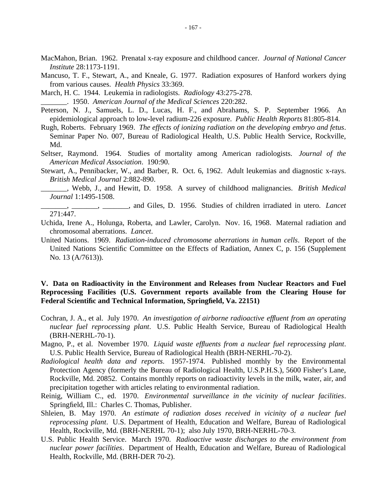- MacMahon, Brian. 1962. Prenatal x-ray exposure and childhood cancer. *Journal of National Cancer Institute* 28:1173-1191.
- Mancuso, T. F., Stewart, A., and Kneale, G. 1977. Radiation exposures of Hanford workers dying from various causes. *Health Physics* 33:369.
- March, H. C. 1944. Leukemia in radiologists. *Radiology* 43:275-278. \_\_\_\_\_\_\_. 1950. *American Journal of the Medical Sciences* 220:282.
- Peterson, N. J., Samuels, L. D., Lucas, H. F., and Abrahams, S. P. September 1966. An epidemiological approach to low-level radium-226 exposure. *Public Health Reports* 81:805-814.
- Rugh, Roberts. February 1969. *The effects of ionizing radiation on the developing embryo and fetus*. Seminar Paper No. 007, Bureau of Radiological Health, U.S. Public Health Service, Rockville, Md.
- Seltser, Raymond. 1964. Studies of mortality among American radiologists. *Journal of the American Medical Association*. 190:90.
- Stewart, A., Pennibacker, W., and Barber, R. Oct. 6, 1962. Adult leukemias and diagnostic x-rays. *British Medical Journal* 2:882-890.
	- \_\_\_\_\_\_\_, Webb, J., and Hewitt, D. 1958. A survey of childhood malignancies. *British Medical Journal* 1:1495-1508.
- \_\_\_\_\_\_\_, \_\_\_\_\_\_\_, \_\_\_\_\_\_\_, and Giles, D. 1956. Studies of children irradiated in utero. *Lancet* 271:447.
- Uchida, Irene A., Holunga, Roberta, and Lawler, Carolyn. Nov. 16, 1968. Maternal radiation and chromosomal aberrations. *Lancet*.
- United Nations. 1969. *Radiation-induced chromosome aberrations in human cells*. Report of the United Nations Scientific Committee on the Effects of Radiation, Annex C, p. 156 (Supplement No. 13 (A/7613)).

## **V. Data on Radioactivity in the Environment and Releases from Nuclear Reactors and Fuel Reprocessing Facilities (U.S. Government reports available from the Clearing House for Federal Scientific and Technical Information, Springfield, Va. 22151)**

- Cochran, J. A., et al. July 1970. *An investigation of airborne radioactive effluent from an operating nuclear fuel reprocessing plant*. U.S. Public Health Service, Bureau of Radiological Health (BRH-NERHL-70-1).
- Magno, P., et al. November 1970. *Liquid waste effluents from a nuclear fuel reprocessing plant*. U.S. Public Health Service, Bureau of Radiological Health (BRH-NERHL-70-2).
- *Radiological health data and reports*. 1957-1974. Published monthly by the Environmental Protection Agency (formerly the Bureau of Radiological Health, U.S.P.H.S.), 5600 Fisher's Lane, Rockville, Md. 20852. Contains monthly reports on radioactivity levels in the milk, water, air, and precipitation together with articles relating to environmental radiation.
- Reinig, William C., ed. 1970. *Environmental surveillance in the vicinity of nuclear facilities*. Springfield, Ill.: Charles C. Thomas, Publisher.
- Shleien, B. May 1970. *An estimate of radiation doses received in vicinity of a nuclear fuel reprocessing plant*. U.S. Department of Health, Education and Welfare, Bureau of Radiological Health, Rockville, Md. (BRH-NERHL 70-1); also July 1970, BRH-NERHL-70-3.
- U.S. Public Health Service. March 1970. *Radioactive waste discharges to the environment from nuclear power facilities*. Department of Health, Education and Welfare, Bureau of Radiological Health, Rockville, Md. (BRH-DER 70-2).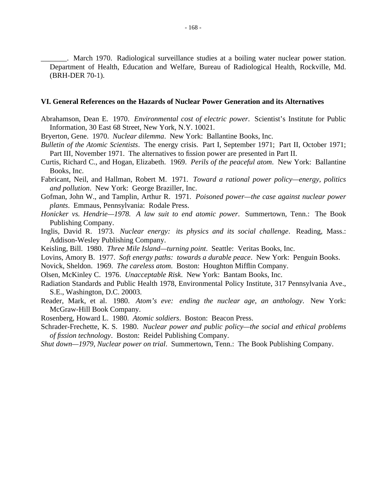\_\_\_\_\_\_\_. March 1970. Radiological surveillance studies at a boiling water nuclear power station. Department of Health, Education and Welfare, Bureau of Radiological Health, Rockville, Md. (BRH-DER 70-1).

### **VI. General References on the Hazards of Nuclear Power Generation and its Alternatives**

- Abrahamson, Dean E. 1970. *Environmental cost of electric power*. Scientist's Institute for Public Information, 30 East 68 Street, New York, N.Y. 10021.
- Bryerton, Gene. 1970. *Nuclear dilemma*. New York: Ballantine Books, Inc.
- *Bulletin of the Atomic Scientists*. The energy crisis. Part I, September 1971; Part II, October 1971; Part III, November 1971. The alternatives to fission power are presented in Part II.
- Curtis, Richard C., and Hogan, Elizabeth. 1969. *Perils of the peaceful atom*. New York: Ballantine Books, Inc.
- Fabricant, Neil, and Hallman, Robert M. 1971. *Toward a rational power policy—energy, politics and pollution*. New York: George Braziller, Inc.
- Gofman, John W., and Tamplin, Arthur R. 1971. *Poisoned power—the case against nuclear power plants*. Emmaus, Pennsylvania: Rodale Press.
- *Honicker vs. Hendrie—1978. A law suit to end atomic power*. Summertown, Tenn.: The Book Publishing Company.
- Inglis, David R. 1973. *Nuclear energy: its physics and its social challenge*. Reading, Mass.: Addison-Wesley Publishing Company.
- Keisling, Bill. 1980. *Three Mile Island—turning point*. Seattle: Veritas Books, Inc.
- Lovins, Amory B. 1977. *Soft energy paths: towards a durable peace*. New York: Penguin Books.
- Novick, Sheldon. 1969. *The careless atom*. Boston: Houghton Mifflin Company.
- Olsen, McKinley C. 1976. *Unacceptable Risk*. New York: Bantam Books, Inc.
- Radiation Standards and Public Health 1978, Environmental Policy Institute, 317 Pennsylvania Ave., S.E., Washington, D.C. 20003.
- Reader, Mark, et al. 1980. *Atom's eve: ending the nuclear age, an anthology*. New York: McGraw-Hill Book Company.
- Rosenberg, Howard L. 1980. *Atomic soldiers*. Boston: Beacon Press.
- Schrader-Frechette, K. S. 1980. *Nuclear power and public policy—the social and ethical problems of fission technology*. Boston: Reidel Publishing Company.
- *Shut down—1979, Nuclear power on trial*. Summertown, Tenn.: The Book Publishing Company.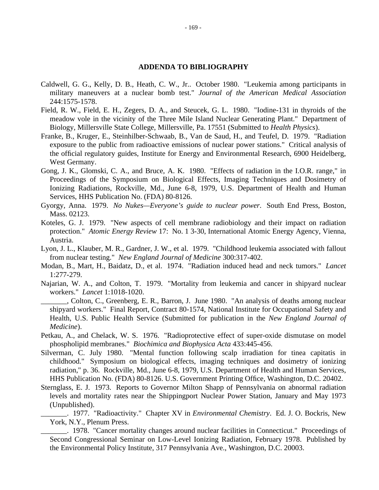#### **ADDENDA TO BIBLIOGRAPHY**

- Caldwell, G. G., Kelly, D. B., Heath, C. W., Jr.. October 1980. "Leukemia among participants in military maneuvers at a nuclear bomb test." *Journal of the American Medical Association* 244:1575-1578.
- Field, R. W., Field, E. H., Zegers, D. A., and Steucek, G. L. 1980. "Iodine-131 in thyroids of the meadow vole in the vicinity of the Three Mile Island Nuclear Generating Plant." Department of Biology, Millersville State College, Millersville, Pa. 17551 (Submitted to *Health Physics*).
- Franke, B., Kruger, E., Steinhilber-Schwaab, B., Van de Saud, H., and Teufel, D. 1979. "Radiation exposure to the public from radioactive emissions of nuclear power stations." Critical analysis of the official regulatory guides, Institute for Energy and Environmental Research, 6900 Heidelberg, West Germany.
- Gong, J. K., Glomski, C. A., and Bruce, A. K. 1980. "Effects of radiation in the I.O.R. range," in Proceedings of the Symposium on Biological Effects, Imaging Techniques and Dosimetry of Ionizing Radiations, Rockville, Md., June 6-8, 1979, U.S. Department of Health and Human Services, HHS Publication No. (FDA) 80-8126.
- Gyorgy, Anna. 1979. *No Nukes—Everyone's guide to nuclear power*. South End Press, Boston, Mass. 02123.
- Koteles, G. J. 1979. "New aspects of cell membrane radiobiology and their impact on radiation protection." *Atomic Energy Review* 17: No. 1 3-30, International Atomic Energy Agency, Vienna, Austria.
- Lyon, J. L., Klauber, M. R., Gardner, J. W., et al. 1979. "Childhood leukemia associated with fallout from nuclear testing." *New England Journal of Medicine* 300:317-402.
- Modan, B., Mart, H., Baidatz, D., et al. 1974. "Radiation induced head and neck tumors." *Lancet* 1:277-279.
- Najarian, W. A., and Colton, T. 1979. "Mortality from leukemia and cancer in shipyard nuclear workers." *Lancet* 1:1018-1020.
	- \_\_\_\_\_\_\_, Colton, C., Greenberg, E. R., Barron, J. June 1980. "An analysis of deaths among nuclear shipyard workers." Final Report, Contract 80-1574, National Institute for Occupational Safety and Health, U.S. Public Health Service (Submitted for publication in the *New England Journal of Medicine*).
- Petkau, A., and Chelack, W. S. 1976. "Radioprotective effect of super-oxide dismutase on model phospholipid membranes." *Biochimica and Biophysica Acta* 433:445-456.
- Silverman, C. July 1980. "Mental function following scalp irradiation for tinea capitatis in childhood." Symposium on biological effects, imaging techniques and dosimetry of ionizing radiation," p. 36. Rockville, Md., June 6-8, 1979, U.S. Department of Health and Human Services, HHS Publication No. (FDA) 80-8126. U.S. Government Printing Office, Washington, D.C. 20402.
- Sternglass, E. J. 1973. Reports to Governor Milton Shapp of Pennsylvania on abnormal radiation levels and mortality rates near the Shippingport Nuclear Power Station, January and May 1973 (Unpublished).

\_\_\_\_\_\_\_. 1977. "Radioactivity." Chapter XV in *Environmental Chemistry*. Ed. J. O. Bockris, New York, N.Y., Plenum Press.

\_\_\_\_\_\_\_. 1978. "Cancer mortality changes around nuclear facilities in Connecticut." Proceedings of Second Congressional Seminar on Low-Level Ionizing Radiation, February 1978. Published by the Environmental Policy Institute, 317 Pennsylvania Ave., Washington, D.C. 20003.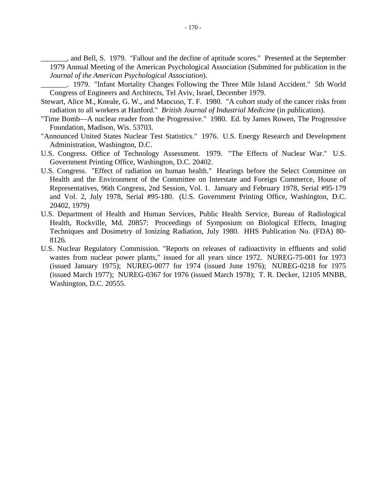\_\_\_\_\_\_\_, and Bell, S. 1979. "Fallout and the decline of aptitude scores." Presented at the September 1979 Annual Meeting of the American Psychological Association (Submitted for publication in the *Journal of the American Psychological Association*).

\_\_\_\_\_\_\_. 1979. "Infant Mortality Changes Following the Three Mile Island Accident." 5th World Congress of Engineers and Architects, Tel Aviv, Israel, December 1979.

- Stewart, Alice M., Kneale, G. W., and Mancuso, T. F. 1980. "A cohort study of the cancer risks from radiation to all workers at Hanford." *British Journal of Industrial Medicine* (in publication).
- "Time Bomb—A nuclear reader from the Progressive." 1980. Ed. by James Rowen, The Progressive Foundation, Madison, Wis. 53703.
- "Announced United States Nuclear Test Statistics." 1976. U.S. Energy Research and Development Administration, Washington, D.C.
- U.S. Congress. Office of Technology Assessment. 1979. "The Effects of Nuclear War." U.S. Government Printing Office, Washington, D.C. 20402.
- U.S. Congress. "Effect of radiation on human health." Hearings before the Select Committee on Health and the Environment of the Committee on Interstate and Foreign Commerce, House of Representatives, 96th Congress, 2nd Session, Vol. 1. January and February 1978, Serial #95-179 and Vol. 2, July 1978, Serial #95-180. (U.S. Government Printing Office, Washington, D.C. 20402, 1979)
- U.S. Department of Health and Human Services, Public Health Service, Bureau of Radiological Health, Rockville, Md. 20857: Proceedings of Symposium on Biological Effects, Imaging Techniques and Dosimetry of Ionizing Radiation, July 1980. HHS Publication No. (FDA) 80- 8126.
- U.S. Nuclear Regulatory Commission. "Reports on releases of radioactivity in effluents and solid wastes from nuclear power plants," issued for all years since 1972. NUREG-75-001 for 1973 (issued January 1975); NUREG-0077 for 1974 (issued June 1976); NUREG-0218 for 1975 (issued March 1977); NUREG-0367 for 1976 (issued March 1978); T. R. Decker, 12105 MNBB, Washington, D.C. 20555.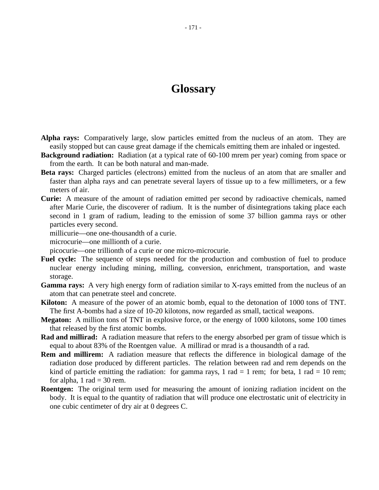# **Glossary**

- **Alpha rays:** Comparatively large, slow particles emitted from the nucleus of an atom. They are easily stopped but can cause great damage if the chemicals emitting them are inhaled or ingested.
- **Background radiation:** Radiation (at a typical rate of 60-100 mrem per year) coming from space or from the earth. It can be both natural and man-made.
- **Beta rays:** Charged particles (electrons) emitted from the nucleus of an atom that are smaller and faster than alpha rays and can penetrate several layers of tissue up to a few millimeters, or a few meters of air.
- **Curie:** A measure of the amount of radiation emitted per second by radioactive chemicals, named after Marie Curie, the discoverer of radium. It is the number of disintegrations taking place each second in 1 gram of radium, leading to the emission of some 37 billion gamma rays or other particles every second.

millicurie—one one-thousandth of a curie.

microcurie—one millionth of a curie.

- picocurie—one trillionth of a curie or one micro-microcurie.
- **Fuel cycle:** The sequence of steps needed for the production and combustion of fuel to produce nuclear energy including mining, milling, conversion, enrichment, transportation, and waste storage.
- **Gamma rays:** A very high energy form of radiation similar to X-rays emitted from the nucleus of an atom that can penetrate steel and concrete.
- **Kiloton:** A measure of the power of an atomic bomb, equal to the detonation of 1000 tons of TNT. The first A-bombs had a size of 10-20 kilotons, now regarded as small, tactical weapons.
- **Megaton:** A million tons of TNT in explosive force, or the energy of 1000 kilotons, some 100 times that released by the first atomic bombs.
- **Rad and millirad:** A radiation measure that refers to the energy absorbed per gram of tissue which is equal to about 83% of the Roentgen value. A millirad or mrad is a thousandth of a rad.
- **Rem and millirem:** A radiation measure that reflects the difference in biological damage of the radiation dose produced by different particles. The relation between rad and rem depends on the kind of particle emitting the radiation: for gamma rays, 1 rad  $= 1$  rem; for beta, 1 rad  $= 10$  rem; for alpha,  $1 \text{ rad} = 30 \text{ rem}$ .
- **Roentgen:** The original term used for measuring the amount of ionizing radiation incident on the body. It is equal to the quantity of radiation that will produce one electrostatic unit of electricity in one cubic centimeter of dry air at 0 degrees C.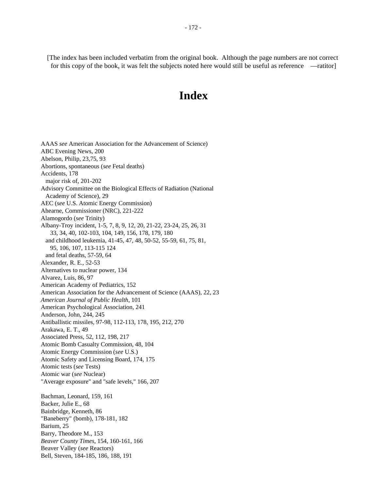[The index has been included verbatim from the original book. Although the page numbers are not correct for this copy of the book, it was felt the subjects noted here would still be useful as reference —ratitor]

# **Index**

AAAS *see* American Association for the Advancement of Science) ABC Evening News, 200 Abelson, Philip, 23,75, 93 Abortions, spontaneous (*see* Fetal deaths) Accidents, 178 major risk of, 201-202 Advisory Committee on the Biological Effects of Radiation (National Academy of Science), 29 AEC (*see* U.S. Atomic Energy Commission) Ahearne, Commissioner (NRC), 221-222 Alamogordo (*see* Trinity) Albany-Troy incident, 1-5, 7, 8, 9, 12, 20, 21-22, 23-24, 25, 26, 31 33, 34, 40, 102-103, 104, 149, 156, 178, 179, 180 and childhood leukemia, 41-45, 47, 48, 50-52, 55-59, 61, 75, 81, 95, 106, 107, 113-115 124 and fetal deaths, 57-59, 64 Alexander, R. E., 52-53 Alternatives to nuclear power, 134 Alvarez, Luis, 86, 97 American Academy of Pediatrics, 152 American Association for the Advancement of Science (AAAS), 22, 23 *American Journal of Public Health*, 101 American Psychological Association, 241 Anderson, John, 244, 245 Antiballistic missiles, 97-98, 112-113, 178, 195, 212, 270 Arakawa, E. T., 49 Associated Press, 52, 112, 198, 217 Atomic Bomb Casualty Commission, 48, 104 Atomic Energy Commission (*see* U.S.) Atomic Safety and Licensing Board, 174, 175 Atomic tests (*see* Tests) Atomic war (*see* Nuclear) "Average exposure" and "safe levels," 166, 207 Bachman, Leonard, 159, 161 Backer, Julie E., 68 Bainbridge, Kenneth, 86 "Baneberry" (bomb), 178-181, 182 Barium, 25 Barry, Theodore M., 153 *Beaver County Times*, 154, 160-161, 166 Beaver Valley (*see* Reactors) Bell, Steven, 184-185, 186, 188, 191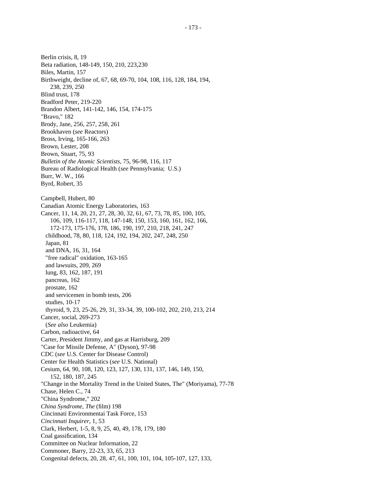Berlin crisis, 8, 19 Beta radiation, 148-149, 150, 210, 223,230 Biles, Martin, 157 Birthweight, decline of, 67, 68, 69-70, 104, 108, 116, 128, 184, 194, 238, 239, 250 Blind trust, 178 Bradford Peter, 219-220 Brandon Albert, 141-142, 146, 154, 174-175 "Bravo," 182 Brody, Jane, 256, 257, 258, 261 Brookhaven (*see* Reactors) Bross, Irving, 165-166, 263 Brown, Lester, 208 Brown, Stuart, 75, 93 *Bulletin of the Atomic Scientists*, 75, 96-98, 116, 117 Bureau of Radiological Health (*see* Pennsylvania; U.S.) Burr, W. W., 166 Byrd, Robert, 35 Campbell, Hubert, 80 Canadian Atomic Energy Laboratories, 163 Cancer, 11, 14, 20, 21, 27, 28, 30, 32, 61, 67, 73, 78, 85, 100, 105, 106, 109, 116-117, 118, 147-148, 150, 153, 160, 161, 162, 166, 172-173, 175-176, 178, 186, 190, 197, 210, 218, 241, 247 childhood, 78, 80, 118, 124, 192, 194, 202, 247, 248, 250 Japan, 81 and DNA, 16, 31, 164 "free radical" oxidation, 163-165 and lawsuits, 209, 269 lung, 83, 162, 187, 191 pancreas, 162 prostate, 162 and servicemen in bomb tests, 206 studies, 10-17 thyroid, 9, 23, 25-26, 29, 31, 33-34, 39, 100-102, 202, 210, 213, 214 Cancer, social, 269-273 (*See also* Leukemia) Carbon, radioactive, 64 Carter, President Jimmy, and gas at Harrisburg, 209 "Case for Missile Defense, A" (Dyson), 97-98 CDC (*see* U.S. Center for Disease Control) Center for Health Statistics (*see* U.S. National) Cesium, 64, 90, 108, 120, 123, 127, 130, 131, 137, 146, 149, 150, 152, 180, 187, 245 "Change in the Mortality Trend in the United States, The" (Moriyama), 77-78 Chase, Helen C., 74 "China Syndrome," 202 *China Syndrome, The* (film) 198 Cincinnati Environmentai Task Force, 153 *Cincinnati Inquirer*, 1, 53 Clark, Herbert, 1-5, 8, 9, 25, 40, 49, 178, 179, 180 Coal gassification, 134 Committee on Nuclear Information, 22 Commoner, Barry, 22-23, 33, 65, 213 Congenital defects, 20, 28, 47, 61, 100, 101, 104, 105-107, 127, 133,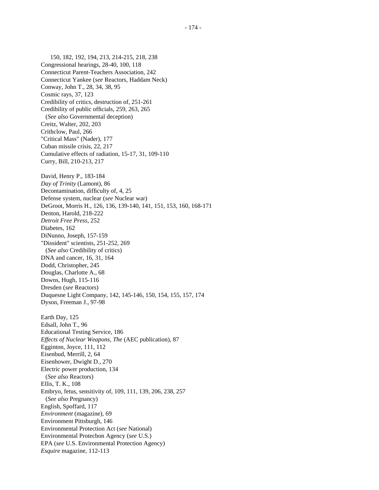150, 182, 192, 194, 213, 214-215, 218, 238 Congressional hearings, 28-40, 100, 118 Connecticut Parent-Teachers Association, 242 Connecticut Yankee (*see* Reactors, Haddam Neck) Conway, John T., 28, 34, 38, 95 Cosmic rays, 37, 123 Credibility of critics, destruction of, 251-261 Credibility of public officials, 259, 263, 265 (*See also* Governmental deception) Creitz, Walter, 202, 203 Crithclow, Paul, 266 "Critical Mass" (Nader), 177 Cuban missile crisis, 22, 217 Cumulative effects of radiation, 15-17, 31, 109-110 Curry, Bill, 210-213, 217 David, Henry P., 183-184 *Day of Trinity* (Lamont), 86 Decontamination, difficulty of, 4, 25 Defense system, nuclear (*see* Nuclear war) DeGroot, Morris H., 126, 136, 139-140, 141, 151, 153, 160, 168-171 Denton, Harold, 218-222 *Detroit Free Press*, 252 Diabetes, 162 DiNunno, Joseph, 157-159 "Dissident" scientists, 251-252, 269 (*See also* Credibility of critics) DNA and cancer, 16, 31, 164 Dodd, Christopher, 245 Douglas, Charlotte A., 68 Downs, Hugh, 115-116 Dresden (*see* Reactors) Duquesne Light Company, 142, 145-146, 150, 154, 155, 157, 174 Dyson, Freeman J., 97-98 Earth Day, 125 Edsall, John T., 96 Educational Testing Service, 186 *Effects of Nuclear Weapons, The* (AEC publication), 87 Egginton, Joyce, 111, 112 Eisenbud, Merrill, 2, 64 Eisenhower, Dwight D., 270 Electric power production, 134 (*See also* Reactors) Ellis, T. K., 108 Embryo, fetus, sensitivity of, 109, 111, 139, 206, 238, 257 (*See also* Pregnancy) English, Spoffard, 117 *Environment* (magazine), 69 Environment Pittsburgh, 146 Environmental Protection Act (*see* National) Environmental Protecbon Agency (*see* U.S.) EPA (*see* U.S. Environmental Protection Agency) *Esquire* magazine, 112-113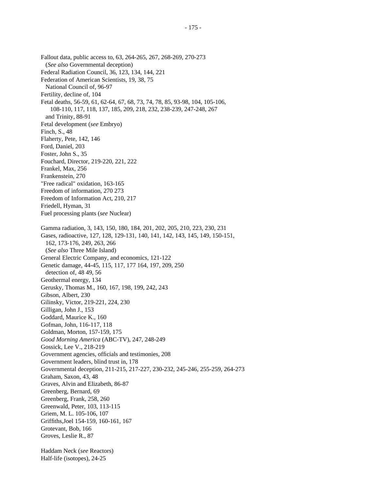Fallout data, public access to, 63, 264-265, 267, 268-269, 270-273 (*See also* Governmental deception) Federal Radiation Council, 36, 123, 134, 144, 221 Federation of American Scientists, 19, 38, 75 National Council of, 96-97 Fertility, decline of, 104 Fetal deaths, 56-59, 61, 62-64, 67, 68, 73, 74, 78, 85, 93-98, 104, 105-106, 108-110, 117, 118, 137, 185, 209, 218, 232, 238-239, 247-248, 267 and Trinity, 88-91 Fetal development (*see* Embryo) Finch, S., 48 Flaherty, Pete, 142, 146 Ford, Daniel, 203 Foster, John S., 35 Fouchard, Director, 219-220, 221, 222 Frankel, Max, 256 Frankenstein, 270 "Free radical" oxidation, 163-165 Freedom of information, 270 273 Freedom of Information Act, 210, 217 Friedell, Hyman, 31 Fuel processing plants (*see* Nuclear) Gamma radiation, 3, 143, 150, 180, 184, 201, 202, 205, 210, 223, 230, 231 Gases, radioactive, 127, 128, 129-131, 140, 141, 142, 143, 145, 149, 150-151, 162, 173-176, 249, 263, 266 (*See also* Three Mile Island) General Electric Company, and economics, 121-122 Genetic damage, 44-45, 115, 117, 177 164, 197, 209, 250 detection of, 48 49, 56 Geothermal energy, 134 Gerusky, Thomas M., 160, 167, 198, 199, 242, 243 Gibson, Albert, 230 Gilinsky, Victor, 219-221, 224, 230 Gilligan, John J., 153 Goddard, Maurice K., 160 Gofman, John, 116-117, 118 Goldman, Morton, 157-159, 175 *Good Morning America* (ABC-TV), 247, 248-249 Gossick, Lee V., 218-219 Government agencies, officials and testimonies, 208 Government leaders, blind trust in, 178 Governmental deception, 211-215, 217-227, 230-232, 245-246, 255-259, 264-273 Graham, Saxon, 43, 48 Graves, Alvin and Elizabeth, 86-87 Greenberg, Bernard, 69 Greenberg, Frank, 258, 260 Greenwald, Peter, 103, 113-115 Griem, M. L. 105-106, 107 Griffiths,Joel 154-159, 160-161, 167 Grotevant, Bob, 166 Groves, Leslie R., 87 Haddam Neck (*see* Reactors)

Half-life (isotopes), 24-25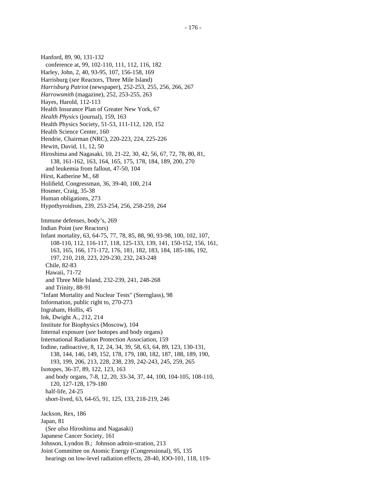Hanford, 89, 90, 131-132 conference at, 99, 102-110, 111, 112, 116, 182 Harley, John, 2, 40, 93-95, 107, 156-158, 169 Harrisburg (*see* Reactors, Three Mile Island) *Harrisburg Patriot* (newspaper), 252-253, 255, 256, 266, 267 *Harrowsmith* (magazine), 252, 253-255, 263 Hayes, Harold, 112-113 Health Insurance Plan of Greater New York, 67 *Health Physics* (journal), 159, 163 Health Physics Society, 51-53, 111-112, 120, 152 Health Science Center, 160 Hendrie, Chairman (NRC), 220-223, 224, 225-226 Hewitt, David, 11, 12, 50 Hiroshima and Nagasaki, 10, 21-22, 30, 42, 56, 67, 72, 78, 80, 81, 138, 161-162, 163, 164, 165, 175, 178, 184, 189, 200, 270 and leukemia from fallout, 47-50, 104 Hirst, Katherine M., 68 Holifield, Congressman, 36, 39-40, 100, 214 Hosmer, Craig, 35-38 Human obligations, 273 Hypothyroidism, 239, 253-254, 256, 258-259, 264 Immune defenses, body's, 269 Indian Point (*see* Reactors) Infant mortality, 63, 64-75, 77, 78, 85, 88, 90, 93-98, 100, 102, 107, 108-110, 112, 116-117, 118, 125-133, 139, 141, 150-152, 156, 161, 163, 165, 166, 171-172, 176, 181, 182, 183, 184, 185-186, 192, 197, 210, 218, 223, 229-230, 232, 243-248 Chile, 82-83 Hawaii, 71-72 and Three Mile Island, 232-239, 241, 248-268 and Trinity, 88-91 "Infant Mortality and Nuclear Tests" (Sternglass), 98 Information, public right to, 270-273 Ingraham, Hollis, 45 Ink, Dwight A., 212, 214 Institute for Biophysics (Moscow), 104 Internal exposure (*see* Isotopes and body organs) International Radiation Protection Association, 159 Iodine, radioactive, 8, 12, 24, 34, 39, 58, 63, 64, 89, 123, 130-131, 138, 144, 146, 149, 152, 178, 179, 180, 182, 187, 188, 189, 190, 193, 199, 206, 213, 228, 238, 239, 242-243, 245, 259, 265 Isotopes, 36-37, 89, 122, 123, 163 and body organs, 7-8, 12, 20, 33-34, 37, 44, 100, 104-105, 108-110, 120, 127-128, 179-180 half-life, 24-25 short-lived, 63, 64-65, 91, 125, 133, 218-219, 246 Jackson, Rex, 186 Japan, 81 (*See also* Hiroshima and Nagasaki) Japanese Cancer Society, 161 Johnson, Lyndon B.; Johnson admin-stration, 213 Joint Committee on Atomic Energy (Congressional), 95, 135 hearings on low-level radiation effects, 28-40, lOO-101, 118, 119-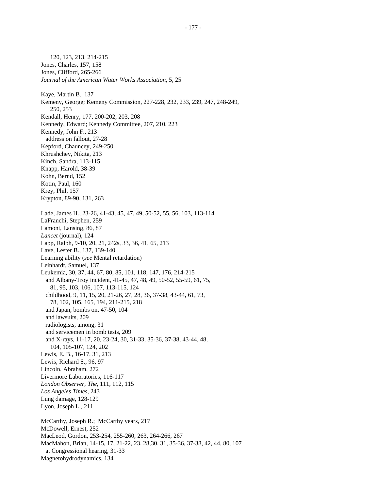120, 123, 213, 214-215 Jones, Charles, 157, 158 Jones, Clifford, 265-266 *Journal of the American Water Works Association*, 5, 25 Kaye, Martin B., 137 Kemeny, George; Kemeny Commission, 227-228, 232, 233, 239, 247, 248-249, 250, 253 Kendall, Henry, 177, 200-202, 203, 208 Kennedy, Edward; Kennedy Committee, 207, 210, 223 Kennedy, John F., 213 address on fallout, 27-28 Kepford, Chauncey, 249-250 Khrushchev, Nikita, 213 Kinch, Sandra, 113-115 Knapp, Harold, 38-39 Kohn, Bernd, 152 Kotin, Paul, 160 Krey, Phil, 157 Krypton, 89-90, 131, 263 Lade, James H., 23-26, 41-43, 45, 47, 49, 50-52, 55, 56, 103, 113-114 LaFranchi, Stephen, 259 Lamont, Lansing, 86, 87 *Lancet* (journal), 124 Lapp, Ralph, 9-10, 20, 21, 242s, 33, 36, 41, 65, 213 Lave, Lester B., 137, 139-140 Learning ability (*see* Mental retardation) Leinhardt, Samuel, 137 Leukemia, 30, 37, 44, 67, 80, 85, 101, 118, 147, 176, 214-215 and Albany-Troy incident, 41-45, 47, 48, 49, 50-52, 55-59, 61, 75, 81, 95, 103, 106, 107, 113-115, 124 childhood, 9, 11, 15, 20, 21-26, 27, 28, 36, 37-38, 43-44, 61, 73, 78, 102, 105, 165, 194, 211-215, 218 and Japan, bombs on, 47-50, 104 and lawsuits, 209 radiologists, among, 31 and servicemen in bomb tests, 209 and X-rays, 11-17, 20, 23-24, 30, 31-33, 35-36, 37-38, 43-44, 48, 104, 105-107, 124, 202 Lewis, E. B., 16-17, 31, 213 Lewis, Richard S., 96, 97 Lincoln, Abraham, 272 Livermore Laboratories, 116-117 *London Observer, The*, 111, 112, 115 *Los Angeles Times*, 243 Lung damage, 128-129 Lyon, Joseph L., 211 McCarthy, Joseph R.; McCarthy years, 217 McDowell, Ernest, 252 MacLeod, Gordon, 253-254, 255-260, 263, 264-266, 267 MacMahon, Brian, 14-15, 17, 21-22, 23, 28,30, 31, 35-36, 37-38, 42, 44, 80, 107 at Congressional hearing, 31-33 Magnetohydrodynamics, 134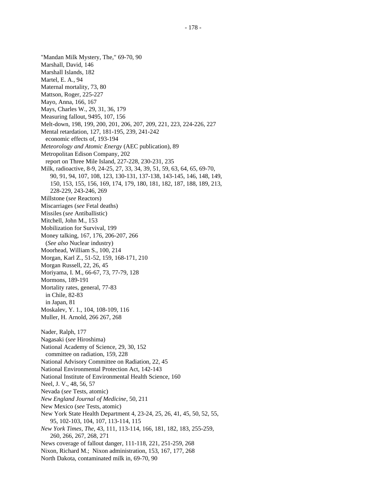"Mandan Milk Mystery, The," 69-70, 90 Marshall, David, 146 Marshall Islands, 182 Martel, E. A., 94 Maternal mortality, 73, 80 Mattson, Roger, 225-227 Mayo, Anna, 166, 167 Mays, Charles W., 29, 31, 36, 179 Measuring fallout, 9495, 107, 156 Melt-down, 198, 199, 200, 201, 206, 207, 209, 221, 223, 224-226, 227 Mental retardation, 127, 181-195, 239, 241-242 economic effects of, 193-194 *Meteorology and Atomic Energy* (AEC publication), 89 Metropolitan Edison Company, 202 report on Three Mile Island, 227-228, 230-231, 235 Milk, radioactive, 8-9, 24-25, 27, 33, 34, 39, 51, 59, 63, 64, 65, 69-70, 90, 91, 94, 107, 108, 123, 130-131, 137-138, 143-145, 146, 148, 149, 150, 153, 155, 156, 169, 174, 179, 180, 181, 182, 187, 188, 189, 213, 228-229, 243-246, 269 Millstone (*see* Reactors) Miscarriages (*see* Fetal deaths) Missiles (*see* Antiballistic) Mitchell, John M., 153 Mobilization for Survival, 199 Money talking, 167, 176, 206-207, 266 (*See also* Nuclear industry) Moorhead, William S., 100, 214 Morgan, Karl Z., 51-52, 159, 168-171, 210 Morgan Russell, 22, 26, 45 Moriyama, I. M., 66-67, 73, 77-79, 128 Mormons, 189-191 Mortality rates, general, 77-83 in Chile, 82-83 in Japan, 81 Moskalev, Y. 1., 104, 108-109, 116 Muller, H. Arnold, 266 267, 268 Nader, Ralph, 177 Nagasaki (*see* Hiroshima) National Academy of Science, 29, 30, 152 committee on radiation, 159, 228 National Advisory Committee on Radiation, 22, 45 National Environmental Protection Act, 142-143 National Institute of Environmental Health Science, 160 Neel, J. V., 48, 56, 57 Nevada (*see* Tests, atomic) *New England Journal of Medicine*, 50, 211 New Mexico (*see* Tests, atomic) New York State Health Department 4, 23-24, 25, 26, 41, 45, 50, 52, 55, 95, 102-103, 104, 107, 113-114, 115 *New York Times, The*, 43, 111, 113-114, 166, 181, 182, 183, 255-259, 260, 266, 267, 268, 271 News coverage of fallout danger, 111-118, 221, 251-259, 268 Nixon, Richard M.; Nixon administration, 153, 167, 177, 268 North Dakota, contaminated milk in, 69-70, 90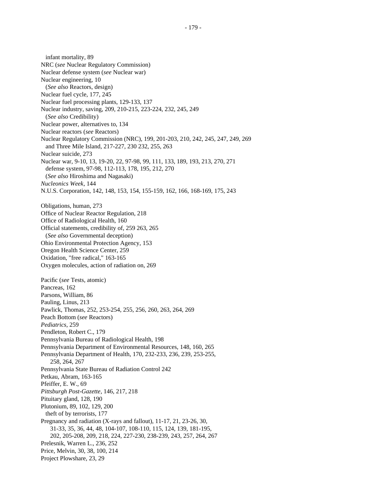infant mortality, 89 NRC (*see* Nuclear Regulatory Commission) Nuclear defense system (*see* Nuclear war) Nuclear engineering, 10 (*See also* Reactors, design) Nuclear fuel cycle, 177, 245 Nuclear fuel processing plants, 129-133, 137 Nuclear industry, saving, 209, 210-215, 223-224, 232, 245, 249 (*See also* Credibility) Nuclear power, alternatives to, 134 Nuclear reactors (*see* Reactors) Nuclear Regulatory Commission (NRC), 199, 201-203, 210, 242, 245, 247, 249, 269 and Three Mile Island, 217-227, 230 232, 255, 263 Nuclear suicide, 273 Nuclear war, 9-10, 13, 19-20, 22, 97-98, 99, 111, 133, 189, 193, 213, 270, 271 defense system, 97-98, 112-113, 178, 195, 212, 270 (*See also* Hiroshima and Nagasaki) *Nucleonics Week*, 144 N.U.S. Corporation, 142, 148, 153, 154, 155-159, 162, 166, 168-169, 175, 243 Obligations, human, 273 Office of Nuclear Reactor Regulation, 218 Office of Radiological Health, 160 Official statements, credibility of, 259 263, 265 (*See also* Governmental deception) Ohio Environmental Protection Agency, 153 Oregon Health Science Center, 259 Oxidation, "free radical," 163-165 Oxygen molecules, action of radiation on, 269 Pacific (*see* Tests, atomic) Pancreas, 162 Parsons, William, 86 Pauling, Linus, 213 Pawlick, Thomas, 252, 253-254, 255, 256, 260, 263, 264, 269 Peach Bottom (*see* Reactors) *Pediatrics*, 259 Pendleton, Robert C., 179 Pennsylvania Bureau of Radiological Health, 198 Pennsylvania Department of Environmental Resources, 148, 160, 265 Pennsylvania Department of Health, 170, 232-233, 236, 239, 253-255, 258, 264, 267 Pennsylvania State Bureau of Radiation Control 242 Petkau, Abram, 163-165 Pfeiffer, E. W., 69 *Pittsburgh Post-Gazette*, 146, 217, 218 Pituitary gland, 128, 190 Plutonium, 89, 102, 129, 200 theft of by terrorists, 177 Pregnancy and radiation (X-rays and fallout), 11-17, 21, 23-26, 30, 31-33, 35, 36, 44, 48, 104-107, 108-110, 115, 124, 139, 181-195, 202, 205-208, 209, 218, 224, 227-230, 238-239, 243, 257, 264, 267 Prelesnik, Warren L., 236, 252 Price, Melvin, 30, 38, 100, 214 Project Plowshare, 23, 29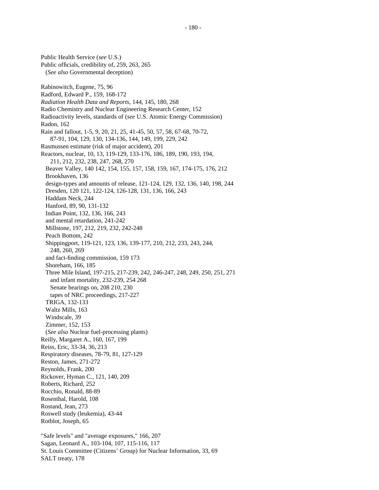Public Health Service (*see* U.S.) Public officials, credibility of, 259, 263, 265 (*See also* Governmental deception) Rabinowitch, Eugene, 75, 96 Radford, Edward P., 159, 168-172 *Radiation Health Data and Reports*, 144, 145, 180, 268 Radio Chemistry and Nuclear Engineering Research Center, 152 Radioactivity levels, standards of (*see* U.S. Atomic Energy Commission) Radon, 162 Rain and fallout, 1-5, 9, 20, 21, 25, 41-45, 50, 57, 58, 67-68, 70-72, 87-91, 104, 129, 130, 134-136, 144, 149, 199, 229, 242 Rasmussen estimate (risk of major accident), 201 Reactors, nuclear, 10, 13, 119-129, 133-176, 186, 189, 190, 193, 194, 211, 212, 232, 238, 247, 268, 270 Beaver Valley, 140 142, 154, 155, 157, 158, 159, 167, 174-175, 176, 212 Brookhaven, 136 design-types and amounts of release, 121-124, 129, 132, 136, 140, 198, 244 Dresden, 120 121, 122-124, 126-128, 131, 136, 166, 243 Haddam Neck, 244 Hanford, 89, 90, 131-132 Indian Point, 132, 136, 166, 243 and mental retardation, 241-242 Millstone, 197, 212, 219, 232, 242-248 Peach Bottom, 242 Shippingport, 119-121, 123, 136, 139-177, 210, 212, 233, 243, 244, 248, 260, 269 and fact-finding commission, 159 173 Shoreham, 166, 185 Three Mile Island, 197-215, 217-239, 242, 246-247, 248, 249, 250, 251, 271 and infant mortality, 232-239, 254 268 Senate hearings on, 208 210, 230 tapes of NRC proceedings, 217-227 TRIGA, 132-133 Waltz Mills, 163 Windscale, 39 Zimmer, 152, 153 (*See also* Nuclear fuel-processing plants) Reilly, Margaret A., 160, 167, 199 Reiss, Eric, 33-34, 36, 213 Respiratory diseases, 78-79, 81, 127-129 Reston, James, 271-272 Reynolds, Frank, 200 Rickover, Hyman C., 121, 140, 209 Roberts, Richard, 252 Rocchio, Ronald, 88-89 Rosenthal, Harold, 108 Rostand, Jean, 273 Roswell study (leukemia), 43-44 Rotblot, Joseph, 65

"Safe levels" and "average exposures," 166, 207 Sagan, Leonard A., 103-104, 107, 115-116, 117 St. Louis Committee (Citizens' Group) for Nuclear Information, 33, 69 SALT treaty, 178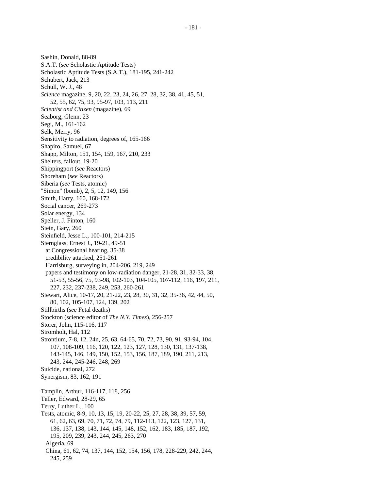Sashin, Donald, 88-89 S.A.T. (*see* Scholastic Aptitude Tests) Scholastic Aptitude Tests (S.A.T.), 181-195, 241-242 Schubert, Jack, 213 Schull, W. J., 48 *Science* magazine, 9, 20, 22, 23, 24, 26, 27, 28, 32, 38, 41, 45, 51, 52, 55, 62, 75, 93, 95-97, 103, 113, 211 *Scientist and Citizen* (magazine), 69 Seaborg, Glenn, 23 Segi, M., 161-162 Selk, Merry, 96 Sensitivity to radiation, degrees of, 165-166 Shapiro, Samuel, 67 Shapp, Milton, 151, 154, 159, 167, 210, 233 Shelters, fallout, 19-20 Shippingport (*see* Reactors) Shoreham (*see* Reactors) Siberia (*see* Tests, atomic) "Simon" (bomb), 2, 5, 12, 149, 156 Smith, Harry, 160, 168-172 Social cancer, 269-273 Solar energy, 134 Speller, J. Finton, 160 Stein, Gary, 260 Steinfield, Jesse L., 100-101, 214-215 Sternglass, Ernest J., 19-21, 49-51 at Congressional hearing, 35-38 credibility attacked, 251-261 Harrisburg, surveying in, 204-206, 219, 249 papers and testimony on low-radiation danger, 21-28, 31, 32-33, 38, 51-53, 55-56, 75, 93-98, 102-103, 104-105, 107-112, 116, 197, 211, 227, 232, 237-238, 249, 253, 260-261 Stewart, Alice, 10-17, 20, 21-22, 23, 28, 30, 31, 32, 35-36, 42, 44, 50, 80, 102, 105-107, 124, 139, 202 Stillbirths (*see* Fetal deaths) Stockton (science editor of *The N.Y. Times*), 256-257 Storer, John, 115-116, 117 Stromholt, Hal, 112 Strontium, 7-8, 12, 24n, 25, 63, 64-65, 70, 72, 73, 90, 91, 93-94, 104, 107, 108-109, 116, 120, 122, 123, 127, 128, 130, 131, 137-138, 143-145, 146, 149, 150, 152, 153, 156, 187, 189, 190, 211, 213, 243, 244, 245-246, 248, 269 Suicide, national, 272 Synergism, 83, 162, 191 Tamplin, Arthur, 116-117, 118, 256 Teller, Edward, 28-29, 65 Terry, Luther L., 100 Tests, atomic, 8-9, 10, 13, 15, 19, 20-22, 25, 27, 28, 38, 39, 57, 59, 61, 62, 63, 69, 70, 71, 72, 74, 79, 112-113, 122, 123, 127, 131, 136, 137, 138, 143, 144, 145, 148, 152, 162, 183, 185, 187, 192, 195, 209, 239, 243, 244, 245, 263, 270 Algeria, 69 China, 61, 62, 74, 137, 144, 152, 154, 156, 178, 228-229, 242, 244, 245, 259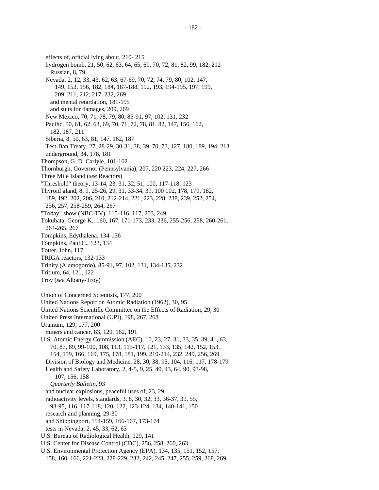effects of, official lying about, 210- 215 hydrogen bomb, 21, 50, 62, 63, 64, 65, 69, 70, 72, 81, 82, 99, 182, 212 Russian, 8, 79 Nevada, 2, 12, 33, 43, 62, 63, 67-69, 70, 72, 74, 79, 80, 102, 147, 149, 153, 156, 182, 184, 187-188, 192, 193, 194-195, 197, 199, 209, 211, 212, 217, 232, 269 and mental retardation, 181-195 and suits for damages, 209, 269 New Mexico, 70, 71, 78, 79, 80, 85-91, 97, 102, 131, 232 Pacific, 50, 61, 62, 63, 69, 70, 71, 72, 78, 81, 82, 147, 156, 162, 182, 187, 211 Siberia, 8, 50, 63, 81, 147, 162, 187 Test-Ban Treaty, 27, 28-29, 30-31, 38, 39, 70, 73, 127, 180, 189, 194, 213 underground, 34, 178, 181 Thompson, G. D. Carlyle, 101-102 Thornburgh, Governor (Pennsylvania), 207, 220 223, 224, 227, 266 Three Mile Island (*see* Reactors) "Threshold" theory, 13-14, 23, 31, 32, 51, 100, 117-118, 123 Thyroid gland, 8, 9, 25-26, 29, 31, 33-34, 39, 100 102, 178, 179, 182, 189, 192, 202, 206, 210, 212-214, 221, 223, 228, 238, 239, 252, 254, 256, 257, 258-259, 264, 267 "Today" show (NBC-TV), 115-116, 117, 203, 249 Tokuhata, George K., 160, 167, 171-173, 233, 236, 255-256, 258, 260-261, 264-265, 267 Tompkins, Edythalena, 134-136 Tompkins, Paul C., 123, 134 Totter, John, 117 TRIGA reactors, 132-133 Trinity (Alamogordo), 85-91, 97, 102, 131, 134-135, 232 Tritium, 64, 121, 122 Troy (*see* Albany-Troy) Union of Concerned Scientists, 177, 200 United Nations Report on Atomic Radiation (1962), 30, 95 United Nations Scientific Committee on the Effects of Radiation, 29, 30 United Press International (UPI), 198, 267, 268 Uranium, 129, 177, 200 miners and cancer, 83, 129, 162, 191 U.S. Atomic Energy Commission (AEC), 10, 23, 27, 31, 33, 35, 39, 41, 63, 70, 87, 89, 99-100, 108, 113, 115-117, 121, 133, 135, 142, 152, 153, 154, 159, 166, 169, 175, 178, 181, 199, 210-214, 232, 249, 256, 269 Division of Biology and Medicine, 28, 30, 38, 95, 104, 116, 117, 178-179 Health and Safety Laboratory, 2, 4-5, 9, 25, 40, 43, 64, 90, 93-98, 107, 156, 158 *Quarterly Bulletin*, 93 and nuclear explosions, peaceful uses of, 23, 29 radioactivity levels, standards, 3, 8, 30, 32, 33, 36-37, 39, 55, 93-95, 116, 117-118, 120, 122, 123-124, 134, 140-141, 150 research and planning, 29-30 and Shippingport, 154-159, 166-167, 173-174 tests in Nevada, 2, 45, 33, 62, 63 U.S. Bureau of Radiological Health, 129, 141 U.S. Center for Disease Control (CDC), 256, 258, 260, 263 U.S. Environmental Protection Agency (EPA), 134, 135, 151, 152, 157, 158, 160, 166, 221-223, 228-229, 232, 242, 245, 247, 255, 259, 268, 269